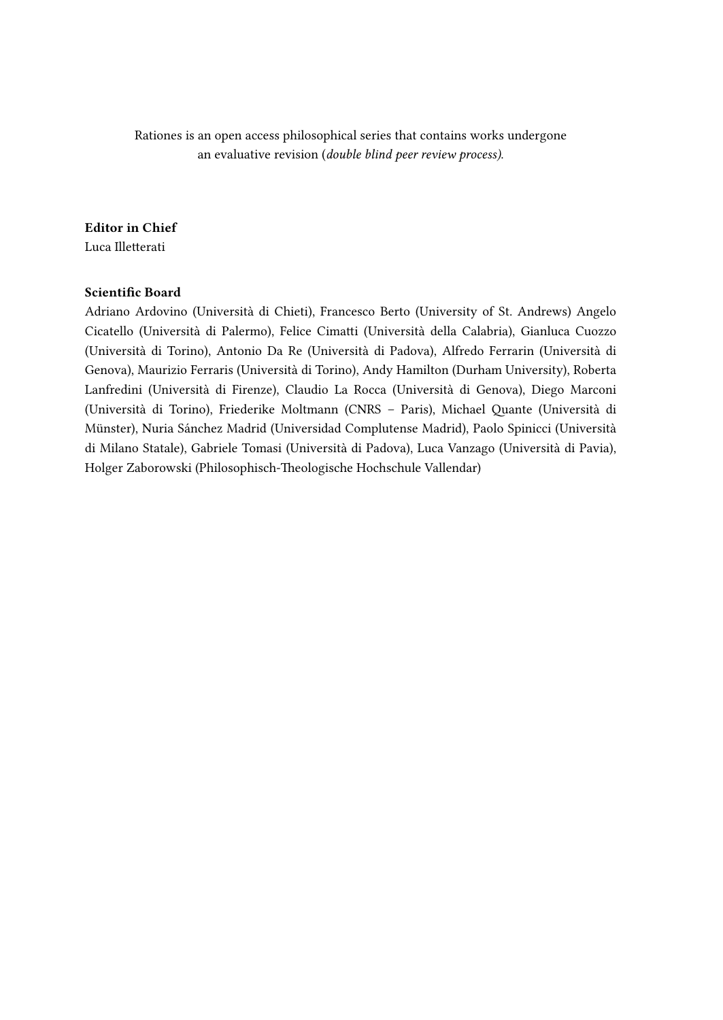Rationes is an open access philosophical series that contains works undergone an evaluative revision (*double blind peer review process)*.

#### Editor in Chief

Luca Illetterati

#### Scientific Board

Adriano Ardovino (Università di Chieti), Francesco Berto (University of St. Andrews) Angelo Cicatello (Università di Palermo), Felice Cimatti (Università della Calabria), Gianluca Cuozzo (Università di Torino), Antonio Da Re (Università di Padova), Alfredo Ferrarin (Università di Genova), Maurizio Ferraris (Università di Torino), Andy Hamilton (Durham University), Roberta Lanfredini (Università di Firenze), Claudio La Rocca (Università di Genova), Diego Marconi (Università di Torino), Friederike Moltmann (CNRS – Paris), Michael Quante (Università di Münster), Nuria Sánchez Madrid (Universidad Complutense Madrid), Paolo Spinicci (Università di Milano Statale), Gabriele Tomasi (Università di Padova), Luca Vanzago (Università di Pavia), Holger Zaborowski (Philosophisch-Theologische Hochschule Vallendar)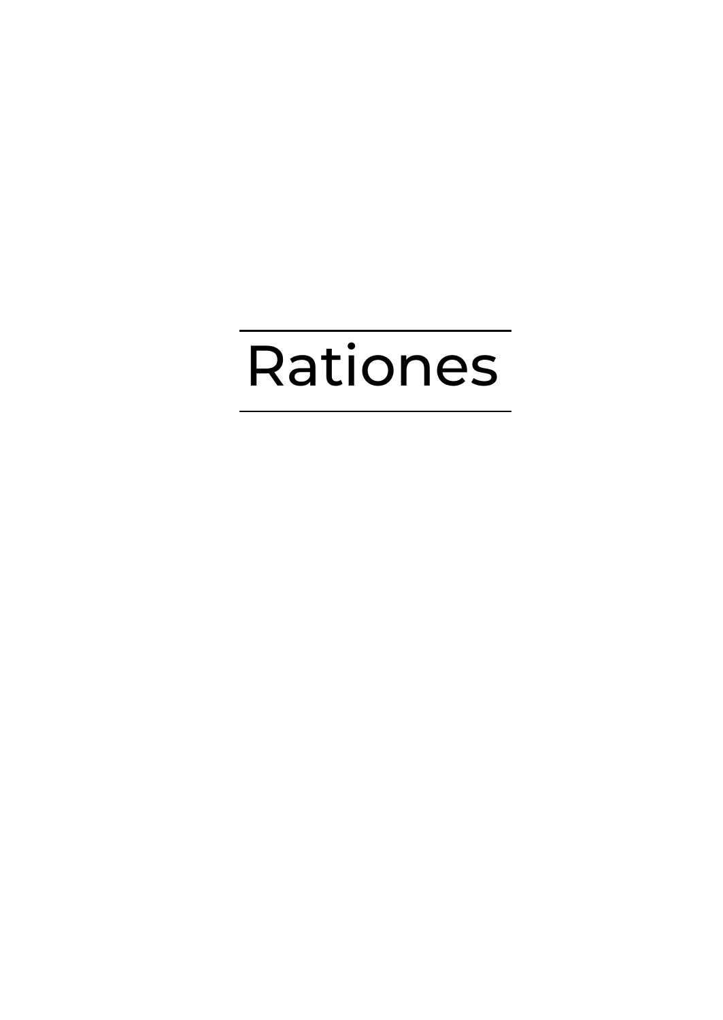# Rationes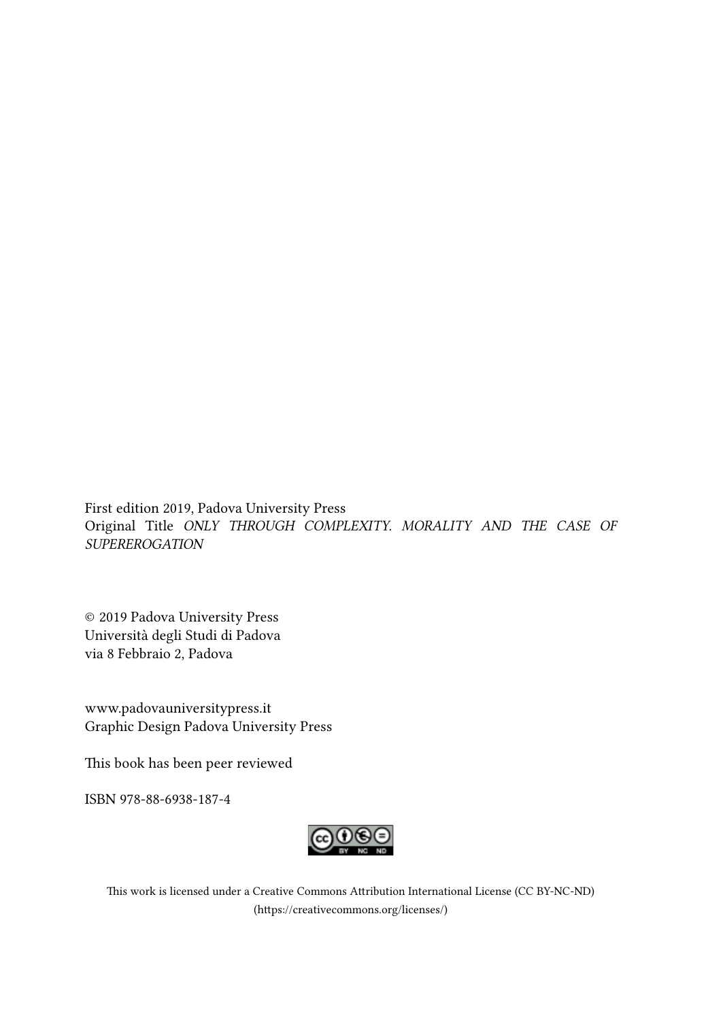First edition 2019, Padova University Press Original Title *ONLY THROUGH COMPLEXITY. MORALITY AND THE CASE OF SUPEREROGATION*

© 2019 Padova University Press Università degli Studi di Padova via 8 Febbraio 2, Padova

www.padovauniversitypress.it Graphic Design Padova University Press

This book has been peer reviewed

ISBN 978-88-6938-187-4



This work is licensed under a Creative Commons Attribution International License (CC BY-NC-ND) (https://creativecommons.org/licenses/)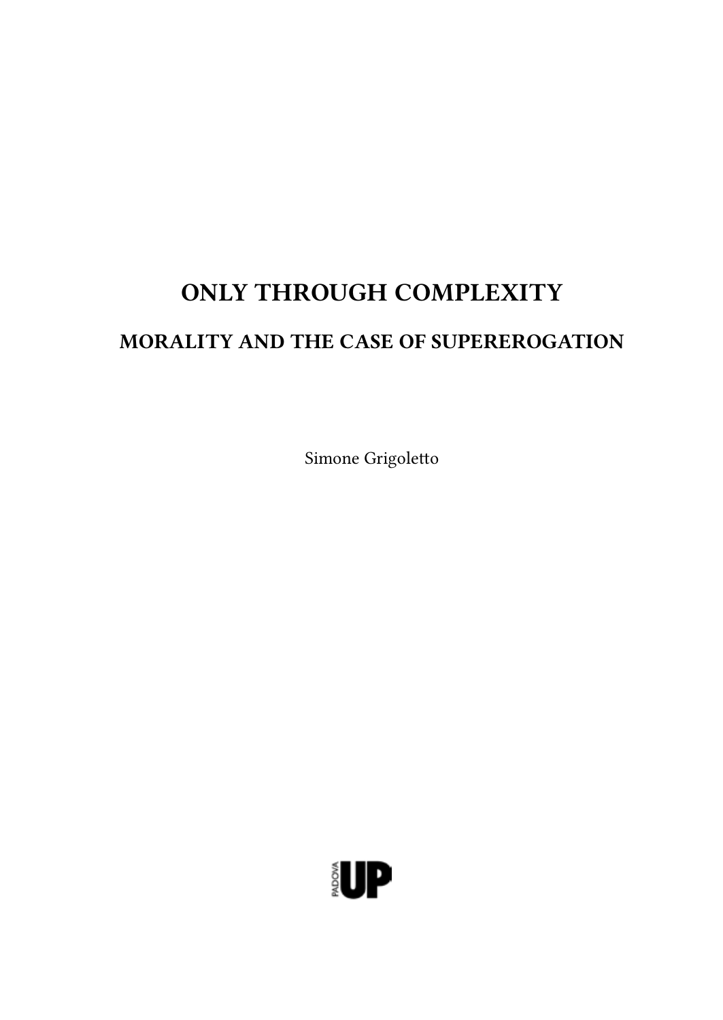## ONLY THROUGH COMPLEXITY

## MORALITY AND THE CASE OF SUPEREROGATION

Simone Grigoletto

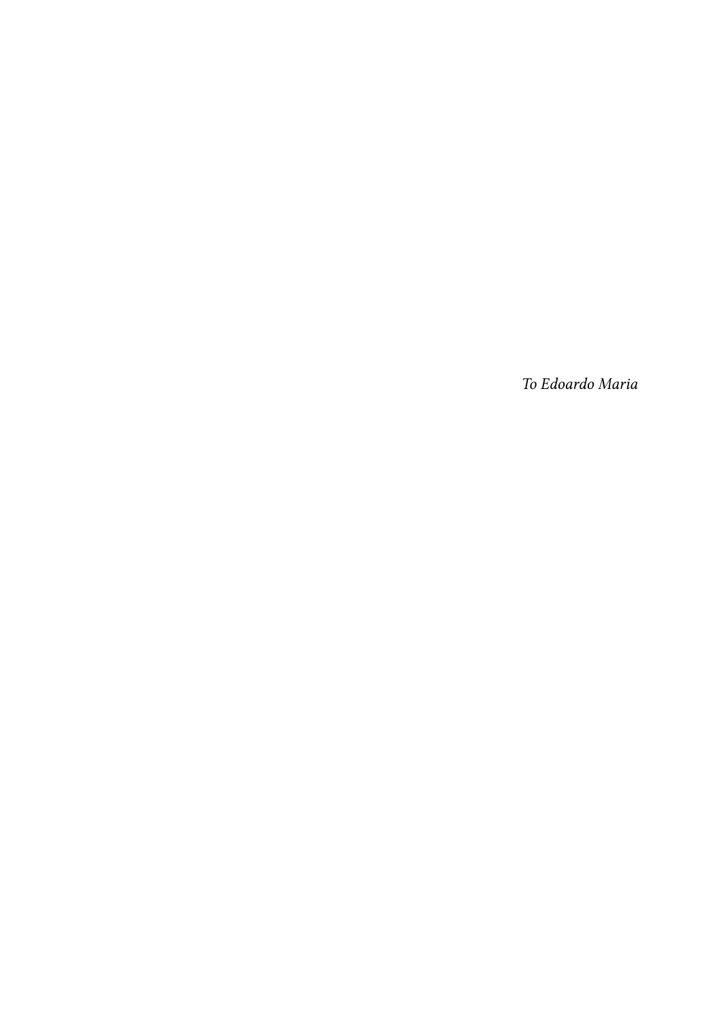*To Edoardo Maria*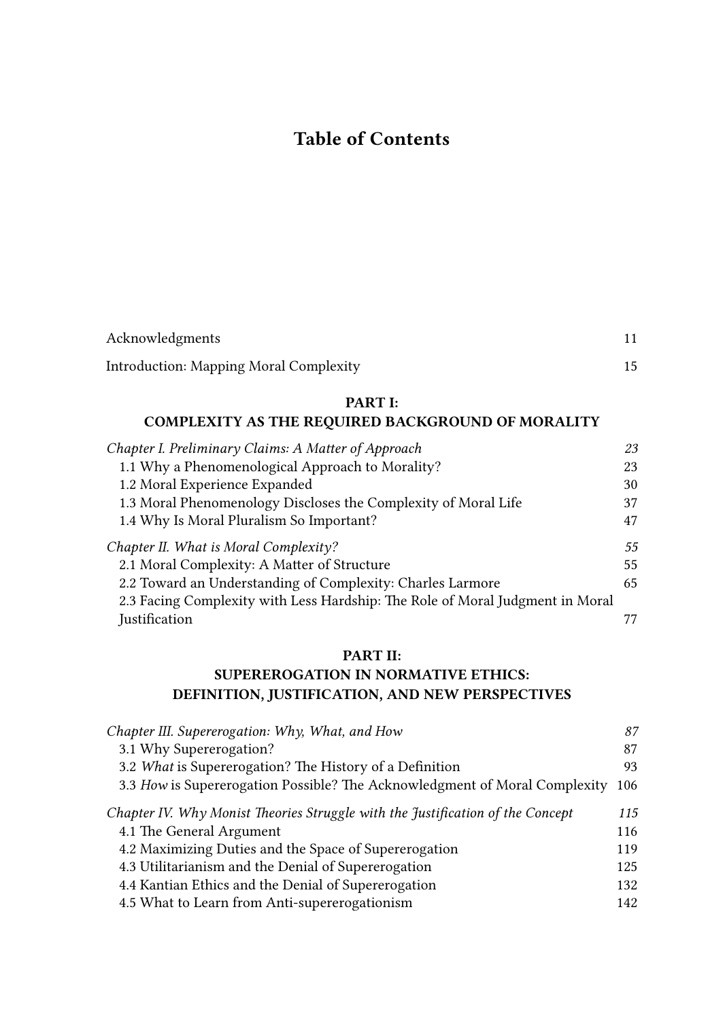## Table of Contents

| Acknowledgments                               |  |
|-----------------------------------------------|--|
| <b>Introduction: Mapping Moral Complexity</b> |  |

#### PART I:

#### COMPLEXITY AS THE REQUIRED BACKGROUND OF MORALITY

| Chapter I. Preliminary Claims: A Matter of Approach                           | 23 |
|-------------------------------------------------------------------------------|----|
| 1.1 Why a Phenomenological Approach to Morality?                              | 23 |
| 1.2 Moral Experience Expanded                                                 | 30 |
| 1.3 Moral Phenomenology Discloses the Complexity of Moral Life                | 37 |
| 1.4 Why Is Moral Pluralism So Important?                                      | 47 |
| Chapter II. What is Moral Complexity?                                         | 55 |
| 2.1 Moral Complexity: A Matter of Structure                                   | 55 |
| 2.2 Toward an Understanding of Complexity: Charles Larmore                    | 65 |
| 2.3 Facing Complexity with Less Hardship: The Role of Moral Judgment in Moral |    |
| Justification                                                                 |    |

#### PART II:

#### SUPEREROGATION IN NORMATIVE ETHICS: DEFINITION, JUSTIFICATION, AND NEW PERSPECTIVES

| Chapter III. Supererogation: Why, What, and How                                | 87  |
|--------------------------------------------------------------------------------|-----|
| 3.1 Why Supererogation?                                                        | 87  |
| 3.2 What is Supererogation? The History of a Definition                        | 93  |
| 3.3 How is Supererogation Possible? The Acknowledgment of Moral Complexity     | 106 |
| Chapter IV. Why Monist Theories Struggle with the Justification of the Concept | 115 |
| 4.1 The General Argument                                                       | 116 |
| 4.2 Maximizing Duties and the Space of Supererogation                          | 119 |
| 4.3 Utilitarianism and the Denial of Supererogation                            | 125 |
| 4.4 Kantian Ethics and the Denial of Supererogation                            | 132 |
| 4.5 What to Learn from Anti-supererogationism                                  | 142 |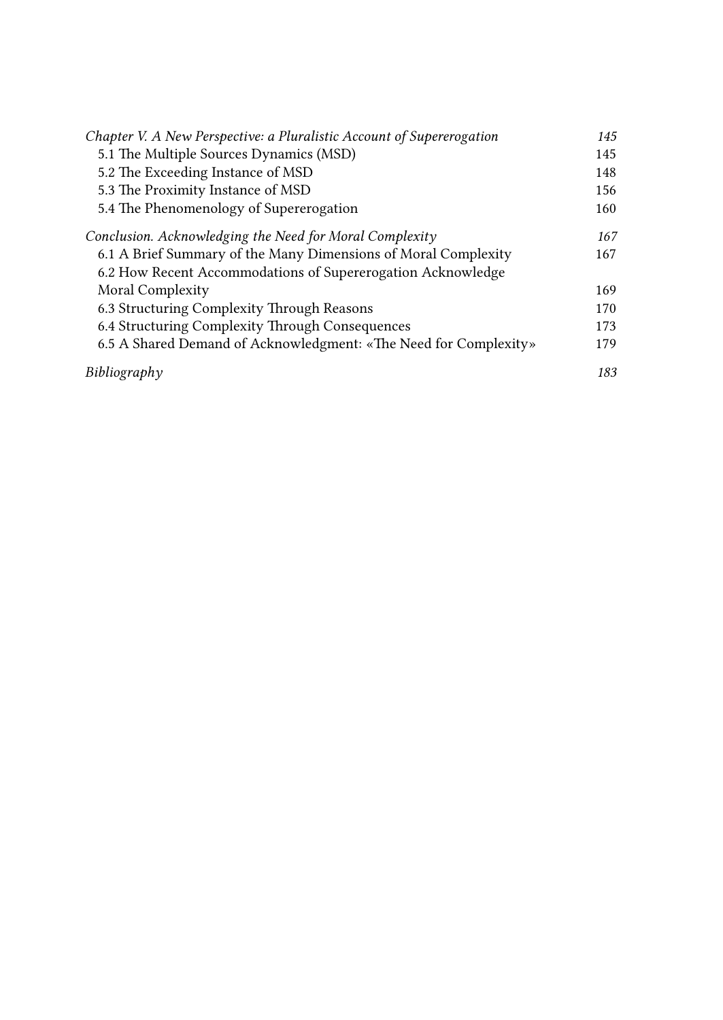| Chapter V. A New Perspective: a Pluralistic Account of Supererogation | 145 |
|-----------------------------------------------------------------------|-----|
| 5.1 The Multiple Sources Dynamics (MSD)                               | 145 |
| 5.2 The Exceeding Instance of MSD                                     | 148 |
| 5.3 The Proximity Instance of MSD                                     | 156 |
| 5.4 The Phenomenology of Supererogation                               | 160 |
| Conclusion. Acknowledging the Need for Moral Complexity               | 167 |
| 6.1 A Brief Summary of the Many Dimensions of Moral Complexity        | 167 |
| 6.2 How Recent Accommodations of Supererogation Acknowledge           |     |
| Moral Complexity                                                      | 169 |
| 6.3 Structuring Complexity Through Reasons                            | 170 |
| 6.4 Structuring Complexity Through Consequences                       | 173 |
| 6.5 A Shared Demand of Acknowledgment: «The Need for Complexity»      | 179 |
| Bibliography                                                          | 183 |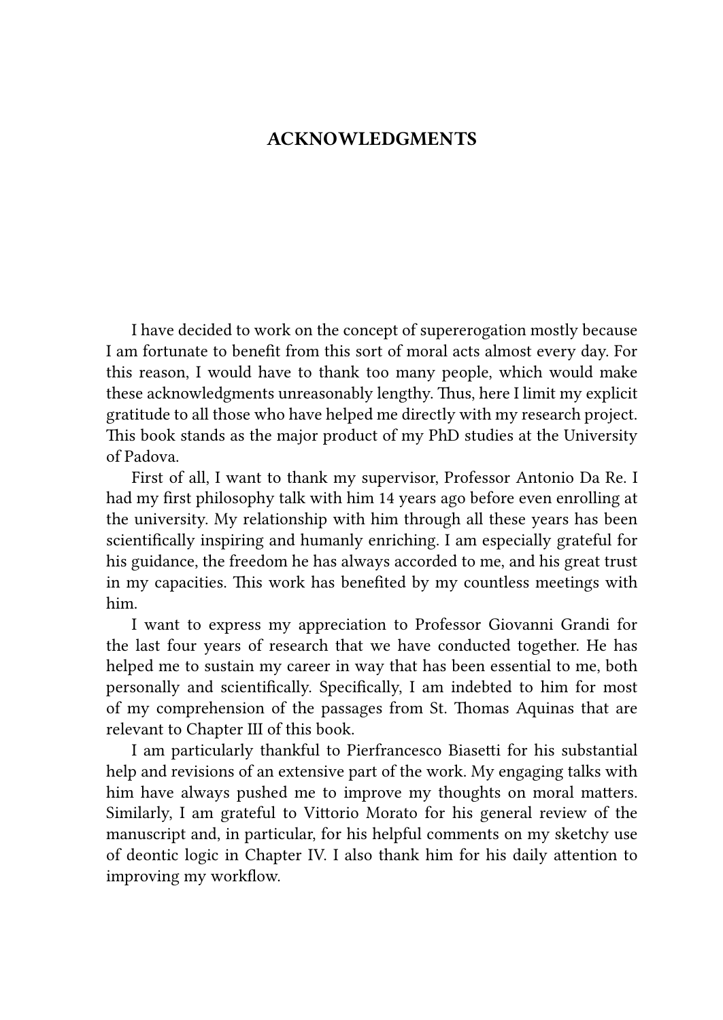#### ACKNOWLEDGMENTS

I have decided to work on the concept of supererogation mostly because I am fortunate to benefit from this sort of moral acts almost every day. For this reason, I would have to thank too many people, which would make these acknowledgments unreasonably lengthy. Thus, here I limit my explicit gratitude to all those who have helped me directly with my research project. This book stands as the major product of my PhD studies at the University of Padova.

First of all, I want to thank my supervisor, Professor Antonio Da Re. I had my first philosophy talk with him 14 years ago before even enrolling at the university. My relationship with him through all these years has been scientifically inspiring and humanly enriching. I am especially grateful for his guidance, the freedom he has always accorded to me, and his great trust in my capacities. This work has benefited by my countless meetings with him.

I want to express my appreciation to Professor Giovanni Grandi for the last four years of research that we have conducted together. He has helped me to sustain my career in way that has been essential to me, both personally and scientifically. Specifically, I am indebted to him for most of my comprehension of the passages from St. Thomas Aquinas that are relevant to Chapter III of this book.

I am particularly thankful to Pierfrancesco Biasetti for his substantial help and revisions of an extensive part of the work. My engaging talks with him have always pushed me to improve my thoughts on moral matters. Similarly, I am grateful to Vittorio Morato for his general review of the manuscript and, in particular, for his helpful comments on my sketchy use of deontic logic in Chapter IV. I also thank him for his daily attention to improving my workflow.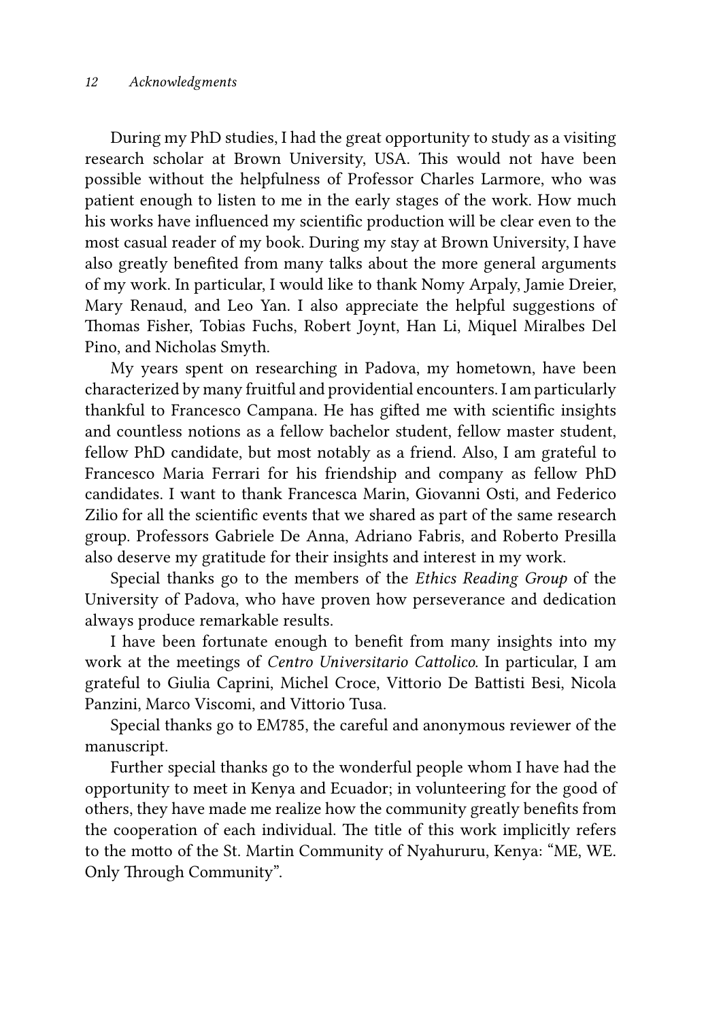During my PhD studies, I had the great opportunity to study as a visiting research scholar at Brown University, USA. This would not have been possible without the helpfulness of Professor Charles Larmore, who was patient enough to listen to me in the early stages of the work. How much his works have influenced my scientific production will be clear even to the most casual reader of my book. During my stay at Brown University, I have also greatly benefited from many talks about the more general arguments of my work. In particular, I would like to thank Nomy Arpaly, Jamie Dreier, Mary Renaud, and Leo Yan. I also appreciate the helpful suggestions of Thomas Fisher, Tobias Fuchs, Robert Joynt, Han Li, Miquel Miralbes Del Pino, and Nicholas Smyth.

My years spent on researching in Padova, my hometown, have been characterized by many fruitful and providential encounters. I am particularly thankful to Francesco Campana. He has gifted me with scientific insights and countless notions as a fellow bachelor student, fellow master student, fellow PhD candidate, but most notably as a friend. Also, I am grateful to Francesco Maria Ferrari for his friendship and company as fellow PhD candidates. I want to thank Francesca Marin, Giovanni Osti, and Federico Zilio for all the scientific events that we shared as part of the same research group. Professors Gabriele De Anna, Adriano Fabris, and Roberto Presilla also deserve my gratitude for their insights and interest in my work.

Special thanks go to the members of the *Ethics Reading Group* of the University of Padova, who have proven how perseverance and dedication always produce remarkable results.

I have been fortunate enough to benefit from many insights into my work at the meetings of *Centro Universitario Cattolico*. In particular, I am grateful to Giulia Caprini, Michel Croce, Vittorio De Battisti Besi, Nicola Panzini, Marco Viscomi, and Vittorio Tusa.

Special thanks go to EM785, the careful and anonymous reviewer of the manuscript.

Further special thanks go to the wonderful people whom I have had the opportunity to meet in Kenya and Ecuador; in volunteering for the good of others, they have made me realize how the community greatly benefits from the cooperation of each individual. The title of this work implicitly refers to the motto of the St. Martin Community of Nyahururu, Kenya: "ME, WE. Only Through Community".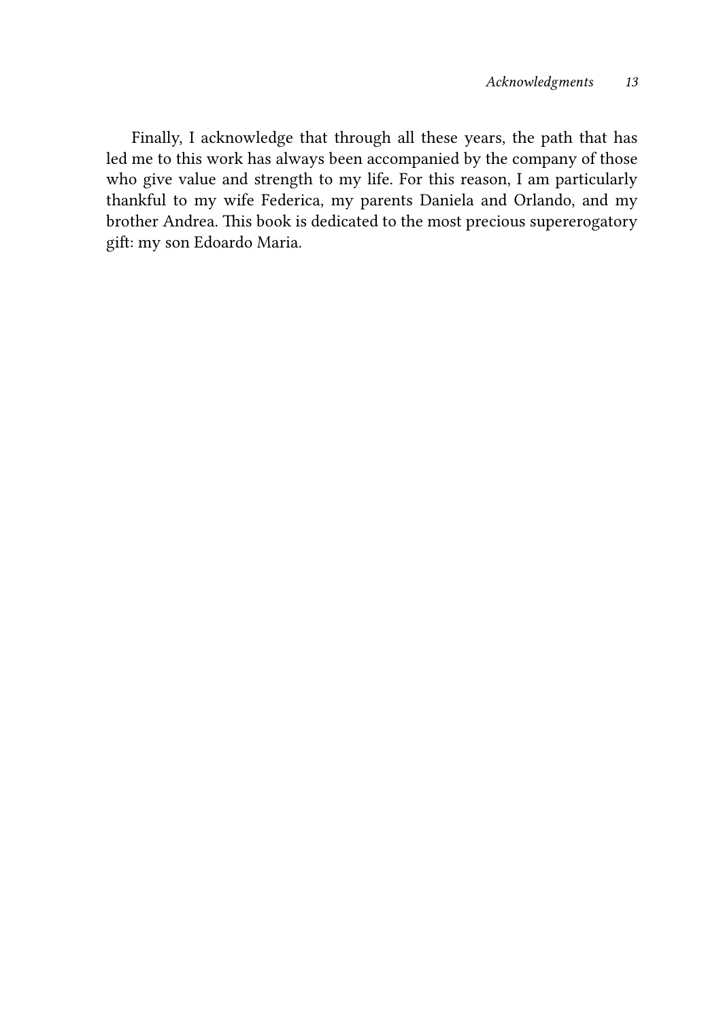Finally, I acknowledge that through all these years, the path that has led me to this work has always been accompanied by the company of those who give value and strength to my life. For this reason, I am particularly thankful to my wife Federica, my parents Daniela and Orlando, and my brother Andrea. This book is dedicated to the most precious supererogatory gift: my son Edoardo Maria.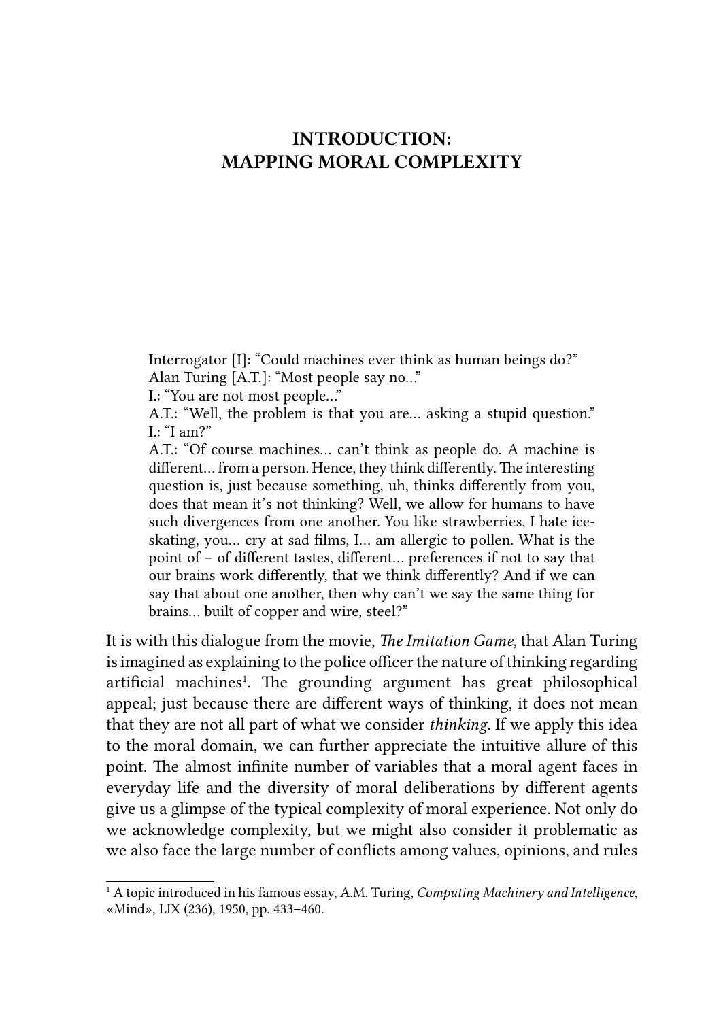## INTRODUCTION: MAPPING MORAL COMPLEXITY

Interrogator [I]: "Could machines ever think as human beings do?" Alan Turing [A.T.]: "Most people say no…"

I.: "You are not most people…"

A.T.: "Well, the problem is that you are… asking a stupid question."  $L: "I am?"$ 

A.T.: "Of course machines... can't think as people do. A machine is different... from a person. Hence, they think differently. The interesting question is, just because something, uh, thinks differently from you, does that mean it's not thinking? Well, we allow for humans to have such divergences from one another. You like strawberries, I hate iceskating, you... cry at sad films, I... am allergic to pollen. What is the point of – of different tastes, different... preferences if not to say that our brains work differently, that we think differently? And if we can say that about one another, then why can't we say the same thing for brains... built of copper and wire, steel?"

It is with this dialogue from the movie, *The Imitation Game*, that Alan Turing is imagined as explaining to the police officer the nature of thinking regarding artificial machines<sup>1</sup>. The grounding argument has great philosophical appeal; just because there are different ways of thinking, it does not mean that they are not all part of what we consider *thinking*. If we apply this idea to the moral domain, we can further appreciate the intuitive allure of this point. The almost infinite number of variables that a moral agent faces in everyday life and the diversity of moral deliberations by different agents give us a glimpse of the typical complexity of moral experience. Not only do we acknowledge complexity, but we might also consider it problematic as we also face the large number of conflicts among values, opinions, and rules

<sup>&</sup>lt;sup>1</sup> A topic introduced in his famous essay, A.M. Turing, *Computing Machinery and Intelligence*, «Mind», LIX (236), 1950, pp. 433–460.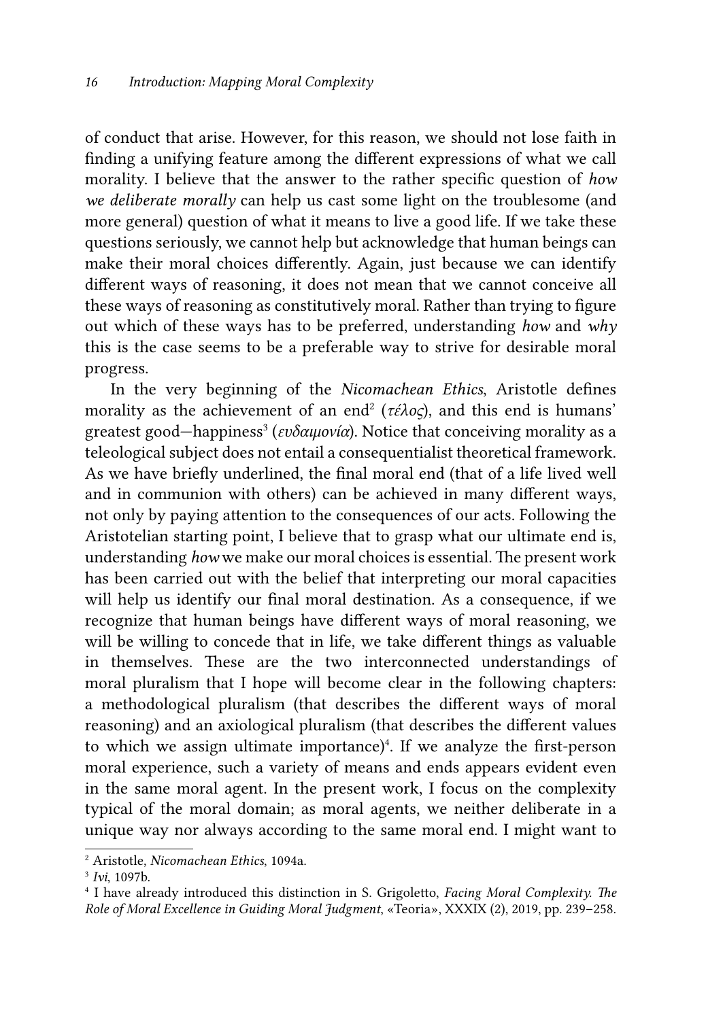of conduct that arise. However, for this reason, we should not lose faith in finding a unifying feature among the different expressions of what we call morality. I believe that the answer to the rather specific question of *how we deliberate morally* can help us cast some light on the troublesome (and more general) question of what it means to live a good life. If we take these questions seriously, we cannot help but acknowledge that human beings can make their moral choices differently. Again, just because we can identify different ways of reasoning, it does not mean that we cannot conceive all these ways of reasoning as constitutively moral. Rather than trying to figure out which of these ways has to be preferred, understanding *how* and *why* this is the case seems to be a preferable way to strive for desirable moral progress.

In the very beginning of the *Nicomachean Ethics*, Aristotle defines morality as the achievement of an end<sup>2</sup> (τέλος), and this end is humans' greatest good—happiness<sup>3</sup> (ευδαιμονία). Notice that conceiving morality as a teleological subject does not entail a consequentialist theoretical framework. As we have briefly underlined, the final moral end (that of a life lived well and in communion with others) can be achieved in many different ways, not only by paying attention to the consequences of our acts. Following the Aristotelian starting point, I believe that to grasp what our ultimate end is, understanding *how* we make our moral choices is essential. The present work has been carried out with the belief that interpreting our moral capacities will help us identify our final moral destination. As a consequence, if we recognize that human beings have different ways of moral reasoning, we will be willing to concede that in life, we take different things as valuable in themselves. These are the two interconnected understandings of moral pluralism that I hope will become clear in the following chapters: a methodological pluralism (that describes the different ways of moral reasoning) and an axiological pluralism (that describes the different values to which we assign ultimate importance)<sup>4</sup>. If we analyze the first-person moral experience, such a variety of means and ends appears evident even in the same moral agent. In the present work, I focus on the complexity typical of the moral domain; as moral agents, we neither deliberate in a unique way nor always according to the same moral end. I might want to

<sup>2</sup> Aristotle, *Nicomachean Ethics*, 1094a.

<sup>3</sup> *Ivi*, 1097b.

<sup>4</sup> I have already introduced this distinction in S. Grigoletto, *Facing Moral Complexity. The Role of Moral Excellence in Guiding Moral Judgment*, «Teoria», XXXIX (2), 2019, pp. 239–258.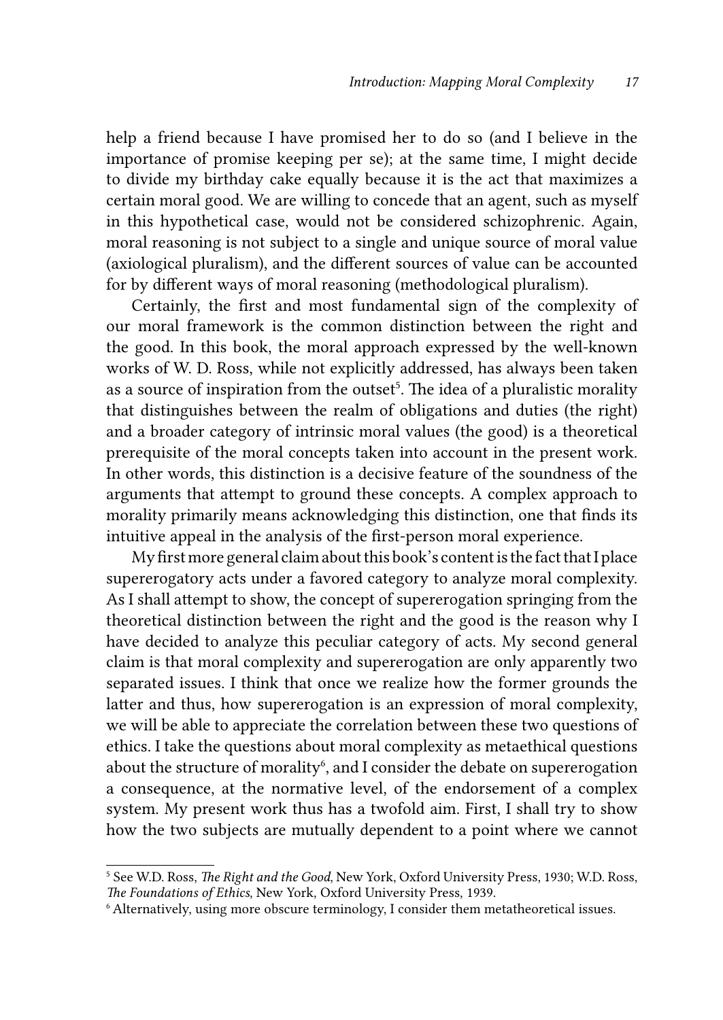help a friend because I have promised her to do so (and I believe in the importance of promise keeping per se); at the same time, I might decide to divide my birthday cake equally because it is the act that maximizes a certain moral good. We are willing to concede that an agent, such as myself in this hypothetical case, would not be considered schizophrenic. Again, moral reasoning is not subject to a single and unique source of moral value (axiological pluralism), and the different sources of value can be accounted for by different ways of moral reasoning (methodological pluralism).

Certainly, the first and most fundamental sign of the complexity of our moral framework is the common distinction between the right and the good. In this book, the moral approach expressed by the well-known works of W. D. Ross, while not explicitly addressed, has always been taken as a source of inspiration from the outset<sup>5</sup>. The idea of a pluralistic morality that distinguishes between the realm of obligations and duties (the right) and a broader category of intrinsic moral values (the good) is a theoretical prerequisite of the moral concepts taken into account in the present work. In other words, this distinction is a decisive feature of the soundness of the arguments that attempt to ground these concepts. A complex approach to morality primarily means acknowledging this distinction, one that finds its intuitive appeal in the analysis of the first-person moral experience.

My first more general claim about this book's content is the fact that I place supererogatory acts under a favored category to analyze moral complexity. As I shall attempt to show, the concept of supererogation springing from the theoretical distinction between the right and the good is the reason why I have decided to analyze this peculiar category of acts. My second general claim is that moral complexity and supererogation are only apparently two separated issues. I think that once we realize how the former grounds the latter and thus, how supererogation is an expression of moral complexity, we will be able to appreciate the correlation between these two questions of ethics. I take the questions about moral complexity as metaethical questions about the structure of morality<sup>6</sup>, and I consider the debate on supererogation a consequence, at the normative level, of the endorsement of a complex system. My present work thus has a twofold aim. First, I shall try to show how the two subjects are mutually dependent to a point where we cannot

<sup>5</sup> See W.D. Ross, *The Right and the Good*, New York, Oxford University Press, 1930; W.D. Ross, *The Foundations of Ethics*, New York, Oxford University Press, 1939.

<sup>6</sup>Alternatively, using more obscure terminology, I consider them metatheoretical issues.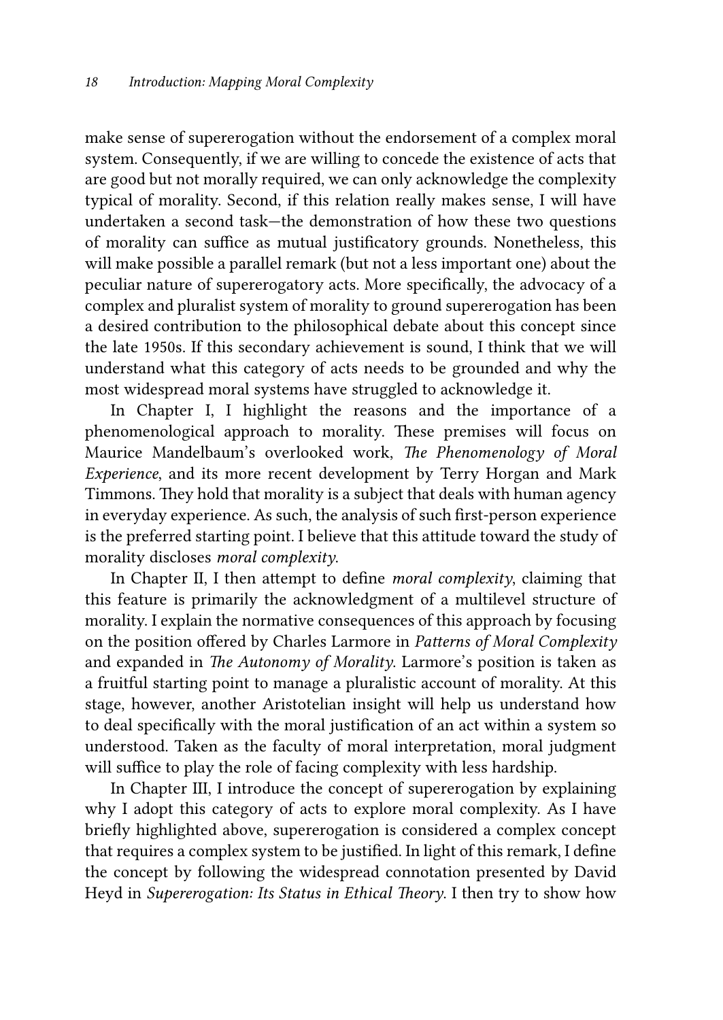make sense of supererogation without the endorsement of a complex moral system. Consequently, if we are willing to concede the existence of acts that are good but not morally required, we can only acknowledge the complexity typical of morality. Second, if this relation really makes sense, I will have undertaken a second task—the demonstration of how these two questions of morality can suffice as mutual justificatory grounds. Nonetheless, this will make possible a parallel remark (but not a less important one) about the peculiar nature of supererogatory acts. More specifically, the advocacy of a complex and pluralist system of morality to ground supererogation has been a desired contribution to the philosophical debate about this concept since the late 1950s. If this secondary achievement is sound, I think that we will understand what this category of acts needs to be grounded and why the most widespread moral systems have struggled to acknowledge it.

In Chapter I, I highlight the reasons and the importance of a phenomenological approach to morality. These premises will focus on Maurice Mandelbaum's overlooked work, *The Phenomenology of Moral Experience*, and its more recent development by Terry Horgan and Mark Timmons. They hold that morality is a subject that deals with human agency in everyday experience. As such, the analysis of such first-person experience is the preferred starting point. I believe that this attitude toward the study of morality discloses *moral complexity*.

In Chapter II, I then attempt to define *moral complexity*, claiming that this feature is primarily the acknowledgment of a multilevel structure of morality. I explain the normative consequences of this approach by focusing on the position offered by Charles Larmore in *Patterns of Moral Complexity* and expanded in *The Autonomy of Morality*. Larmore's position is taken as a fruitful starting point to manage a pluralistic account of morality. At this stage, however, another Aristotelian insight will help us understand how to deal specifically with the moral justification of an act within a system so understood. Taken as the faculty of moral interpretation, moral judgment will suffice to play the role of facing complexity with less hardship.

In Chapter III, I introduce the concept of supererogation by explaining why I adopt this category of acts to explore moral complexity. As I have briefly highlighted above, supererogation is considered a complex concept that requires a complex system to be justified. In light of this remark, I define the concept by following the widespread connotation presented by David Heyd in *Supererogation: Its Status in Ethical Theory*. I then try to show how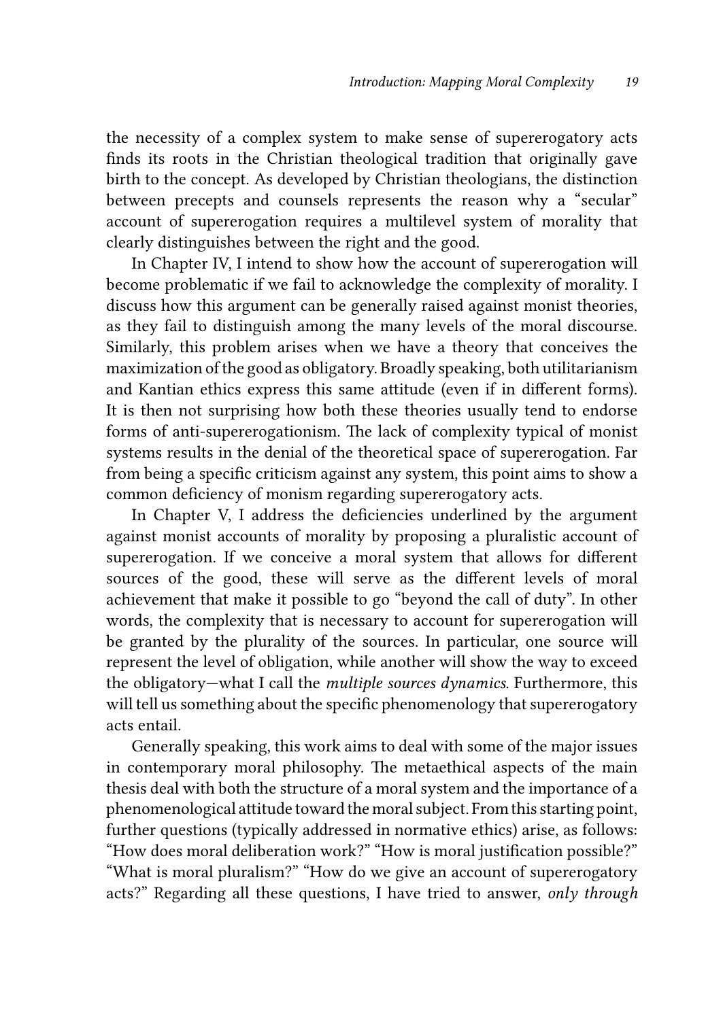the necessity of a complex system to make sense of supererogatory acts finds its roots in the Christian theological tradition that originally gave birth to the concept. As developed by Christian theologians, the distinction between precepts and counsels represents the reason why a "secular" account of supererogation requires a multilevel system of morality that clearly distinguishes between the right and the good.

In Chapter IV, I intend to show how the account of supererogation will become problematic if we fail to acknowledge the complexity of morality. I discuss how this argument can be generally raised against monist theories, as they fail to distinguish among the many levels of the moral discourse. Similarly, this problem arises when we have a theory that conceives the maximization of the good as obligatory. Broadly speaking, both utilitarianism and Kantian ethics express this same attitude (even if in different forms). It is then not surprising how both these theories usually tend to endorse forms of anti-supererogationism. The lack of complexity typical of monist systems results in the denial of the theoretical space of supererogation. Far from being a specific criticism against any system, this point aims to show a common deficiency of monism regarding supererogatory acts.

In Chapter V, I address the deficiencies underlined by the argument against monist accounts of morality by proposing a pluralistic account of supererogation. If we conceive a moral system that allows for different sources of the good, these will serve as the different levels of moral achievement that make it possible to go "beyond the call of duty". In other words, the complexity that is necessary to account for supererogation will be granted by the plurality of the sources. In particular, one source will represent the level of obligation, while another will show the way to exceed the obligatory—what I call the *multiple sources dynamics*. Furthermore, this will tell us something about the specific phenomenology that supererogatory acts entail.

Generally speaking, this work aims to deal with some of the major issues in contemporary moral philosophy. The metaethical aspects of the main thesis deal with both the structure of a moral system and the importance of a phenomenological attitude toward the moral subject. From this starting point, further questions (typically addressed in normative ethics) arise, as follows: "How does moral deliberation work?" "How is moral justification possible?" "What is moral pluralism?" "How do we give an account of supererogatory acts?" Regarding all these questions, I have tried to answer, *only through*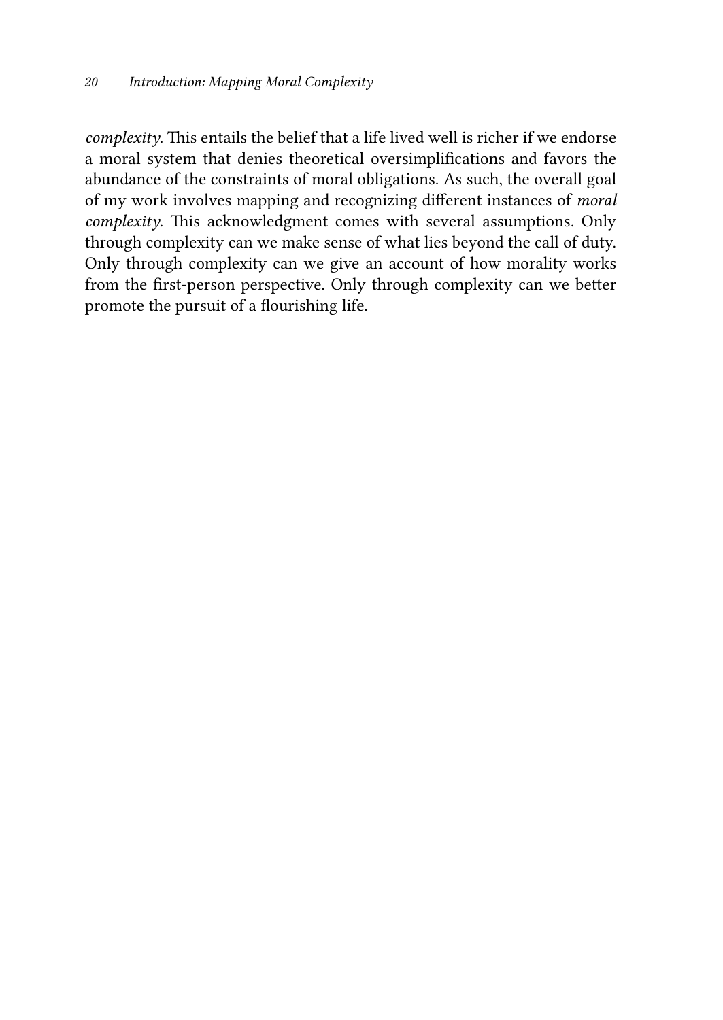*complexity*. This entails the belief that a life lived well is richer if we endorse a moral system that denies theoretical oversimplifications and favors the abundance of the constraints of moral obligations. As such, the overall goal of my work involves mapping and recognizing different instances of *moral complexity*. This acknowledgment comes with several assumptions. Only through complexity can we make sense of what lies beyond the call of duty. Only through complexity can we give an account of how morality works from the first-person perspective. Only through complexity can we better promote the pursuit of a flourishing life.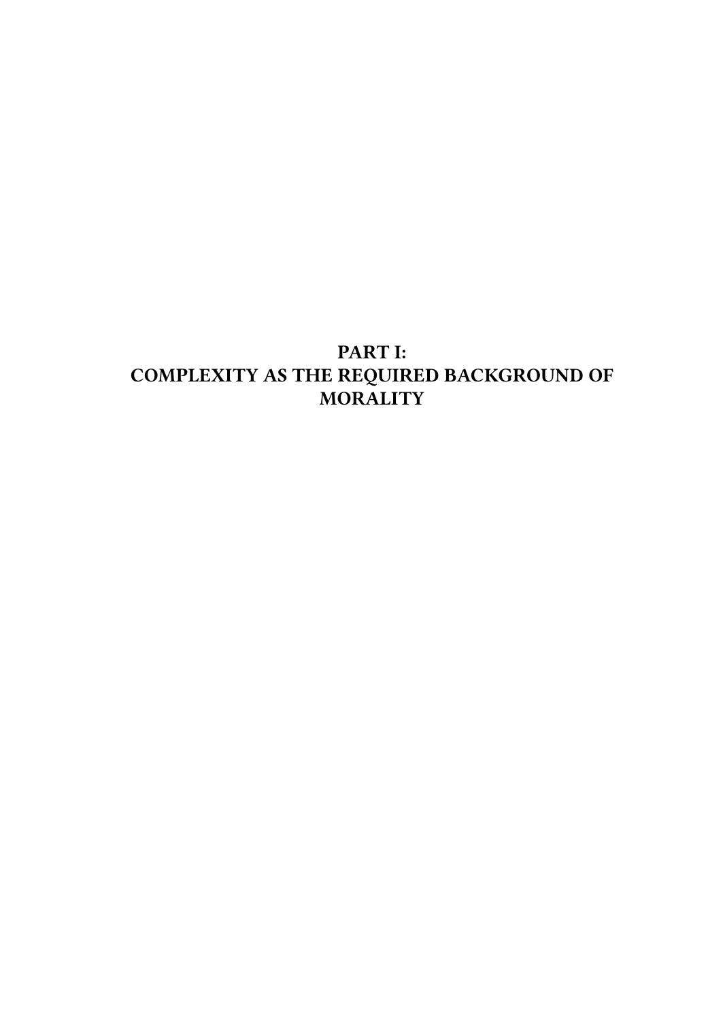## PART I: COMPLEXITY AS THE REQUIRED BACKGROUND OF MORALITY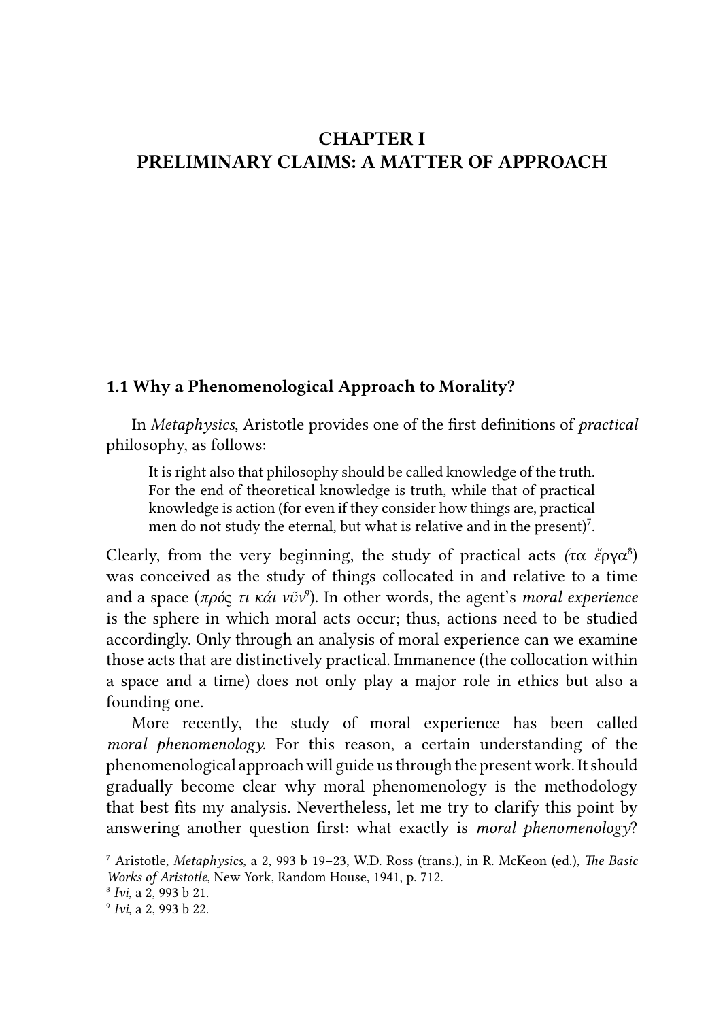## CHAPTER I PRELIMINARY CLAIMS: A MATTER OF APPROACH

#### 1.1 Why a Phenomenological Approach to Morality?

In *Metaphysics*, Aristotle provides one of the first definitions of *practical* philosophy, as follows:

It is right also that philosophy should be called knowledge of the truth. For the end of theoretical knowledge is truth, while that of practical knowledge is action (for even if they consider how things are, practical men do not study the eternal, but what is relative and in the present)<sup>7</sup>.

Clearly, from the very beginning, the study of practical acts *(*τα *ἔ*ργα8 ) was conceived as the study of things collocated in and relative to a time and a space (*πρό*ς *τι κάι νῦν*<sup>9</sup> ). In other words, the agent's *moral experience* is the sphere in which moral acts occur; thus, actions need to be studied accordingly. Only through an analysis of moral experience can we examine those acts that are distinctively practical. Immanence (the collocation within a space and a time) does not only play a major role in ethics but also a founding one.

More recently, the study of moral experience has been called *moral phenomenology.* For this reason, a certain understanding of the phenomenological approach will guide us through the present work. It should gradually become clear why moral phenomenology is the methodology that best fits my analysis. Nevertheless, let me try to clarify this point by answering another question first: what exactly is *moral phenomenology*?

<sup>7</sup> Aristotle, *Metaphysics*, a 2, 993 b 19–23, W.D. Ross (trans.), in R. McKeon (ed.), *The Basic Works of Aristotle, New York, Random House, 1941, p. 712.* 

*Ivi*, a 2, 993 b 21.

<sup>9</sup>   *Ivi*, a 2, 993 b 22.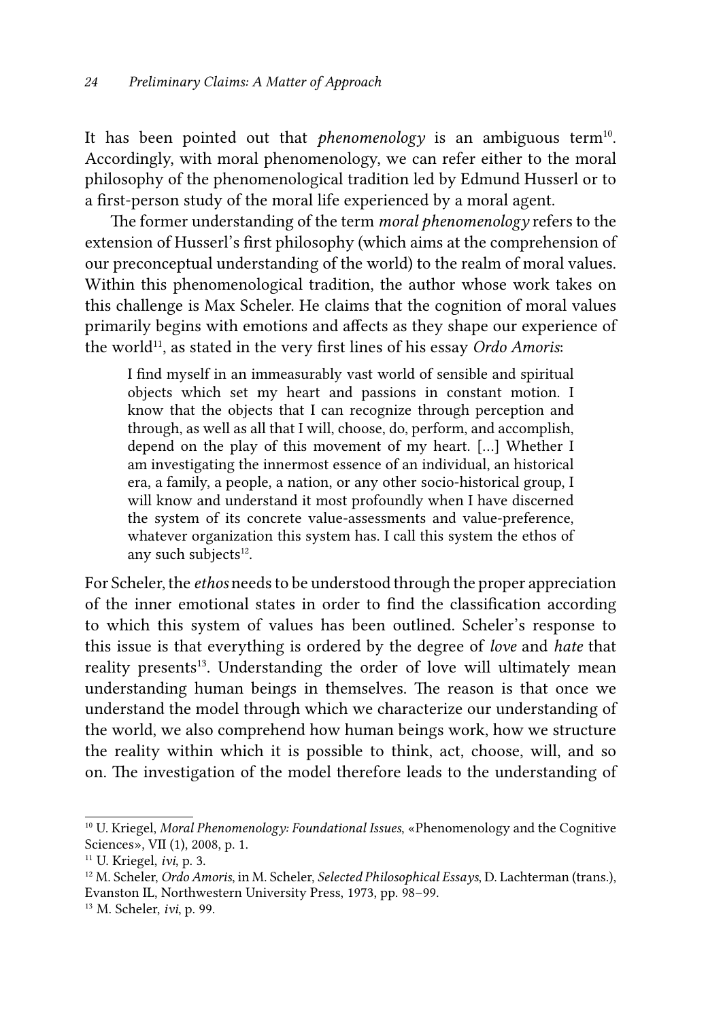It has been pointed out that *phenomenology* is an ambiguous term<sup>10</sup>. Accordingly, with moral phenomenology, we can refer either to the moral philosophy of the phenomenological tradition led by Edmund Husserl or to a first-person study of the moral life experienced by a moral agent.

The former understanding of the term *moral phenomenology* refers to the extension of Husserl's first philosophy (which aims at the comprehension of our preconceptual understanding of the world) to the realm of moral values. Within this phenomenological tradition, the author whose work takes on this challenge is Max Scheler. He claims that the cognition of moral values primarily begins with emotions and affects as they shape our experience of the world<sup>11</sup>, as stated in the very first lines of his essay *Ordo Amoris*:

I find myself in an immeasurably vast world of sensible and spiritual objects which set my heart and passions in constant motion. I know that the objects that I can recognize through perception and through, as well as all that I will, choose, do, perform, and accomplish, depend on the play of this movement of my heart. […] Whether I am investigating the innermost essence of an individual, an historical era, a family, a people, a nation, or any other socio-historical group, I will know and understand it most profoundly when I have discerned the system of its concrete value-assessments and value-preference, whatever organization this system has. I call this system the ethos of any such subjects<sup>12</sup>.

For Scheler, the *ethos* needs to be understood through the proper appreciation of the inner emotional states in order to find the classification according to which this system of values has been outlined. Scheler's response to this issue is that everything is ordered by the degree of *love* and *hate* that reality presents<sup>13</sup>. Understanding the order of love will ultimately mean understanding human beings in themselves. The reason is that once we understand the model through which we characterize our understanding of the world, we also comprehend how human beings work, how we structure the reality within which it is possible to think, act, choose, will, and so on. The investigation of the model therefore leads to the understanding of

<sup>10</sup> U. Kriegel, *Moral Phenomenology: Foundational Issues*, «Phenomenology and the Cognitive Sciences», VII (1), 2008, p. 1.

<sup>11</sup> U. Kriegel, *ivi*, p. 3. 12 M. Scheler, *Ordo Amoris*, in M. Scheler, *Selected Philosophical Essays*, D. Lachterman (trans.), Evanston IL, Northwestern University Press, 1973, pp. 98–99.

<sup>13</sup> M. Scheler, *ivi*, p. 99.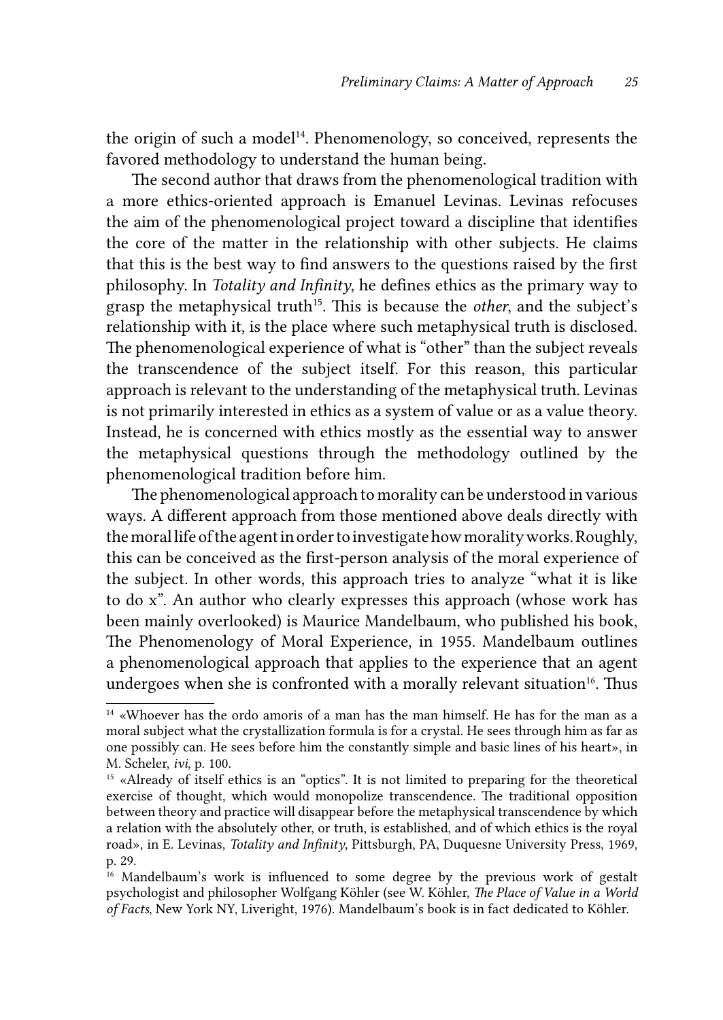the origin of such a model<sup>14</sup>. Phenomenology, so conceived, represents the favored methodology to understand the human being.

The second author that draws from the phenomenological tradition with a more ethics-oriented approach is Emanuel Levinas. Levinas refocuses the aim of the phenomenological project toward a discipline that identifies the core of the matter in the relationship with other subjects. He claims that this is the best way to find answers to the questions raised by the first philosophy. In *Totality and Infinity*, he defines ethics as the primary way to grasp the metaphysical truth<sup>15</sup>. This is because the *other*, and the subject's relationship with it, is the place where such metaphysical truth is disclosed. The phenomenological experience of what is "other" than the subject reveals the transcendence of the subject itself. For this reason, this particular approach is relevant to the understanding of the metaphysical truth. Levinas is not primarily interested in ethics as a system of value or as a value theory. Instead, he is concerned with ethics mostly as the essential way to answer the metaphysical questions through the methodology outlined by the phenomenological tradition before him.

The phenomenological approach to morality can be understood in various ways. A different approach from those mentioned above deals directly with the moral life of the agent in order to investigate how morality works. Roughly, this can be conceived as the first-person analysis of the moral experience of the subject. In other words, this approach tries to analyze "what it is like to do x". An author who clearly expresses this approach (whose work has been mainly overlooked) is Maurice Mandelbaum, who published his book, The Phenomenology of Moral Experience, in 1955. Mandelbaum outlines a phenomenological approach that applies to the experience that an agent undergoes when she is confronted with a morally relevant situation $16$ . Thus

<sup>14 «</sup>Whoever has the ordo amoris of a man has the man himself. He has for the man as a moral subject what the crystallization formula is for a crystal. He sees through him as far as one possibly can. He sees before him the constantly simple and basic lines of his heart», in M. Scheler, *ivi*, p. 100.

<sup>&</sup>lt;sup>15</sup> «Already of itself ethics is an "optics". It is not limited to preparing for the theoretical exercise of thought, which would monopolize transcendence. The traditional opposition between theory and practice will disappear before the metaphysical transcendence by which a relation with the absolutely other, or truth, is established, and of which ethics is the royal road», in E. Levinas, *Totality and Infinity*, Pittsburgh, PA, Duquesne University Press, 1969, p. 29.

<sup>&</sup>lt;sup>16</sup> Mandelbaum's work is influenced to some degree by the previous work of gestalt psychologist and philosopher Wolfgang Köhler (see W. Köhler, *The Place of Value in a World of Facts*, New York NY, Liveright, 1976). Mandelbaum's book is in fact dedicated to Köhler.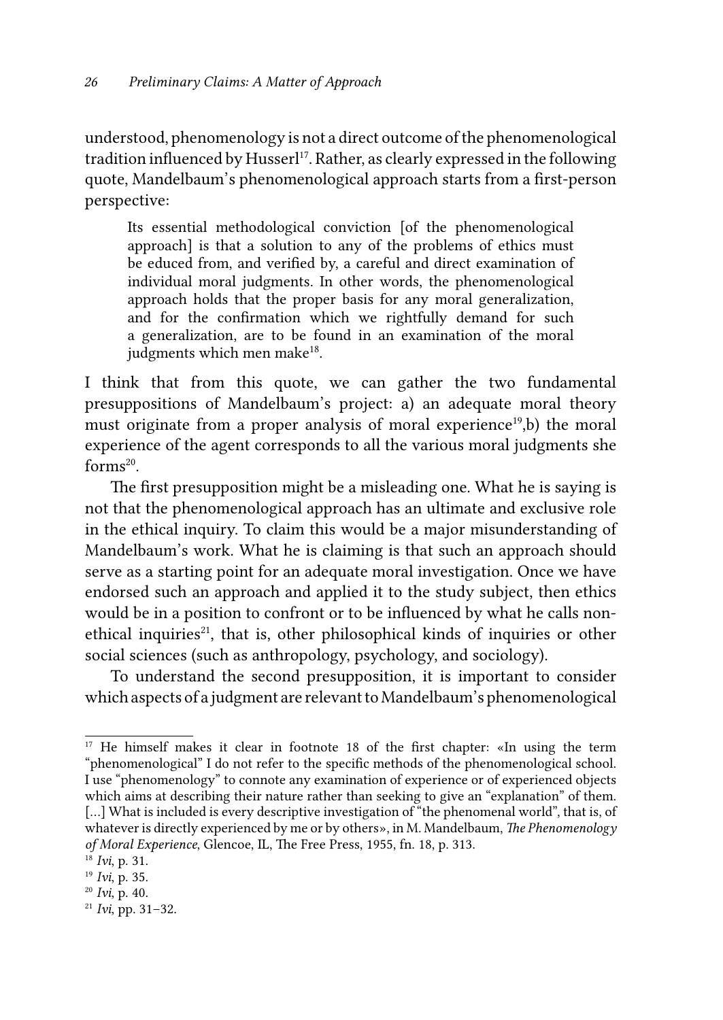understood, phenomenology is not a direct outcome of the phenomenological tradition influenced by Husserl<sup>17</sup>. Rather, as clearly expressed in the following quote, Mandelbaum's phenomenological approach starts from a first-person perspective:

Its essential methodological conviction [of the phenomenological approach] is that a solution to any of the problems of ethics must be educed from, and verified by, a careful and direct examination of individual moral judgments. In other words, the phenomenological approach holds that the proper basis for any moral generalization, and for the confirmation which we rightfully demand for such a generalization, are to be found in an examination of the moral judgments which men make<sup>18</sup>.

I think that from this quote, we can gather the two fundamental presuppositions of Mandelbaum's project: a) an adequate moral theory must originate from a proper analysis of moral experience<sup>19</sup>,b) the moral experience of the agent corresponds to all the various moral judgments she  $forms<sup>20</sup>$ .

The first presupposition might be a misleading one. What he is saying is not that the phenomenological approach has an ultimate and exclusive role in the ethical inquiry. To claim this would be a major misunderstanding of Mandelbaum's work. What he is claiming is that such an approach should serve as a starting point for an adequate moral investigation. Once we have endorsed such an approach and applied it to the study subject, then ethics would be in a position to confront or to be influenced by what he calls nonethical inquiries<sup>21</sup>, that is, other philosophical kinds of inquiries or other social sciences (such as anthropology, psychology, and sociology).

To understand the second presupposition, it is important to consider which aspects of a judgment are relevant to Mandelbaum's phenomenological

<sup>&</sup>lt;sup>17</sup> He himself makes it clear in footnote 18 of the first chapter: «In using the term "phenomenological" I do not refer to the specific methods of the phenomenological school. I use "phenomenology" to connote any examination of experience or of experienced objects which aims at describing their nature rather than seeking to give an "explanation" of them. [...] What is included is every descriptive investigation of "the phenomenal world", that is, of whatever is directly experienced by me or by others», in M. Mandelbaum, *The Phenomenology of Moral Experience*, Glencoe, IL, The Free Press, 1955, fn. 18, p. 313. 18  *Ivi*, p. 31.

<sup>19</sup> *Ivi*, p. 35.

<sup>20</sup> *Ivi*, p. 40.

<sup>21</sup> *Ivi*, pp. 31–32.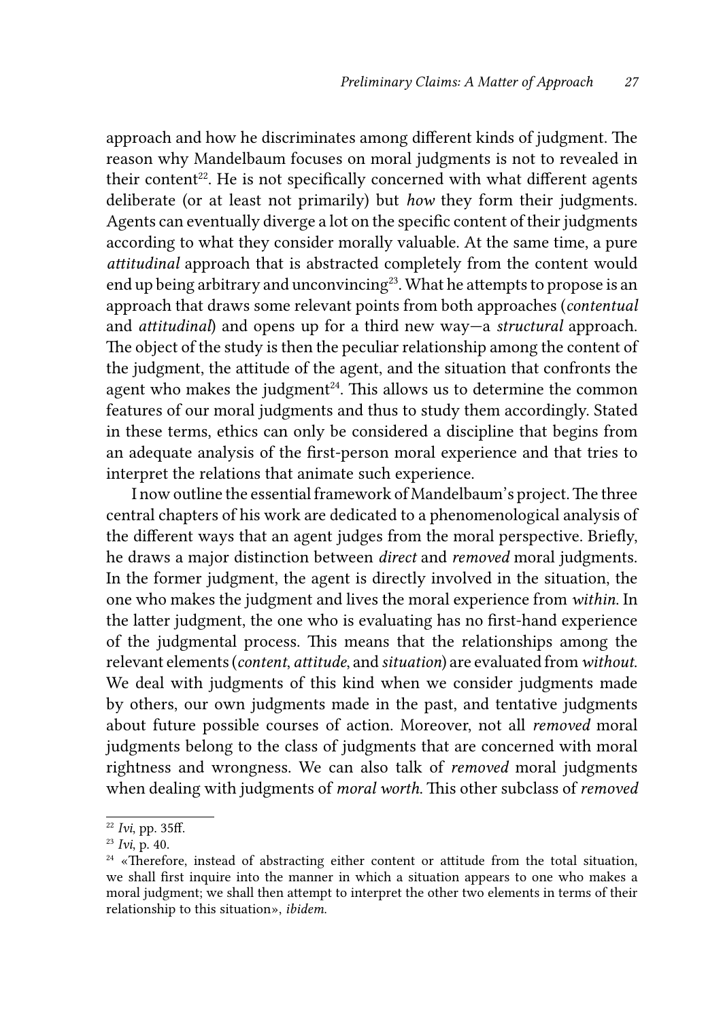approach and how he discriminates among different kinds of judgment. The reason why Mandelbaum focuses on moral judgments is not to revealed in their content<sup>22</sup>. He is not specifically concerned with what different agents deliberate (or at least not primarily) but *how* they form their judgments. Agents can eventually diverge a lot on the specific content of their judgments according to what they consider morally valuable. At the same time, a pure *attitudinal* approach that is abstracted completely from the content would end up being arbitrary and unconvincing<sup>23</sup>. What he attempts to propose is an approach that draws some relevant points from both approaches (*contentual* and *attitudinal*) and opens up for a third new way—a *structural* approach. The object of the study is then the peculiar relationship among the content of the judgment, the attitude of the agent, and the situation that confronts the agent who makes the judgment<sup> $24$ </sup>. This allows us to determine the common features of our moral judgments and thus to study them accordingly. Stated in these terms, ethics can only be considered a discipline that begins from an adequate analysis of the first-person moral experience and that tries to interpret the relations that animate such experience.

I now outline the essential framework of Mandelbaum's project. The three central chapters of his work are dedicated to a phenomenological analysis of the different ways that an agent judges from the moral perspective. Briefly, he draws a major distinction between *direct* and *removed* moral judgments. In the former judgment, the agent is directly involved in the situation, the one who makes the judgment and lives the moral experience from *within*. In the latter judgment, the one who is evaluating has no first-hand experience of the judgmental process. This means that the relationships among the relevant elements (*content*, *attitude*, and *situation*) are evaluated from *without*. We deal with judgments of this kind when we consider judgments made by others, our own judgments made in the past, and tentative judgments about future possible courses of action. Moreover, not all *removed* moral judgments belong to the class of judgments that are concerned with moral rightness and wrongness. We can also talk of *removed* moral judgments when dealing with judgments of *moral worth*. This other subclass of *removed*

<sup>22</sup> *Ivi*, pp. 35ff.

<sup>23</sup> *Ivi*, p. 40.

<sup>&</sup>lt;sup>24</sup> «Therefore, instead of abstracting either content or attitude from the total situation, we shall first inquire into the manner in which a situation appears to one who makes a moral judgment; we shall then attempt to interpret the other two elements in terms of their relationship to this situation», *ibidem*.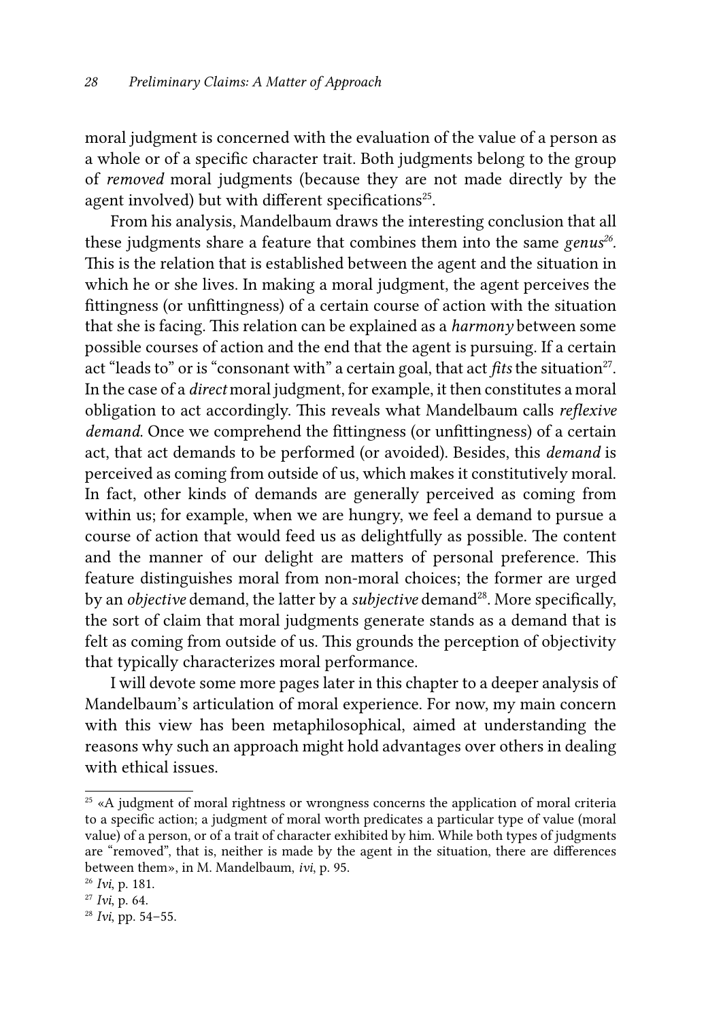moral judgment is concerned with the evaluation of the value of a person as a whole or of a specific character trait. Both judgments belong to the group of *removed* moral judgments (because they are not made directly by the agent involved) but with different specifications<sup>25</sup>.

From his analysis, Mandelbaum draws the interesting conclusion that all these judgments share a feature that combines them into the same *genus<sup>26</sup>*. This is the relation that is established between the agent and the situation in which he or she lives. In making a moral judgment, the agent perceives the fittingness (or unfittingness) of a certain course of action with the situation that she is facing. This relation can be explained as a *harmony* between some possible courses of action and the end that the agent is pursuing. If a certain act "leads to" or is "consonant with" a certain goal, that act *fits* the situation<sup>27</sup>. In the case of a *direct* moral judgment, for example, it then constitutes a moral obligation to act accordingly. This reveals what Mandelbaum calls *reflexive demand*. Once we comprehend the fittingness (or unfittingness) of a certain act, that act demands to be performed (or avoided). Besides, this *demand* is perceived as coming from outside of us, which makes it constitutively moral. In fact, other kinds of demands are generally perceived as coming from within us; for example, when we are hungry, we feel a demand to pursue a course of action that would feed us as delightfully as possible. The content and the manner of our delight are matters of personal preference. This feature distinguishes moral from non-moral choices; the former are urged by an *objective* demand, the latter by a *subjective* demand<sup>28</sup>. More specifically, the sort of claim that moral judgments generate stands as a demand that is felt as coming from outside of us. This grounds the perception of objectivity that typically characterizes moral performance.

I will devote some more pages later in this chapter to a deeper analysis of Mandelbaum's articulation of moral experience. For now, my main concern with this view has been metaphilosophical, aimed at understanding the reasons why such an approach might hold advantages over others in dealing with ethical issues.

<sup>&</sup>lt;sup>25</sup> «A judgment of moral rightness or wrongness concerns the application of moral criteria to a specific action; a judgment of moral worth predicates a particular type of value (moral value) of a person, or of a trait of character exhibited by him. While both types of judgments are "removed", that is, neither is made by the agent in the situation, there are differences between them», in M. Mandelbaum, *ivi*, p. 95.

<sup>26</sup> *Ivi*, p. 181.

<sup>27</sup> *Ivi*, p. 64.

<sup>28</sup> *Ivi*, pp. 54–55.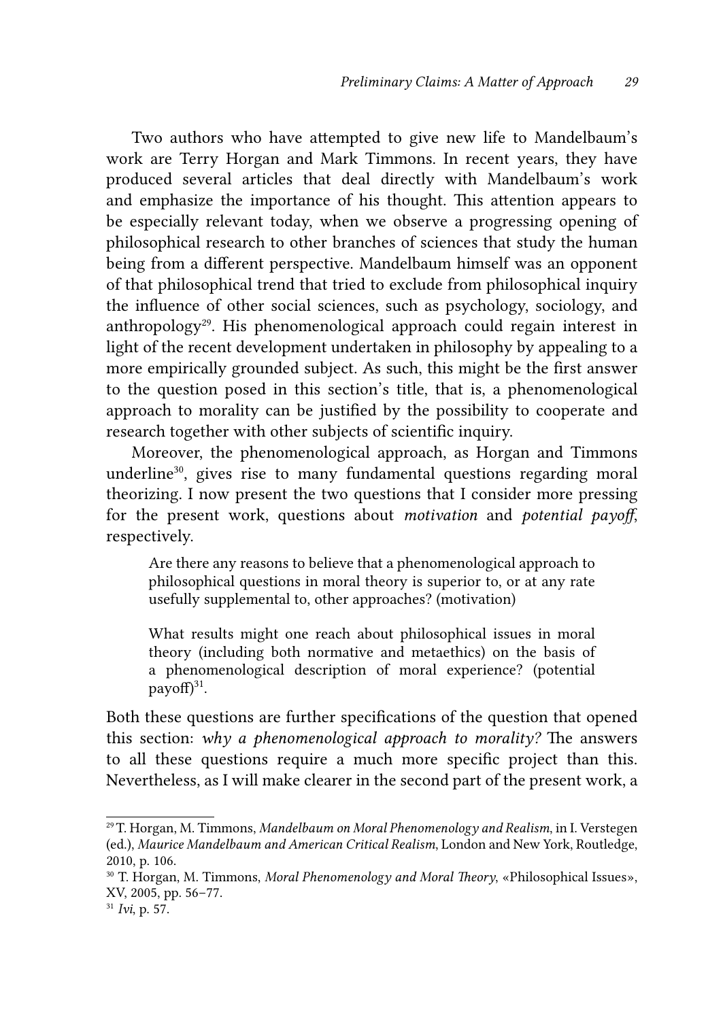Two authors who have attempted to give new life to Mandelbaum's work are Terry Horgan and Mark Timmons. In recent years, they have produced several articles that deal directly with Mandelbaum's work and emphasize the importance of his thought. This attention appears to be especially relevant today, when we observe a progressing opening of philosophical research to other branches of sciences that study the human being from a different perspective. Mandelbaum himself was an opponent of that philosophical trend that tried to exclude from philosophical inquiry the influence of other social sciences, such as psychology, sociology, and anthropology<sup>29</sup>. His phenomenological approach could regain interest in light of the recent development undertaken in philosophy by appealing to a more empirically grounded subject. As such, this might be the first answer to the question posed in this section's title, that is, a phenomenological approach to morality can be justified by the possibility to cooperate and research together with other subjects of scientific inquiry.

Moreover, the phenomenological approach, as Horgan and Timmons underline<sup>30</sup>, gives rise to many fundamental questions regarding moral theorizing. I now present the two questions that I consider more pressing for the present work, questions about *motivation* and *potential payoff*, respectively.

Are there any reasons to believe that a phenomenological approach to philosophical questions in moral theory is superior to, or at any rate usefully supplemental to, other approaches? (motivation)

What results might one reach about philosophical issues in moral theory (including both normative and metaethics) on the basis of a phenomenological description of moral experience? (potential payoff $)^{31}$ .

Both these questions are further specifications of the question that opened this section: *why a phenomenological approach to morality?* The answers to all these questions require a much more specific project than this. Nevertheless, as I will make clearer in the second part of the present work, a

<sup>29</sup>T. Horgan, M. Timmons, *Mandelbaum on Moral Phenomenology and Realism*, in I. Verstegen (ed.), *Maurice Mandelbaum and American Critical Realism*, London and New York, Routledge, 2010, p. 106.

<sup>30</sup> T. Horgan, M. Timmons, *Moral Phenomenology and Moral Theory*, «Philosophical Issues», XV, 2005, pp. 56–77.

<sup>31</sup> *Ivi*, p. 57.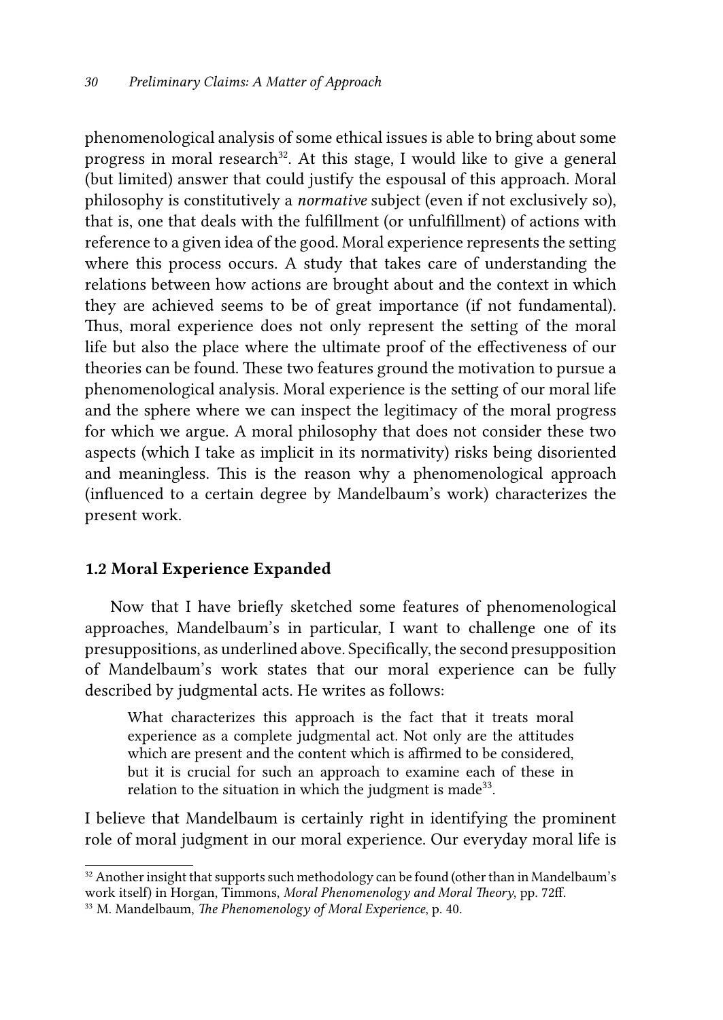phenomenological analysis of some ethical issues is able to bring about some progress in moral research<sup>32</sup>. At this stage, I would like to give a general (but limited) answer that could justify the espousal of this approach. Moral philosophy is constitutively a *normative* subject (even if not exclusively so), that is, one that deals with the fulfillment (or unfulfillment) of actions with reference to a given idea of the good. Moral experience represents the setting where this process occurs. A study that takes care of understanding the relations between how actions are brought about and the context in which they are achieved seems to be of great importance (if not fundamental). Thus, moral experience does not only represent the setting of the moral life but also the place where the ultimate proof of the effectiveness of our theories can be found. These two features ground the motivation to pursue a phenomenological analysis. Moral experience is the setting of our moral life and the sphere where we can inspect the legitimacy of the moral progress for which we argue. A moral philosophy that does not consider these two aspects (which I take as implicit in its normativity) risks being disoriented and meaningless. This is the reason why a phenomenological approach (influenced to a certain degree by Mandelbaum's work) characterizes the present work.

### 1.2 Moral Experience Expanded

Now that I have briefly sketched some features of phenomenological approaches, Mandelbaum's in particular, I want to challenge one of its presuppositions, as underlined above. Specifically, the second presupposition of Mandelbaum's work states that our moral experience can be fully described by judgmental acts. He writes as follows:

What characterizes this approach is the fact that it treats moral experience as a complete judgmental act. Not only are the attitudes which are present and the content which is affirmed to be considered, but it is crucial for such an approach to examine each of these in relation to the situation in which the judgment is made<sup>33</sup>.

I believe that Mandelbaum is certainly right in identifying the prominent role of moral judgment in our moral experience. Our everyday moral life is

 $32$  Another insight that supports such methodology can be found (other than in Mandelbaum's work itself) in Horgan, Timmons, *Moral Phenomenology and Moral Theory*, pp. 72ff.

<sup>33</sup> M. Mandelbaum, *The Phenomenology of Moral Experience*, p. 40.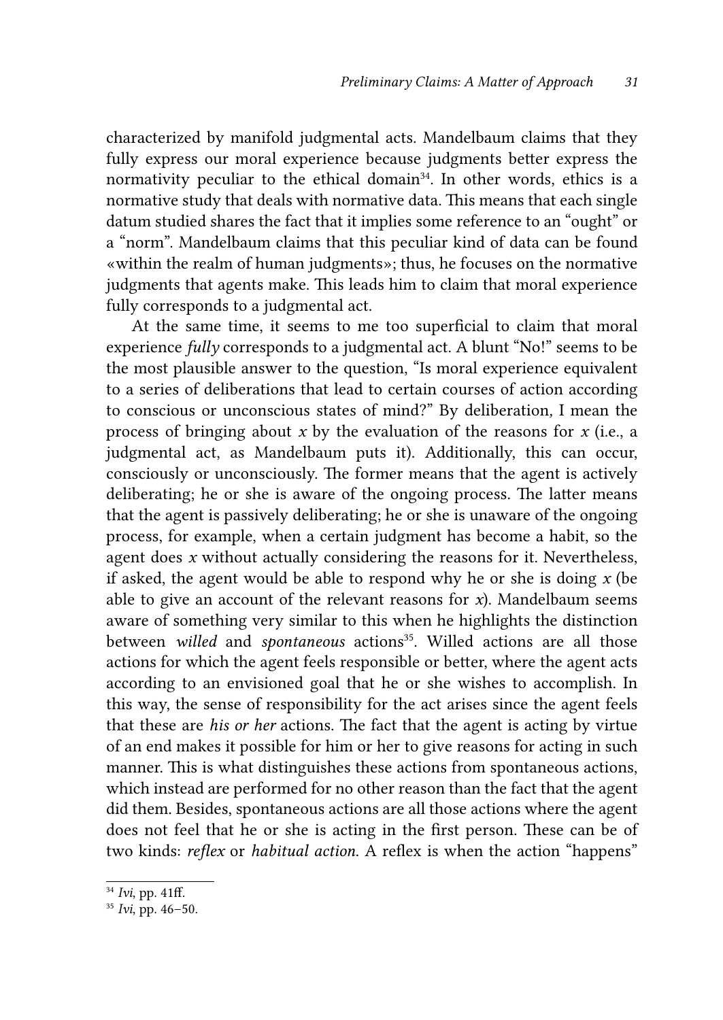characterized by manifold judgmental acts. Mandelbaum claims that they fully express our moral experience because judgments better express the normativity peculiar to the ethical domain<sup>34</sup>. In other words, ethics is a normative study that deals with normative data. This means that each single datum studied shares the fact that it implies some reference to an "ought" or a "norm". Mandelbaum claims that this peculiar kind of data can be found «within the realm of human judgments»; thus, he focuses on the normative judgments that agents make. This leads him to claim that moral experience fully corresponds to a judgmental act.

At the same time, it seems to me too superficial to claim that moral experience *fully* corresponds to a judgmental act. A blunt "No!" seems to be the most plausible answer to the question, "Is moral experience equivalent to a series of deliberations that lead to certain courses of action according to conscious or unconscious states of mind?" By deliberation*,* I mean the process of bringing about  $x$  by the evaluation of the reasons for  $x$  (i.e., a judgmental act, as Mandelbaum puts it). Additionally, this can occur, consciously or unconsciously. The former means that the agent is actively deliberating; he or she is aware of the ongoing process. The latter means that the agent is passively deliberating; he or she is unaware of the ongoing process, for example, when a certain judgment has become a habit, so the agent does *x* without actually considering the reasons for it. Nevertheless, if asked, the agent would be able to respond why he or she is doing *x* (be able to give an account of the relevant reasons for  $x$ ). Mandelbaum seems aware of something very similar to this when he highlights the distinction between *willed* and *spontaneous* actions<sup>35</sup>. Willed actions are all those actions for which the agent feels responsible or better, where the agent acts according to an envisioned goal that he or she wishes to accomplish. In this way, the sense of responsibility for the act arises since the agent feels that these are *his or her* actions. The fact that the agent is acting by virtue of an end makes it possible for him or her to give reasons for acting in such manner. This is what distinguishes these actions from spontaneous actions, which instead are performed for no other reason than the fact that the agent did them. Besides, spontaneous actions are all those actions where the agent does not feel that he or she is acting in the first person. These can be of two kinds: *reflex* or *habitual action*. A reflex is when the action "happens"

<sup>34</sup> *Ivi*, pp. 41ff.

<sup>35</sup> *Ivi*, pp. 46–50.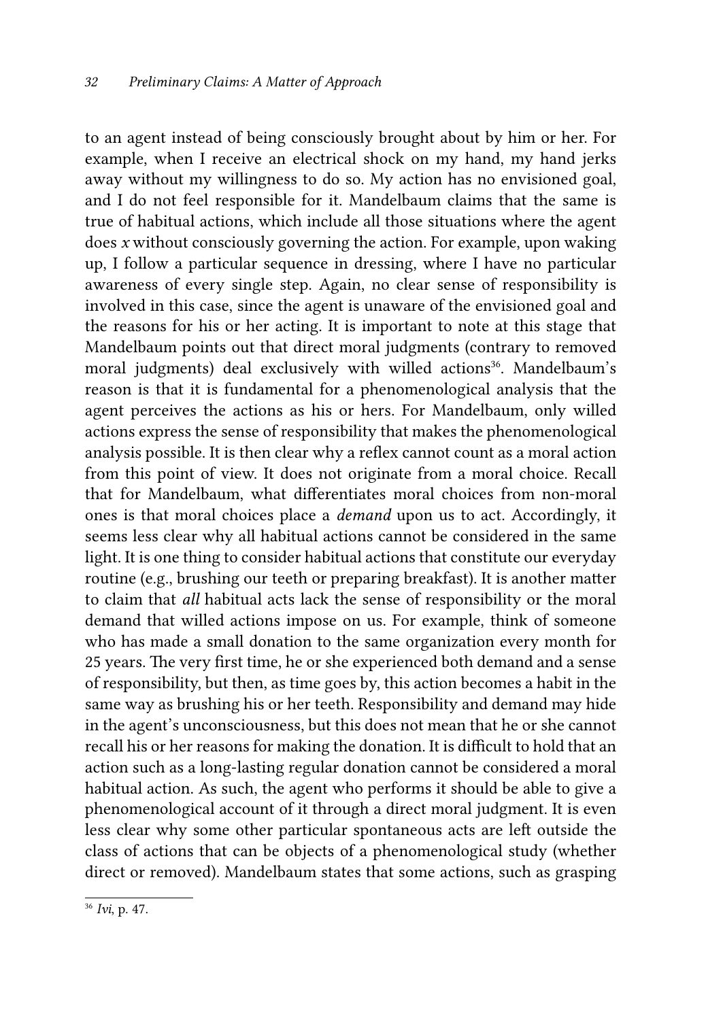to an agent instead of being consciously brought about by him or her. For example, when I receive an electrical shock on my hand, my hand jerks away without my willingness to do so. My action has no envisioned goal, and I do not feel responsible for it. Mandelbaum claims that the same is true of habitual actions, which include all those situations where the agent does *x* without consciously governing the action. For example, upon waking up, I follow a particular sequence in dressing, where I have no particular awareness of every single step. Again, no clear sense of responsibility is involved in this case, since the agent is unaware of the envisioned goal and the reasons for his or her acting. It is important to note at this stage that Mandelbaum points out that direct moral judgments (contrary to removed moral judgments) deal exclusively with willed actions<sup>36</sup>. Mandelbaum's reason is that it is fundamental for a phenomenological analysis that the agent perceives the actions as his or hers. For Mandelbaum, only willed actions express the sense of responsibility that makes the phenomenological analysis possible. It is then clear why a reflex cannot count as a moral action from this point of view. It does not originate from a moral choice. Recall that for Mandelbaum, what differentiates moral choices from non-moral ones is that moral choices place a *demand* upon us to act. Accordingly, it seems less clear why all habitual actions cannot be considered in the same light. It is one thing to consider habitual actions that constitute our everyday routine (e.g., brushing our teeth or preparing breakfast). It is another matter to claim that *all* habitual acts lack the sense of responsibility or the moral demand that willed actions impose on us. For example, think of someone who has made a small donation to the same organization every month for 25 years. The very first time, he or she experienced both demand and a sense of responsibility, but then, as time goes by, this action becomes a habit in the same way as brushing his or her teeth. Responsibility and demand may hide in the agent's unconsciousness, but this does not mean that he or she cannot recall his or her reasons for making the donation. It is difficult to hold that an action such as a long-lasting regular donation cannot be considered a moral habitual action. As such, the agent who performs it should be able to give a phenomenological account of it through a direct moral judgment. It is even less clear why some other particular spontaneous acts are left outside the class of actions that can be objects of a phenomenological study (whether direct or removed). Mandelbaum states that some actions, such as grasping

<sup>36</sup> *Ivi*, p. 47.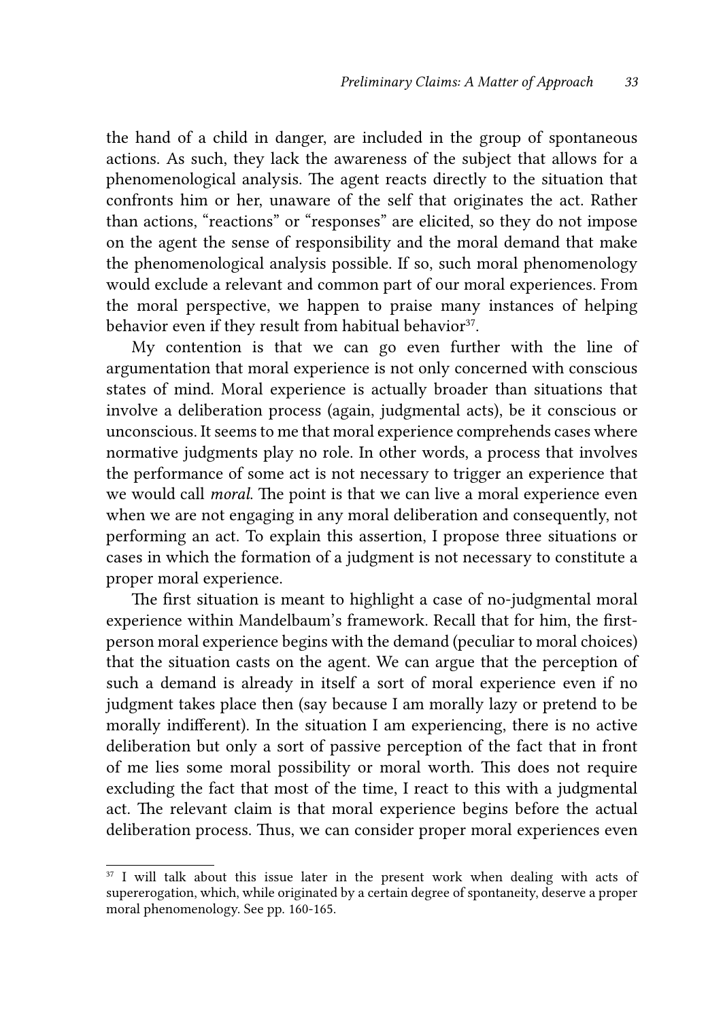the hand of a child in danger, are included in the group of spontaneous actions. As such, they lack the awareness of the subject that allows for a phenomenological analysis. The agent reacts directly to the situation that confronts him or her, unaware of the self that originates the act. Rather than actions, "reactions" or "responses" are elicited, so they do not impose on the agent the sense of responsibility and the moral demand that make the phenomenological analysis possible. If so, such moral phenomenology would exclude a relevant and common part of our moral experiences. From the moral perspective, we happen to praise many instances of helping behavior even if they result from habitual behavior<sup>37</sup>.

My contention is that we can go even further with the line of argumentation that moral experience is not only concerned with conscious states of mind. Moral experience is actually broader than situations that involve a deliberation process (again, judgmental acts), be it conscious or unconscious. It seems to me that moral experience comprehends cases where normative judgments play no role. In other words, a process that involves the performance of some act is not necessary to trigger an experience that we would call *moral*. The point is that we can live a moral experience even when we are not engaging in any moral deliberation and consequently, not performing an act. To explain this assertion, I propose three situations or cases in which the formation of a judgment is not necessary to constitute a proper moral experience.

The first situation is meant to highlight a case of no-judgmental moral experience within Mandelbaum's framework. Recall that for him, the firstperson moral experience begins with the demand (peculiar to moral choices) that the situation casts on the agent. We can argue that the perception of such a demand is already in itself a sort of moral experience even if no judgment takes place then (say because I am morally lazy or pretend to be morally indifferent). In the situation I am experiencing, there is no active deliberation but only a sort of passive perception of the fact that in front of me lies some moral possibility or moral worth. This does not require excluding the fact that most of the time, I react to this with a judgmental act. The relevant claim is that moral experience begins before the actual deliberation process. Thus, we can consider proper moral experiences even

<sup>&</sup>lt;sup>37</sup> I will talk about this issue later in the present work when dealing with acts of supererogation, which, while originated by a certain degree of spontaneity, deserve a proper moral phenomenology. See pp. 160-165.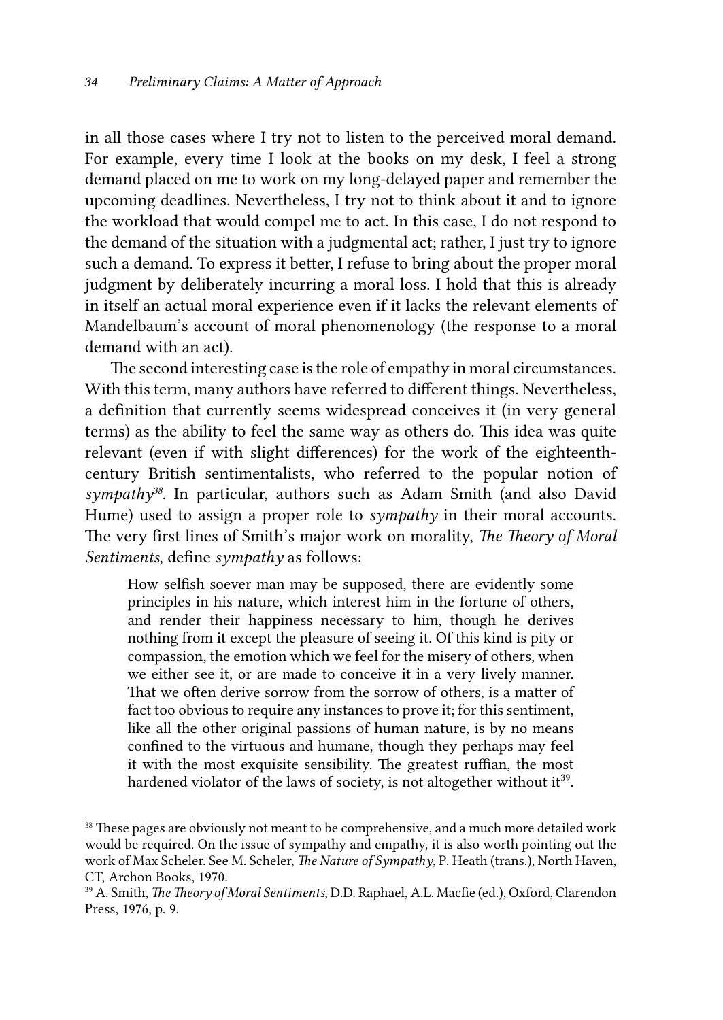in all those cases where I try not to listen to the perceived moral demand. For example, every time I look at the books on my desk, I feel a strong demand placed on me to work on my long-delayed paper and remember the upcoming deadlines. Nevertheless, I try not to think about it and to ignore the workload that would compel me to act. In this case, I do not respond to the demand of the situation with a judgmental act; rather, I just try to ignore such a demand. To express it better, I refuse to bring about the proper moral judgment by deliberately incurring a moral loss. I hold that this is already in itself an actual moral experience even if it lacks the relevant elements of Mandelbaum's account of moral phenomenology (the response to a moral demand with an act).

The second interesting case is the role of empathy in moral circumstances. With this term, many authors have referred to different things. Nevertheless, a definition that currently seems widespread conceives it (in very general terms) as the ability to feel the same way as others do. This idea was quite relevant (even if with slight differences) for the work of the eighteenthcentury British sentimentalists, who referred to the popular notion of *sympathy38.* In particular, authors such as Adam Smith (and also David Hume) used to assign a proper role to *sympathy* in their moral accounts. The very first lines of Smith's major work on morality, *The Theory of Moral Sentiments*, define *sympathy* as follows:

How selfish soever man may be supposed, there are evidently some principles in his nature, which interest him in the fortune of others, and render their happiness necessary to him, though he derives nothing from it except the pleasure of seeing it. Of this kind is pity or compassion, the emotion which we feel for the misery of others, when we either see it, or are made to conceive it in a very lively manner. That we often derive sorrow from the sorrow of others, is a matter of fact too obvious to require any instances to prove it; for this sentiment, like all the other original passions of human nature, is by no means confined to the virtuous and humane, though they perhaps may feel it with the most exquisite sensibility. The greatest ruffian, the most hardened violator of the laws of society, is not altogether without it<sup>39</sup>.

<sup>&</sup>lt;sup>38</sup> These pages are obviously not meant to be comprehensive, and a much more detailed work would be required. On the issue of sympathy and empathy, it is also worth pointing out the work of Max Scheler. See M. Scheler, *The Nature of Sympathy*, P. Heath (trans.), North Haven, CT, Archon Books, 1970.

<sup>39</sup> A. Smith, *The Theory of Moral Sentiments*, D.D. Raphael, A.L. Macfie (ed.), Oxford, Clarendon Press, 1976, p. 9.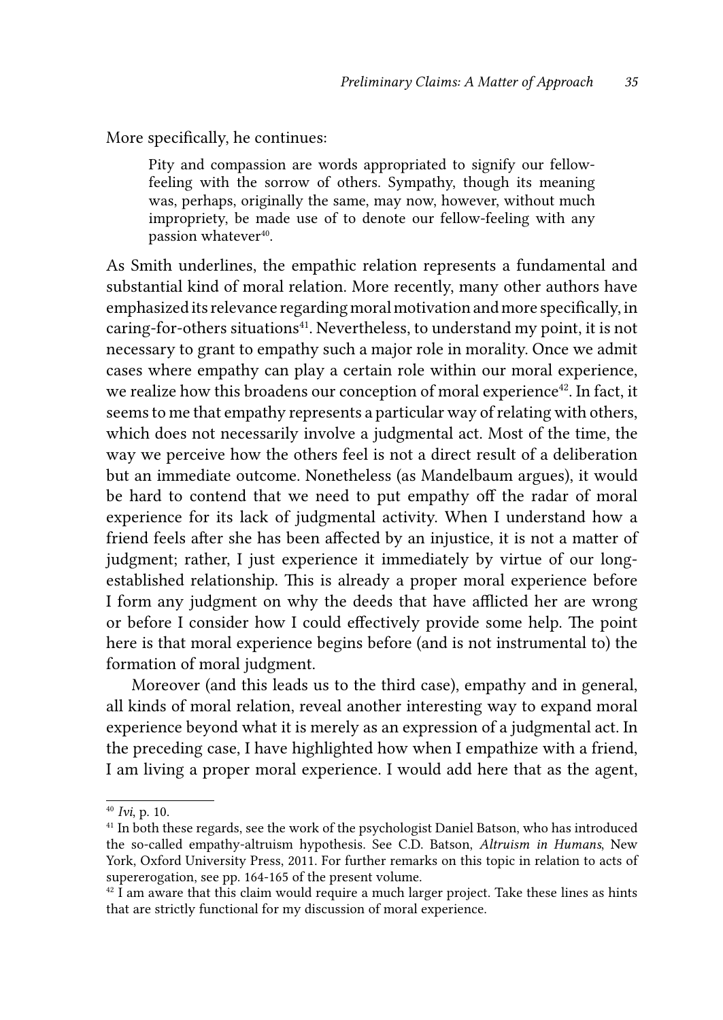More specifically, he continues:

Pity and compassion are words appropriated to signify our fellowfeeling with the sorrow of others. Sympathy, though its meaning was, perhaps, originally the same, may now, however, without much impropriety, be made use of to denote our fellow-feeling with any passion whatever<sup>40</sup>.

As Smith underlines, the empathic relation represents a fundamental and substantial kind of moral relation. More recently, many other authors have emphasized its relevance regarding moral motivation and more specifically, in caring-for-others situations<sup>41</sup>. Nevertheless, to understand my point, it is not necessary to grant to empathy such a major role in morality. Once we admit cases where empathy can play a certain role within our moral experience, we realize how this broadens our conception of moral experience<sup>42</sup>. In fact, it seems to me that empathy represents a particular way of relating with others, which does not necessarily involve a judgmental act. Most of the time, the way we perceive how the others feel is not a direct result of a deliberation but an immediate outcome. Nonetheless (as Mandelbaum argues), it would be hard to contend that we need to put empathy off the radar of moral experience for its lack of judgmental activity. When I understand how a friend feels after she has been affected by an injustice, it is not a matter of judgment; rather, I just experience it immediately by virtue of our longestablished relationship. This is already a proper moral experience before I form any judgment on why the deeds that have afflicted her are wrong or before I consider how I could effectively provide some help. The point here is that moral experience begins before (and is not instrumental to) the formation of moral judgment.

Moreover (and this leads us to the third case), empathy and in general, all kinds of moral relation, reveal another interesting way to expand moral experience beyond what it is merely as an expression of a judgmental act. In the preceding case, I have highlighted how when I empathize with a friend, I am living a proper moral experience. I would add here that as the agent,

<sup>40</sup> *Ivi*, p. 10.

<sup>&</sup>lt;sup>41</sup> In both these regards, see the work of the psychologist Daniel Batson, who has introduced the so-called empathy-altruism hypothesis. See C.D. Batson, *Altruism in Humans*, New York, Oxford University Press, 2011. For further remarks on this topic in relation to acts of supererogation, see pp. 164-165 of the present volume.

 $42$  I am aware that this claim would require a much larger project. Take these lines as hints that are strictly functional for my discussion of moral experience.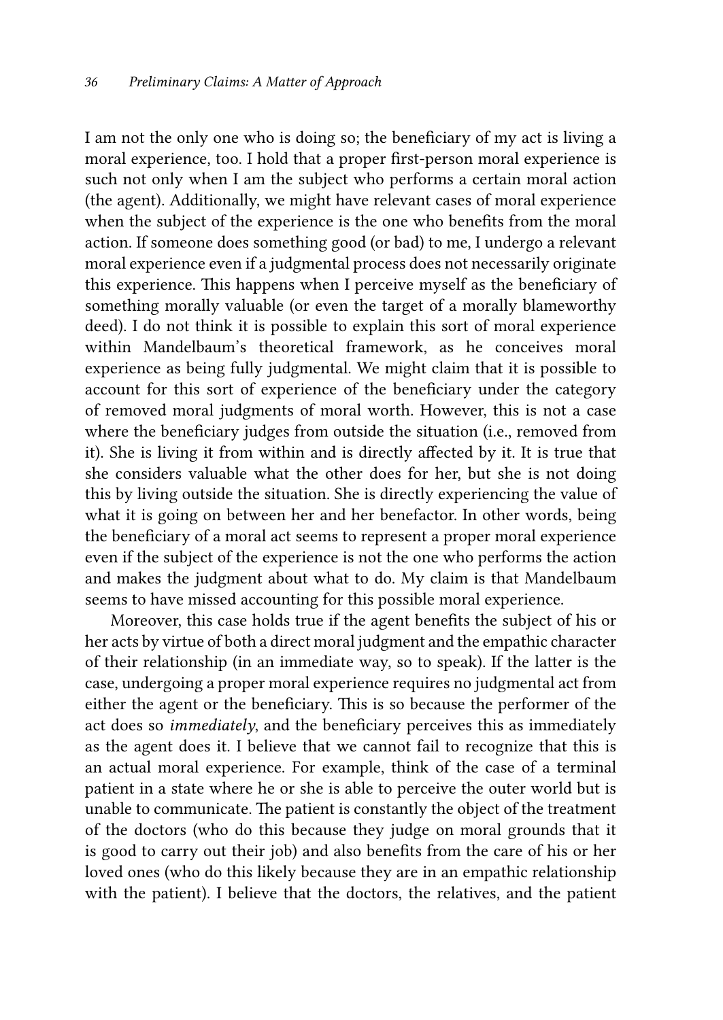I am not the only one who is doing so; the beneficiary of my act is living a moral experience, too. I hold that a proper first-person moral experience is such not only when I am the subject who performs a certain moral action (the agent). Additionally, we might have relevant cases of moral experience when the subject of the experience is the one who benefits from the moral action. If someone does something good (or bad) to me, I undergo a relevant moral experience even if a judgmental process does not necessarily originate this experience. This happens when I perceive myself as the beneficiary of something morally valuable (or even the target of a morally blameworthy deed). I do not think it is possible to explain this sort of moral experience within Mandelbaum's theoretical framework, as he conceives moral experience as being fully judgmental. We might claim that it is possible to account for this sort of experience of the beneficiary under the category of removed moral judgments of moral worth. However, this is not a case where the beneficiary judges from outside the situation (i.e., removed from it). She is living it from within and is directly affected by it. It is true that she considers valuable what the other does for her, but she is not doing this by living outside the situation. She is directly experiencing the value of what it is going on between her and her benefactor. In other words, being the beneficiary of a moral act seems to represent a proper moral experience even if the subject of the experience is not the one who performs the action and makes the judgment about what to do. My claim is that Mandelbaum seems to have missed accounting for this possible moral experience.

Moreover, this case holds true if the agent benefits the subject of his or her acts by virtue of both a direct moral judgment and the empathic character of their relationship (in an immediate way, so to speak). If the latter is the case, undergoing a proper moral experience requires no judgmental act from either the agent or the beneficiary. This is so because the performer of the act does so *immediately*, and the beneficiary perceives this as immediately as the agent does it. I believe that we cannot fail to recognize that this is an actual moral experience. For example, think of the case of a terminal patient in a state where he or she is able to perceive the outer world but is unable to communicate. The patient is constantly the object of the treatment of the doctors (who do this because they judge on moral grounds that it is good to carry out their job) and also benefits from the care of his or her loved ones (who do this likely because they are in an empathic relationship with the patient). I believe that the doctors, the relatives, and the patient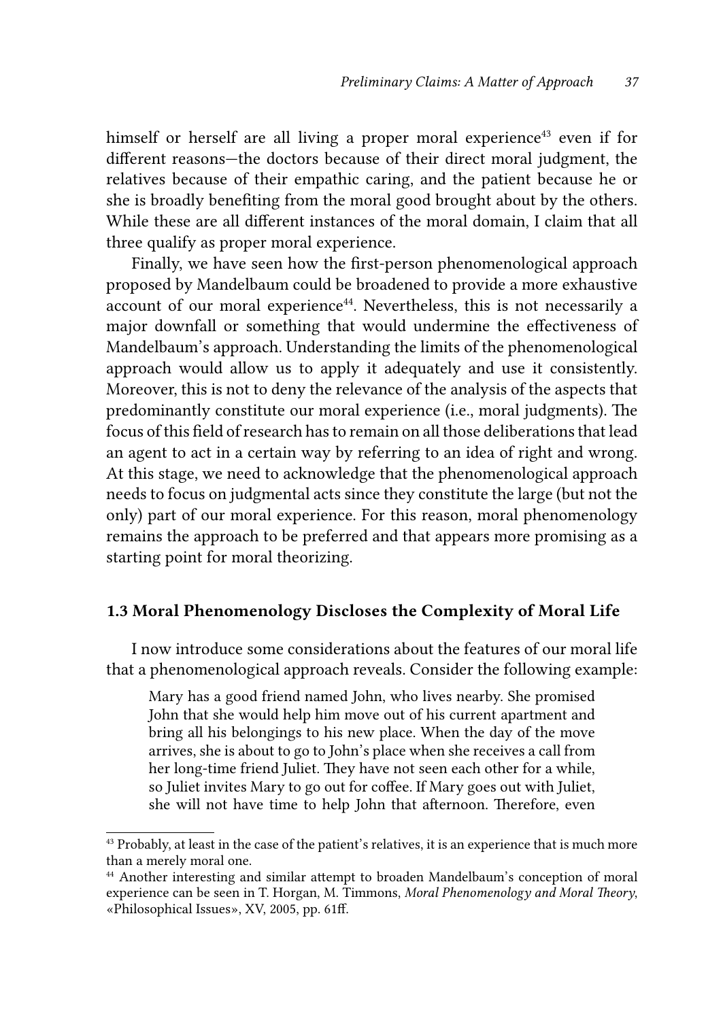himself or herself are all living a proper moral experience<sup>43</sup> even if for different reasons—the doctors because of their direct moral judgment, the relatives because of their empathic caring, and the patient because he or she is broadly benefiting from the moral good brought about by the others. While these are all different instances of the moral domain, I claim that all three qualify as proper moral experience.

Finally, we have seen how the first-person phenomenological approach proposed by Mandelbaum could be broadened to provide a more exhaustive account of our moral experience<sup>44</sup>. Nevertheless, this is not necessarily a major downfall or something that would undermine the effectiveness of Mandelbaum's approach. Understanding the limits of the phenomenological approach would allow us to apply it adequately and use it consistently. Moreover, this is not to deny the relevance of the analysis of the aspects that predominantly constitute our moral experience (i.e., moral judgments). The focus of this field of research has to remain on all those deliberations that lead an agent to act in a certain way by referring to an idea of right and wrong. At this stage, we need to acknowledge that the phenomenological approach needs to focus on judgmental acts since they constitute the large (but not the only) part of our moral experience. For this reason, moral phenomenology remains the approach to be preferred and that appears more promising as a starting point for moral theorizing.

### 1.3 Moral Phenomenology Discloses the Complexity of Moral Life

I now introduce some considerations about the features of our moral life that a phenomenological approach reveals. Consider the following example:

Mary has a good friend named John, who lives nearby. She promised John that she would help him move out of his current apartment and bring all his belongings to his new place. When the day of the move arrives, she is about to go to John's place when she receives a call from her long-time friend Juliet. They have not seen each other for a while, so Juliet invites Mary to go out for coffee. If Mary goes out with Juliet, she will not have time to help John that afternoon. Therefore, even

<sup>&</sup>lt;sup>43</sup> Probably, at least in the case of the patient's relatives, it is an experience that is much more than a merely moral one.

<sup>44</sup> Another interesting and similar attempt to broaden Mandelbaum's conception of moral experience can be seen in T. Horgan, M. Timmons, *Moral Phenomenology and Moral Theory*, «Philosophical Issues», XV, 2005, pp. 61ff.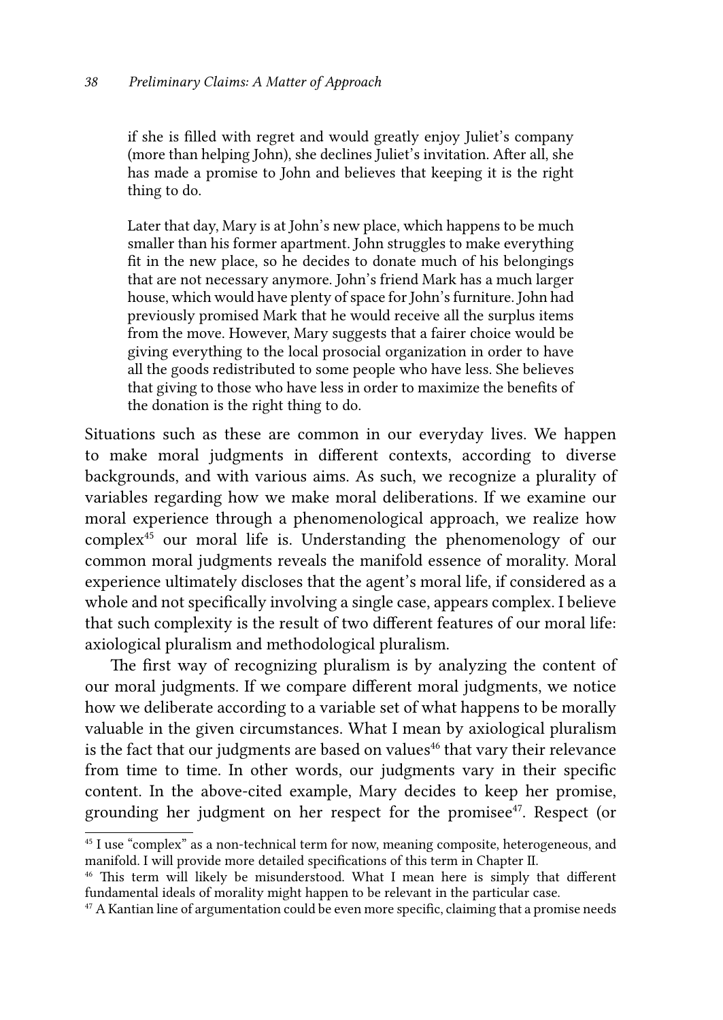if she is filled with regret and would greatly enjoy Juliet's company (more than helping John), she declines Juliet's invitation. After all, she has made a promise to John and believes that keeping it is the right thing to do.

Later that day, Mary is at John's new place, which happens to be much smaller than his former apartment. John struggles to make everything fit in the new place, so he decides to donate much of his belongings that are not necessary anymore. John's friend Mark has a much larger house, which would have plenty of space for John's furniture. John had previously promised Mark that he would receive all the surplus items from the move. However, Mary suggests that a fairer choice would be giving everything to the local prosocial organization in order to have all the goods redistributed to some people who have less. She believes that giving to those who have less in order to maximize the benefits of the donation is the right thing to do.

Situations such as these are common in our everyday lives. We happen to make moral judgments in different contexts, according to diverse backgrounds, and with various aims. As such, we recognize a plurality of variables regarding how we make moral deliberations. If we examine our moral experience through a phenomenological approach, we realize how complex<sup>45</sup> our moral life is. Understanding the phenomenology of our common moral judgments reveals the manifold essence of morality. Moral experience ultimately discloses that the agent's moral life, if considered as a whole and not specifically involving a single case, appears complex. I believe that such complexity is the result of two different features of our moral life: axiological pluralism and methodological pluralism.

The first way of recognizing pluralism is by analyzing the content of our moral judgments. If we compare different moral judgments, we notice how we deliberate according to a variable set of what happens to be morally valuable in the given circumstances. What I mean by axiological pluralism is the fact that our judgments are based on values<sup>46</sup> that vary their relevance from time to time. In other words, our judgments vary in their specific content. In the above-cited example, Mary decides to keep her promise, grounding her judgment on her respect for the promisee<sup>47</sup>. Respect (or

<sup>&</sup>lt;sup>45</sup> I use "complex" as a non-technical term for now, meaning composite, heterogeneous, and manifold. I will provide more detailed specifications of this term in Chapter II.

<sup>46</sup> This term will likely be misunderstood. What I mean here is simply that different fundamental ideals of morality might happen to be relevant in the particular case.

 $47$  A Kantian line of argumentation could be even more specific, claiming that a promise needs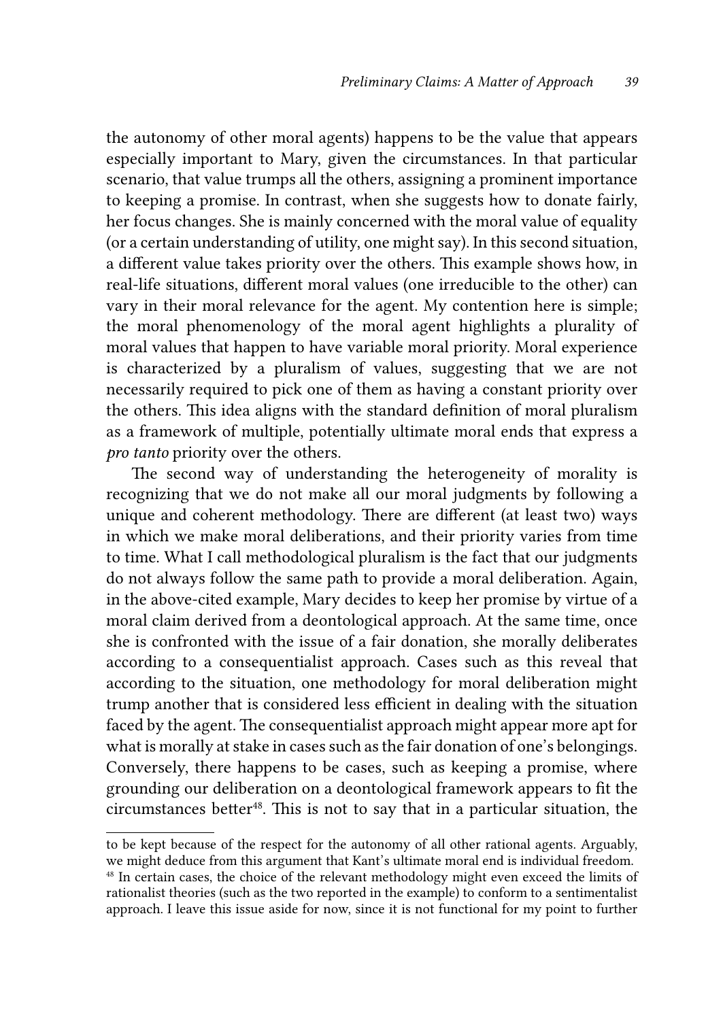the autonomy of other moral agents) happens to be the value that appears especially important to Mary, given the circumstances. In that particular scenario, that value trumps all the others, assigning a prominent importance to keeping a promise. In contrast, when she suggests how to donate fairly, her focus changes. She is mainly concerned with the moral value of equality (or a certain understanding of utility, one might say). In this second situation, a different value takes priority over the others. This example shows how, in real-life situations, different moral values (one irreducible to the other) can vary in their moral relevance for the agent. My contention here is simple; the moral phenomenology of the moral agent highlights a plurality of moral values that happen to have variable moral priority. Moral experience is characterized by a pluralism of values, suggesting that we are not necessarily required to pick one of them as having a constant priority over the others. This idea aligns with the standard definition of moral pluralism as a framework of multiple, potentially ultimate moral ends that express a *pro tanto* priority over the others.

The second way of understanding the heterogeneity of morality is recognizing that we do not make all our moral judgments by following a unique and coherent methodology. There are different (at least two) ways in which we make moral deliberations, and their priority varies from time to time. What I call methodological pluralism is the fact that our judgments do not always follow the same path to provide a moral deliberation. Again, in the above-cited example, Mary decides to keep her promise by virtue of a moral claim derived from a deontological approach. At the same time, once she is confronted with the issue of a fair donation, she morally deliberates according to a consequentialist approach. Cases such as this reveal that according to the situation, one methodology for moral deliberation might trump another that is considered less efficient in dealing with the situation faced by the agent. The consequentialist approach might appear more apt for what is morally at stake in cases such as the fair donation of one's belongings. Conversely, there happens to be cases, such as keeping a promise, where grounding our deliberation on a deontological framework appears to fit the circumstances better<sup>48</sup>. This is not to say that in a particular situation, the

to be kept because of the respect for the autonomy of all other rational agents. Arguably, we might deduce from this argument that Kant's ultimate moral end is individual freedom.

<sup>&</sup>lt;sup>48</sup> In certain cases, the choice of the relevant methodology might even exceed the limits of rationalist theories (such as the two reported in the example) to conform to a sentimentalist approach. I leave this issue aside for now, since it is not functional for my point to further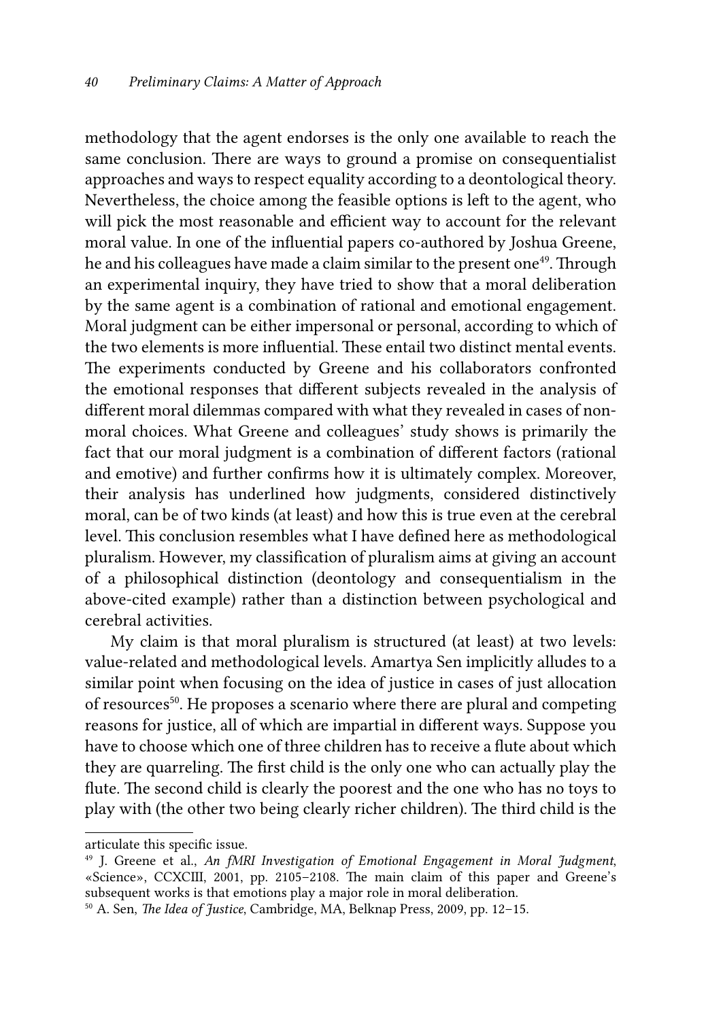methodology that the agent endorses is the only one available to reach the same conclusion. There are ways to ground a promise on consequentialist approaches and ways to respect equality according to a deontological theory. Nevertheless, the choice among the feasible options is left to the agent, who will pick the most reasonable and efficient way to account for the relevant moral value. In one of the influential papers co-authored by Joshua Greene, he and his colleagues have made a claim similar to the present one<sup>49</sup>. Through an experimental inquiry, they have tried to show that a moral deliberation by the same agent is a combination of rational and emotional engagement. Moral judgment can be either impersonal or personal, according to which of the two elements is more influential. These entail two distinct mental events. The experiments conducted by Greene and his collaborators confronted the emotional responses that different subjects revealed in the analysis of different moral dilemmas compared with what they revealed in cases of nonmoral choices. What Greene and colleagues' study shows is primarily the fact that our moral judgment is a combination of different factors (rational and emotive) and further confirms how it is ultimately complex. Moreover, their analysis has underlined how judgments, considered distinctively moral, can be of two kinds (at least) and how this is true even at the cerebral level. This conclusion resembles what I have defined here as methodological pluralism. However, my classification of pluralism aims at giving an account of a philosophical distinction (deontology and consequentialism in the above-cited example) rather than a distinction between psychological and cerebral activities.

My claim is that moral pluralism is structured (at least) at two levels: value-related and methodological levels. Amartya Sen implicitly alludes to a similar point when focusing on the idea of justice in cases of just allocation of resources<sup>50</sup>. He proposes a scenario where there are plural and competing reasons for justice, all of which are impartial in different ways. Suppose you have to choose which one of three children has to receive a flute about which they are quarreling. The first child is the only one who can actually play the flute. The second child is clearly the poorest and the one who has no toys to play with (the other two being clearly richer children). The third child is the

articulate this specific issue.

<sup>49</sup> J. Greene et al., *An fMRI Investigation of Emotional Engagement in Moral Judgment*, «Science», CCXCIII, 2001, pp. 2105–2108. The main claim of this paper and Greene's subsequent works is that emotions play a major role in moral deliberation.

<sup>50</sup> A. Sen, *The Idea of Justice*, Cambridge, MA, Belknap Press, 2009, pp. 12–15.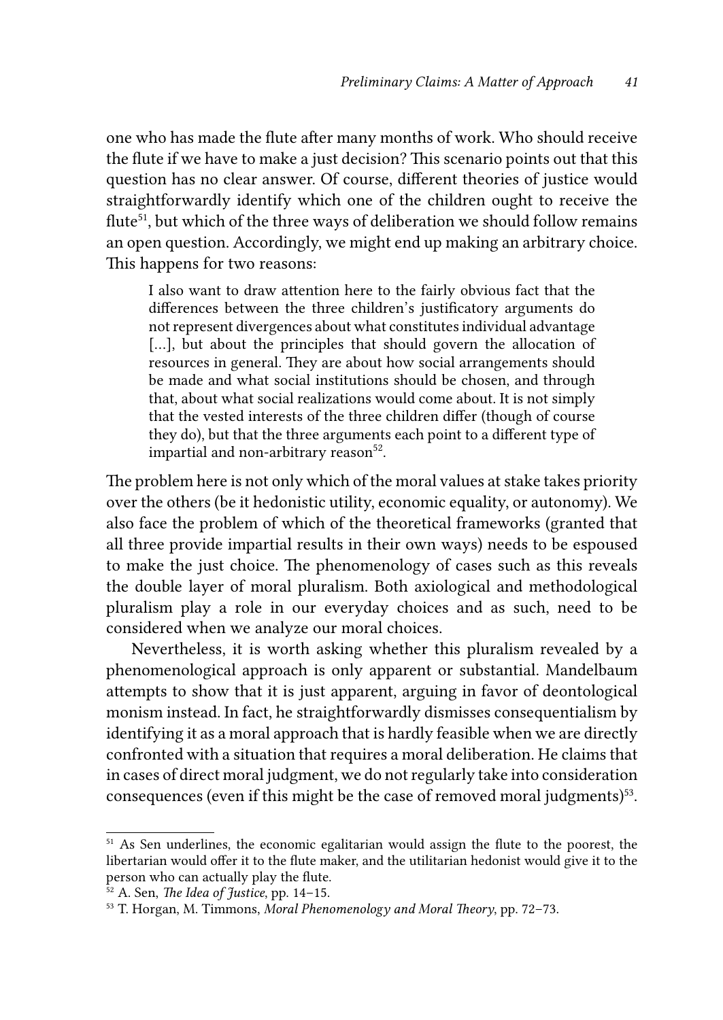one who has made the flute after many months of work. Who should receive the flute if we have to make a just decision? This scenario points out that this question has no clear answer. Of course, different theories of justice would straightforwardly identify which one of the children ought to receive the flute<sup>51</sup>, but which of the three ways of deliberation we should follow remains an open question. Accordingly, we might end up making an arbitrary choice. This happens for two reasons:

I also want to draw attention here to the fairly obvious fact that the differences between the three children's justificatory arguments do not represent divergences about what constitutes individual advantage [...], but about the principles that should govern the allocation of resources in general. They are about how social arrangements should be made and what social institutions should be chosen, and through that, about what social realizations would come about. It is not simply that the vested interests of the three children differ (though of course they do), but that the three arguments each point to a different type of impartial and non-arbitrary reason $52$ .

The problem here is not only which of the moral values at stake takes priority over the others (be it hedonistic utility, economic equality, or autonomy). We also face the problem of which of the theoretical frameworks (granted that all three provide impartial results in their own ways) needs to be espoused to make the just choice. The phenomenology of cases such as this reveals the double layer of moral pluralism. Both axiological and methodological pluralism play a role in our everyday choices and as such, need to be considered when we analyze our moral choices.

Nevertheless, it is worth asking whether this pluralism revealed by a phenomenological approach is only apparent or substantial. Mandelbaum attempts to show that it is just apparent, arguing in favor of deontological monism instead. In fact, he straightforwardly dismisses consequentialism by identifying it as a moral approach that is hardly feasible when we are directly confronted with a situation that requires a moral deliberation. He claims that in cases of direct moral judgment, we do not regularly take into consideration consequences (even if this might be the case of removed moral judgments)<sup>53</sup>.

<sup>&</sup>lt;sup>51</sup> As Sen underlines, the economic egalitarian would assign the flute to the poorest, the libertarian would offer it to the flute maker, and the utilitarian hedonist would give it to the person who can actually play the flute.

<sup>52</sup> A. Sen, *The Idea of Justice*, pp. 14–15.

<sup>53</sup> T. Horgan, M. Timmons, *Moral Phenomenology and Moral Theory*, pp. 72–73.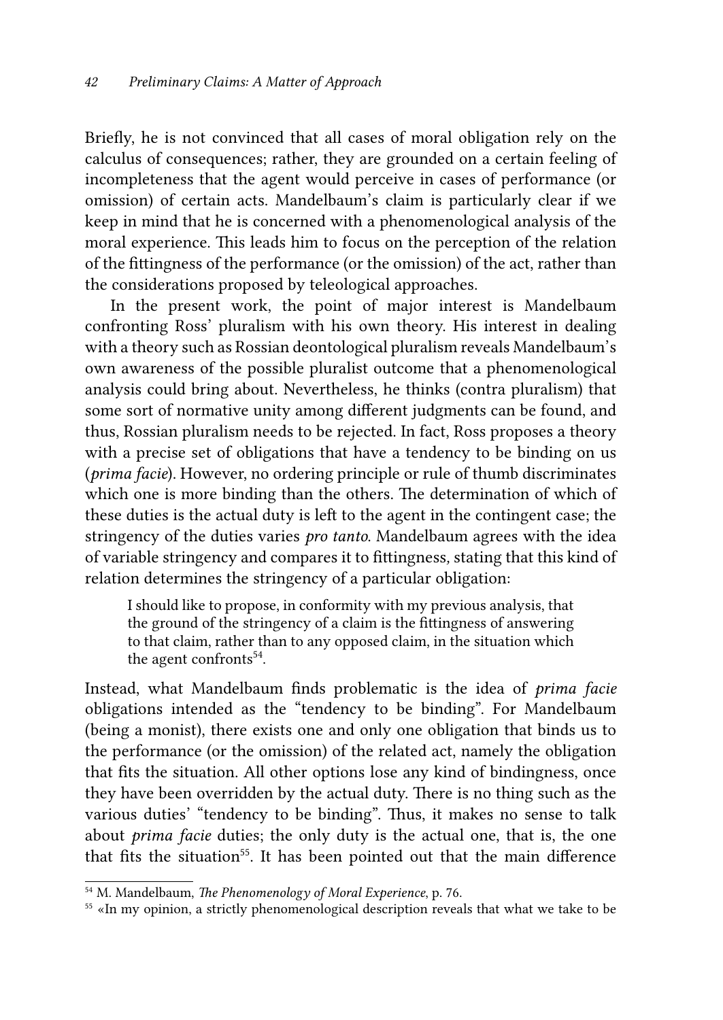Briefly, he is not convinced that all cases of moral obligation rely on the calculus of consequences; rather, they are grounded on a certain feeling of incompleteness that the agent would perceive in cases of performance (or omission) of certain acts. Mandelbaum's claim is particularly clear if we keep in mind that he is concerned with a phenomenological analysis of the moral experience. This leads him to focus on the perception of the relation of the fittingness of the performance (or the omission) of the act, rather than the considerations proposed by teleological approaches.

In the present work, the point of major interest is Mandelbaum confronting Ross' pluralism with his own theory. His interest in dealing with a theory such as Rossian deontological pluralism reveals Mandelbaum's own awareness of the possible pluralist outcome that a phenomenological analysis could bring about. Nevertheless, he thinks (contra pluralism) that some sort of normative unity among different judgments can be found, and thus, Rossian pluralism needs to be rejected. In fact, Ross proposes a theory with a precise set of obligations that have a tendency to be binding on us (*prima facie*). However, no ordering principle or rule of thumb discriminates which one is more binding than the others. The determination of which of these duties is the actual duty is left to the agent in the contingent case; the stringency of the duties varies *pro tanto*. Mandelbaum agrees with the idea of variable stringency and compares it to fittingness*,* stating that this kind of relation determines the stringency of a particular obligation:

I should like to propose, in conformity with my previous analysis, that the ground of the stringency of a claim is the fittingness of answering to that claim, rather than to any opposed claim, in the situation which the agent confronts $54$ .

Instead, what Mandelbaum finds problematic is the idea of *prima facie* obligations intended as the "tendency to be binding". For Mandelbaum (being a monist), there exists one and only one obligation that binds us to the performance (or the omission) of the related act, namely the obligation that fits the situation. All other options lose any kind of bindingness, once they have been overridden by the actual duty. There is no thing such as the various duties' "tendency to be binding". Thus, it makes no sense to talk about *prima facie* duties; the only duty is the actual one, that is, the one that fits the situation<sup>55</sup>. It has been pointed out that the main difference

<sup>54</sup> M. Mandelbaum, *The Phenomenology of Moral Experience*, p. 76.

<sup>&</sup>lt;sup>55</sup> «In my opinion, a strictly phenomenological description reveals that what we take to be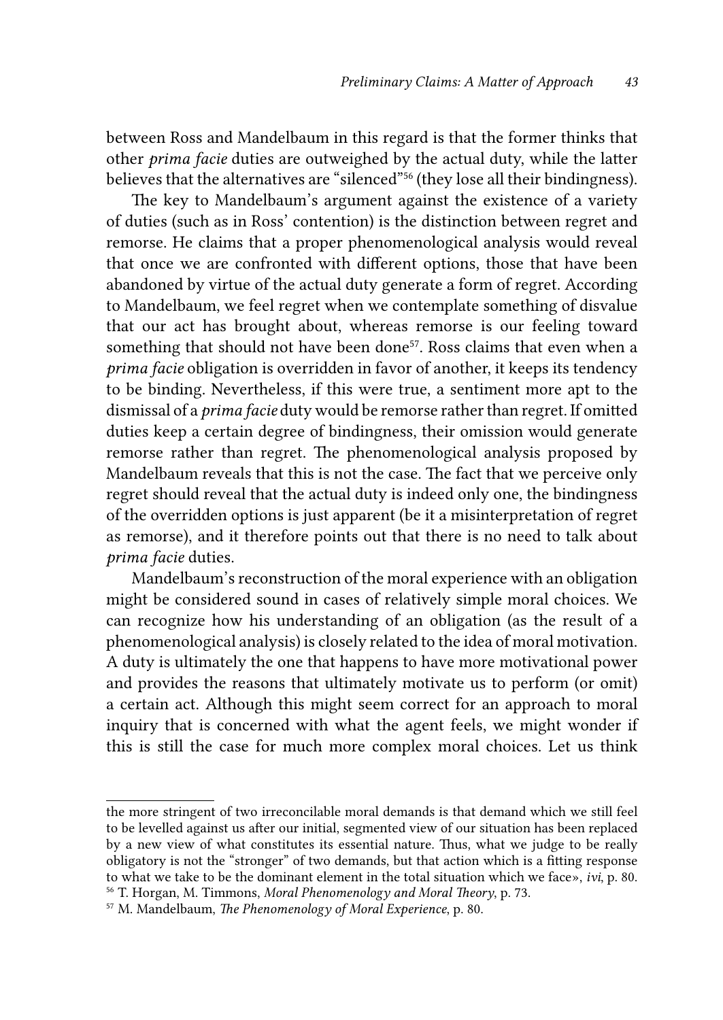between Ross and Mandelbaum in this regard is that the former thinks that other *prima facie* duties are outweighed by the actual duty, while the latter believes that the alternatives are "silenced"56 (they lose all their bindingness).

The key to Mandelbaum's argument against the existence of a variety of duties (such as in Ross' contention) is the distinction between regret and remorse. He claims that a proper phenomenological analysis would reveal that once we are confronted with different options, those that have been abandoned by virtue of the actual duty generate a form of regret. According to Mandelbaum, we feel regret when we contemplate something of disvalue that our act has brought about, whereas remorse is our feeling toward something that should not have been done<sup>57</sup>. Ross claims that even when a *prima facie* obligation is overridden in favor of another, it keeps its tendency to be binding. Nevertheless, if this were true, a sentiment more apt to the dismissal of a *prima facie* duty would be remorse rather than regret. If omitted duties keep a certain degree of bindingness, their omission would generate remorse rather than regret. The phenomenological analysis proposed by Mandelbaum reveals that this is not the case. The fact that we perceive only regret should reveal that the actual duty is indeed only one, the bindingness of the overridden options is just apparent (be it a misinterpretation of regret as remorse), and it therefore points out that there is no need to talk about *prima facie* duties.

Mandelbaum's reconstruction of the moral experience with an obligation might be considered sound in cases of relatively simple moral choices. We can recognize how his understanding of an obligation (as the result of a phenomenological analysis) is closely related to the idea of moral motivation. A duty is ultimately the one that happens to have more motivational power and provides the reasons that ultimately motivate us to perform (or omit) a certain act. Although this might seem correct for an approach to moral inquiry that is concerned with what the agent feels, we might wonder if this is still the case for much more complex moral choices. Let us think

the more stringent of two irreconcilable moral demands is that demand which we still feel to be levelled against us after our initial, segmented view of our situation has been replaced by a new view of what constitutes its essential nature. Thus, what we judge to be really obligatory is not the "stronger" of two demands, but that action which is a fitting response to what we take to be the dominant element in the total situation which we face», *ivi*, p. 80. 56 T. Horgan, M. Timmons, *Moral Phenomenology and Moral Theory*, p. 73.

<sup>57</sup> M. Mandelbaum, *The Phenomenology of Moral Experience*, p. 80.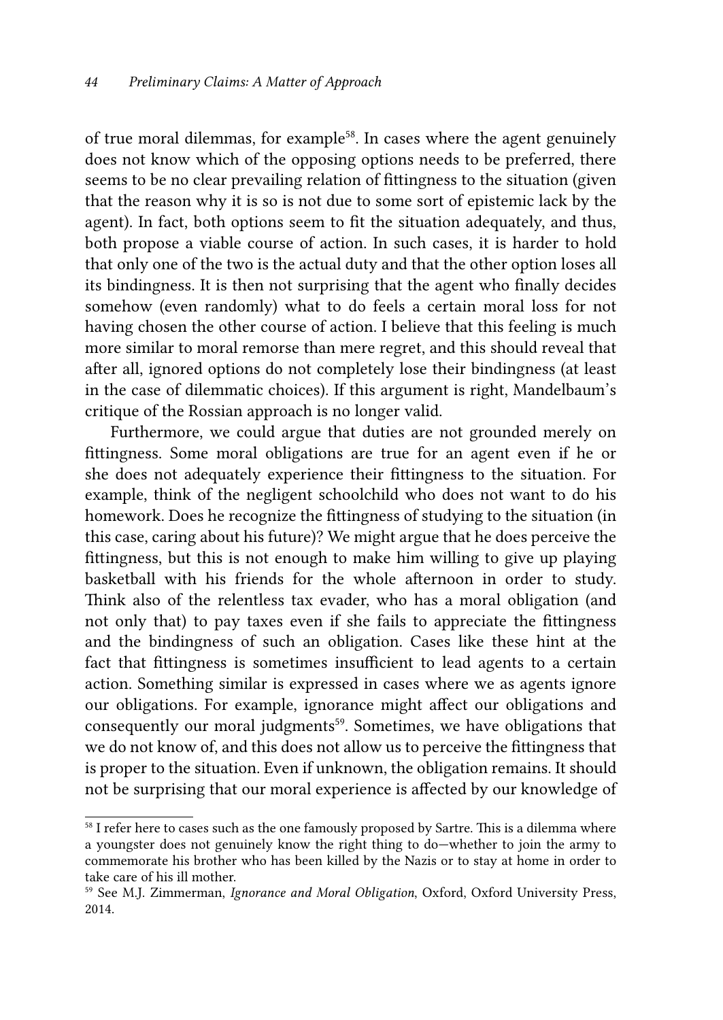of true moral dilemmas, for example<sup>58</sup>. In cases where the agent genuinely does not know which of the opposing options needs to be preferred, there seems to be no clear prevailing relation of fittingness to the situation (given that the reason why it is so is not due to some sort of epistemic lack by the agent). In fact, both options seem to fit the situation adequately, and thus, both propose a viable course of action. In such cases, it is harder to hold that only one of the two is the actual duty and that the other option loses all its bindingness. It is then not surprising that the agent who finally decides somehow (even randomly) what to do feels a certain moral loss for not having chosen the other course of action. I believe that this feeling is much more similar to moral remorse than mere regret, and this should reveal that after all, ignored options do not completely lose their bindingness (at least in the case of dilemmatic choices). If this argument is right, Mandelbaum's critique of the Rossian approach is no longer valid.

Furthermore, we could argue that duties are not grounded merely on fittingness. Some moral obligations are true for an agent even if he or she does not adequately experience their fittingness to the situation. For example, think of the negligent schoolchild who does not want to do his homework. Does he recognize the fittingness of studying to the situation (in this case, caring about his future)? We might argue that he does perceive the fittingness, but this is not enough to make him willing to give up playing basketball with his friends for the whole afternoon in order to study. Think also of the relentless tax evader, who has a moral obligation (and not only that) to pay taxes even if she fails to appreciate the fittingness and the bindingness of such an obligation. Cases like these hint at the fact that fittingness is sometimes insufficient to lead agents to a certain action. Something similar is expressed in cases where we as agents ignore our obligations. For example, ignorance might affect our obligations and consequently our moral judgments<sup>59</sup>. Sometimes, we have obligations that we do not know of, and this does not allow us to perceive the fittingness that is proper to the situation. Even if unknown, the obligation remains. It should not be surprising that our moral experience is affected by our knowledge of

<sup>&</sup>lt;sup>58</sup> I refer here to cases such as the one famously proposed by Sartre. This is a dilemma where a youngster does not genuinely know the right thing to do—whether to join the army to commemorate his brother who has been killed by the Nazis or to stay at home in order to take care of his ill mother.

<sup>59</sup> See M.J. Zimmerman, *Ignorance and Moral Obligation*, Oxford, Oxford University Press, 2014.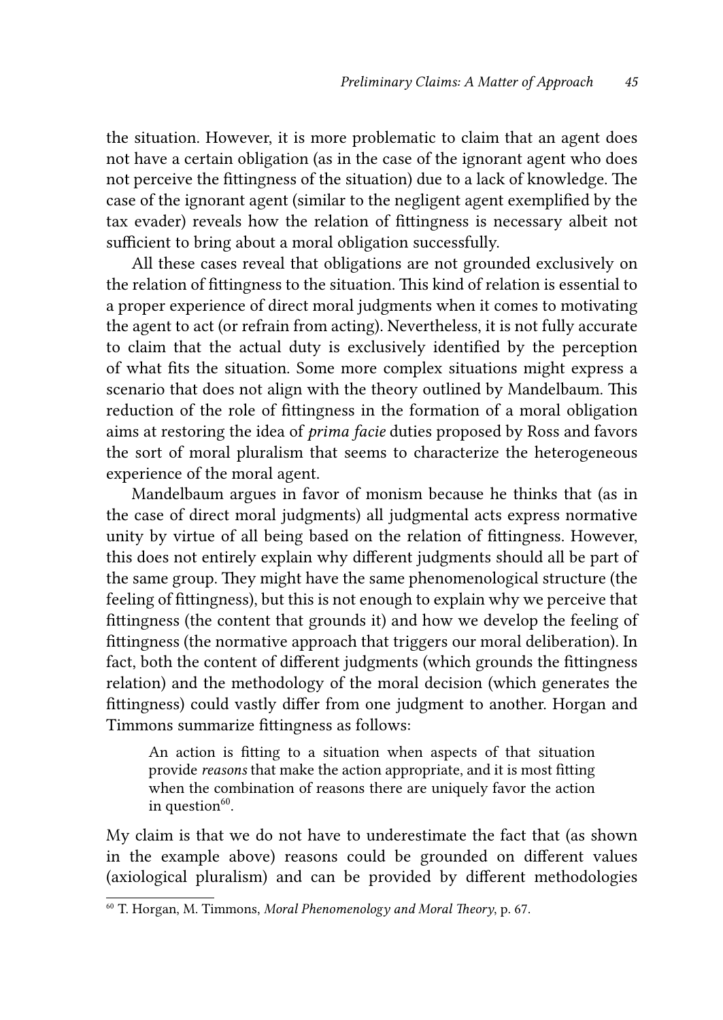the situation. However, it is more problematic to claim that an agent does not have a certain obligation (as in the case of the ignorant agent who does not perceive the fittingness of the situation) due to a lack of knowledge. The case of the ignorant agent (similar to the negligent agent exemplified by the tax evader) reveals how the relation of fittingness is necessary albeit not sufficient to bring about a moral obligation successfully.

All these cases reveal that obligations are not grounded exclusively on the relation of fittingness to the situation. This kind of relation is essential to a proper experience of direct moral judgments when it comes to motivating the agent to act (or refrain from acting). Nevertheless, it is not fully accurate to claim that the actual duty is exclusively identified by the perception of what fits the situation. Some more complex situations might express a scenario that does not align with the theory outlined by Mandelbaum. This reduction of the role of fittingness in the formation of a moral obligation aims at restoring the idea of *prima facie* duties proposed by Ross and favors the sort of moral pluralism that seems to characterize the heterogeneous experience of the moral agent.

Mandelbaum argues in favor of monism because he thinks that (as in the case of direct moral judgments) all judgmental acts express normative unity by virtue of all being based on the relation of fittingness. However, this does not entirely explain why different judgments should all be part of the same group. They might have the same phenomenological structure (the feeling of fittingness), but this is not enough to explain why we perceive that fittingness (the content that grounds it) and how we develop the feeling of fittingness (the normative approach that triggers our moral deliberation). In fact, both the content of different judgments (which grounds the fittingness relation) and the methodology of the moral decision (which generates the fittingness) could vastly differ from one judgment to another. Horgan and Timmons summarize fittingness as follows:

An action is fitting to a situation when aspects of that situation provide *reasons* that make the action appropriate, and it is most fitting when the combination of reasons there are uniquely favor the action in question $60$ .

My claim is that we do not have to underestimate the fact that (as shown in the example above) reasons could be grounded on different values (axiological pluralism) and can be provided by different methodologies

<sup>60</sup> T. Horgan, M. Timmons, *Moral Phenomenology and Moral Theory*, p. 67.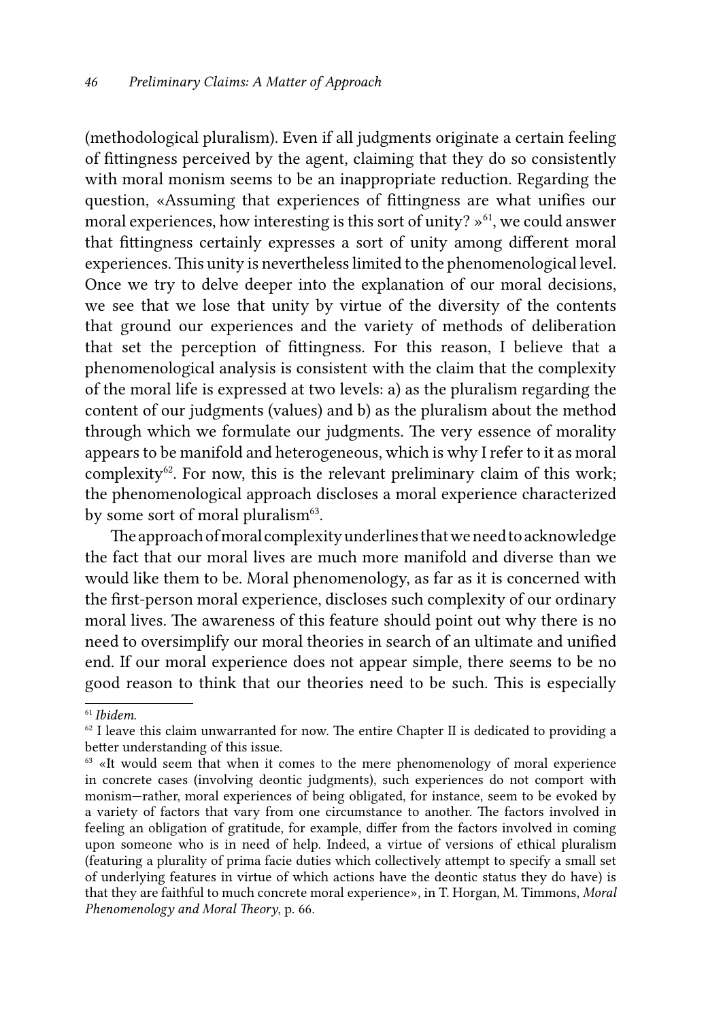(methodological pluralism). Even if all judgments originate a certain feeling of fittingness perceived by the agent, claiming that they do so consistently with moral monism seems to be an inappropriate reduction. Regarding the question, «Assuming that experiences of fittingness are what unifies our moral experiences, how interesting is this sort of unity?  $\psi^{61}$ , we could answer that fittingness certainly expresses a sort of unity among different moral experiences. This unity is nevertheless limited to the phenomenological level. Once we try to delve deeper into the explanation of our moral decisions, we see that we lose that unity by virtue of the diversity of the contents that ground our experiences and the variety of methods of deliberation that set the perception of fittingness. For this reason, I believe that a phenomenological analysis is consistent with the claim that the complexity of the moral life is expressed at two levels: a) as the pluralism regarding the content of our judgments (values) and b) as the pluralism about the method through which we formulate our judgments. The very essence of morality appears to be manifold and heterogeneous, which is why I refer to it as moral complexity<sup>62</sup>. For now, this is the relevant preliminary claim of this work; the phenomenological approach discloses a moral experience characterized by some sort of moral pluralism<sup>63</sup>.

The approach of moral complexity underlines that we need to acknowledge the fact that our moral lives are much more manifold and diverse than we would like them to be. Moral phenomenology, as far as it is concerned with the first-person moral experience, discloses such complexity of our ordinary moral lives. The awareness of this feature should point out why there is no need to oversimplify our moral theories in search of an ultimate and unified end. If our moral experience does not appear simple, there seems to be no good reason to think that our theories need to be such. This is especially

<sup>61</sup> *Ibidem*.

 $62$  I leave this claim unwarranted for now. The entire Chapter II is dedicated to providing a better understanding of this issue.

 $63$  «It would seem that when it comes to the mere phenomenology of moral experience in concrete cases (involving deontic judgments), such experiences do not comport with monism—rather, moral experiences of being obligated, for instance, seem to be evoked by a variety of factors that vary from one circumstance to another. The factors involved in feeling an obligation of gratitude, for example, differ from the factors involved in coming upon someone who is in need of help. Indeed, a virtue of versions of ethical pluralism (featuring a plurality of prima facie duties which collectively attempt to specify a small set of underlying features in virtue of which actions have the deontic status they do have) is that they are faithful to much concrete moral experience», in T. Horgan, M. Timmons, *Moral Phenomenology and Moral Theory*, p. 66.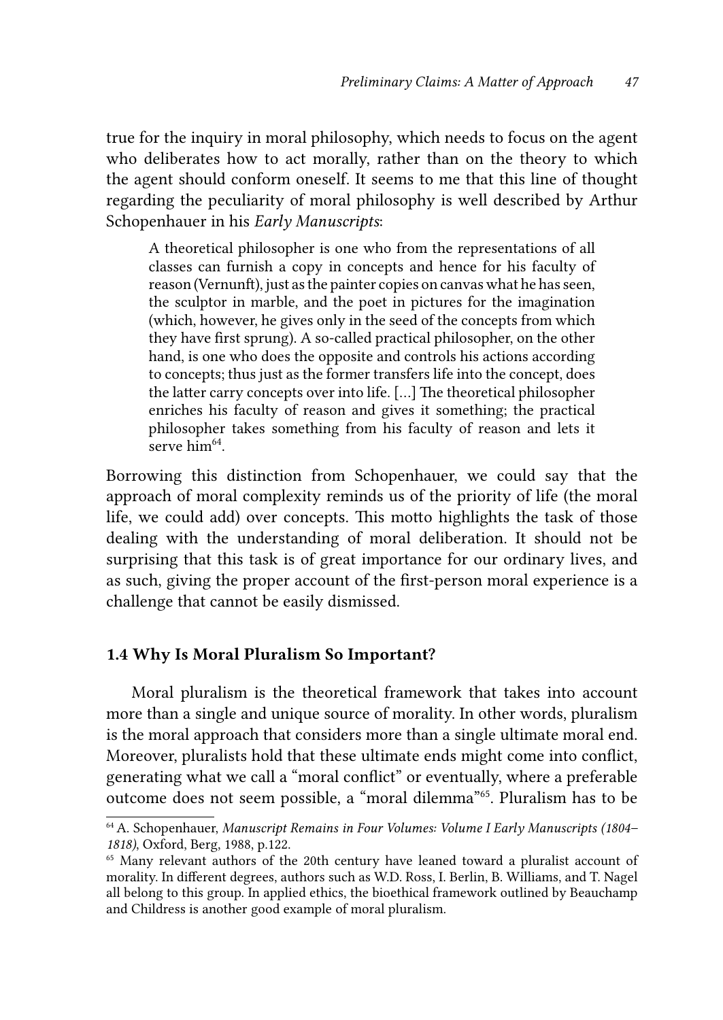true for the inquiry in moral philosophy, which needs to focus on the agent who deliberates how to act morally, rather than on the theory to which the agent should conform oneself. It seems to me that this line of thought regarding the peculiarity of moral philosophy is well described by Arthur Schopenhauer in his *Early Manuscripts*:

A theoretical philosopher is one who from the representations of all classes can furnish a copy in concepts and hence for his faculty of reason (Vernunft), just as the painter copies on canvas what he has seen, the sculptor in marble, and the poet in pictures for the imagination (which, however, he gives only in the seed of the concepts from which they have first sprung). A so-called practical philosopher, on the other hand, is one who does the opposite and controls his actions according to concepts; thus just as the former transfers life into the concept, does the latter carry concepts over into life. […] The theoretical philosopher enriches his faculty of reason and gives it something; the practical philosopher takes something from his faculty of reason and lets it serve  $h_1 \cdot m_6$ <sup>64</sup>.

Borrowing this distinction from Schopenhauer, we could say that the approach of moral complexity reminds us of the priority of life (the moral life, we could add) over concepts. This motto highlights the task of those dealing with the understanding of moral deliberation. It should not be surprising that this task is of great importance for our ordinary lives, and as such, giving the proper account of the first-person moral experience is a challenge that cannot be easily dismissed.

### 1.4 Why Is Moral Pluralism So Important?

Moral pluralism is the theoretical framework that takes into account more than a single and unique source of morality. In other words, pluralism is the moral approach that considers more than a single ultimate moral end. Moreover, pluralists hold that these ultimate ends might come into conflict, generating what we call a "moral conflict" or eventually, where a preferable outcome does not seem possible, a "moral dilemma"65. Pluralism has to be

<sup>64</sup> A. Schopenhauer, *Manuscript Remains in Four Volumes: Volume I Early Manuscripts (1804– 1818)*, Oxford, Berg, 1988, p.122.

<sup>&</sup>lt;sup>65</sup> Many relevant authors of the 20th century have leaned toward a pluralist account of morality. In different degrees, authors such as W.D. Ross, I. Berlin, B. Williams, and T. Nagel all belong to this group. In applied ethics, the bioethical framework outlined by Beauchamp and Childress is another good example of moral pluralism.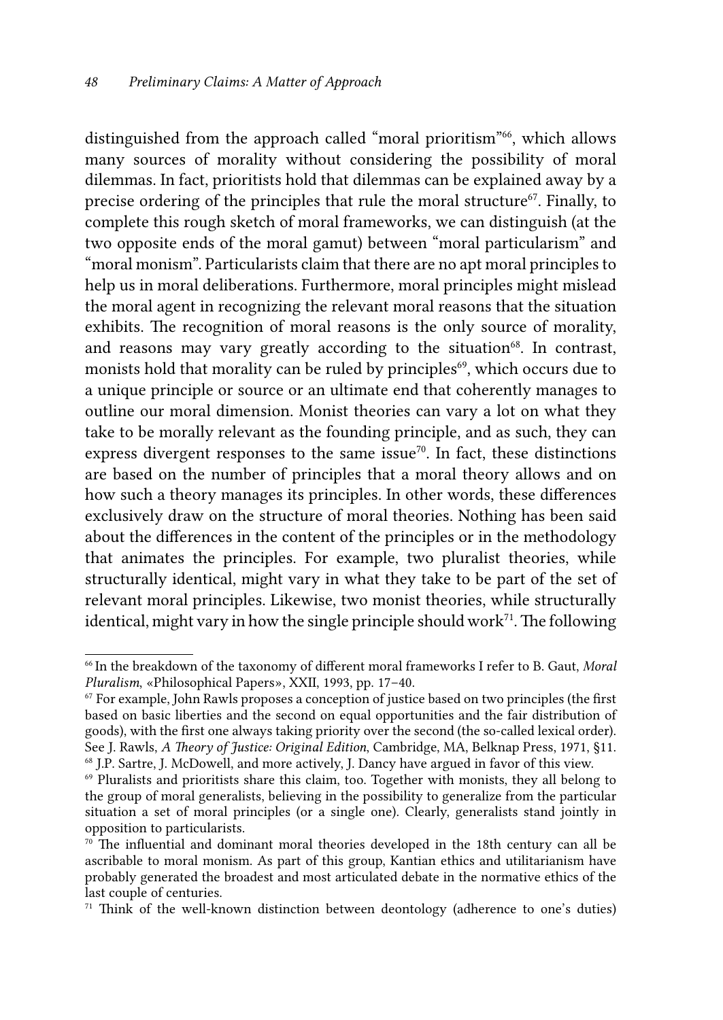distinguished from the approach called "moral prioritism"<sup>66</sup>, which allows many sources of morality without considering the possibility of moral dilemmas. In fact, prioritists hold that dilemmas can be explained away by a precise ordering of the principles that rule the moral structure<sup>67</sup>. Finally, to complete this rough sketch of moral frameworks, we can distinguish (at the two opposite ends of the moral gamut) between "moral particularism" and "moral monism". Particularists claim that there are no apt moral principles to help us in moral deliberations. Furthermore, moral principles might mislead the moral agent in recognizing the relevant moral reasons that the situation exhibits. The recognition of moral reasons is the only source of morality, and reasons may vary greatly according to the situation<sup>68</sup>. In contrast, monists hold that morality can be ruled by principles<sup>69</sup>, which occurs due to a unique principle or source or an ultimate end that coherently manages to outline our moral dimension. Monist theories can vary a lot on what they take to be morally relevant as the founding principle, and as such, they can express divergent responses to the same issue<sup>70</sup>. In fact, these distinctions are based on the number of principles that a moral theory allows and on how such a theory manages its principles. In other words, these differences exclusively draw on the structure of moral theories. Nothing has been said about the differences in the content of the principles or in the methodology that animates the principles. For example, two pluralist theories, while structurally identical, might vary in what they take to be part of the set of relevant moral principles. Likewise, two monist theories, while structurally identical, might vary in how the single principle should work<sup>71</sup>. The following

<sup>66</sup> In the breakdown of the taxonomy of different moral frameworks I refer to B. Gaut, *Moral Pluralism*, «Philosophical Papers», XXII, 1993, pp. 17–40.

<sup>&</sup>lt;sup>67</sup> For example, John Rawls proposes a conception of justice based on two principles (the first based on basic liberties and the second on equal opportunities and the fair distribution of goods), with the first one always taking priority over the second (the so-called lexical order). See J. Rawls, *A Theory of Justice: Original Edition*, Cambridge, MA, Belknap Press, 1971, §11. 68 J.P. Sartre, J. McDowell, and more actively, J. Dancy have argued in favor of this view.

 $69$  Pluralists and prioritists share this claim, too. Together with monists, they all belong to the group of moral generalists, believing in the possibility to generalize from the particular situation a set of moral principles (or a single one). Clearly, generalists stand jointly in opposition to particularists.

 $70$  The influential and dominant moral theories developed in the 18th century can all be ascribable to moral monism. As part of this group, Kantian ethics and utilitarianism have probably generated the broadest and most articulated debate in the normative ethics of the last couple of centuries.

 $71$  Think of the well-known distinction between deontology (adherence to one's duties)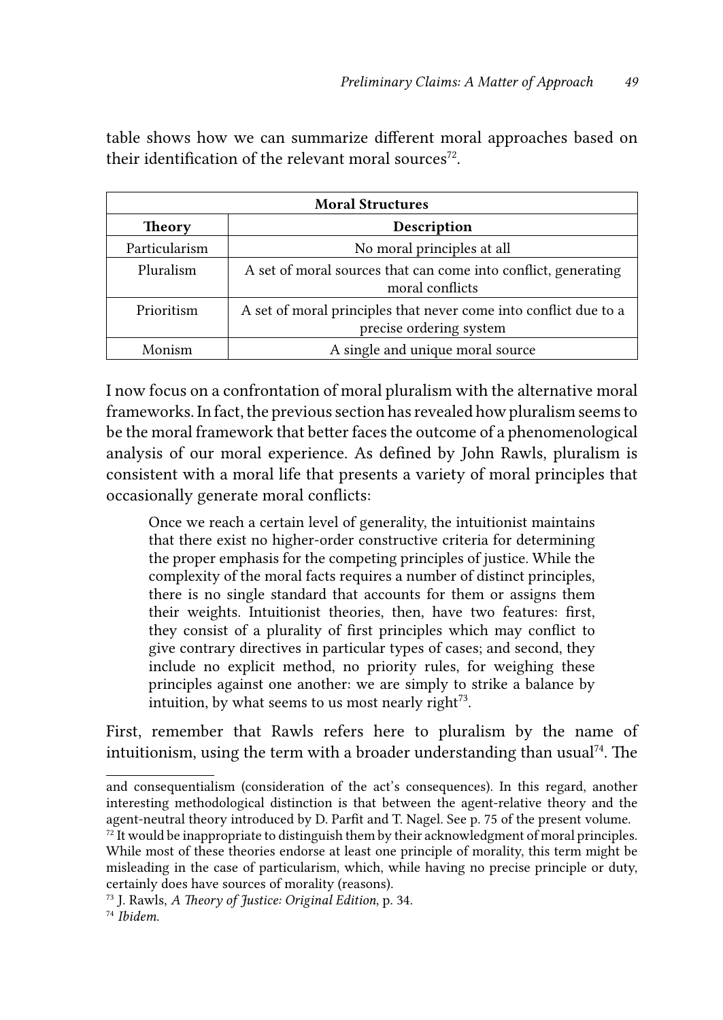table shows how we can summarize different moral approaches based on their identification of the relevant moral sources<sup>72</sup>.

| <b>Moral Structures</b> |                                                                                             |  |  |
|-------------------------|---------------------------------------------------------------------------------------------|--|--|
| <b>Theory</b>           | Description                                                                                 |  |  |
| Particularism           | No moral principles at all                                                                  |  |  |
| Pluralism               | A set of moral sources that can come into conflict, generating<br>moral conflicts           |  |  |
| Prioritism              | A set of moral principles that never come into conflict due to a<br>precise ordering system |  |  |
| Monism                  | A single and unique moral source                                                            |  |  |

I now focus on a confrontation of moral pluralism with the alternative moral frameworks. In fact, the previous section has revealed how pluralism seems to be the moral framework that better faces the outcome of a phenomenological analysis of our moral experience. As defined by John Rawls, pluralism is consistent with a moral life that presents a variety of moral principles that occasionally generate moral conflicts:

Once we reach a certain level of generality, the intuitionist maintains that there exist no higher-order constructive criteria for determining the proper emphasis for the competing principles of justice. While the complexity of the moral facts requires a number of distinct principles, there is no single standard that accounts for them or assigns them their weights. Intuitionist theories, then, have two features: first, they consist of a plurality of first principles which may conflict to give contrary directives in particular types of cases; and second, they include no explicit method, no priority rules, for weighing these principles against one another: we are simply to strike a balance by intuition, by what seems to us most nearly right $73$ .

First, remember that Rawls refers here to pluralism by the name of intuitionism, using the term with a broader understanding than usual<sup>74</sup>. The

and consequentialism (consideration of the act's consequences). In this regard, another interesting methodological distinction is that between the agent-relative theory and the agent-neutral theory introduced by D. Parfit and T. Nagel. See p. 75 of the present volume.

 $72$  It would be inappropriate to distinguish them by their acknowledgment of moral principles. While most of these theories endorse at least one principle of morality, this term might be misleading in the case of particularism, which, while having no precise principle or duty, certainly does have sources of morality (reasons).

<sup>73</sup> J. Rawls, *A Theory of Justice: Original Edition*, p. 34. 74 *Ibidem*.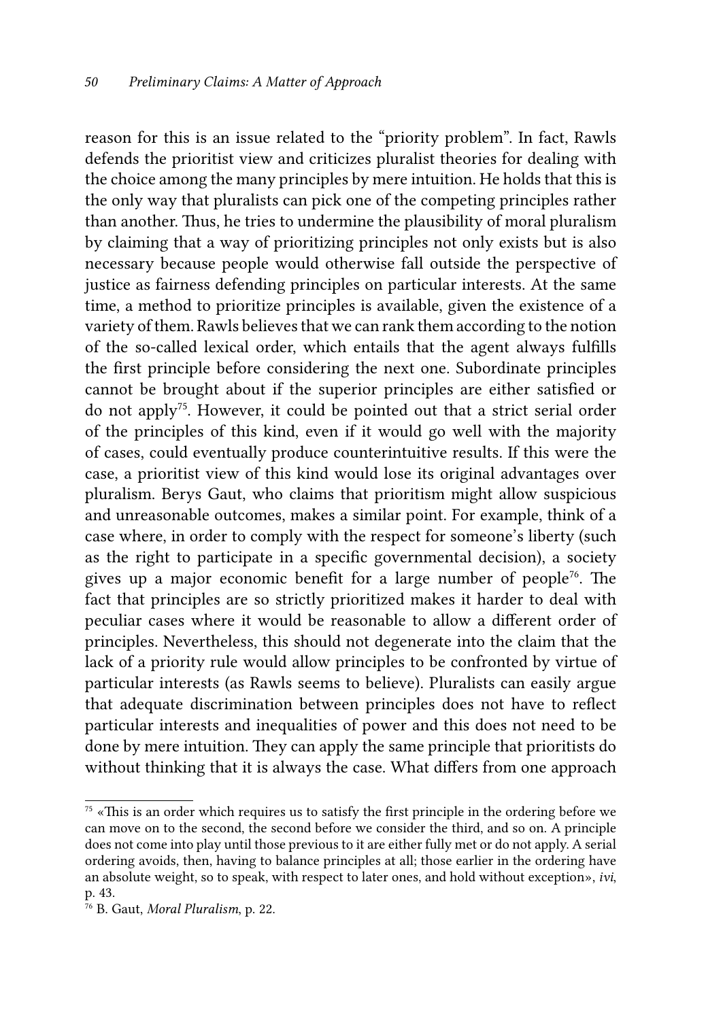reason for this is an issue related to the "priority problem". In fact, Rawls defends the prioritist view and criticizes pluralist theories for dealing with the choice among the many principles by mere intuition. He holds that this is the only way that pluralists can pick one of the competing principles rather than another. Thus, he tries to undermine the plausibility of moral pluralism by claiming that a way of prioritizing principles not only exists but is also necessary because people would otherwise fall outside the perspective of justice as fairness defending principles on particular interests. At the same time, a method to prioritize principles is available, given the existence of a variety of them. Rawls believes that we can rank them according to the notion of the so-called lexical order, which entails that the agent always fulfills the first principle before considering the next one. Subordinate principles cannot be brought about if the superior principles are either satisfied or do not apply75. However, it could be pointed out that a strict serial order of the principles of this kind, even if it would go well with the majority of cases, could eventually produce counterintuitive results. If this were the case, a prioritist view of this kind would lose its original advantages over pluralism. Berys Gaut, who claims that prioritism might allow suspicious and unreasonable outcomes, makes a similar point. For example, think of a case where, in order to comply with the respect for someone's liberty (such as the right to participate in a specific governmental decision), a society gives up a major economic benefit for a large number of people<sup>76</sup>. The fact that principles are so strictly prioritized makes it harder to deal with peculiar cases where it would be reasonable to allow a different order of principles. Nevertheless, this should not degenerate into the claim that the lack of a priority rule would allow principles to be confronted by virtue of particular interests (as Rawls seems to believe). Pluralists can easily argue that adequate discrimination between principles does not have to reflect particular interests and inequalities of power and this does not need to be done by mere intuition. They can apply the same principle that prioritists do without thinking that it is always the case. What differs from one approach

 $75 \times$ This is an order which requires us to satisfy the first principle in the ordering before we can move on to the second, the second before we consider the third, and so on. A principle does not come into play until those previous to it are either fully met or do not apply. A serial ordering avoids, then, having to balance principles at all; those earlier in the ordering have an absolute weight, so to speak, with respect to later ones, and hold without exception», *ivi*, p. 43.

<sup>76</sup> B. Gaut, *Moral Pluralism*, p. 22.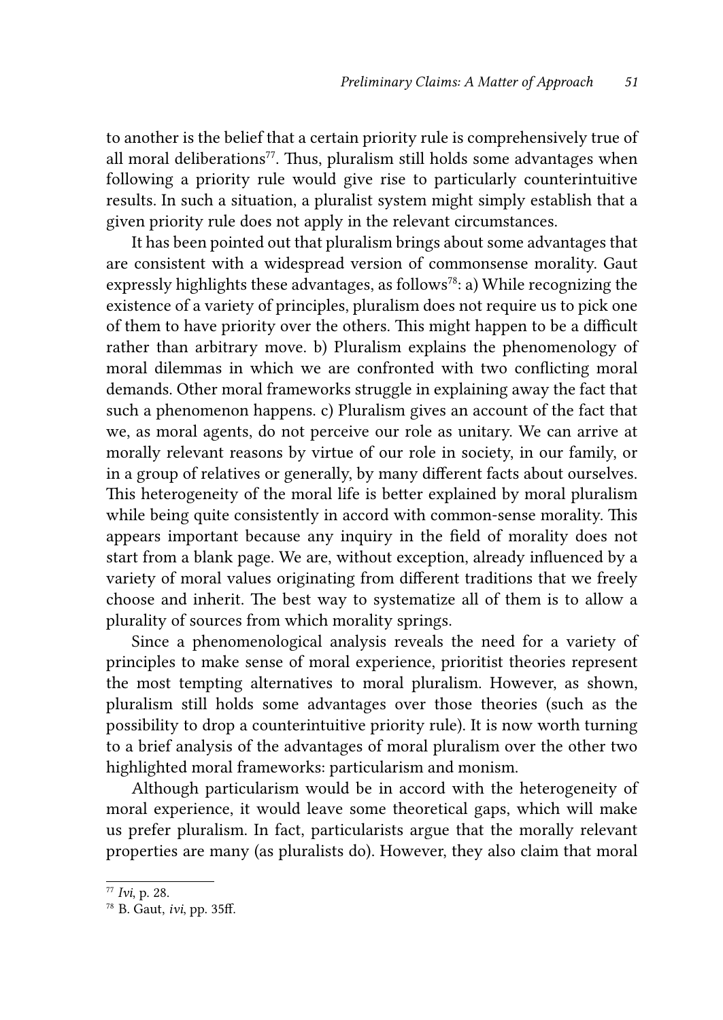to another is the belief that a certain priority rule is comprehensively true of all moral deliberations $77$ . Thus, pluralism still holds some advantages when following a priority rule would give rise to particularly counterintuitive results. In such a situation, a pluralist system might simply establish that a given priority rule does not apply in the relevant circumstances.

It has been pointed out that pluralism brings about some advantages that are consistent with a widespread version of commonsense morality. Gaut expressly highlights these advantages, as follows<sup>78</sup>: a) While recognizing the existence of a variety of principles, pluralism does not require us to pick one of them to have priority over the others. This might happen to be a difficult rather than arbitrary move. b) Pluralism explains the phenomenology of moral dilemmas in which we are confronted with two conflicting moral demands. Other moral frameworks struggle in explaining away the fact that such a phenomenon happens. c) Pluralism gives an account of the fact that we, as moral agents, do not perceive our role as unitary. We can arrive at morally relevant reasons by virtue of our role in society, in our family, or in a group of relatives or generally, by many different facts about ourselves. This heterogeneity of the moral life is better explained by moral pluralism while being quite consistently in accord with common-sense morality. This appears important because any inquiry in the field of morality does not start from a blank page. We are, without exception, already influenced by a variety of moral values originating from different traditions that we freely choose and inherit. The best way to systematize all of them is to allow a plurality of sources from which morality springs.

Since a phenomenological analysis reveals the need for a variety of principles to make sense of moral experience, prioritist theories represent the most tempting alternatives to moral pluralism. However, as shown, pluralism still holds some advantages over those theories (such as the possibility to drop a counterintuitive priority rule). It is now worth turning to a brief analysis of the advantages of moral pluralism over the other two highlighted moral frameworks: particularism and monism.

Although particularism would be in accord with the heterogeneity of moral experience, it would leave some theoretical gaps, which will make us prefer pluralism. In fact, particularists argue that the morally relevant properties are many (as pluralists do). However, they also claim that moral

<sup>77</sup> *Ivi*, p. 28.

<sup>78</sup> B. Gaut, *ivi*, pp. 35ff.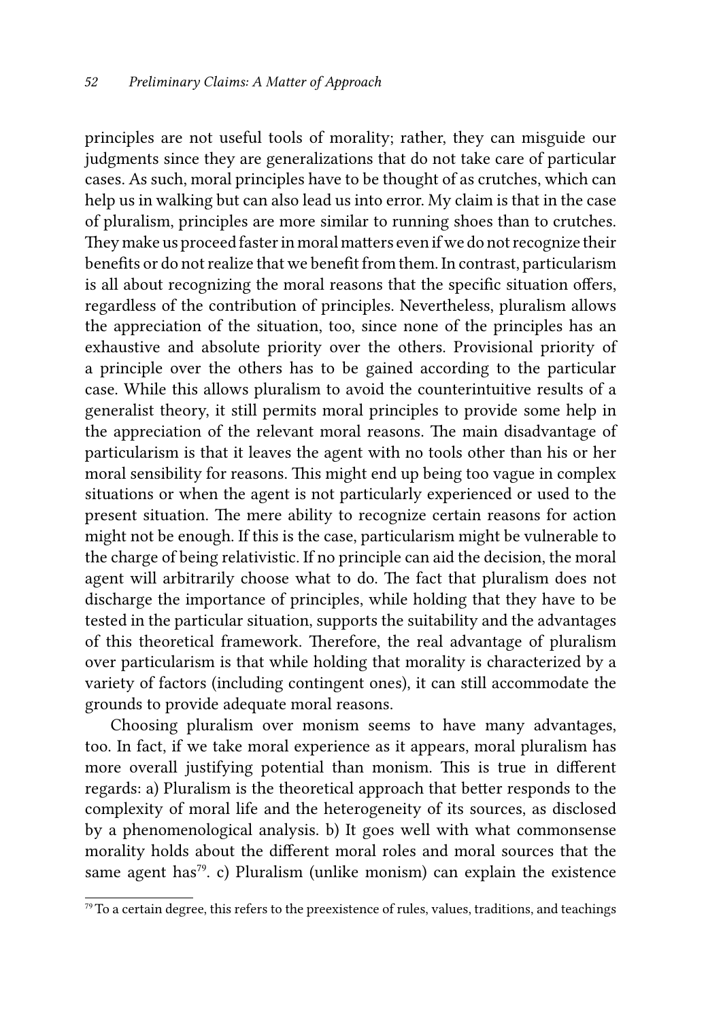principles are not useful tools of morality; rather, they can misguide our judgments since they are generalizations that do not take care of particular cases. As such, moral principles have to be thought of as crutches, which can help us in walking but can also lead us into error. My claim is that in the case of pluralism, principles are more similar to running shoes than to crutches. They make us proceed faster in moral matters even if we do not recognize their benefits or do not realize that we benefit from them. In contrast, particularism is all about recognizing the moral reasons that the specific situation offers, regardless of the contribution of principles. Nevertheless, pluralism allows the appreciation of the situation, too, since none of the principles has an exhaustive and absolute priority over the others. Provisional priority of a principle over the others has to be gained according to the particular case. While this allows pluralism to avoid the counterintuitive results of a generalist theory, it still permits moral principles to provide some help in the appreciation of the relevant moral reasons. The main disadvantage of particularism is that it leaves the agent with no tools other than his or her moral sensibility for reasons. This might end up being too vague in complex situations or when the agent is not particularly experienced or used to the present situation. The mere ability to recognize certain reasons for action might not be enough. If this is the case, particularism might be vulnerable to the charge of being relativistic. If no principle can aid the decision, the moral agent will arbitrarily choose what to do. The fact that pluralism does not discharge the importance of principles, while holding that they have to be tested in the particular situation, supports the suitability and the advantages of this theoretical framework. Therefore, the real advantage of pluralism over particularism is that while holding that morality is characterized by a variety of factors (including contingent ones), it can still accommodate the grounds to provide adequate moral reasons.

Choosing pluralism over monism seems to have many advantages, too. In fact, if we take moral experience as it appears, moral pluralism has more overall justifying potential than monism. This is true in different regards: a) Pluralism is the theoretical approach that better responds to the complexity of moral life and the heterogeneity of its sources, as disclosed by a phenomenological analysis. b) It goes well with what commonsense morality holds about the different moral roles and moral sources that the same agent has<sup>79</sup>. c) Pluralism (unlike monism) can explain the existence

 $79$  To a certain degree, this refers to the preexistence of rules, values, traditions, and teachings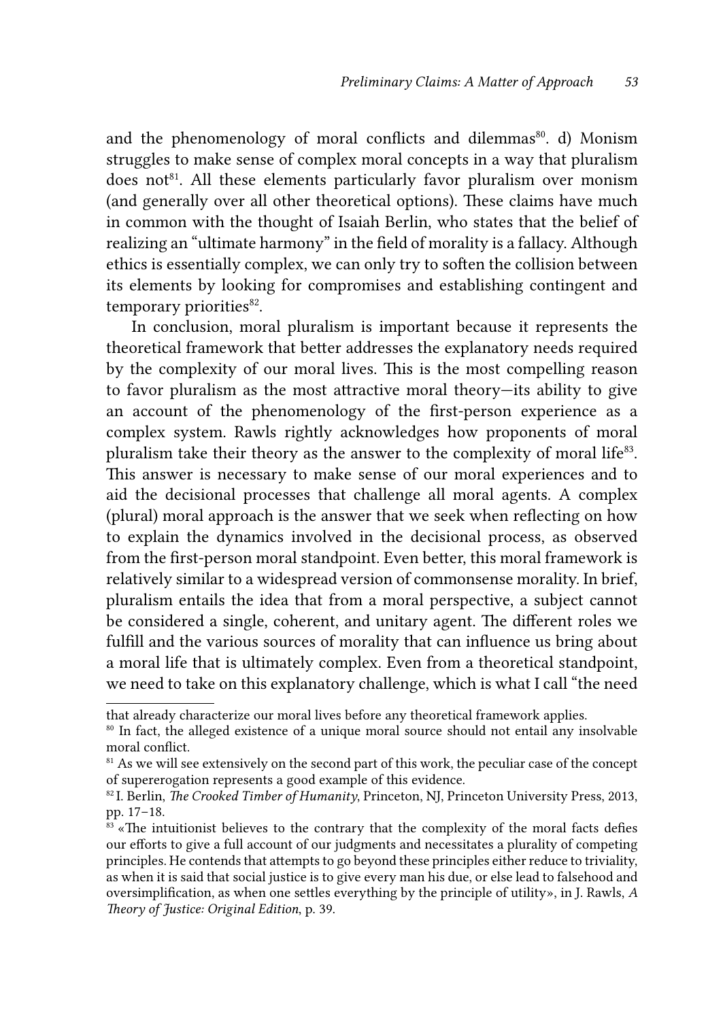and the phenomenology of moral conflicts and dilemmas<sup>80</sup>. d) Monism struggles to make sense of complex moral concepts in a way that pluralism does not<sup>81</sup>. All these elements particularly favor pluralism over monism (and generally over all other theoretical options). These claims have much in common with the thought of Isaiah Berlin, who states that the belief of realizing an "ultimate harmony" in the field of morality is a fallacy. Although ethics is essentially complex, we can only try to soften the collision between its elements by looking for compromises and establishing contingent and temporary priorities<sup>82</sup>.

In conclusion, moral pluralism is important because it represents the theoretical framework that better addresses the explanatory needs required by the complexity of our moral lives. This is the most compelling reason to favor pluralism as the most attractive moral theory—its ability to give an account of the phenomenology of the first-person experience as a complex system. Rawls rightly acknowledges how proponents of moral pluralism take their theory as the answer to the complexity of moral life<sup>83</sup>. This answer is necessary to make sense of our moral experiences and to aid the decisional processes that challenge all moral agents. A complex (plural) moral approach is the answer that we seek when reflecting on how to explain the dynamics involved in the decisional process, as observed from the first-person moral standpoint. Even better, this moral framework is relatively similar to a widespread version of commonsense morality. In brief, pluralism entails the idea that from a moral perspective, a subject cannot be considered a single, coherent, and unitary agent. The different roles we fulfill and the various sources of morality that can influence us bring about a moral life that is ultimately complex. Even from a theoretical standpoint, we need to take on this explanatory challenge, which is what I call "the need

that already characterize our moral lives before any theoretical framework applies.

<sup>&</sup>lt;sup>80</sup> In fact, the alleged existence of a unique moral source should not entail any insolvable moral conflict.

<sup>&</sup>lt;sup>81</sup> As we will see extensively on the second part of this work, the peculiar case of the concept of supererogation represents a good example of this evidence.

<sup>82</sup> I. Berlin, *The Crooked Timber of Humanity*, Princeton, NJ, Princeton University Press, 2013, pp. 17–18.

 $83$  «The intuitionist believes to the contrary that the complexity of the moral facts defies our efforts to give a full account of our judgments and necessitates a plurality of competing principles. He contends that attempts to go beyond these principles either reduce to triviality, as when it is said that social justice is to give every man his due, or else lead to falsehood and oversimplification, as when one settles everything by the principle of utility», in J. Rawls, *A Theory of Justice: Original Edition*, p. 39.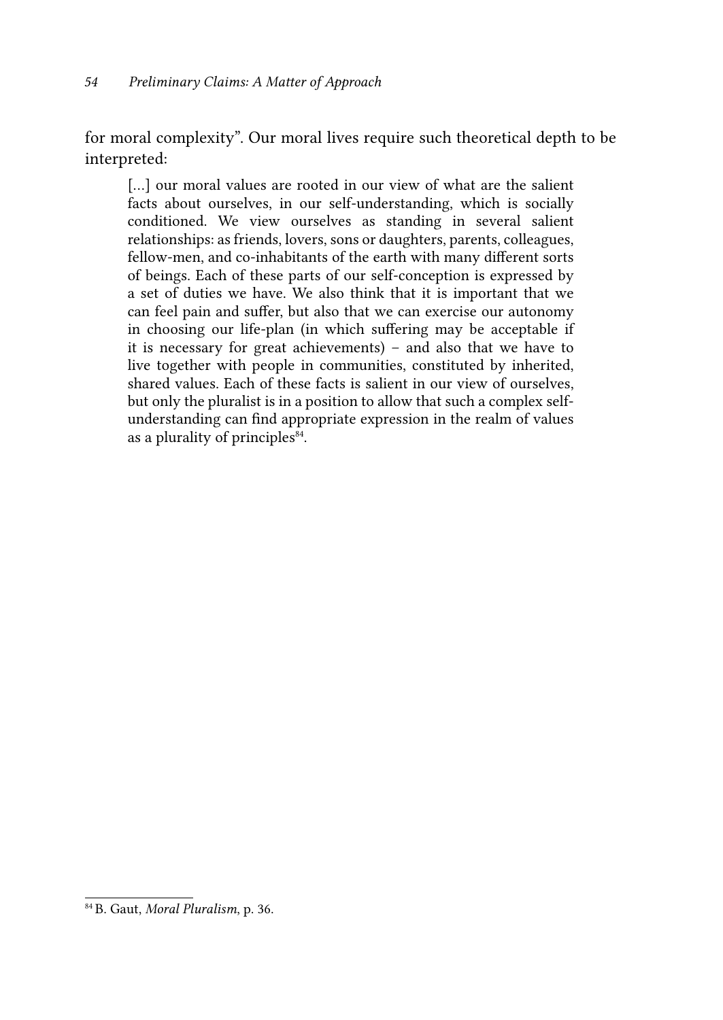for moral complexity". Our moral lives require such theoretical depth to be interpreted:

[...] our moral values are rooted in our view of what are the salient facts about ourselves, in our self-understanding, which is socially conditioned. We view ourselves as standing in several salient relationships: as friends, lovers, sons or daughters, parents, colleagues, fellow-men, and co-inhabitants of the earth with many different sorts of beings. Each of these parts of our self-conception is expressed by a set of duties we have. We also think that it is important that we can feel pain and suffer, but also that we can exercise our autonomy in choosing our life-plan (in which suffering may be acceptable if it is necessary for great achievements) – and also that we have to live together with people in communities, constituted by inherited, shared values. Each of these facts is salient in our view of ourselves, but only the pluralist is in a position to allow that such a complex selfunderstanding can find appropriate expression in the realm of values as a plurality of principles<sup>84</sup>.

<sup>84</sup> B. Gaut, *Moral Pluralism*, p. 36.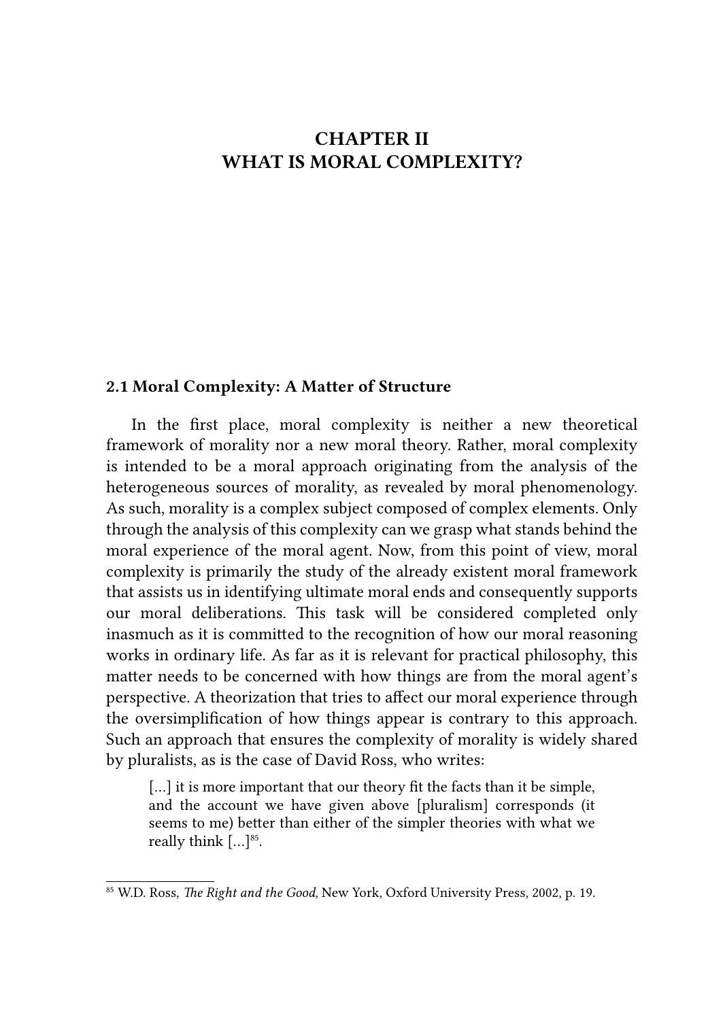# CHAPTER II WHAT IS MORAL COMPLEXITY?

#### 2.1 Moral Complexity: A Matter of Structure

In the first place, moral complexity is neither a new theoretical framework of morality nor a new moral theory. Rather, moral complexity is intended to be a moral approach originating from the analysis of the heterogeneous sources of morality, as revealed by moral phenomenology. As such, morality is a complex subject composed of complex elements. Only through the analysis of this complexity can we grasp what stands behind the moral experience of the moral agent. Now, from this point of view, moral complexity is primarily the study of the already existent moral framework that assists us in identifying ultimate moral ends and consequently supports our moral deliberations. This task will be considered completed only inasmuch as it is committed to the recognition of how our moral reasoning works in ordinary life. As far as it is relevant for practical philosophy, this matter needs to be concerned with how things are from the moral agent's perspective. A theorization that tries to affect our moral experience through the oversimplification of how things appear is contrary to this approach. Such an approach that ensures the complexity of morality is widely shared by pluralists, as is the case of David Ross, who writes:

[...] it is more important that our theory fit the facts than it be simple, and the account we have given above [pluralism] corresponds (it seems to me) better than either of the simpler theories with what we really think  $[...]^{85}$ .

<sup>85</sup> W.D. Ross, *The Right and the Good*, New York, Oxford University Press, 2002, p. 19.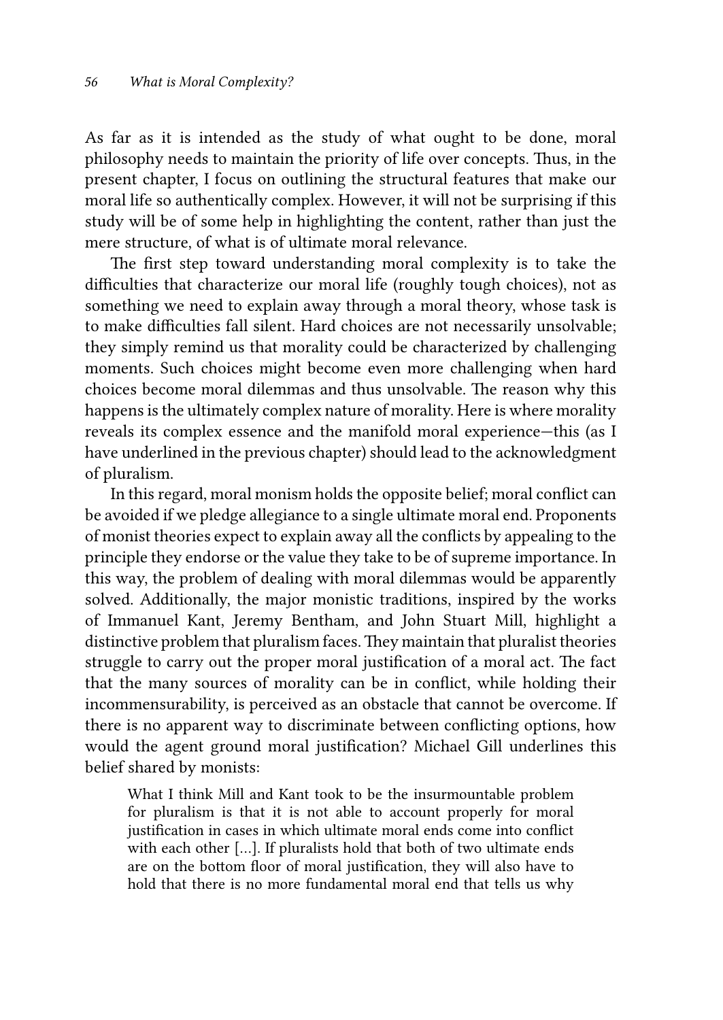As far as it is intended as the study of what ought to be done, moral philosophy needs to maintain the priority of life over concepts. Thus, in the present chapter, I focus on outlining the structural features that make our moral life so authentically complex. However, it will not be surprising if this study will be of some help in highlighting the content, rather than just the mere structure, of what is of ultimate moral relevance.

The first step toward understanding moral complexity is to take the difficulties that characterize our moral life (roughly tough choices), not as something we need to explain away through a moral theory, whose task is to make difficulties fall silent. Hard choices are not necessarily unsolvable; they simply remind us that morality could be characterized by challenging moments. Such choices might become even more challenging when hard choices become moral dilemmas and thus unsolvable. The reason why this happens is the ultimately complex nature of morality. Here is where morality reveals its complex essence and the manifold moral experience—this (as I have underlined in the previous chapter) should lead to the acknowledgment of pluralism.

In this regard, moral monism holds the opposite belief; moral conflict can be avoided if we pledge allegiance to a single ultimate moral end. Proponents of monist theories expect to explain away all the conflicts by appealing to the principle they endorse or the value they take to be of supreme importance. In this way, the problem of dealing with moral dilemmas would be apparently solved. Additionally, the major monistic traditions, inspired by the works of Immanuel Kant, Jeremy Bentham, and John Stuart Mill, highlight a distinctive problem that pluralism faces. They maintain that pluralist theories struggle to carry out the proper moral justification of a moral act. The fact that the many sources of morality can be in conflict, while holding their incommensurability, is perceived as an obstacle that cannot be overcome. If there is no apparent way to discriminate between conflicting options, how would the agent ground moral justification? Michael Gill underlines this belief shared by monists:

What I think Mill and Kant took to be the insurmountable problem for pluralism is that it is not able to account properly for moral justification in cases in which ultimate moral ends come into conflict with each other […]. If pluralists hold that both of two ultimate ends are on the bottom floor of moral justification, they will also have to hold that there is no more fundamental moral end that tells us why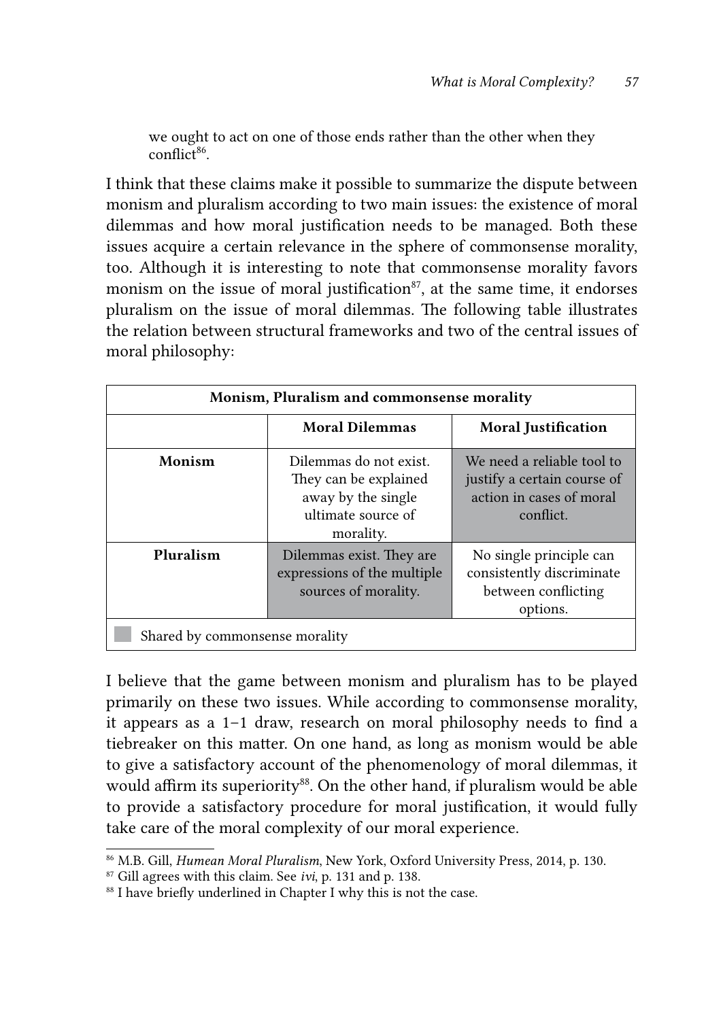we ought to act on one of those ends rather than the other when they  $conflict^{86}$ 

I think that these claims make it possible to summarize the dispute between monism and pluralism according to two main issues: the existence of moral dilemmas and how moral justification needs to be managed. Both these issues acquire a certain relevance in the sphere of commonsense morality, too. Although it is interesting to note that commonsense morality favors monism on the issue of moral justification<sup>87</sup>, at the same time, it endorses pluralism on the issue of moral dilemmas. The following table illustrates the relation between structural frameworks and two of the central issues of moral philosophy:

| Monism, Pluralism and commonsense morality |                                                                                                          |                                                                                                    |  |
|--------------------------------------------|----------------------------------------------------------------------------------------------------------|----------------------------------------------------------------------------------------------------|--|
|                                            | <b>Moral Dilemmas</b>                                                                                    | <b>Moral Justification</b>                                                                         |  |
| Monism                                     | Dilemmas do not exist.<br>They can be explained<br>away by the single<br>ultimate source of<br>morality. | We need a reliable tool to<br>justify a certain course of<br>action in cases of moral<br>conflict. |  |
| Pluralism                                  | Dilemmas exist. They are<br>expressions of the multiple<br>sources of morality.                          | No single principle can<br>consistently discriminate<br>between conflicting<br>options.            |  |
| Shared by commonsense morality             |                                                                                                          |                                                                                                    |  |

I believe that the game between monism and pluralism has to be played primarily on these two issues. While according to commonsense morality, it appears as a 1–1 draw, research on moral philosophy needs to find a tiebreaker on this matter. On one hand, as long as monism would be able to give a satisfactory account of the phenomenology of moral dilemmas, it would affirm its superiority<sup>88</sup>. On the other hand, if pluralism would be able to provide a satisfactory procedure for moral justification, it would fully take care of the moral complexity of our moral experience.

<sup>86</sup> M.B. Gill, *Humean Moral Pluralism*, New York, Oxford University Press, 2014, p. 130.

<sup>87</sup> Gill agrees with this claim. See *ivi*, p. 131 and p. 138.

<sup>&</sup>lt;sup>88</sup> I have briefly underlined in Chapter I why this is not the case.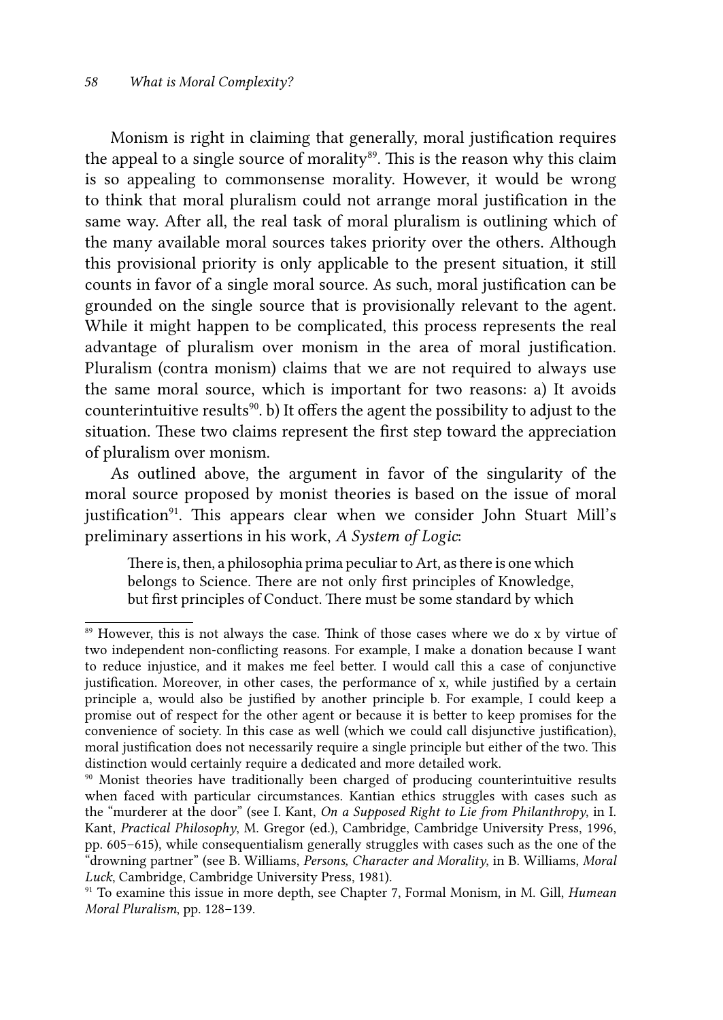Monism is right in claiming that generally, moral justification requires the appeal to a single source of morality<sup>89</sup>. This is the reason why this claim is so appealing to commonsense morality. However, it would be wrong to think that moral pluralism could not arrange moral justification in the same way. After all, the real task of moral pluralism is outlining which of the many available moral sources takes priority over the others. Although this provisional priority is only applicable to the present situation, it still counts in favor of a single moral source. As such, moral justification can be grounded on the single source that is provisionally relevant to the agent. While it might happen to be complicated, this process represents the real advantage of pluralism over monism in the area of moral justification. Pluralism (contra monism) claims that we are not required to always use the same moral source, which is important for two reasons: a) It avoids counterintuitive results<sup>90</sup>. b) It offers the agent the possibility to adjust to the situation. These two claims represent the first step toward the appreciation of pluralism over monism.

As outlined above, the argument in favor of the singularity of the moral source proposed by monist theories is based on the issue of moral justification<sup>91</sup>. This appears clear when we consider John Stuart Mill's preliminary assertions in his work, *A System of Logic*:

There is, then, a philosophia prima peculiar to Art, as there is one which belongs to Science. There are not only first principles of Knowledge, but first principles of Conduct. There must be some standard by which

<sup>&</sup>lt;sup>89</sup> However, this is not always the case. Think of those cases where we do x by virtue of two independent non-conflicting reasons. For example, I make a donation because I want to reduce injustice, and it makes me feel better. I would call this a case of conjunctive justification. Moreover, in other cases, the performance of x, while justified by a certain principle a, would also be justified by another principle b. For example, I could keep a promise out of respect for the other agent or because it is better to keep promises for the convenience of society. In this case as well (which we could call disjunctive justification), moral justification does not necessarily require a single principle but either of the two. This distinction would certainly require a dedicated and more detailed work.

<sup>90</sup> Monist theories have traditionally been charged of producing counterintuitive results when faced with particular circumstances. Kantian ethics struggles with cases such as the "murderer at the door" (see I. Kant, *On a Supposed Right to Lie from Philanthropy*, in I. Kant, *Practical Philosophy*, M. Gregor (ed.), Cambridge, Cambridge University Press, 1996, pp. 605–615), while consequentialism generally struggles with cases such as the one of the "drowning partner" (see B. Williams, *Persons, Character and Morality*, in B. Williams, *Moral Luck*, Cambridge, Cambridge University Press, 1981).

<sup>91</sup> To examine this issue in more depth, see Chapter 7, Formal Monism, in M. Gill, *Humean Moral Pluralism*, pp. 128–139.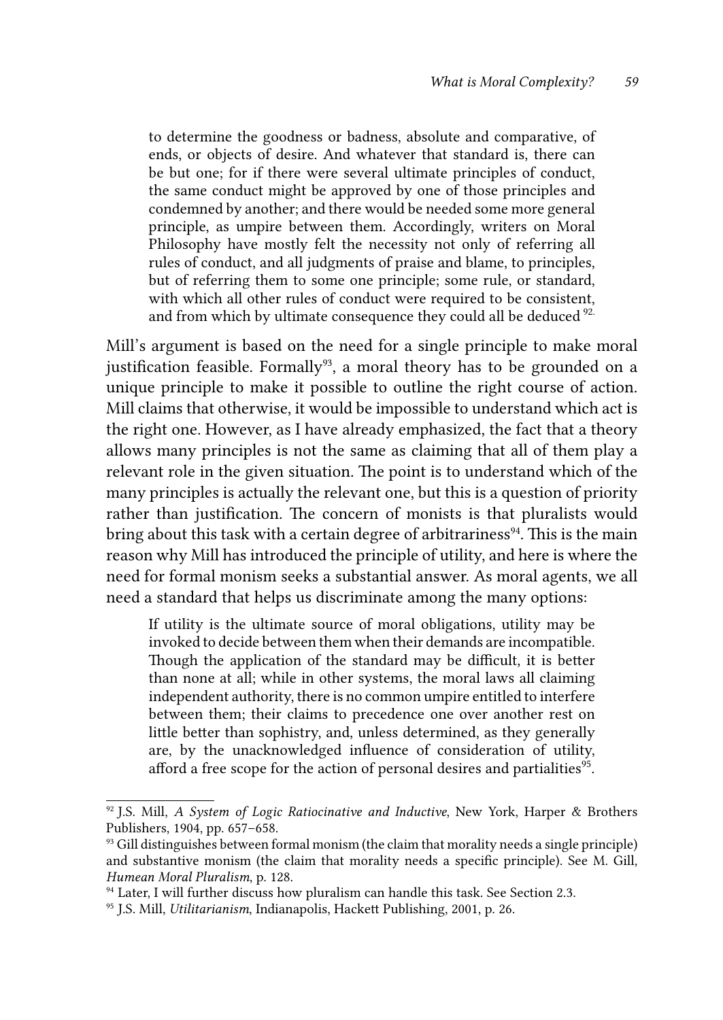to determine the goodness or badness, absolute and comparative, of ends, or objects of desire. And whatever that standard is, there can be but one; for if there were several ultimate principles of conduct, the same conduct might be approved by one of those principles and condemned by another; and there would be needed some more general principle, as umpire between them. Accordingly, writers on Moral Philosophy have mostly felt the necessity not only of referring all rules of conduct, and all judgments of praise and blame, to principles, but of referring them to some one principle; some rule, or standard, with which all other rules of conduct were required to be consistent, and from which by ultimate consequence they could all be deduced  $92$ .

Mill's argument is based on the need for a single principle to make moral justification feasible. Formally<sup>93</sup>, a moral theory has to be grounded on a unique principle to make it possible to outline the right course of action. Mill claims that otherwise, it would be impossible to understand which act is the right one. However, as I have already emphasized, the fact that a theory allows many principles is not the same as claiming that all of them play a relevant role in the given situation. The point is to understand which of the many principles is actually the relevant one, but this is a question of priority rather than justification. The concern of monists is that pluralists would bring about this task with a certain degree of arbitrariness<sup>94</sup>. This is the main reason why Mill has introduced the principle of utility, and here is where the need for formal monism seeks a substantial answer. As moral agents, we all need a standard that helps us discriminate among the many options:

If utility is the ultimate source of moral obligations, utility may be invoked to decide between them when their demands are incompatible. Though the application of the standard may be difficult, it is better than none at all; while in other systems, the moral laws all claiming independent authority, there is no common umpire entitled to interfere between them; their claims to precedence one over another rest on little better than sophistry, and, unless determined, as they generally are, by the unacknowledged influence of consideration of utility, afford a free scope for the action of personal desires and partialities<sup>95</sup>.

<sup>92</sup> J.S. Mill, *A System of Logic Ratiocinative and Inductive*, New York, Harper & Brothers Publishers, 1904, pp. 657–658.

 $93$  Gill distinguishes between formal monism (the claim that morality needs a single principle) and substantive monism (the claim that morality needs a specific principle). See M. Gill, *Humean Moral Pluralism*, p. 128.

<sup>&</sup>lt;sup>94</sup> Later, I will further discuss how pluralism can handle this task. See Section 2.3.

<sup>95</sup> J.S. Mill, *Utilitarianism*, Indianapolis, Hackett Publishing, 2001, p. 26.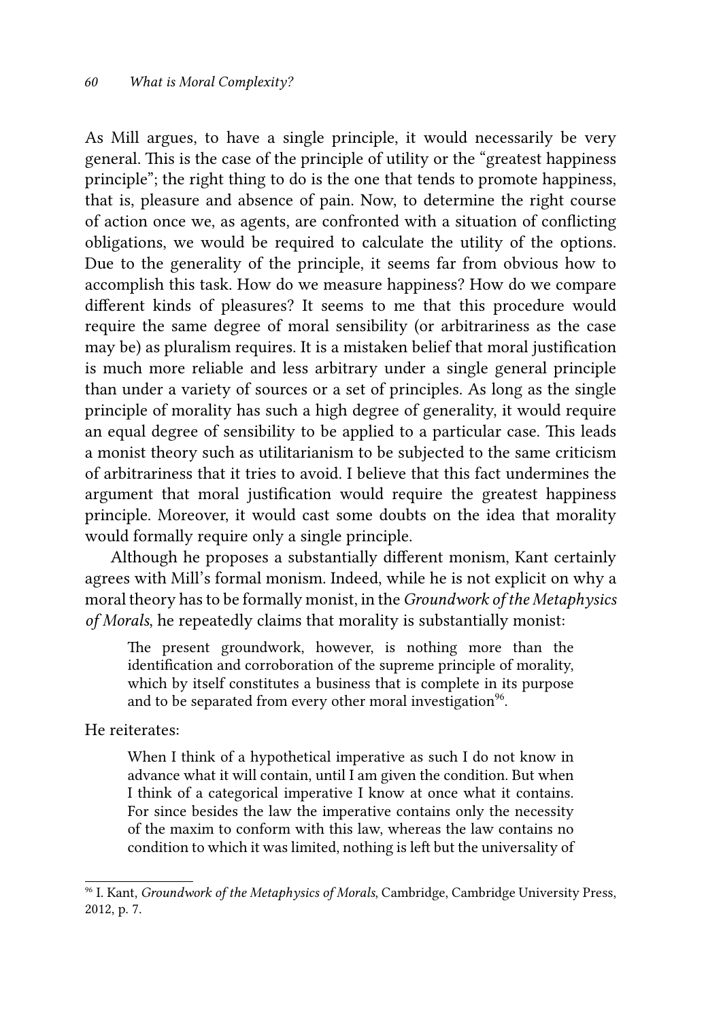As Mill argues, to have a single principle, it would necessarily be very general. This is the case of the principle of utility or the "greatest happiness principle"; the right thing to do is the one that tends to promote happiness, that is, pleasure and absence of pain. Now, to determine the right course of action once we, as agents, are confronted with a situation of conflicting obligations, we would be required to calculate the utility of the options. Due to the generality of the principle, it seems far from obvious how to accomplish this task. How do we measure happiness? How do we compare different kinds of pleasures? It seems to me that this procedure would require the same degree of moral sensibility (or arbitrariness as the case may be) as pluralism requires. It is a mistaken belief that moral justification is much more reliable and less arbitrary under a single general principle than under a variety of sources or a set of principles. As long as the single principle of morality has such a high degree of generality, it would require an equal degree of sensibility to be applied to a particular case. This leads a monist theory such as utilitarianism to be subjected to the same criticism of arbitrariness that it tries to avoid. I believe that this fact undermines the argument that moral justification would require the greatest happiness principle. Moreover, it would cast some doubts on the idea that morality would formally require only a single principle.

Although he proposes a substantially different monism, Kant certainly agrees with Mill's formal monism. Indeed, while he is not explicit on why a moral theory has to be formally monist, in the *Groundwork of the Metaphysics of Morals*, he repeatedly claims that morality is substantially monist:

The present groundwork, however, is nothing more than the identification and corroboration of the supreme principle of morality, which by itself constitutes a business that is complete in its purpose and to be separated from every other moral investigation<sup>96</sup>.

He reiterates:

When I think of a hypothetical imperative as such I do not know in advance what it will contain, until I am given the condition. But when I think of a categorical imperative I know at once what it contains. For since besides the law the imperative contains only the necessity of the maxim to conform with this law, whereas the law contains no condition to which it was limited, nothing is left but the universality of

<sup>96</sup> I. Kant, *Groundwork of the Metaphysics of Morals*, Cambridge, Cambridge University Press, 2012, p. 7.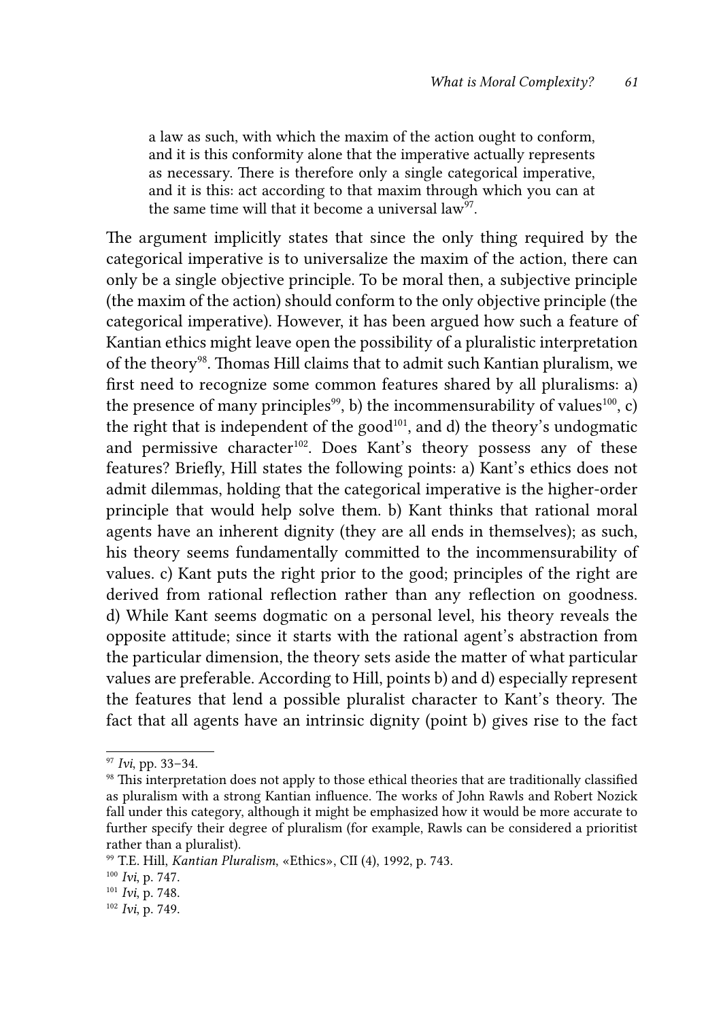a law as such, with which the maxim of the action ought to conform, and it is this conformity alone that the imperative actually represents as necessary. There is therefore only a single categorical imperative, and it is this: act according to that maxim through which you can at the same time will that it become a universal  $\text{law}^{97}$ .

The argument implicitly states that since the only thing required by the categorical imperative is to universalize the maxim of the action, there can only be a single objective principle. To be moral then, a subjective principle (the maxim of the action) should conform to the only objective principle (the categorical imperative). However, it has been argued how such a feature of Kantian ethics might leave open the possibility of a pluralistic interpretation of the theory<sup>98</sup>. Thomas Hill claims that to admit such Kantian pluralism, we first need to recognize some common features shared by all pluralisms: a) the presence of many principles<sup>99</sup>, b) the incommensurability of values<sup>100</sup>, c) the right that is independent of the good<sup>101</sup>, and d) the theory's undogmatic and permissive character<sup>102</sup>. Does Kant's theory possess any of these features? Briefly, Hill states the following points: a) Kant's ethics does not admit dilemmas, holding that the categorical imperative is the higher-order principle that would help solve them. b) Kant thinks that rational moral agents have an inherent dignity (they are all ends in themselves); as such, his theory seems fundamentally committed to the incommensurability of values. c) Kant puts the right prior to the good; principles of the right are derived from rational reflection rather than any reflection on goodness. d) While Kant seems dogmatic on a personal level, his theory reveals the opposite attitude; since it starts with the rational agent's abstraction from the particular dimension, the theory sets aside the matter of what particular values are preferable. According to Hill, points b) and d) especially represent the features that lend a possible pluralist character to Kant's theory. The fact that all agents have an intrinsic dignity (point b) gives rise to the fact

<sup>97</sup> *Ivi*, pp. 33–34.

<sup>98</sup> This interpretation does not apply to those ethical theories that are traditionally classified as pluralism with a strong Kantian influence. The works of John Rawls and Robert Nozick fall under this category, although it might be emphasized how it would be more accurate to further specify their degree of pluralism (for example, Rawls can be considered a prioritist rather than a pluralist).

<sup>99</sup> T.E. Hill, *Kantian Pluralism*, «Ethics», CII (4), 1992, p. 743.

<sup>100</sup> *Ivi*, p. 747.

<sup>101</sup> *Ivi*, p. 748.

<sup>102</sup> *Ivi*, p. 749.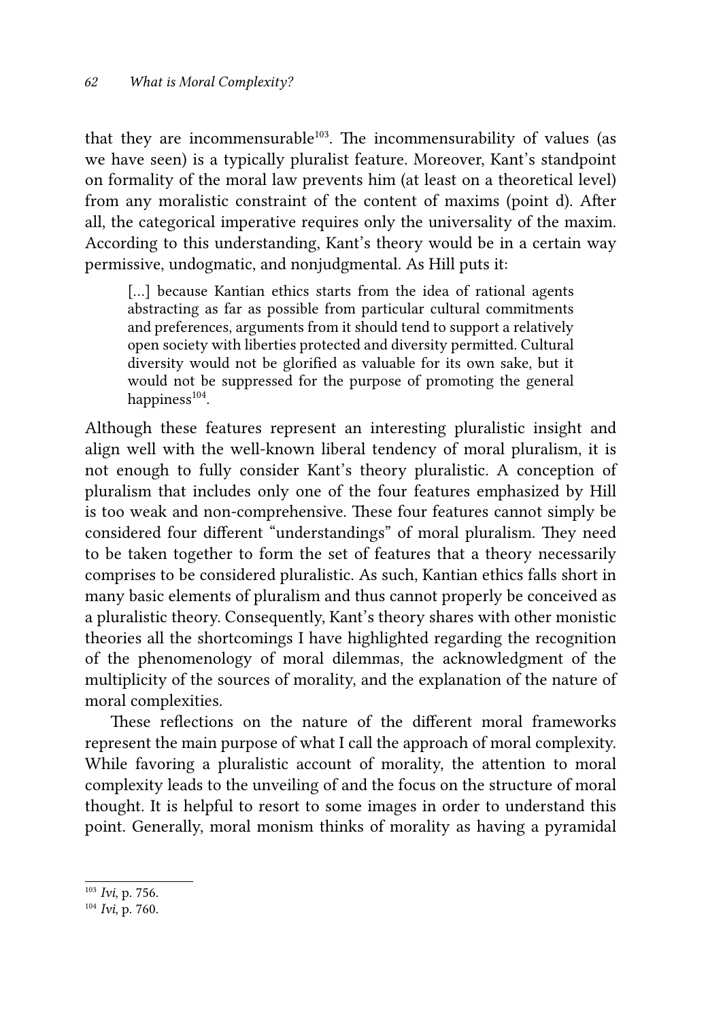that they are incommensurable $103$ . The incommensurability of values (as we have seen) is a typically pluralist feature. Moreover, Kant's standpoint on formality of the moral law prevents him (at least on a theoretical level) from any moralistic constraint of the content of maxims (point d). After all, the categorical imperative requires only the universality of the maxim. According to this understanding, Kant's theory would be in a certain way permissive, undogmatic, and nonjudgmental. As Hill puts it:

[...] because Kantian ethics starts from the idea of rational agents abstracting as far as possible from particular cultural commitments and preferences, arguments from it should tend to support a relatively open society with liberties protected and diversity permitted. Cultural diversity would not be glorified as valuable for its own sake, but it would not be suppressed for the purpose of promoting the general happiness<sup>104</sup>.

Although these features represent an interesting pluralistic insight and align well with the well-known liberal tendency of moral pluralism, it is not enough to fully consider Kant's theory pluralistic. A conception of pluralism that includes only one of the four features emphasized by Hill is too weak and non-comprehensive. These four features cannot simply be considered four different "understandings" of moral pluralism. They need to be taken together to form the set of features that a theory necessarily comprises to be considered pluralistic. As such, Kantian ethics falls short in many basic elements of pluralism and thus cannot properly be conceived as a pluralistic theory. Consequently, Kant's theory shares with other monistic theories all the shortcomings I have highlighted regarding the recognition of the phenomenology of moral dilemmas, the acknowledgment of the multiplicity of the sources of morality, and the explanation of the nature of moral complexities.

These reflections on the nature of the different moral frameworks represent the main purpose of what I call the approach of moral complexity. While favoring a pluralistic account of morality, the attention to moral complexity leads to the unveiling of and the focus on the structure of moral thought. It is helpful to resort to some images in order to understand this point. Generally, moral monism thinks of morality as having a pyramidal

<sup>103</sup> *Ivi*, p. 756.

<sup>104</sup> *Ivi*, p. 760.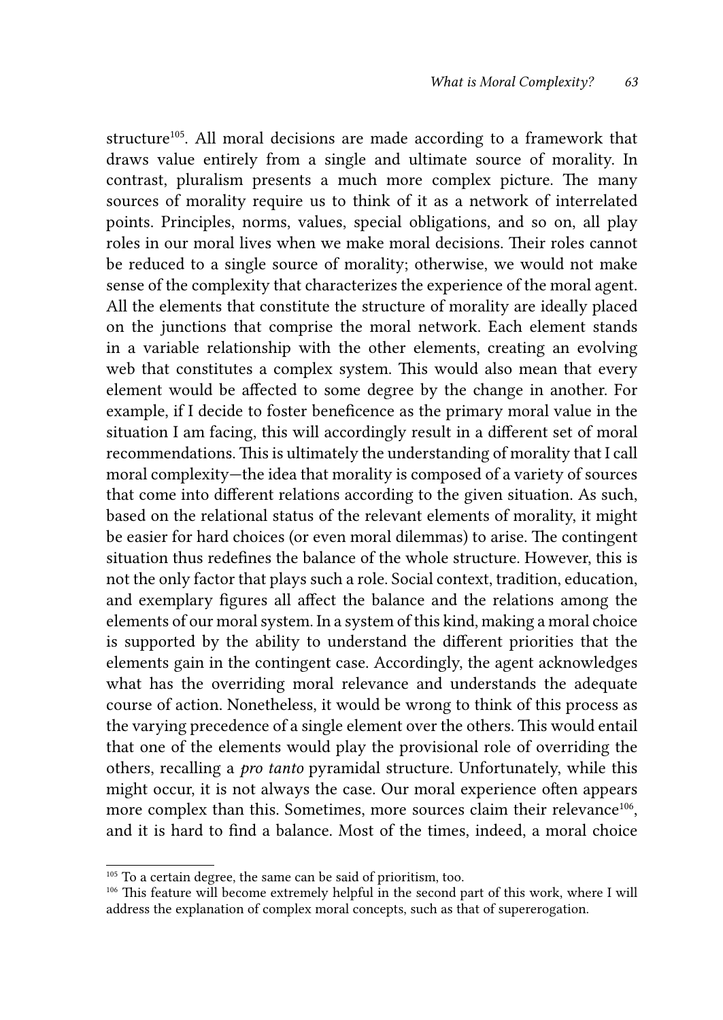structure<sup>105</sup>. All moral decisions are made according to a framework that draws value entirely from a single and ultimate source of morality. In contrast, pluralism presents a much more complex picture. The many sources of morality require us to think of it as a network of interrelated points. Principles, norms, values, special obligations, and so on, all play roles in our moral lives when we make moral decisions. Their roles cannot be reduced to a single source of morality; otherwise, we would not make sense of the complexity that characterizes the experience of the moral agent. All the elements that constitute the structure of morality are ideally placed on the junctions that comprise the moral network. Each element stands in a variable relationship with the other elements, creating an evolving web that constitutes a complex system. This would also mean that every element would be affected to some degree by the change in another. For example, if I decide to foster beneficence as the primary moral value in the situation I am facing, this will accordingly result in a different set of moral recommendations. This is ultimately the understanding of morality that I call moral complexity—the idea that morality is composed of a variety of sources that come into different relations according to the given situation. As such, based on the relational status of the relevant elements of morality, it might be easier for hard choices (or even moral dilemmas) to arise. The contingent situation thus redefines the balance of the whole structure. However, this is not the only factor that plays such a role. Social context, tradition, education, and exemplary figures all affect the balance and the relations among the elements of our moral system. In a system of this kind, making a moral choice is supported by the ability to understand the different priorities that the elements gain in the contingent case. Accordingly, the agent acknowledges what has the overriding moral relevance and understands the adequate course of action. Nonetheless, it would be wrong to think of this process as the varying precedence of a single element over the others. This would entail that one of the elements would play the provisional role of overriding the others, recalling a *pro tanto* pyramidal structure. Unfortunately, while this might occur, it is not always the case. Our moral experience often appears more complex than this. Sometimes, more sources claim their relevance<sup>106</sup>, and it is hard to find a balance. Most of the times, indeed, a moral choice

 $^{105}$  To a certain degree, the same can be said of prioritism, too.

<sup>&</sup>lt;sup>106</sup> This feature will become extremely helpful in the second part of this work, where I will address the explanation of complex moral concepts, such as that of supererogation.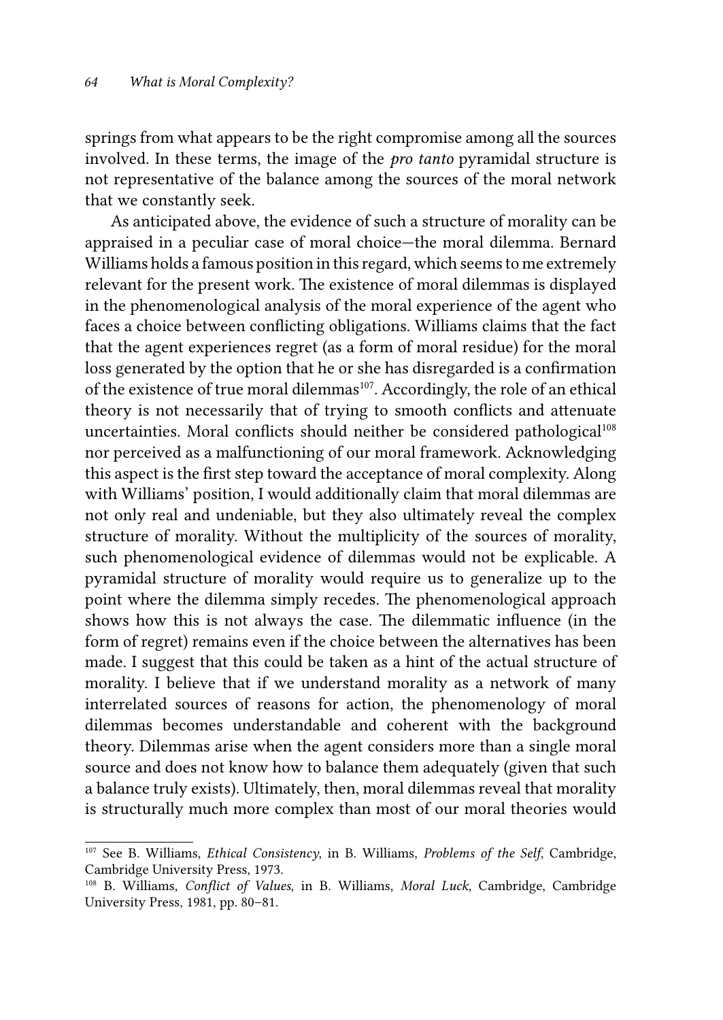springs from what appears to be the right compromise among all the sources involved. In these terms, the image of the *pro tanto* pyramidal structure is not representative of the balance among the sources of the moral network that we constantly seek.

As anticipated above, the evidence of such a structure of morality can be appraised in a peculiar case of moral choice—the moral dilemma. Bernard Williams holds a famous position in this regard, which seems to me extremely relevant for the present work. The existence of moral dilemmas is displayed in the phenomenological analysis of the moral experience of the agent who faces a choice between conflicting obligations. Williams claims that the fact that the agent experiences regret (as a form of moral residue) for the moral loss generated by the option that he or she has disregarded is a confirmation of the existence of true moral dilemmas<sup>107</sup>. Accordingly, the role of an ethical theory is not necessarily that of trying to smooth conflicts and attenuate uncertainties. Moral conflicts should neither be considered pathological<sup>108</sup> nor perceived as a malfunctioning of our moral framework. Acknowledging this aspect is the first step toward the acceptance of moral complexity. Along with Williams' position, I would additionally claim that moral dilemmas are not only real and undeniable, but they also ultimately reveal the complex structure of morality. Without the multiplicity of the sources of morality, such phenomenological evidence of dilemmas would not be explicable. A pyramidal structure of morality would require us to generalize up to the point where the dilemma simply recedes. The phenomenological approach shows how this is not always the case. The dilemmatic influence (in the form of regret) remains even if the choice between the alternatives has been made. I suggest that this could be taken as a hint of the actual structure of morality. I believe that if we understand morality as a network of many interrelated sources of reasons for action, the phenomenology of moral dilemmas becomes understandable and coherent with the background theory. Dilemmas arise when the agent considers more than a single moral source and does not know how to balance them adequately (given that such a balance truly exists). Ultimately, then, moral dilemmas reveal that morality is structurally much more complex than most of our moral theories would

<sup>107</sup> See B. Williams, *Ethical Consistency*, in B. Williams, *Problems of the Self*, Cambridge, Cambridge University Press, 1973.

<sup>108</sup> B. Williams, *Conflict of Values*, in B. Williams, *Moral Luck*, Cambridge, Cambridge University Press, 1981, pp. 80–81.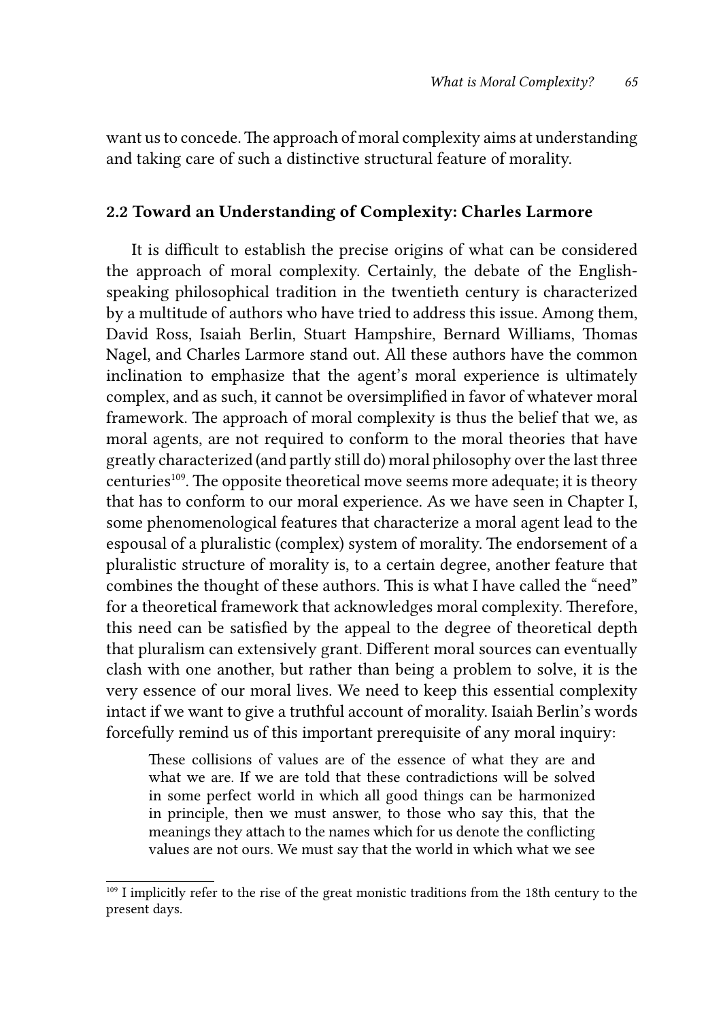want us to concede. The approach of moral complexity aims at understanding and taking care of such a distinctive structural feature of morality.

## 2.2 Toward an Understanding of Complexity: Charles Larmore

It is difficult to establish the precise origins of what can be considered the approach of moral complexity. Certainly, the debate of the Englishspeaking philosophical tradition in the twentieth century is characterized by a multitude of authors who have tried to address this issue. Among them, David Ross, Isaiah Berlin, Stuart Hampshire, Bernard Williams, Thomas Nagel, and Charles Larmore stand out. All these authors have the common inclination to emphasize that the agent's moral experience is ultimately complex, and as such, it cannot be oversimplified in favor of whatever moral framework. The approach of moral complexity is thus the belief that we, as moral agents, are not required to conform to the moral theories that have greatly characterized (and partly still do) moral philosophy over the last three centuries<sup>109</sup>. The opposite theoretical move seems more adequate; it is theory that has to conform to our moral experience. As we have seen in Chapter I, some phenomenological features that characterize a moral agent lead to the espousal of a pluralistic (complex) system of morality. The endorsement of a pluralistic structure of morality is, to a certain degree, another feature that combines the thought of these authors. This is what I have called the "need" for a theoretical framework that acknowledges moral complexity. Therefore, this need can be satisfied by the appeal to the degree of theoretical depth that pluralism can extensively grant. Different moral sources can eventually clash with one another, but rather than being a problem to solve, it is the very essence of our moral lives. We need to keep this essential complexity intact if we want to give a truthful account of morality. Isaiah Berlin's words forcefully remind us of this important prerequisite of any moral inquiry:

These collisions of values are of the essence of what they are and what we are. If we are told that these contradictions will be solved in some perfect world in which all good things can be harmonized in principle, then we must answer, to those who say this, that the meanings they attach to the names which for us denote the conflicting values are not ours. We must say that the world in which what we see

<sup>&</sup>lt;sup>109</sup> I implicitly refer to the rise of the great monistic traditions from the 18th century to the present days.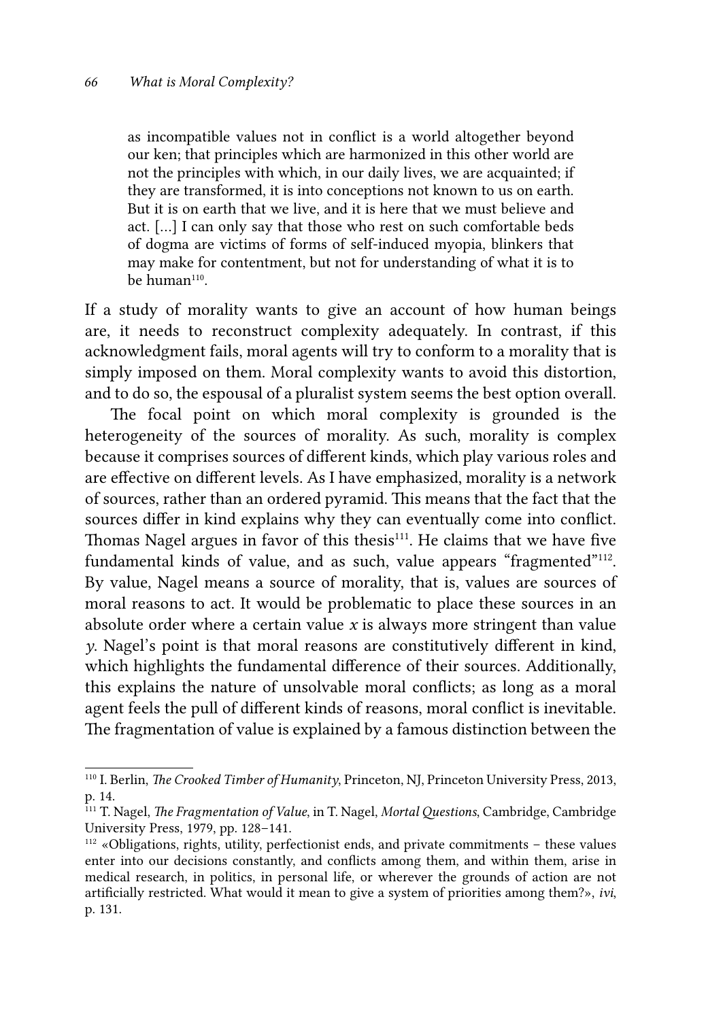as incompatible values not in conflict is a world altogether beyond our ken; that principles which are harmonized in this other world are not the principles with which, in our daily lives, we are acquainted; if they are transformed, it is into conceptions not known to us on earth. But it is on earth that we live, and it is here that we must believe and act. […] I can only say that those who rest on such comfortable beds of dogma are victims of forms of self-induced myopia, blinkers that may make for contentment, but not for understanding of what it is to  $be$  human $110$ .

If a study of morality wants to give an account of how human beings are, it needs to reconstruct complexity adequately. In contrast, if this acknowledgment fails, moral agents will try to conform to a morality that is simply imposed on them. Moral complexity wants to avoid this distortion, and to do so, the espousal of a pluralist system seems the best option overall.

The focal point on which moral complexity is grounded is the heterogeneity of the sources of morality. As such, morality is complex because it comprises sources of different kinds, which play various roles and are effective on different levels. As I have emphasized, morality is a network of sources, rather than an ordered pyramid. This means that the fact that the sources differ in kind explains why they can eventually come into conflict. Thomas Nagel argues in favor of this thesis<sup>111</sup>. He claims that we have five fundamental kinds of value, and as such, value appears "fragmented"<sup>112</sup>. By value, Nagel means a source of morality, that is, values are sources of moral reasons to act. It would be problematic to place these sources in an absolute order where a certain value *x* is always more stringent than value *y*. Nagel's point is that moral reasons are constitutively different in kind, which highlights the fundamental difference of their sources. Additionally, this explains the nature of unsolvable moral conflicts; as long as a moral agent feels the pull of different kinds of reasons, moral conflict is inevitable. The fragmentation of value is explained by a famous distinction between the

<sup>110</sup> I. Berlin, *The Crooked Timber of Humanity*, Princeton, NJ, Princeton University Press, 2013, p. 14.

<sup>111</sup> T. Nagel, *The Fragmentation of Value*, in T. Nagel, *Mortal Questions*, Cambridge, Cambridge University Press, 1979, pp. 128–141.

<sup>112 «</sup>Obligations, rights, utility, perfectionist ends, and private commitments – these values enter into our decisions constantly, and conflicts among them, and within them, arise in medical research, in politics, in personal life, or wherever the grounds of action are not artificially restricted. What would it mean to give a system of priorities among them?», *ivi*, p. 131.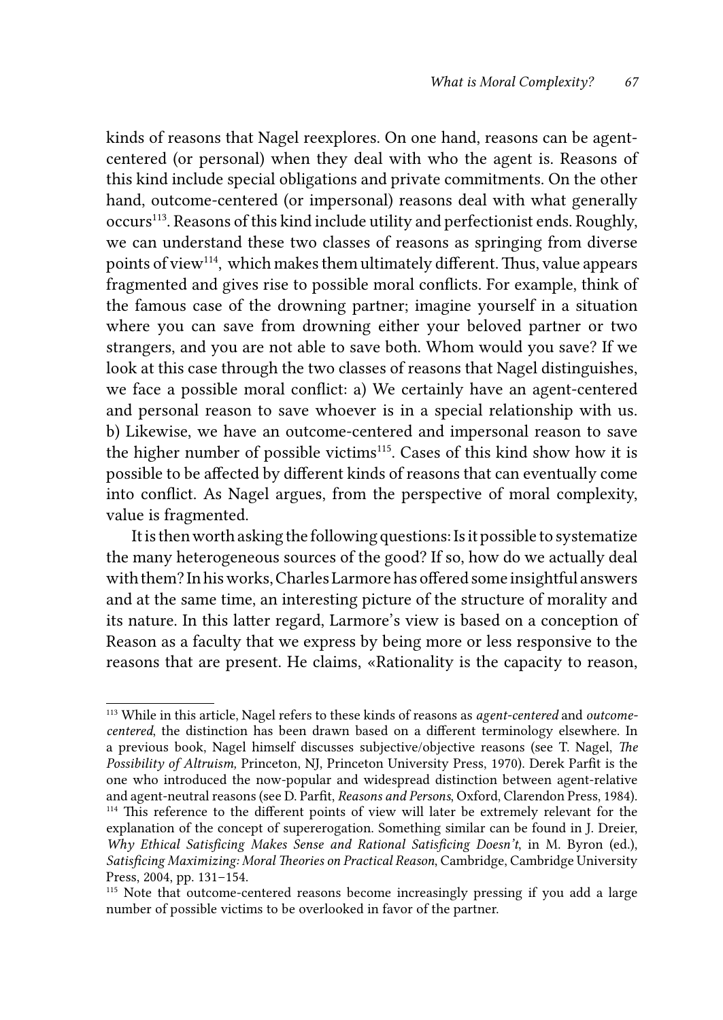kinds of reasons that Nagel reexplores. On one hand, reasons can be agentcentered (or personal) when they deal with who the agent is. Reasons of this kind include special obligations and private commitments. On the other hand, outcome-centered (or impersonal) reasons deal with what generally occurs<sup>113</sup>. Reasons of this kind include utility and perfectionist ends. Roughly, we can understand these two classes of reasons as springing from diverse points of view114, which makes them ultimately different. Thus, value appears fragmented and gives rise to possible moral conflicts. For example, think of the famous case of the drowning partner; imagine yourself in a situation where you can save from drowning either your beloved partner or two strangers, and you are not able to save both. Whom would you save? If we look at this case through the two classes of reasons that Nagel distinguishes, we face a possible moral conflict: a) We certainly have an agent-centered and personal reason to save whoever is in a special relationship with us. b) Likewise, we have an outcome-centered and impersonal reason to save the higher number of possible victims<sup>115</sup>. Cases of this kind show how it is possible to be affected by different kinds of reasons that can eventually come into conflict. As Nagel argues, from the perspective of moral complexity, value is fragmented.

It is then worth asking the following questions: Is it possible to systematize the many heterogeneous sources of the good? If so, how do we actually deal with them? In his works, Charles Larmore has offered some insightful answers and at the same time, an interesting picture of the structure of morality and its nature. In this latter regard, Larmore's view is based on a conception of Reason as a faculty that we express by being more or less responsive to the reasons that are present. He claims, «Rationality is the capacity to reason,

<sup>113</sup> While in this article, Nagel refers to these kinds of reasons as *agent-centered* and *outcomecentered*, the distinction has been drawn based on a different terminology elsewhere. In a previous book, Nagel himself discusses subjective/objective reasons (see T. Nagel, *The Possibility of Altruism,* Princeton, NJ, Princeton University Press, 1970). Derek Parfit is the one who introduced the now-popular and widespread distinction between agent-relative and agent-neutral reasons (see D. Parfit, *Reasons and Persons*, Oxford, Clarendon Press, 1984). <sup>114</sup> This reference to the different points of view will later be extremely relevant for the explanation of the concept of supererogation. Something similar can be found in J. Dreier, *Why Ethical Satisficing Makes Sense and Rational Satisficing Doesn't*, in M. Byron (ed.), *Satisficing Maximizing: Moral Theories on Practical Reason*, Cambridge, Cambridge University Press, 2004, pp. 131–154.

<sup>&</sup>lt;sup>115</sup> Note that outcome-centered reasons become increasingly pressing if you add a large number of possible victims to be overlooked in favor of the partner.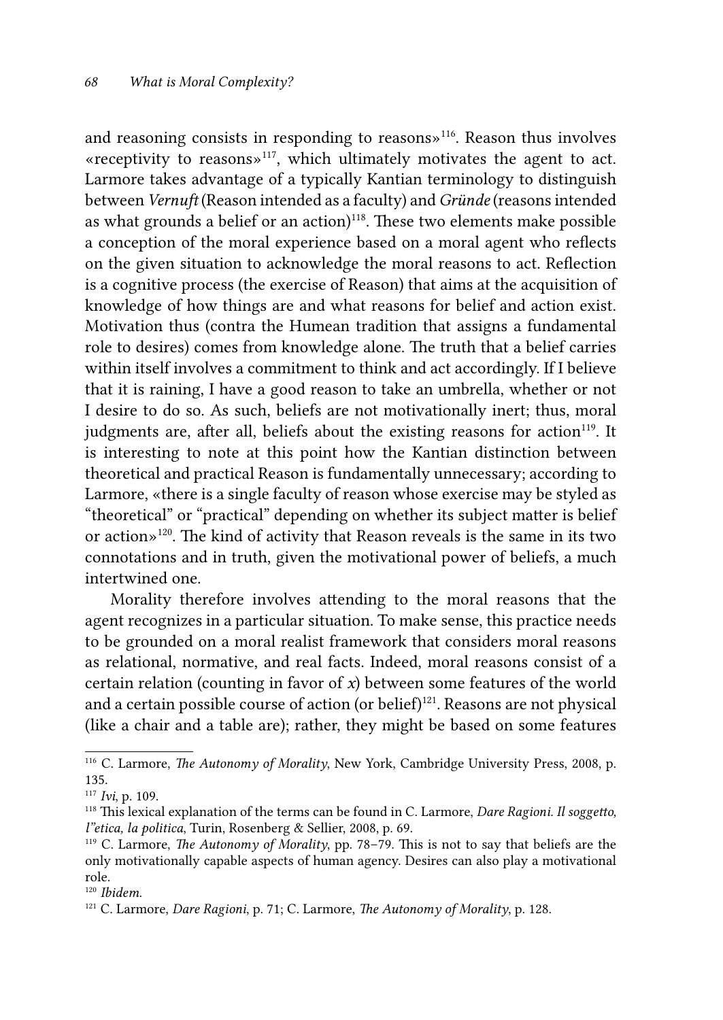and reasoning consists in responding to reasons»116. Reason thus involves «receptivity to reasons»117, which ultimately motivates the agent to act. Larmore takes advantage of a typically Kantian terminology to distinguish between *Vernuft* (Reason intended as a faculty) and *Gründe* (reasons intended as what grounds a belief or an action) $118$ . These two elements make possible a conception of the moral experience based on a moral agent who reflects on the given situation to acknowledge the moral reasons to act. Reflection is a cognitive process (the exercise of Reason) that aims at the acquisition of knowledge of how things are and what reasons for belief and action exist. Motivation thus (contra the Humean tradition that assigns a fundamental role to desires) comes from knowledge alone. The truth that a belief carries within itself involves a commitment to think and act accordingly. If I believe that it is raining, I have a good reason to take an umbrella, whether or not I desire to do so. As such, beliefs are not motivationally inert; thus, moral judgments are, after all, beliefs about the existing reasons for action<sup>119</sup>. It is interesting to note at this point how the Kantian distinction between theoretical and practical Reason is fundamentally unnecessary; according to Larmore, «there is a single faculty of reason whose exercise may be styled as "theoretical" or "practical" depending on whether its subject matter is belief or action»120. The kind of activity that Reason reveals is the same in its two connotations and in truth, given the motivational power of beliefs, a much intertwined one.

Morality therefore involves attending to the moral reasons that the agent recognizes in a particular situation. To make sense, this practice needs to be grounded on a moral realist framework that considers moral reasons as relational, normative, and real facts. Indeed, moral reasons consist of a certain relation (counting in favor of *x*) between some features of the world and a certain possible course of action (or belief)<sup>121</sup>. Reasons are not physical (like a chair and a table are); rather, they might be based on some features

<sup>116</sup> C. Larmore, *The Autonomy of Morality*, New York, Cambridge University Press, 2008, p. 135.

<sup>117</sup> *Ivi*, p. 109.

<sup>118</sup> This lexical explanation of the terms can be found in C. Larmore, *Dare Ragioni. Il soggetto, l"etica, la politica*, Turin, Rosenberg & Sellier, 2008, p. 69.

<sup>119</sup> C. Larmore, *The Autonomy of Morality*, pp. 78–79. This is not to say that beliefs are the only motivationally capable aspects of human agency. Desires can also play a motivational role.

<sup>120</sup> *Ibidem*. 121 C. Larmore, *Dare Ragioni*, p. 71; C. Larmore, *The Autonomy of Morality*, p. 128.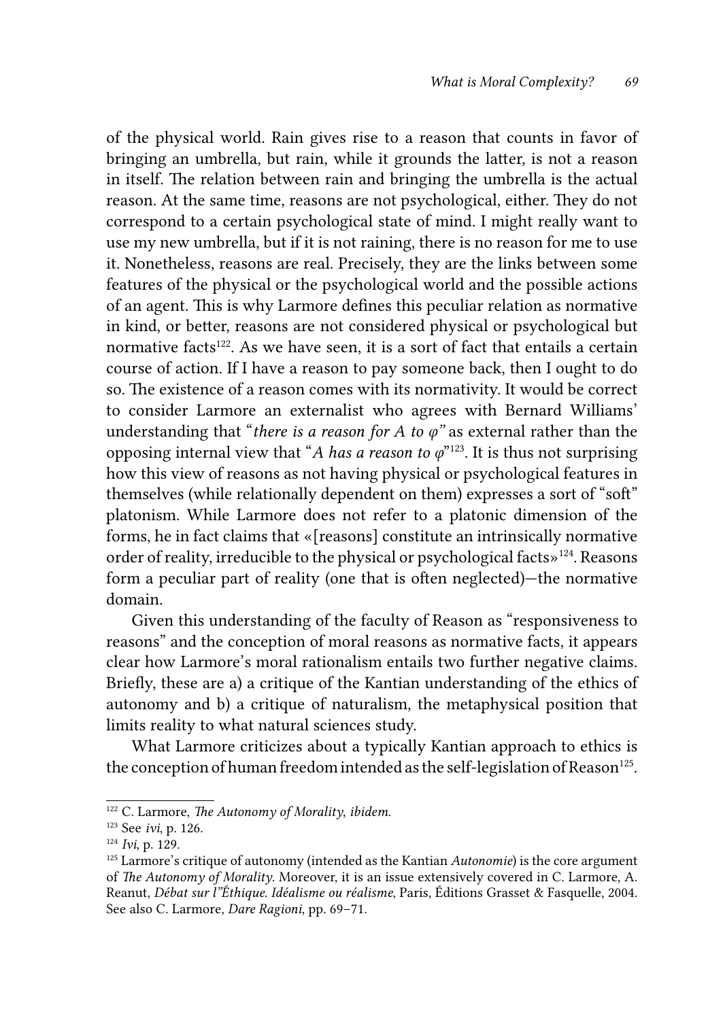of the physical world. Rain gives rise to a reason that counts in favor of bringing an umbrella, but rain, while it grounds the latter, is not a reason in itself. The relation between rain and bringing the umbrella is the actual reason. At the same time, reasons are not psychological, either. They do not correspond to a certain psychological state of mind. I might really want to use my new umbrella, but if it is not raining, there is no reason for me to use it. Nonetheless, reasons are real. Precisely, they are the links between some features of the physical or the psychological world and the possible actions of an agent. This is why Larmore defines this peculiar relation as normative in kind, or better, reasons are not considered physical or psychological but normative facts<sup>122</sup>. As we have seen, it is a sort of fact that entails a certain course of action. If I have a reason to pay someone back, then I ought to do so. The existence of a reason comes with its normativity. It would be correct to consider Larmore an externalist who agrees with Bernard Williams' understanding that "*there is a reason for A to*  $\varphi$ " as external rather than the opposing internal view that "*A has a reason to*  $\varphi$ "<sup>123</sup>. It is thus not surprising how this view of reasons as not having physical or psychological features in themselves (while relationally dependent on them) expresses a sort of "soft" platonism. While Larmore does not refer to a platonic dimension of the forms, he in fact claims that «[reasons] constitute an intrinsically normative order of reality, irreducible to the physical or psychological facts»124. Reasons form a peculiar part of reality (one that is often neglected)—the normative domain.

Given this understanding of the faculty of Reason as "responsiveness to reasons" and the conception of moral reasons as normative facts, it appears clear how Larmore's moral rationalism entails two further negative claims. Briefly, these are a) a critique of the Kantian understanding of the ethics of autonomy and b) a critique of naturalism, the metaphysical position that limits reality to what natural sciences study.

What Larmore criticizes about a typically Kantian approach to ethics is the conception of human freedom intended as the self-legislation of Reason<sup>125</sup>.

<sup>122</sup> C. Larmore, *The Autonomy of Morality*, *ibidem*.

<sup>123</sup> See *ivi*, p. 126.

<sup>124</sup> *Ivi*, p. 129.

<sup>125</sup> Larmore's critique of autonomy (intended as the Kantian *Autonomie*) is the core argument of *The Autonomy of Morality*. Moreover, it is an issue extensively covered in C. Larmore, A. Reanut, *Débat sur l"Éthique. Idéalisme ou réalisme*, Paris, Éditions Grasset & Fasquelle, 2004. See also C. Larmore, *Dare Ragioni*, pp. 69–71.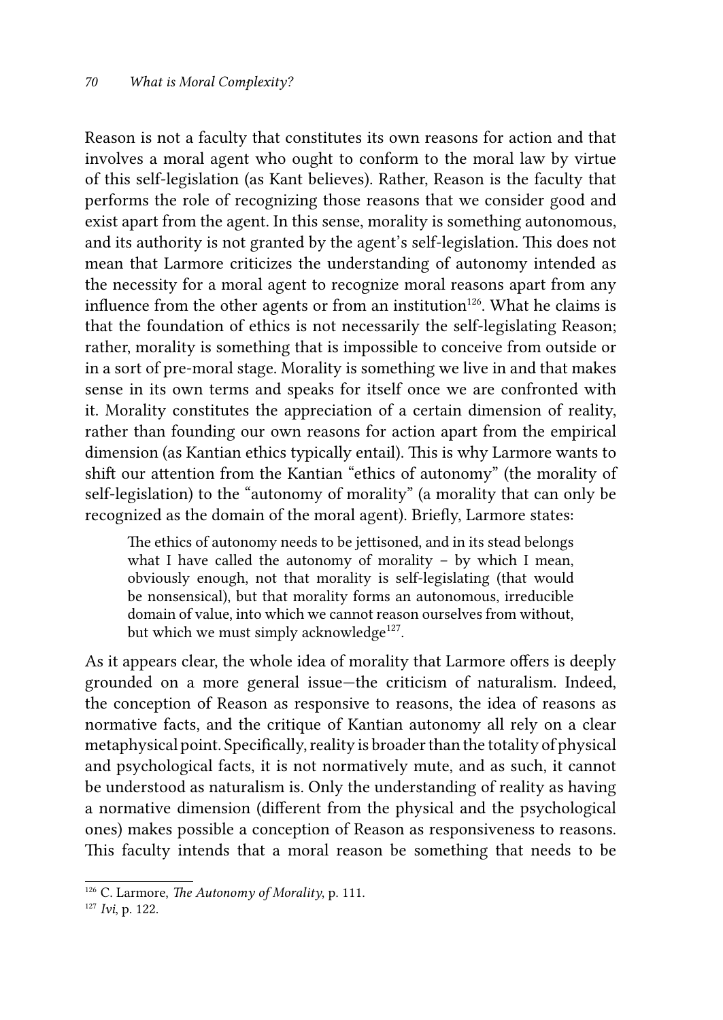Reason is not a faculty that constitutes its own reasons for action and that involves a moral agent who ought to conform to the moral law by virtue of this self-legislation (as Kant believes). Rather, Reason is the faculty that performs the role of recognizing those reasons that we consider good and exist apart from the agent. In this sense, morality is something autonomous, and its authority is not granted by the agent's self-legislation. This does not mean that Larmore criticizes the understanding of autonomy intended as the necessity for a moral agent to recognize moral reasons apart from any influence from the other agents or from an institution<sup>126</sup>. What he claims is that the foundation of ethics is not necessarily the self-legislating Reason; rather, morality is something that is impossible to conceive from outside or in a sort of pre-moral stage. Morality is something we live in and that makes sense in its own terms and speaks for itself once we are confronted with it. Morality constitutes the appreciation of a certain dimension of reality, rather than founding our own reasons for action apart from the empirical dimension (as Kantian ethics typically entail). This is why Larmore wants to shift our attention from the Kantian "ethics of autonomy" (the morality of self-legislation) to the "autonomy of morality" (a morality that can only be recognized as the domain of the moral agent). Briefly, Larmore states:

The ethics of autonomy needs to be jettisoned, and in its stead belongs what I have called the autonomy of morality – by which I mean, obviously enough, not that morality is self-legislating (that would be nonsensical), but that morality forms an autonomous, irreducible domain of value, into which we cannot reason ourselves from without, but which we must simply acknowledge $^{127}$ .

As it appears clear, the whole idea of morality that Larmore offers is deeply grounded on a more general issue—the criticism of naturalism. Indeed, the conception of Reason as responsive to reasons, the idea of reasons as normative facts, and the critique of Kantian autonomy all rely on a clear metaphysical point. Specifically, reality is broader than the totality of physical and psychological facts, it is not normatively mute, and as such, it cannot be understood as naturalism is. Only the understanding of reality as having a normative dimension (different from the physical and the psychological ones) makes possible a conception of Reason as responsiveness to reasons. This faculty intends that a moral reason be something that needs to be

<sup>126</sup> C. Larmore, *The Autonomy of Morality*, p. 111.

<sup>127</sup> *Ivi*, p. 122.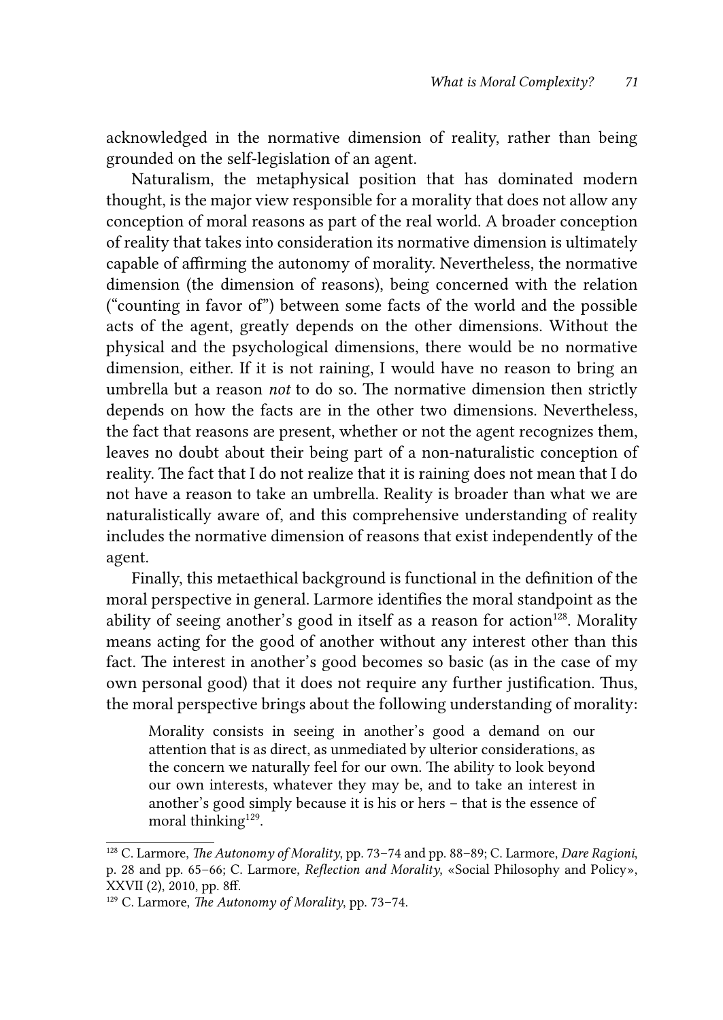acknowledged in the normative dimension of reality, rather than being grounded on the self-legislation of an agent.

Naturalism, the metaphysical position that has dominated modern thought, is the major view responsible for a morality that does not allow any conception of moral reasons as part of the real world. A broader conception of reality that takes into consideration its normative dimension is ultimately capable of affirming the autonomy of morality. Nevertheless, the normative dimension (the dimension of reasons), being concerned with the relation ("counting in favor of") between some facts of the world and the possible acts of the agent, greatly depends on the other dimensions. Without the physical and the psychological dimensions, there would be no normative dimension, either. If it is not raining, I would have no reason to bring an umbrella but a reason *not* to do so. The normative dimension then strictly depends on how the facts are in the other two dimensions. Nevertheless, the fact that reasons are present, whether or not the agent recognizes them, leaves no doubt about their being part of a non-naturalistic conception of reality. The fact that I do not realize that it is raining does not mean that I do not have a reason to take an umbrella. Reality is broader than what we are naturalistically aware of, and this comprehensive understanding of reality includes the normative dimension of reasons that exist independently of the agent.

Finally, this metaethical background is functional in the definition of the moral perspective in general. Larmore identifies the moral standpoint as the ability of seeing another's good in itself as a reason for action<sup>128</sup>. Morality means acting for the good of another without any interest other than this fact. The interest in another's good becomes so basic (as in the case of my own personal good) that it does not require any further justification. Thus, the moral perspective brings about the following understanding of morality:

Morality consists in seeing in another's good a demand on our attention that is as direct, as unmediated by ulterior considerations, as the concern we naturally feel for our own. The ability to look beyond our own interests, whatever they may be, and to take an interest in another's good simply because it is his or hers – that is the essence of moral thinking $129$ .

<sup>128</sup> C. Larmore, *The Autonomy of Morality*, pp. 73–74 and pp. 88–89; C. Larmore, *Dare Ragioni*, p. 28 and pp. 65–66; C. Larmore, *Reflection and Morality*, «Social Philosophy and Policy», XXVII (2), 2010, pp. 8ff.

<sup>129</sup> C. Larmore, *The Autonomy of Morality*, pp. 73–74.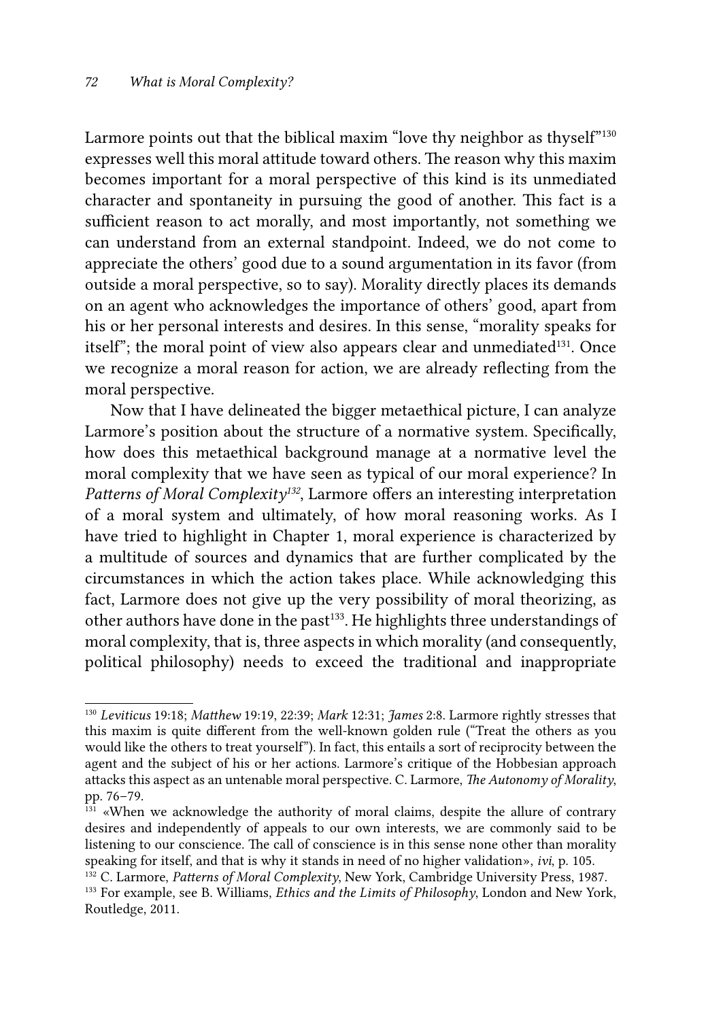Larmore points out that the biblical maxim "love thy neighbor as thyself"<sup>130</sup> expresses well this moral attitude toward others. The reason why this maxim becomes important for a moral perspective of this kind is its unmediated character and spontaneity in pursuing the good of another. This fact is a sufficient reason to act morally, and most importantly, not something we can understand from an external standpoint. Indeed, we do not come to appreciate the others' good due to a sound argumentation in its favor (from outside a moral perspective, so to say). Morality directly places its demands on an agent who acknowledges the importance of others' good, apart from his or her personal interests and desires. In this sense, "morality speaks for itself"; the moral point of view also appears clear and unmediated<sup>131</sup>. Once we recognize a moral reason for action, we are already reflecting from the moral perspective.

Now that I have delineated the bigger metaethical picture, I can analyze Larmore's position about the structure of a normative system. Specifically, how does this metaethical background manage at a normative level the moral complexity that we have seen as typical of our moral experience? In Patterns of Moral Complexity<sup>132</sup>, Larmore offers an interesting interpretation of a moral system and ultimately, of how moral reasoning works. As I have tried to highlight in Chapter 1, moral experience is characterized by a multitude of sources and dynamics that are further complicated by the circumstances in which the action takes place. While acknowledging this fact, Larmore does not give up the very possibility of moral theorizing, as other authors have done in the past<sup>133</sup>. He highlights three understandings of moral complexity, that is, three aspects in which morality (and consequently, political philosophy) needs to exceed the traditional and inappropriate

<sup>130</sup> *Leviticus* 19:18; *Matthew* 19:19, 22:39; *Mark* 12:31; *James* 2:8. Larmore rightly stresses that this maxim is quite different from the well-known golden rule ("Treat the others as you would like the others to treat yourself"). In fact, this entails a sort of reciprocity between the agent and the subject of his or her actions. Larmore's critique of the Hobbesian approach attacks this aspect as an untenable moral perspective. C. Larmore, *The Autonomy of Morality*, pp. 76–79.

<sup>&</sup>lt;sup>131</sup> «When we acknowledge the authority of moral claims, despite the allure of contrary desires and independently of appeals to our own interests, we are commonly said to be listening to our conscience. The call of conscience is in this sense none other than morality speaking for itself, and that is why it stands in need of no higher validation», *ivi*, p. 105.

<sup>132</sup> C. Larmore, *Patterns of Moral Complexity*, New York, Cambridge University Press, 1987. 133 For example, see B. Williams, *Ethics and the Limits of Philosophy*, London and New York, Routledge, 2011.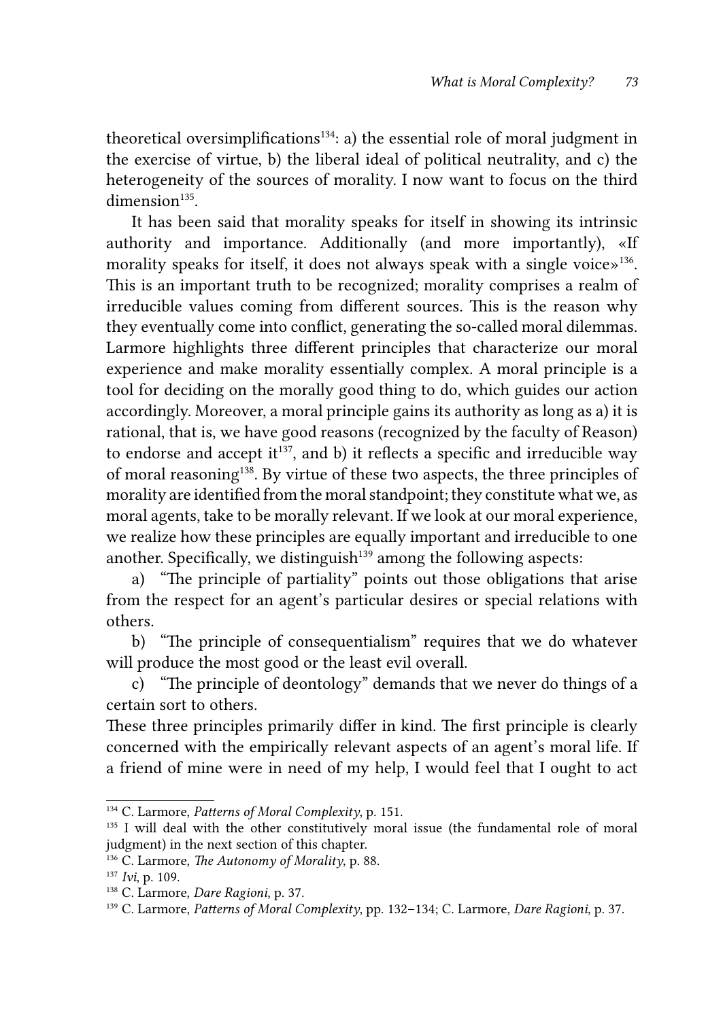theoretical oversimplifications $134$ : a) the essential role of moral judgment in the exercise of virtue, b) the liberal ideal of political neutrality, and c) the heterogeneity of the sources of morality. I now want to focus on the third  $dimension<sup>135</sup>$ 

It has been said that morality speaks for itself in showing its intrinsic authority and importance. Additionally (and more importantly), «If morality speaks for itself, it does not always speak with a single voice $\mathcal{L}^{136}$ . This is an important truth to be recognized; morality comprises a realm of irreducible values coming from different sources. This is the reason why they eventually come into conflict, generating the so-called moral dilemmas. Larmore highlights three different principles that characterize our moral experience and make morality essentially complex. A moral principle is a tool for deciding on the morally good thing to do, which guides our action accordingly. Moreover, a moral principle gains its authority as long as a) it is rational, that is, we have good reasons (recognized by the faculty of Reason) to endorse and accept it $^{137}$ , and b) it reflects a specific and irreducible way of moral reasoning<sup>138</sup>. By virtue of these two aspects, the three principles of morality are identified from the moral standpoint; they constitute what we, as moral agents, take to be morally relevant. If we look at our moral experience, we realize how these principles are equally important and irreducible to one another. Specifically, we distinguish $139$  among the following aspects:

a) "The principle of partiality" points out those obligations that arise from the respect for an agent's particular desires or special relations with others.

b) "The principle of consequentialism" requires that we do whatever will produce the most good or the least evil overall.

c) "The principle of deontology" demands that we never do things of a certain sort to others.

These three principles primarily differ in kind. The first principle is clearly concerned with the empirically relevant aspects of an agent's moral life. If a friend of mine were in need of my help, I would feel that I ought to act

<sup>&</sup>lt;sup>134</sup> C. Larmore, *Patterns of Moral Complexity*, p. 151.<br><sup>135</sup> I will deal with the other constitutively moral issue (the fundamental role of moral judgment) in the next section of this chapter.

<sup>136</sup> C. Larmore, *The Autonomy of Morality*, p. 88.

<sup>137</sup> *Ivi*, p. 109.

<sup>138</sup> C. Larmore, *Dare Ragioni*, p. 37.

<sup>139</sup> C. Larmore, *Patterns of Moral Complexity*, pp. 132–134; C. Larmore, *Dare Ragioni*, p. 37.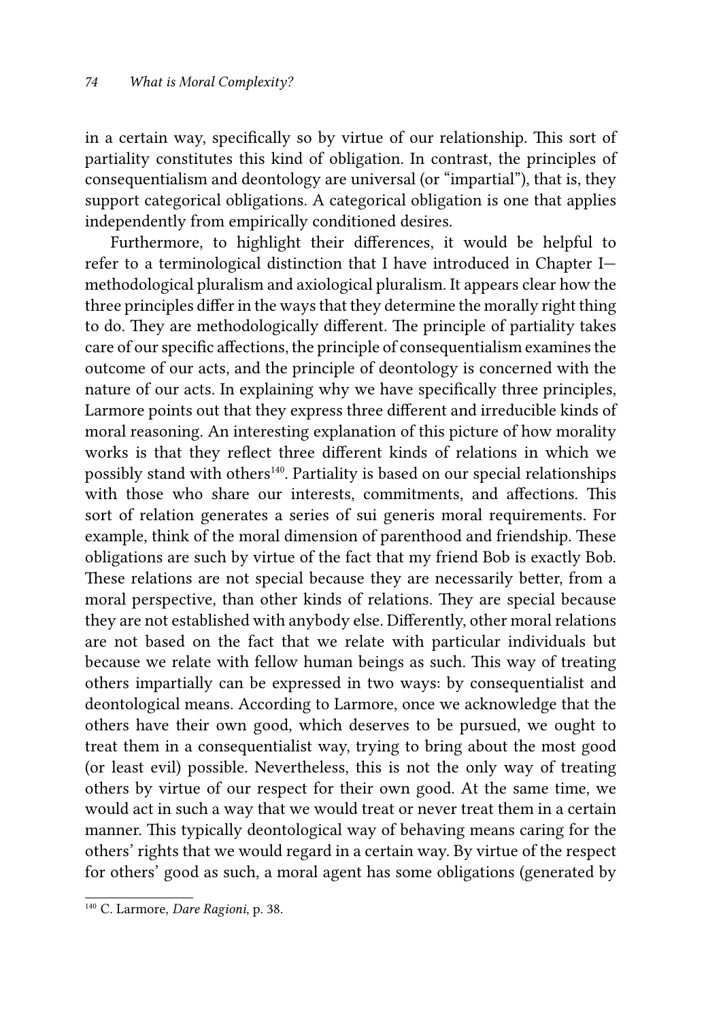in a certain way, specifically so by virtue of our relationship. This sort of partiality constitutes this kind of obligation. In contrast, the principles of consequentialism and deontology are universal (or "impartial"), that is, they support categorical obligations. A categorical obligation is one that applies independently from empirically conditioned desires.

Furthermore, to highlight their differences, it would be helpful to refer to a terminological distinction that I have introduced in Chapter I methodological pluralism and axiological pluralism. It appears clear how the three principles differ in the ways that they determine the morally right thing to do. They are methodologically different. The principle of partiality takes care of our specific affections, the principle of consequentialism examines the outcome of our acts, and the principle of deontology is concerned with the nature of our acts. In explaining why we have specifically three principles, Larmore points out that they express three different and irreducible kinds of moral reasoning. An interesting explanation of this picture of how morality works is that they reflect three different kinds of relations in which we possibly stand with others<sup>140</sup>. Partiality is based on our special relationships with those who share our interests, commitments, and affections. This sort of relation generates a series of sui generis moral requirements. For example, think of the moral dimension of parenthood and friendship. These obligations are such by virtue of the fact that my friend Bob is exactly Bob. These relations are not special because they are necessarily better, from a moral perspective, than other kinds of relations. They are special because they are not established with anybody else. Differently, other moral relations are not based on the fact that we relate with particular individuals but because we relate with fellow human beings as such. This way of treating others impartially can be expressed in two ways: by consequentialist and deontological means. According to Larmore, once we acknowledge that the others have their own good, which deserves to be pursued, we ought to treat them in a consequentialist way, trying to bring about the most good (or least evil) possible. Nevertheless, this is not the only way of treating others by virtue of our respect for their own good. At the same time, we would act in such a way that we would treat or never treat them in a certain manner. This typically deontological way of behaving means caring for the others' rights that we would regard in a certain way. By virtue of the respect for others' good as such, a moral agent has some obligations (generated by

<sup>140</sup> C. Larmore, *Dare Ragioni*, p. 38.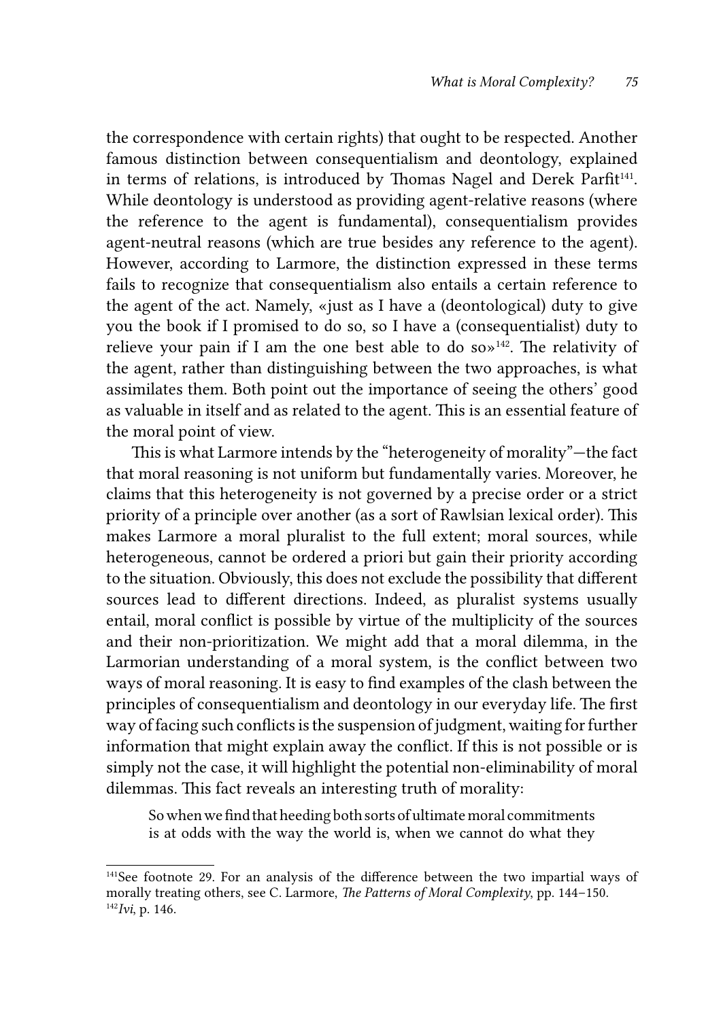the correspondence with certain rights) that ought to be respected. Another famous distinction between consequentialism and deontology, explained in terms of relations, is introduced by Thomas Nagel and Derek Parfit<sup>141</sup>. While deontology is understood as providing agent-relative reasons (where the reference to the agent is fundamental), consequentialism provides agent-neutral reasons (which are true besides any reference to the agent). However, according to Larmore, the distinction expressed in these terms fails to recognize that consequentialism also entails a certain reference to the agent of the act. Namely, «just as I have a (deontological) duty to give you the book if I promised to do so, so I have a (consequentialist) duty to relieve your pain if I am the one best able to do so $\frac{1}{2}$ . The relativity of the agent, rather than distinguishing between the two approaches, is what assimilates them. Both point out the importance of seeing the others' good as valuable in itself and as related to the agent. This is an essential feature of the moral point of view.

This is what Larmore intends by the "heterogeneity of morality"—the fact that moral reasoning is not uniform but fundamentally varies. Moreover, he claims that this heterogeneity is not governed by a precise order or a strict priority of a principle over another (as a sort of Rawlsian lexical order). This makes Larmore a moral pluralist to the full extent; moral sources, while heterogeneous, cannot be ordered a priori but gain their priority according to the situation. Obviously, this does not exclude the possibility that different sources lead to different directions. Indeed, as pluralist systems usually entail, moral conflict is possible by virtue of the multiplicity of the sources and their non-prioritization. We might add that a moral dilemma, in the Larmorian understanding of a moral system, is the conflict between two ways of moral reasoning. It is easy to find examples of the clash between the principles of consequentialism and deontology in our everyday life. The first way of facing such conflicts is the suspension of judgment, waiting for further information that might explain away the conflict. If this is not possible or is simply not the case, it will highlight the potential non-eliminability of moral dilemmas. This fact reveals an interesting truth of morality:

So when we find that heeding both sorts of ultimate moral commitments is at odds with the way the world is, when we cannot do what they

<sup>&</sup>lt;sup>141</sup>See footnote 29. For an analysis of the difference between the two impartial ways of morally treating others, see C. Larmore, *The Patterns of Moral Complexity*, pp. 144–150. 142*Ivi*, p. 146.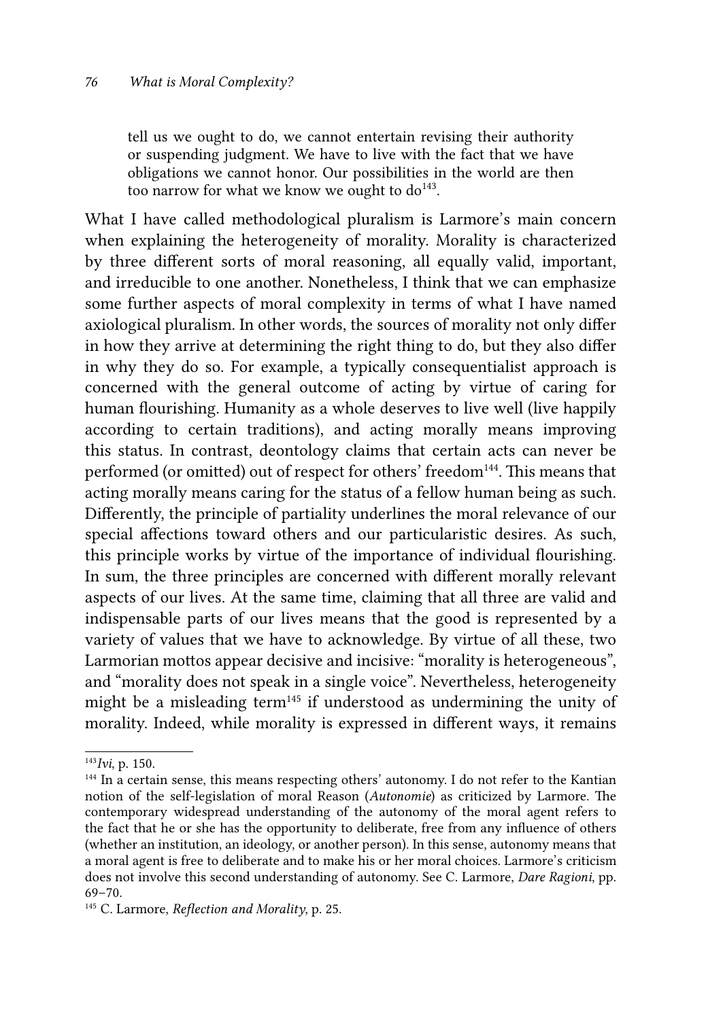tell us we ought to do, we cannot entertain revising their authority or suspending judgment. We have to live with the fact that we have obligations we cannot honor. Our possibilities in the world are then too narrow for what we know we ought to  $d\sigma^{143}$ .

What I have called methodological pluralism is Larmore's main concern when explaining the heterogeneity of morality. Morality is characterized by three different sorts of moral reasoning, all equally valid, important, and irreducible to one another. Nonetheless, I think that we can emphasize some further aspects of moral complexity in terms of what I have named axiological pluralism. In other words, the sources of morality not only differ in how they arrive at determining the right thing to do, but they also differ in why they do so. For example, a typically consequentialist approach is concerned with the general outcome of acting by virtue of caring for human flourishing. Humanity as a whole deserves to live well (live happily according to certain traditions), and acting morally means improving this status. In contrast, deontology claims that certain acts can never be performed (or omitted) out of respect for others' freedom<sup>144</sup>. This means that acting morally means caring for the status of a fellow human being as such. Differently, the principle of partiality underlines the moral relevance of our special affections toward others and our particularistic desires. As such, this principle works by virtue of the importance of individual flourishing. In sum, the three principles are concerned with different morally relevant aspects of our lives. At the same time, claiming that all three are valid and indispensable parts of our lives means that the good is represented by a variety of values that we have to acknowledge. By virtue of all these, two Larmorian mottos appear decisive and incisive: "morality is heterogeneous", and "morality does not speak in a single voice". Nevertheless, heterogeneity might be a misleading term145 if understood as undermining the unity of morality. Indeed, while morality is expressed in different ways, it remains

<sup>143</sup>*Ivi*, p. 150.

<sup>144</sup> In a certain sense, this means respecting others' autonomy. I do not refer to the Kantian notion of the self-legislation of moral Reason (*Autonomie*) as criticized by Larmore. The contemporary widespread understanding of the autonomy of the moral agent refers to the fact that he or she has the opportunity to deliberate, free from any influence of others (whether an institution, an ideology, or another person). In this sense, autonomy means that a moral agent is free to deliberate and to make his or her moral choices. Larmore's criticism does not involve this second understanding of autonomy. See C. Larmore, *Dare Ragioni*, pp. 69–70.

<sup>145</sup> C. Larmore, *Reflection and Morality*, p. 25.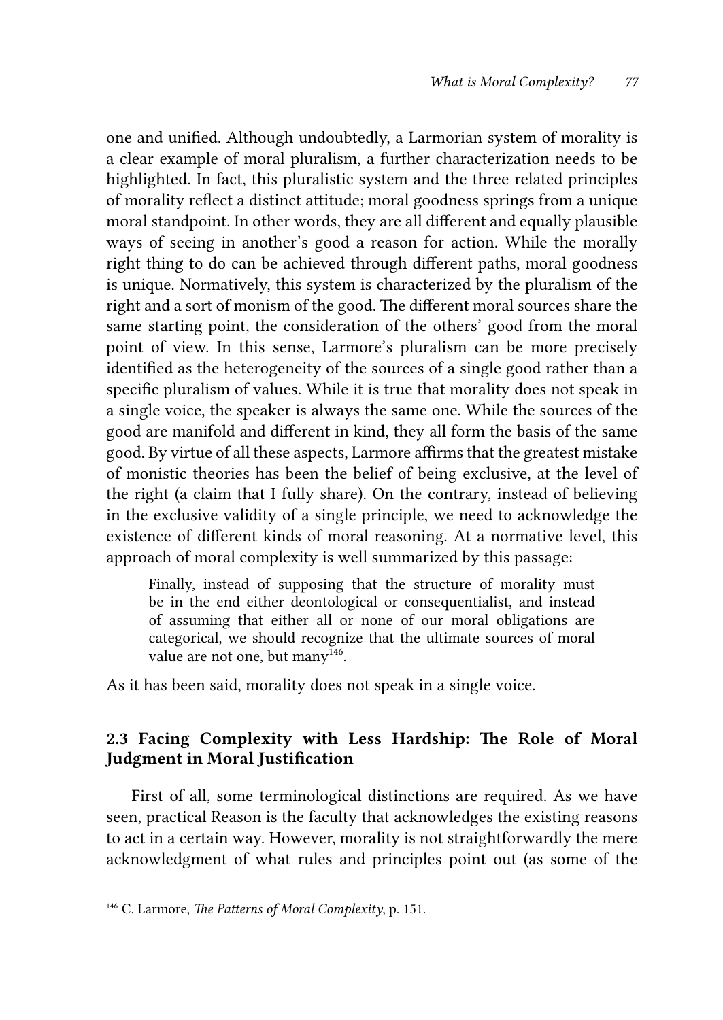one and unified. Although undoubtedly, a Larmorian system of morality is a clear example of moral pluralism, a further characterization needs to be highlighted. In fact, this pluralistic system and the three related principles of morality reflect a distinct attitude; moral goodness springs from a unique moral standpoint. In other words, they are all different and equally plausible ways of seeing in another's good a reason for action. While the morally right thing to do can be achieved through different paths, moral goodness is unique. Normatively, this system is characterized by the pluralism of the right and a sort of monism of the good. The different moral sources share the same starting point, the consideration of the others' good from the moral point of view. In this sense, Larmore's pluralism can be more precisely identified as the heterogeneity of the sources of a single good rather than a specific pluralism of values. While it is true that morality does not speak in a single voice, the speaker is always the same one. While the sources of the good are manifold and different in kind, they all form the basis of the same good. By virtue of all these aspects, Larmore affirms that the greatest mistake of monistic theories has been the belief of being exclusive, at the level of the right (a claim that I fully share). On the contrary, instead of believing in the exclusive validity of a single principle, we need to acknowledge the existence of different kinds of moral reasoning. At a normative level, this approach of moral complexity is well summarized by this passage:

Finally, instead of supposing that the structure of morality must be in the end either deontological or consequentialist, and instead of assuming that either all or none of our moral obligations are categorical, we should recognize that the ultimate sources of moral value are not one, but many<sup>146</sup>.

As it has been said, morality does not speak in a single voice.

## 2.3 Facing Complexity with Less Hardship: The Role of Moral Judgment in Moral Justification

First of all, some terminological distinctions are required. As we have seen, practical Reason is the faculty that acknowledges the existing reasons to act in a certain way. However, morality is not straightforwardly the mere acknowledgment of what rules and principles point out (as some of the

<sup>146</sup> C. Larmore, *The Patterns of Moral Complexity*, p. 151.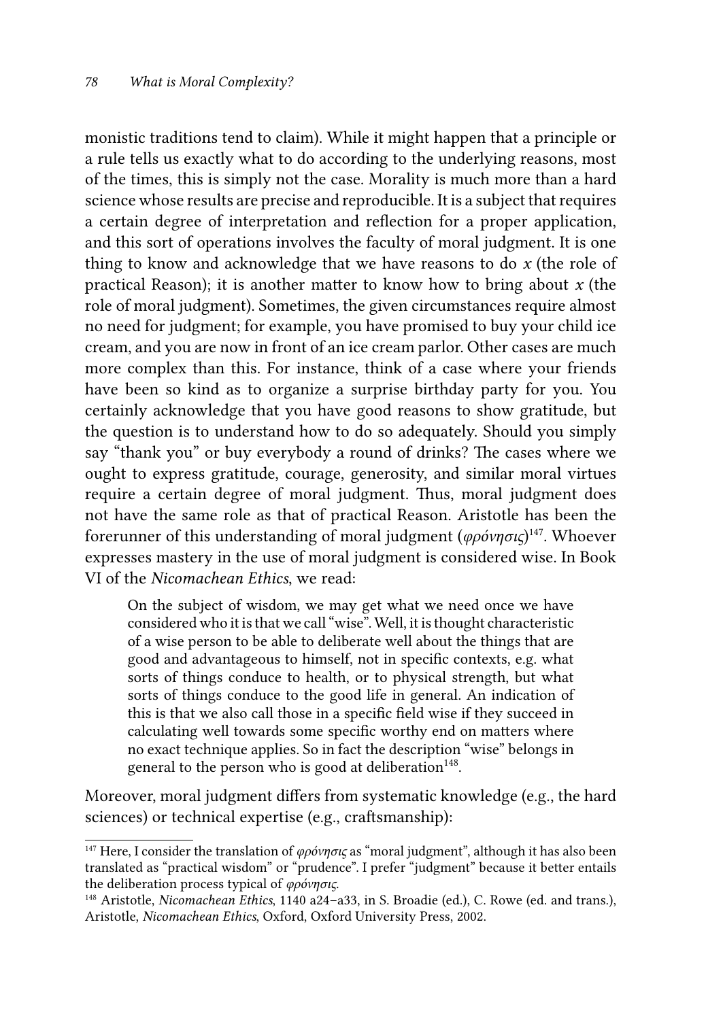monistic traditions tend to claim). While it might happen that a principle or a rule tells us exactly what to do according to the underlying reasons, most of the times, this is simply not the case. Morality is much more than a hard science whose results are precise and reproducible. It is a subject that requires a certain degree of interpretation and reflection for a proper application, and this sort of operations involves the faculty of moral judgment. It is one thing to know and acknowledge that we have reasons to do *x* (the role of practical Reason); it is another matter to know how to bring about *x* (the role of moral judgment). Sometimes, the given circumstances require almost no need for judgment; for example, you have promised to buy your child ice cream, and you are now in front of an ice cream parlor. Other cases are much more complex than this. For instance, think of a case where your friends have been so kind as to organize a surprise birthday party for you. You certainly acknowledge that you have good reasons to show gratitude, but the question is to understand how to do so adequately. Should you simply say "thank you" or buy everybody a round of drinks? The cases where we ought to express gratitude, courage, generosity, and similar moral virtues require a certain degree of moral judgment. Thus, moral judgment does not have the same role as that of practical Reason. Aristotle has been the forerunner of this understanding of moral judgment (*φρόνησιϛ*) 147. Whoever expresses mastery in the use of moral judgment is considered wise. In Book VI of the *Nicomachean Ethics*, we read:

On the subject of wisdom, we may get what we need once we have considered who it is that we call "wise". Well, it is thought characteristic of a wise person to be able to deliberate well about the things that are good and advantageous to himself, not in specific contexts, e.g. what sorts of things conduce to health, or to physical strength, but what sorts of things conduce to the good life in general. An indication of this is that we also call those in a specific field wise if they succeed in calculating well towards some specific worthy end on matters where no exact technique applies. So in fact the description "wise" belongs in general to the person who is good at deliberation<sup>148</sup>.

Moreover, moral judgment differs from systematic knowledge (e.g., the hard sciences) or technical expertise (e.g., craftsmanship):

<sup>&</sup>lt;sup>147</sup> Here, I consider the translation of *φρόνησις* as "moral judgment", although it has also been translated as "practical wisdom" or "prudence". I prefer "judgment" because it better entails the deliberation process typical of *φρόνησιϛ*.

<sup>148</sup> Aristotle, *Nicomachean Ethics*, 1140 a24–a33, in S. Broadie (ed.), C. Rowe (ed. and trans.), Aristotle, *Nicomachean Ethics*, Oxford, Oxford University Press, 2002.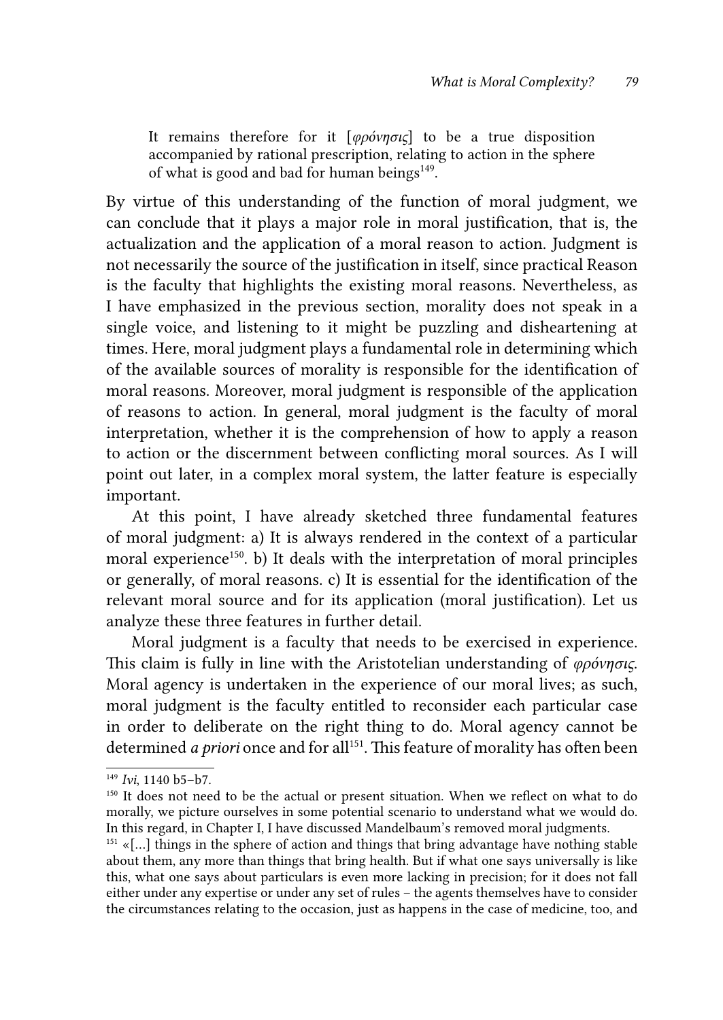It remains therefore for it [*φρόνησιϛ*] to be a true disposition accompanied by rational prescription, relating to action in the sphere of what is good and bad for human beings $^{149}$ .

By virtue of this understanding of the function of moral judgment, we can conclude that it plays a major role in moral justification, that is, the actualization and the application of a moral reason to action. Judgment is not necessarily the source of the justification in itself, since practical Reason is the faculty that highlights the existing moral reasons. Nevertheless, as I have emphasized in the previous section, morality does not speak in a single voice, and listening to it might be puzzling and disheartening at times. Here, moral judgment plays a fundamental role in determining which of the available sources of morality is responsible for the identification of moral reasons. Moreover, moral judgment is responsible of the application of reasons to action. In general, moral judgment is the faculty of moral interpretation, whether it is the comprehension of how to apply a reason to action or the discernment between conflicting moral sources. As I will point out later, in a complex moral system, the latter feature is especially important.

At this point, I have already sketched three fundamental features of moral judgment: a) It is always rendered in the context of a particular moral experience<sup>150</sup>. b) It deals with the interpretation of moral principles or generally, of moral reasons. c) It is essential for the identification of the relevant moral source and for its application (moral justification). Let us analyze these three features in further detail.

Moral judgment is a faculty that needs to be exercised in experience. This claim is fully in line with the Aristotelian understanding of *φρόνησιϛ*. Moral agency is undertaken in the experience of our moral lives; as such, moral judgment is the faculty entitled to reconsider each particular case in order to deliberate on the right thing to do. Moral agency cannot be determined *a priori* once and for all<sup>151</sup>. This feature of morality has often been

<sup>149</sup> *Ivi*, 1140 b5–b7.

<sup>&</sup>lt;sup>150</sup> It does not need to be the actual or present situation. When we reflect on what to do morally, we picture ourselves in some potential scenario to understand what we would do. In this regard, in Chapter I, I have discussed Mandelbaum's removed moral judgments.

 $151 \times$ [...] things in the sphere of action and things that bring advantage have nothing stable about them, any more than things that bring health. But if what one says universally is like this, what one says about particulars is even more lacking in precision; for it does not fall either under any expertise or under any set of rules – the agents themselves have to consider the circumstances relating to the occasion, just as happens in the case of medicine, too, and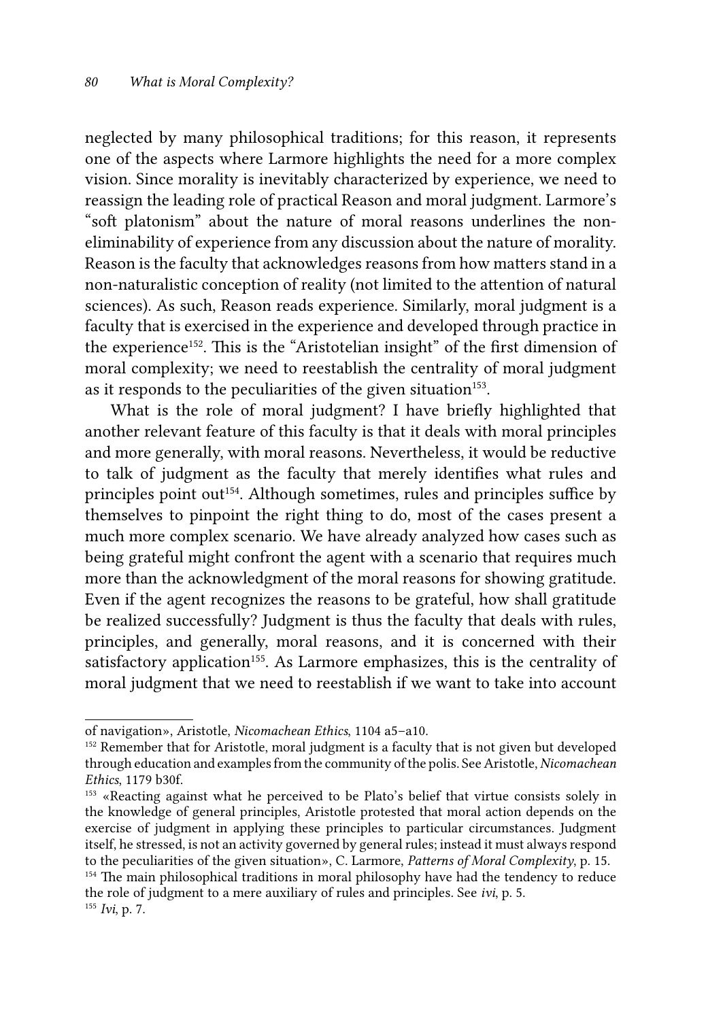neglected by many philosophical traditions; for this reason, it represents one of the aspects where Larmore highlights the need for a more complex vision. Since morality is inevitably characterized by experience, we need to reassign the leading role of practical Reason and moral judgment. Larmore's "soft platonism" about the nature of moral reasons underlines the noneliminability of experience from any discussion about the nature of morality. Reason is the faculty that acknowledges reasons from how matters stand in a non-naturalistic conception of reality (not limited to the attention of natural sciences). As such, Reason reads experience. Similarly, moral judgment is a faculty that is exercised in the experience and developed through practice in the experience<sup>152</sup>. This is the "Aristotelian insight" of the first dimension of moral complexity; we need to reestablish the centrality of moral judgment as it responds to the peculiarities of the given situation<sup>153</sup>.

What is the role of moral judgment? I have briefly highlighted that another relevant feature of this faculty is that it deals with moral principles and more generally, with moral reasons. Nevertheless, it would be reductive to talk of judgment as the faculty that merely identifies what rules and principles point out<sup>154</sup>. Although sometimes, rules and principles suffice by themselves to pinpoint the right thing to do, most of the cases present a much more complex scenario. We have already analyzed how cases such as being grateful might confront the agent with a scenario that requires much more than the acknowledgment of the moral reasons for showing gratitude. Even if the agent recognizes the reasons to be grateful, how shall gratitude be realized successfully? Judgment is thus the faculty that deals with rules, principles, and generally, moral reasons, and it is concerned with their satisfactory application<sup>155</sup>. As Larmore emphasizes, this is the centrality of moral judgment that we need to reestablish if we want to take into account

of navigation», Aristotle, *Nicomachean Ethics*, 1104 a5–a10.<br><sup>152</sup> Remember that for Aristotle, moral judgment is a faculty that is not given but developed through education and examples from the community of the polis. See Aristotle, *Nicomachean* 

<sup>&</sup>lt;sup>153</sup> «Reacting against what he perceived to be Plato's belief that virtue consists solely in the knowledge of general principles, Aristotle protested that moral action depends on the exercise of judgment in applying these principles to particular circumstances. Judgment itself, he stressed, is not an activity governed by general rules; instead it must always respond to the peculiarities of the given situation», C. Larmore, *Patterns of Moral Complexity*, p. 15.

<sup>&</sup>lt;sup>154</sup> The main philosophical traditions in moral philosophy have had the tendency to reduce the role of judgment to a mere auxiliary of rules and principles. See *ivi*, p. 5. <sup>155</sup> *Ivi*, p. 7.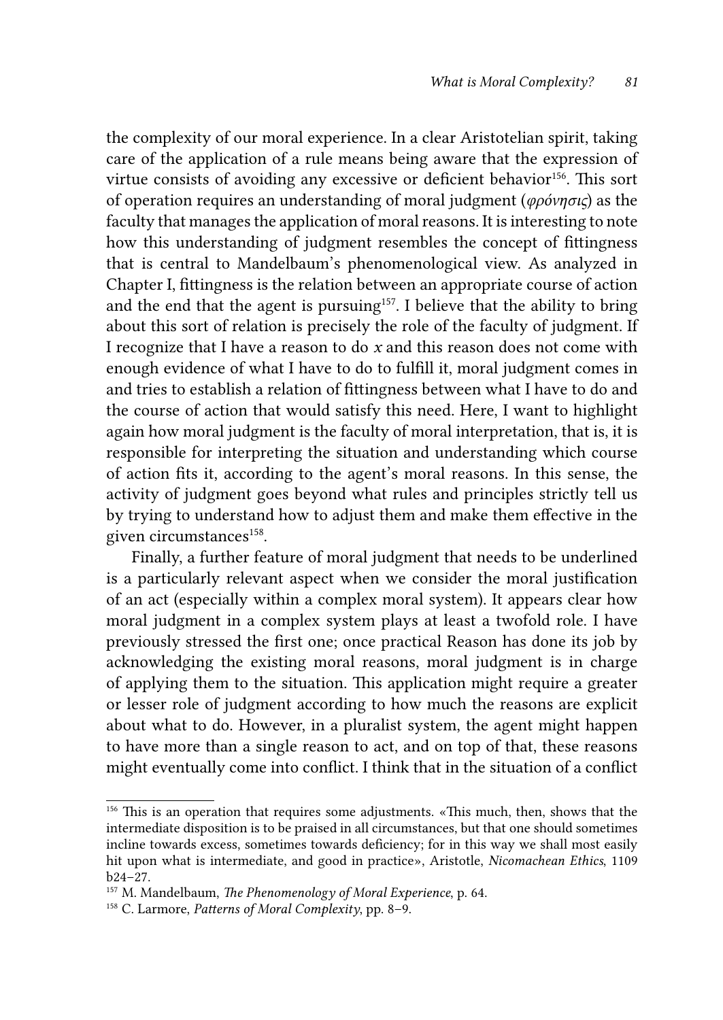the complexity of our moral experience. In a clear Aristotelian spirit, taking care of the application of a rule means being aware that the expression of virtue consists of avoiding any excessive or deficient behavior<sup>156</sup>. This sort of operation requires an understanding of moral judgment (*φρόνησιϛ*) as the faculty that manages the application of moral reasons. It is interesting to note how this understanding of judgment resembles the concept of fittingness that is central to Mandelbaum's phenomenological view. As analyzed in Chapter I, fittingness is the relation between an appropriate course of action and the end that the agent is pursuing<sup>157</sup>. I believe that the ability to bring about this sort of relation is precisely the role of the faculty of judgment. If I recognize that I have a reason to do *x* and this reason does not come with enough evidence of what I have to do to fulfill it, moral judgment comes in and tries to establish a relation of fittingness between what I have to do and the course of action that would satisfy this need. Here, I want to highlight again how moral judgment is the faculty of moral interpretation, that is, it is responsible for interpreting the situation and understanding which course of action fits it, according to the agent's moral reasons. In this sense, the activity of judgment goes beyond what rules and principles strictly tell us by trying to understand how to adjust them and make them effective in the given circumstances<sup>158</sup>.

Finally, a further feature of moral judgment that needs to be underlined is a particularly relevant aspect when we consider the moral justification of an act (especially within a complex moral system). It appears clear how moral judgment in a complex system plays at least a twofold role. I have previously stressed the first one; once practical Reason has done its job by acknowledging the existing moral reasons, moral judgment is in charge of applying them to the situation. This application might require a greater or lesser role of judgment according to how much the reasons are explicit about what to do. However, in a pluralist system, the agent might happen to have more than a single reason to act, and on top of that, these reasons might eventually come into conflict. I think that in the situation of a conflict

<sup>156</sup> This is an operation that requires some adjustments. «This much, then, shows that the intermediate disposition is to be praised in all circumstances, but that one should sometimes incline towards excess, sometimes towards deficiency; for in this way we shall most easily hit upon what is intermediate, and good in practice», Aristotle, *Nicomachean Ethics*, 1109 b24–27.

<sup>157</sup> M. Mandelbaum, *The Phenomenology of Moral Experience*, p. 64.

<sup>158</sup> C. Larmore, *Patterns of Moral Complexity*, pp. 8–9.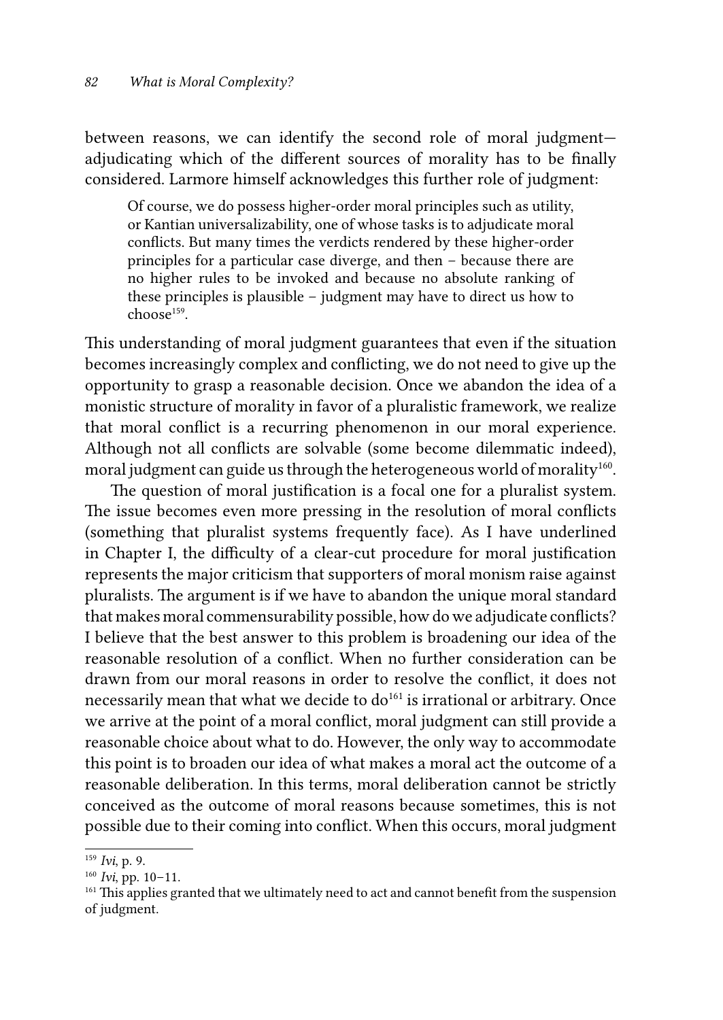between reasons, we can identify the second role of moral judgment adjudicating which of the different sources of morality has to be finally considered. Larmore himself acknowledges this further role of judgment:

Of course, we do possess higher-order moral principles such as utility, or Kantian universalizability, one of whose tasks is to adjudicate moral conflicts. But many times the verdicts rendered by these higher-order principles for a particular case diverge, and then – because there are no higher rules to be invoked and because no absolute ranking of these principles is plausible – judgment may have to direct us how to  $chose<sup>159</sup>$ 

This understanding of moral judgment guarantees that even if the situation becomes increasingly complex and conflicting, we do not need to give up the opportunity to grasp a reasonable decision. Once we abandon the idea of a monistic structure of morality in favor of a pluralistic framework, we realize that moral conflict is a recurring phenomenon in our moral experience. Although not all conflicts are solvable (some become dilemmatic indeed), moral judgment can guide us through the heterogeneous world of morality<sup>160</sup>.

The question of moral justification is a focal one for a pluralist system. The issue becomes even more pressing in the resolution of moral conflicts (something that pluralist systems frequently face). As I have underlined in Chapter I, the difficulty of a clear-cut procedure for moral justification represents the major criticism that supporters of moral monism raise against pluralists. The argument is if we have to abandon the unique moral standard that makes moral commensurability possible, how do we adjudicate conflicts? I believe that the best answer to this problem is broadening our idea of the reasonable resolution of a conflict. When no further consideration can be drawn from our moral reasons in order to resolve the conflict, it does not necessarily mean that what we decide to do<sup>161</sup> is irrational or arbitrary. Once we arrive at the point of a moral conflict, moral judgment can still provide a reasonable choice about what to do. However, the only way to accommodate this point is to broaden our idea of what makes a moral act the outcome of a reasonable deliberation. In this terms, moral deliberation cannot be strictly conceived as the outcome of moral reasons because sometimes, this is not possible due to their coming into conflict. When this occurs, moral judgment

<sup>159</sup> *Ivi*, p. 9.

<sup>160</sup> *Ivi*, pp. 10–11.

<sup>&</sup>lt;sup>161</sup> This applies granted that we ultimately need to act and cannot benefit from the suspension of judgment.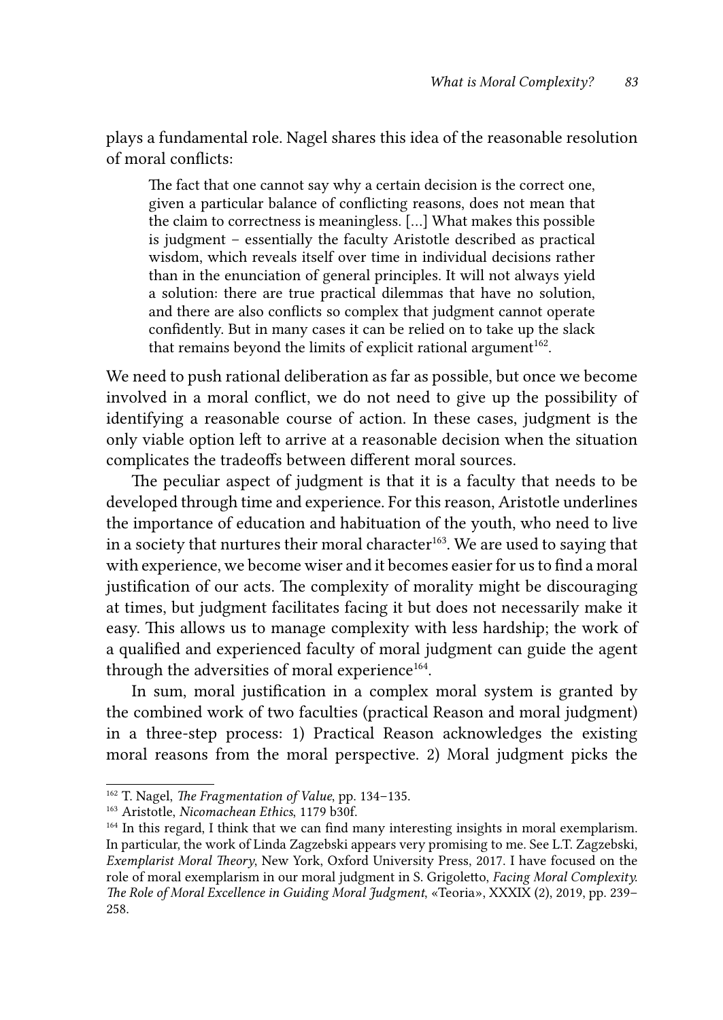plays a fundamental role. Nagel shares this idea of the reasonable resolution of moral conflicts:

The fact that one cannot say why a certain decision is the correct one, given a particular balance of conflicting reasons, does not mean that the claim to correctness is meaningless. […] What makes this possible is judgment – essentially the faculty Aristotle described as practical wisdom, which reveals itself over time in individual decisions rather than in the enunciation of general principles. It will not always yield a solution: there are true practical dilemmas that have no solution, and there are also conflicts so complex that judgment cannot operate confidently. But in many cases it can be relied on to take up the slack that remains beyond the limits of explicit rational argument<sup>162</sup>.

We need to push rational deliberation as far as possible, but once we become involved in a moral conflict, we do not need to give up the possibility of identifying a reasonable course of action. In these cases, judgment is the only viable option left to arrive at a reasonable decision when the situation complicates the tradeoffs between different moral sources.

The peculiar aspect of judgment is that it is a faculty that needs to be developed through time and experience. For this reason, Aristotle underlines the importance of education and habituation of the youth, who need to live in a society that nurtures their moral character<sup>163</sup>. We are used to saying that with experience, we become wiser and it becomes easier for us to find a moral justification of our acts. The complexity of morality might be discouraging at times, but judgment facilitates facing it but does not necessarily make it easy. This allows us to manage complexity with less hardship; the work of a qualified and experienced faculty of moral judgment can guide the agent through the adversities of moral experience<sup>164</sup>.

In sum, moral justification in a complex moral system is granted by the combined work of two faculties (practical Reason and moral judgment) in a three-step process: 1) Practical Reason acknowledges the existing moral reasons from the moral perspective. 2) Moral judgment picks the

<sup>162</sup> T. Nagel, *The Fragmentation of Value*, pp. 134–135.

<sup>163</sup> Aristotle, *Nicomachean Ethics*, 1179 b30f.

<sup>&</sup>lt;sup>164</sup> In this regard, I think that we can find many interesting insights in moral exemplarism. In particular, the work of Linda Zagzebski appears very promising to me. See L.T. Zagzebski, *Exemplarist Moral Theory*, New York, Oxford University Press, 2017. I have focused on the role of moral exemplarism in our moral judgment in S. Grigoletto, *Facing Moral Complexity. The Role of Moral Excellence in Guiding Moral Judgment*, «Teoria», XXXIX (2), 2019, pp. 239– 258.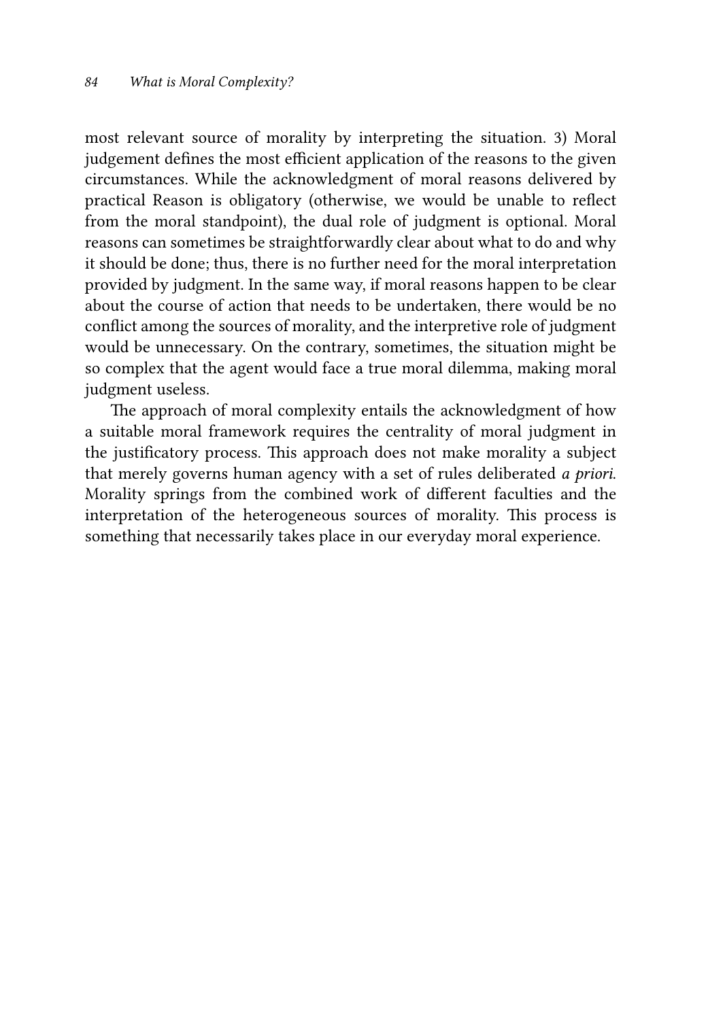most relevant source of morality by interpreting the situation. 3) Moral judgement defines the most efficient application of the reasons to the given circumstances. While the acknowledgment of moral reasons delivered by practical Reason is obligatory (otherwise, we would be unable to reflect from the moral standpoint), the dual role of judgment is optional. Moral reasons can sometimes be straightforwardly clear about what to do and why it should be done; thus, there is no further need for the moral interpretation provided by judgment. In the same way, if moral reasons happen to be clear about the course of action that needs to be undertaken, there would be no conflict among the sources of morality, and the interpretive role of judgment would be unnecessary. On the contrary, sometimes, the situation might be so complex that the agent would face a true moral dilemma, making moral judgment useless.

The approach of moral complexity entails the acknowledgment of how a suitable moral framework requires the centrality of moral judgment in the justificatory process. This approach does not make morality a subject that merely governs human agency with a set of rules deliberated *a priori*. Morality springs from the combined work of different faculties and the interpretation of the heterogeneous sources of morality. This process is something that necessarily takes place in our everyday moral experience.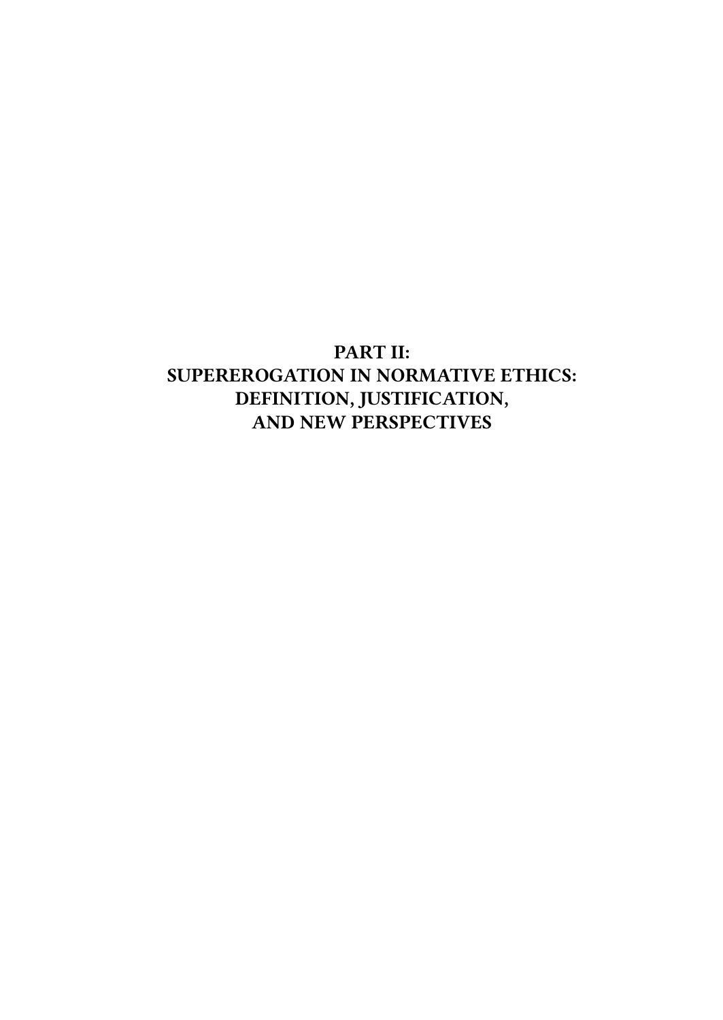# PART II: SUPEREROGATION IN NORMATIVE ETHICS: DEFINITION, JUSTIFICATION, AND NEW PERSPECTIVES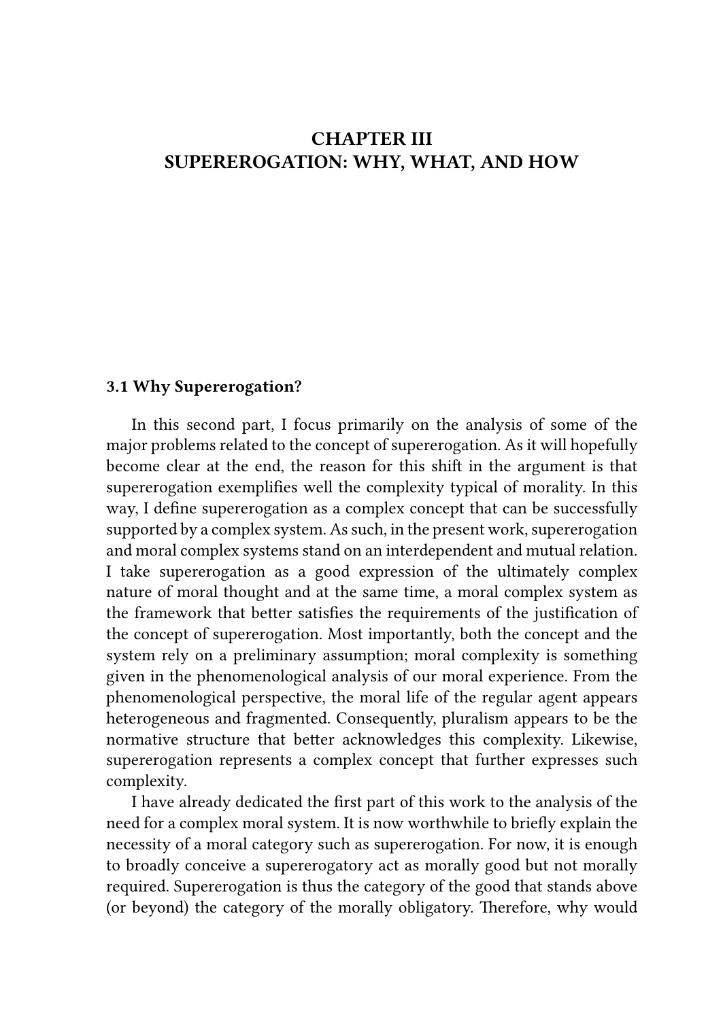## CHAPTER III SUPEREROGATION: WHY, WHAT, AND HOW

#### 3.1 Why Supererogation?

In this second part, I focus primarily on the analysis of some of the major problems related to the concept of supererogation. As it will hopefully become clear at the end, the reason for this shift in the argument is that supererogation exemplifies well the complexity typical of morality. In this way, I define supererogation as a complex concept that can be successfully supported by a complex system. As such, in the present work, supererogation and moral complex systems stand on an interdependent and mutual relation. I take supererogation as a good expression of the ultimately complex nature of moral thought and at the same time, a moral complex system as the framework that better satisfies the requirements of the justification of the concept of supererogation. Most importantly, both the concept and the system rely on a preliminary assumption; moral complexity is something given in the phenomenological analysis of our moral experience. From the phenomenological perspective, the moral life of the regular agent appears heterogeneous and fragmented. Consequently, pluralism appears to be the normative structure that better acknowledges this complexity. Likewise, supererogation represents a complex concept that further expresses such complexity.

I have already dedicated the first part of this work to the analysis of the need for a complex moral system. It is now worthwhile to briefly explain the necessity of a moral category such as supererogation. For now, it is enough to broadly conceive a supererogatory act as morally good but not morally required. Supererogation is thus the category of the good that stands above (or beyond) the category of the morally obligatory. Therefore, why would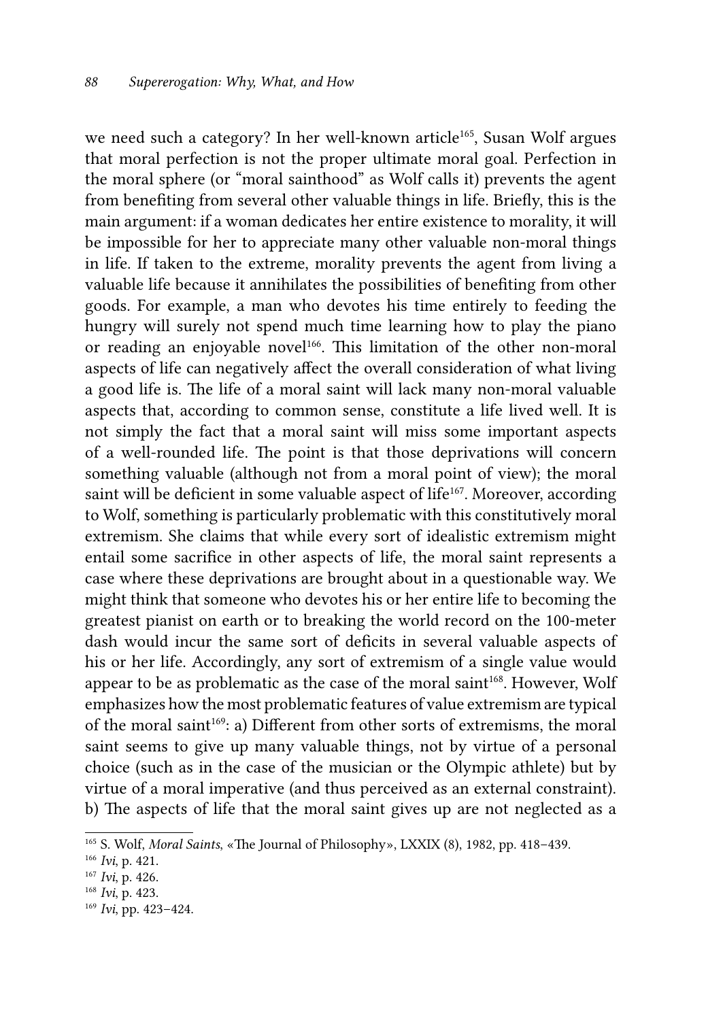we need such a category? In her well-known article<sup>165</sup>, Susan Wolf argues that moral perfection is not the proper ultimate moral goal. Perfection in the moral sphere (or "moral sainthood" as Wolf calls it) prevents the agent from benefiting from several other valuable things in life. Briefly, this is the main argument: if a woman dedicates her entire existence to morality, it will be impossible for her to appreciate many other valuable non-moral things in life. If taken to the extreme, morality prevents the agent from living a valuable life because it annihilates the possibilities of benefiting from other goods. For example, a man who devotes his time entirely to feeding the hungry will surely not spend much time learning how to play the piano or reading an enjoyable novel<sup>166</sup>. This limitation of the other non-moral aspects of life can negatively affect the overall consideration of what living a good life is. The life of a moral saint will lack many non-moral valuable aspects that, according to common sense, constitute a life lived well. It is not simply the fact that a moral saint will miss some important aspects of a well-rounded life. The point is that those deprivations will concern something valuable (although not from a moral point of view); the moral saint will be deficient in some valuable aspect of life<sup>167</sup>. Moreover, according to Wolf, something is particularly problematic with this constitutively moral extremism. She claims that while every sort of idealistic extremism might entail some sacrifice in other aspects of life, the moral saint represents a case where these deprivations are brought about in a questionable way. We might think that someone who devotes his or her entire life to becoming the greatest pianist on earth or to breaking the world record on the 100-meter dash would incur the same sort of deficits in several valuable aspects of his or her life. Accordingly, any sort of extremism of a single value would appear to be as problematic as the case of the moral saint<sup>168</sup>. However, Wolf emphasizes how the most problematic features of value extremism are typical of the moral saint<sup>169</sup>: a) Different from other sorts of extremisms, the moral saint seems to give up many valuable things, not by virtue of a personal choice (such as in the case of the musician or the Olympic athlete) but by virtue of a moral imperative (and thus perceived as an external constraint). b) The aspects of life that the moral saint gives up are not neglected as a

<sup>165</sup> S. Wolf, *Moral Saints*, «The Journal of Philosophy», LXXIX (8), 1982, pp. 418–439.

<sup>166</sup> *Ivi*, p. 421.

<sup>167</sup> *Ivi*, p. 426.

<sup>168</sup> *Ivi*, p. 423.

<sup>169</sup> *Ivi*, pp. 423–424.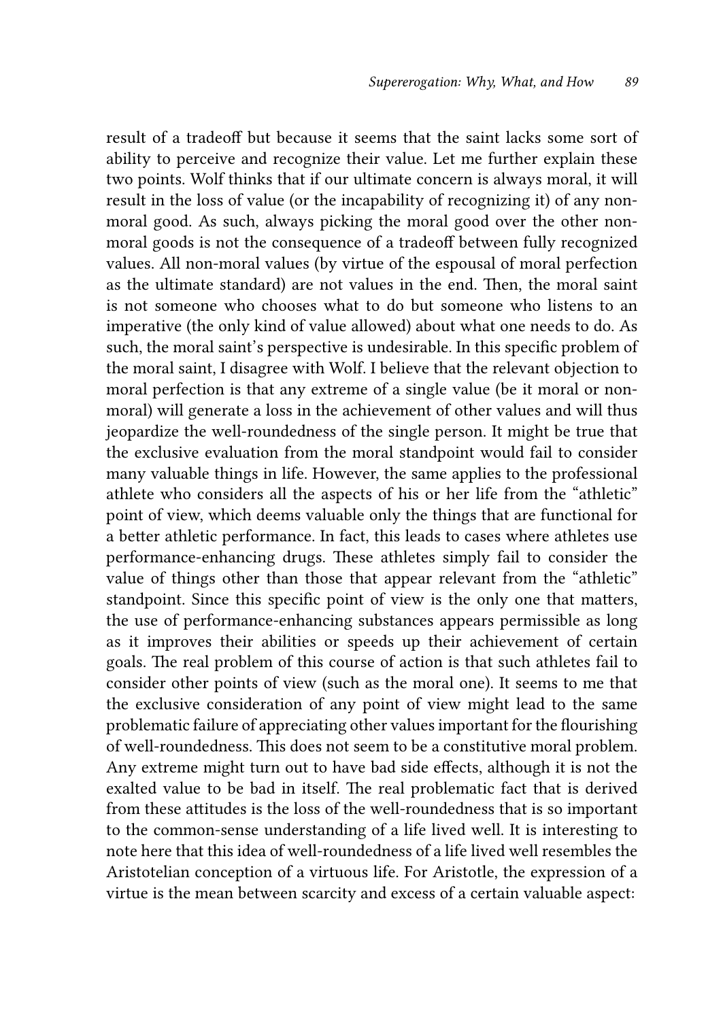result of a tradeoff but because it seems that the saint lacks some sort of ability to perceive and recognize their value. Let me further explain these two points. Wolf thinks that if our ultimate concern is always moral, it will result in the loss of value (or the incapability of recognizing it) of any nonmoral good. As such, always picking the moral good over the other nonmoral goods is not the consequence of a tradeoff between fully recognized values. All non-moral values (by virtue of the espousal of moral perfection as the ultimate standard) are not values in the end. Then, the moral saint is not someone who chooses what to do but someone who listens to an imperative (the only kind of value allowed) about what one needs to do. As such, the moral saint's perspective is undesirable. In this specific problem of the moral saint, I disagree with Wolf. I believe that the relevant objection to moral perfection is that any extreme of a single value (be it moral or nonmoral) will generate a loss in the achievement of other values and will thus jeopardize the well-roundedness of the single person. It might be true that the exclusive evaluation from the moral standpoint would fail to consider many valuable things in life. However, the same applies to the professional athlete who considers all the aspects of his or her life from the "athletic" point of view, which deems valuable only the things that are functional for a better athletic performance. In fact, this leads to cases where athletes use performance-enhancing drugs. These athletes simply fail to consider the value of things other than those that appear relevant from the "athletic" standpoint. Since this specific point of view is the only one that matters, the use of performance-enhancing substances appears permissible as long as it improves their abilities or speeds up their achievement of certain goals. The real problem of this course of action is that such athletes fail to consider other points of view (such as the moral one). It seems to me that the exclusive consideration of any point of view might lead to the same problematic failure of appreciating other values important for the flourishing of well-roundedness. This does not seem to be a constitutive moral problem. Any extreme might turn out to have bad side effects, although it is not the exalted value to be bad in itself. The real problematic fact that is derived from these attitudes is the loss of the well-roundedness that is so important to the common-sense understanding of a life lived well. It is interesting to note here that this idea of well-roundedness of a life lived well resembles the Aristotelian conception of a virtuous life. For Aristotle, the expression of a virtue is the mean between scarcity and excess of a certain valuable aspect: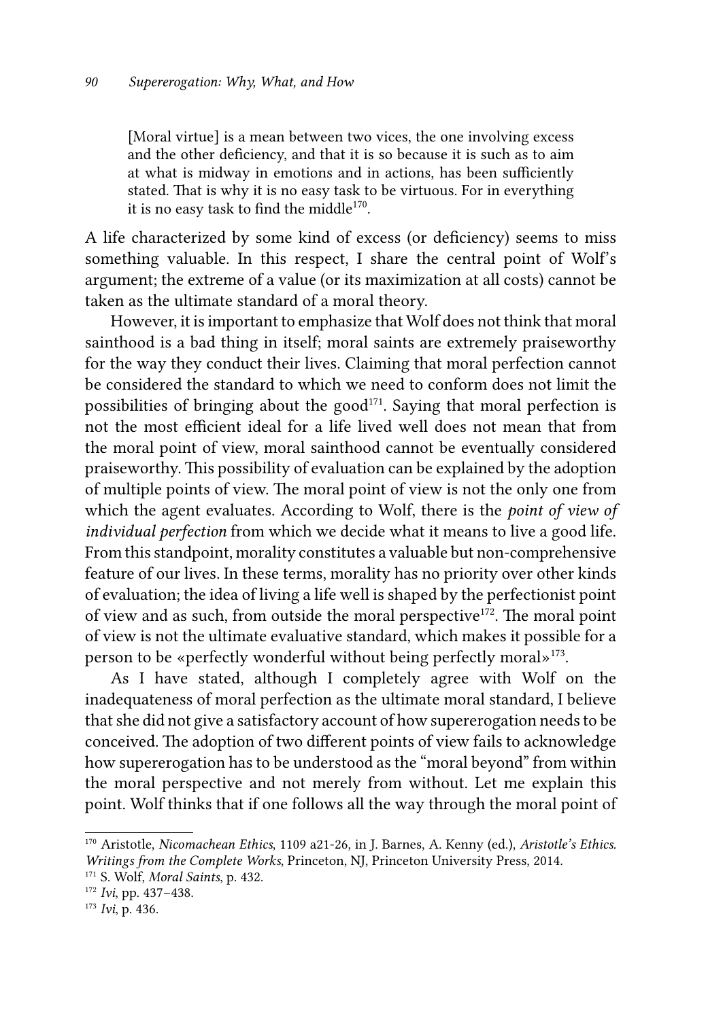[Moral virtue] is a mean between two vices, the one involving excess and the other deficiency, and that it is so because it is such as to aim at what is midway in emotions and in actions, has been sufficiently stated. That is why it is no easy task to be virtuous. For in everything it is no easy task to find the middle<sup>170</sup>.

A life characterized by some kind of excess (or deficiency) seems to miss something valuable. In this respect, I share the central point of Wolf's argument; the extreme of a value (or its maximization at all costs) cannot be taken as the ultimate standard of a moral theory.

However, it is important to emphasize that Wolf does not think that moral sainthood is a bad thing in itself; moral saints are extremely praiseworthy for the way they conduct their lives. Claiming that moral perfection cannot be considered the standard to which we need to conform does not limit the possibilities of bringing about the good<sup>171</sup>. Saying that moral perfection is not the most efficient ideal for a life lived well does not mean that from the moral point of view, moral sainthood cannot be eventually considered praiseworthy. This possibility of evaluation can be explained by the adoption of multiple points of view. The moral point of view is not the only one from which the agent evaluates. According to Wolf, there is the *point of view of individual perfection* from which we decide what it means to live a good life. From this standpoint, morality constitutes a valuable but non-comprehensive feature of our lives. In these terms, morality has no priority over other kinds of evaluation; the idea of living a life well is shaped by the perfectionist point of view and as such, from outside the moral perspective<sup>172</sup>. The moral point of view is not the ultimate evaluative standard, which makes it possible for a person to be «perfectly wonderful without being perfectly moral»173.

As I have stated, although I completely agree with Wolf on the inadequateness of moral perfection as the ultimate moral standard, I believe that she did not give a satisfactory account of how supererogation needs to be conceived. The adoption of two different points of view fails to acknowledge how supererogation has to be understood as the "moral beyond" from within the moral perspective and not merely from without. Let me explain this point. Wolf thinks that if one follows all the way through the moral point of

<sup>170</sup> Aristotle, *Nicomachean Ethics*, 1109 a21-26, in J. Barnes, A. Kenny (ed.), *Aristotle's Ethics. Writings from the Complete Works*, Princeton, NJ, Princeton University Press, 2014.

<sup>171</sup> S. Wolf, *Moral Saints*, p. 432.

<sup>172</sup> *Ivi*, pp. 437–438.

<sup>173</sup> *Ivi*, p. 436.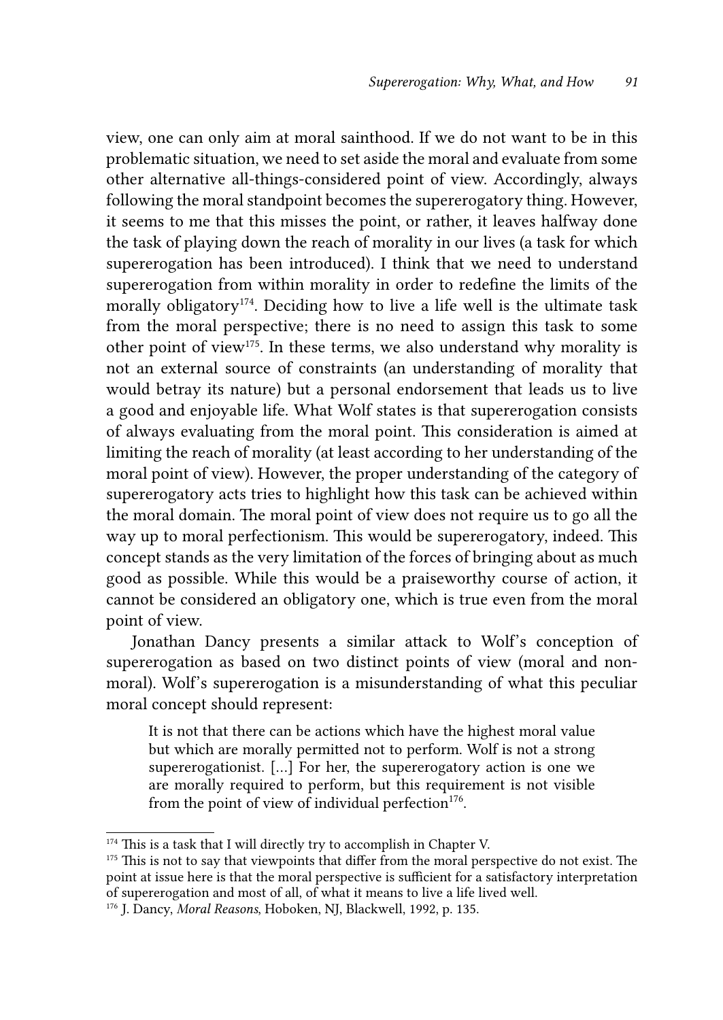view, one can only aim at moral sainthood. If we do not want to be in this problematic situation, we need to set aside the moral and evaluate from some other alternative all-things-considered point of view. Accordingly, always following the moral standpoint becomes the supererogatory thing. However, it seems to me that this misses the point, or rather, it leaves halfway done the task of playing down the reach of morality in our lives (a task for which supererogation has been introduced). I think that we need to understand supererogation from within morality in order to redefine the limits of the morally obligatory<sup>174</sup>. Deciding how to live a life well is the ultimate task from the moral perspective; there is no need to assign this task to some other point of view<sup>175</sup>. In these terms, we also understand why morality is not an external source of constraints (an understanding of morality that would betray its nature) but a personal endorsement that leads us to live a good and enjoyable life. What Wolf states is that supererogation consists of always evaluating from the moral point. This consideration is aimed at limiting the reach of morality (at least according to her understanding of the moral point of view). However, the proper understanding of the category of supererogatory acts tries to highlight how this task can be achieved within the moral domain. The moral point of view does not require us to go all the way up to moral perfectionism. This would be supererogatory, indeed. This concept stands as the very limitation of the forces of bringing about as much good as possible. While this would be a praiseworthy course of action, it cannot be considered an obligatory one, which is true even from the moral point of view.

Jonathan Dancy presents a similar attack to Wolf's conception of supererogation as based on two distinct points of view (moral and nonmoral). Wolf's supererogation is a misunderstanding of what this peculiar moral concept should represent:

It is not that there can be actions which have the highest moral value but which are morally permitted not to perform. Wolf is not a strong supererogationist. […] For her, the supererogatory action is one we are morally required to perform, but this requirement is not visible from the point of view of individual perfection<sup>176</sup>.

<sup>&</sup>lt;sup>174</sup> This is a task that I will directly try to accomplish in Chapter V.

<sup>&</sup>lt;sup>175</sup> This is not to say that viewpoints that differ from the moral perspective do not exist. The point at issue here is that the moral perspective is sufficient for a satisfactory interpretation of supererogation and most of all, of what it means to live a life lived well.

<sup>176</sup> J. Dancy, *Moral Reasons*, Hoboken, NJ, Blackwell, 1992, p. 135.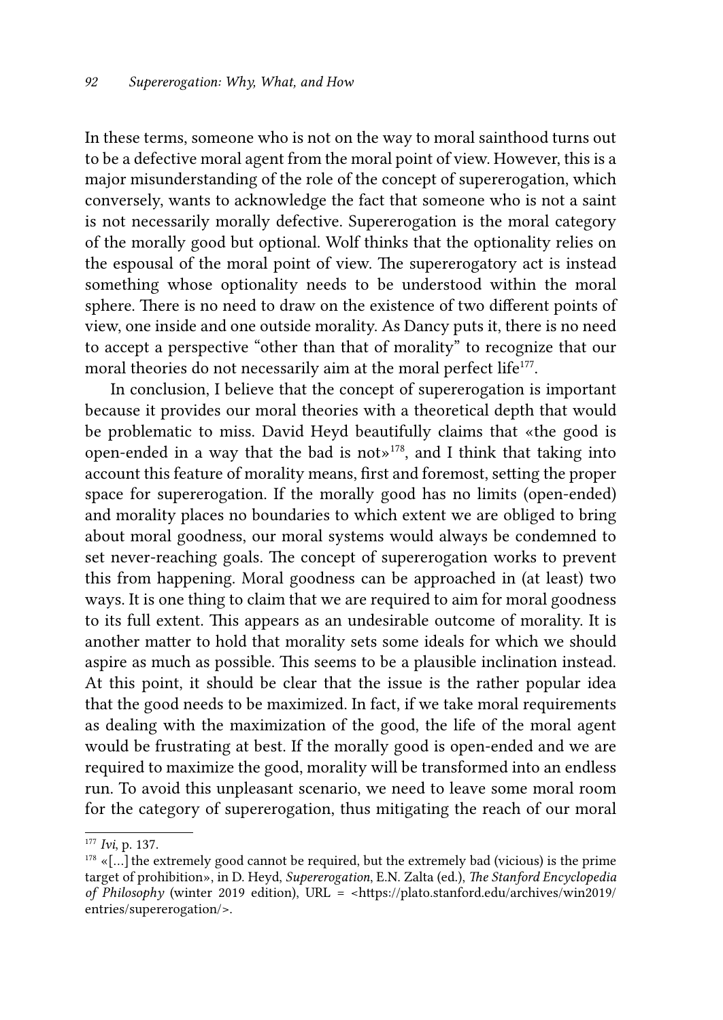In these terms, someone who is not on the way to moral sainthood turns out to be a defective moral agent from the moral point of view. However, this is a major misunderstanding of the role of the concept of supererogation, which conversely, wants to acknowledge the fact that someone who is not a saint is not necessarily morally defective. Supererogation is the moral category of the morally good but optional. Wolf thinks that the optionality relies on the espousal of the moral point of view. The supererogatory act is instead something whose optionality needs to be understood within the moral sphere. There is no need to draw on the existence of two different points of view, one inside and one outside morality. As Dancy puts it, there is no need to accept a perspective "other than that of morality" to recognize that our moral theories do not necessarily aim at the moral perfect life<sup>177</sup>.

In conclusion, I believe that the concept of supererogation is important because it provides our moral theories with a theoretical depth that would be problematic to miss. David Heyd beautifully claims that «the good is open-ended in a way that the bad is not»178, and I think that taking into account this feature of morality means, first and foremost, setting the proper space for supererogation. If the morally good has no limits (open-ended) and morality places no boundaries to which extent we are obliged to bring about moral goodness, our moral systems would always be condemned to set never-reaching goals. The concept of supererogation works to prevent this from happening. Moral goodness can be approached in (at least) two ways. It is one thing to claim that we are required to aim for moral goodness to its full extent. This appears as an undesirable outcome of morality. It is another matter to hold that morality sets some ideals for which we should aspire as much as possible. This seems to be a plausible inclination instead. At this point, it should be clear that the issue is the rather popular idea that the good needs to be maximized. In fact, if we take moral requirements as dealing with the maximization of the good, the life of the moral agent would be frustrating at best. If the morally good is open-ended and we are required to maximize the good, morality will be transformed into an endless run. To avoid this unpleasant scenario, we need to leave some moral room for the category of supererogation, thus mitigating the reach of our moral

<sup>177</sup> *Ivi*, p. 137.

 $178$  «[...] the extremely good cannot be required, but the extremely bad (vicious) is the prime target of prohibition», in D. Heyd, *Supererogation*, E.N. Zalta (ed.), *The Stanford Encyclopedia of Philosophy* (winter 2019 edition), URL = <https://plato.stanford.edu/archives/win2019/ entries/supererogation/>.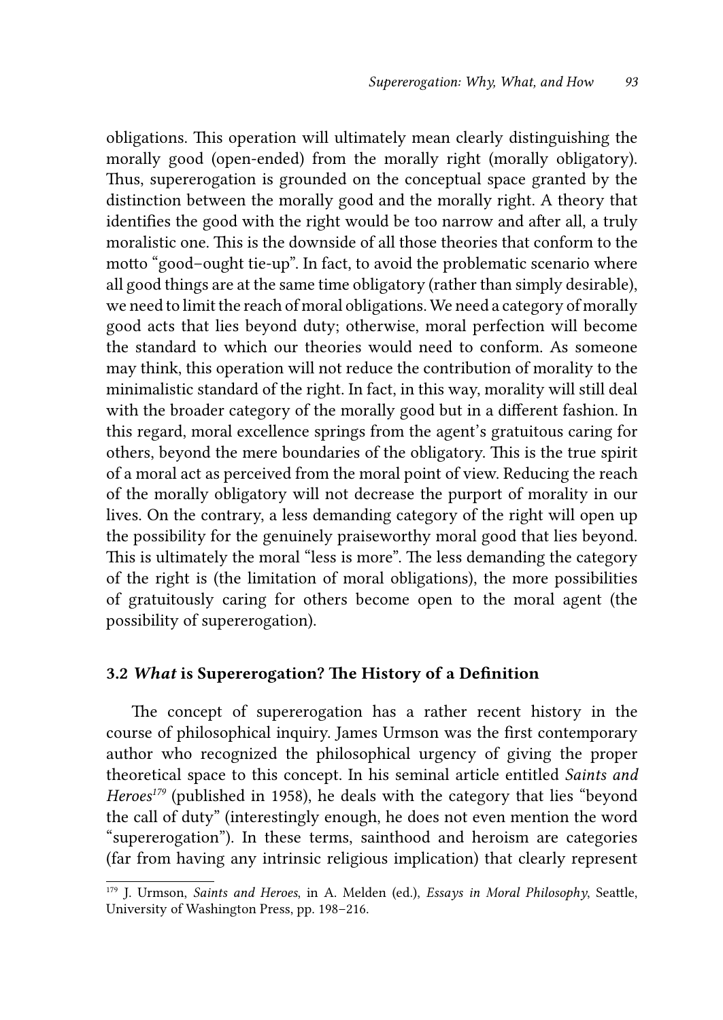obligations. This operation will ultimately mean clearly distinguishing the morally good (open-ended) from the morally right (morally obligatory). Thus, supererogation is grounded on the conceptual space granted by the distinction between the morally good and the morally right. A theory that identifies the good with the right would be too narrow and after all, a truly moralistic one. This is the downside of all those theories that conform to the motto "good–ought tie-up". In fact, to avoid the problematic scenario where all good things are at the same time obligatory (rather than simply desirable), we need to limit the reach of moral obligations. We need a category of morally good acts that lies beyond duty; otherwise, moral perfection will become the standard to which our theories would need to conform. As someone may think, this operation will not reduce the contribution of morality to the minimalistic standard of the right. In fact, in this way, morality will still deal with the broader category of the morally good but in a different fashion. In this regard, moral excellence springs from the agent's gratuitous caring for others, beyond the mere boundaries of the obligatory. This is the true spirit of a moral act as perceived from the moral point of view. Reducing the reach of the morally obligatory will not decrease the purport of morality in our lives. On the contrary, a less demanding category of the right will open up the possibility for the genuinely praiseworthy moral good that lies beyond. This is ultimately the moral "less is more". The less demanding the category of the right is (the limitation of moral obligations), the more possibilities of gratuitously caring for others become open to the moral agent (the possibility of supererogation).

#### 3.2 *What* is Supererogation? The History of a Definition

The concept of supererogation has a rather recent history in the course of philosophical inquiry. James Urmson was the first contemporary author who recognized the philosophical urgency of giving the proper theoretical space to this concept. In his seminal article entitled *Saints and Heroes<sup>179</sup>* (published in 1958), he deals with the category that lies "beyond the call of duty" (interestingly enough, he does not even mention the word "supererogation"). In these terms, sainthood and heroism are categories (far from having any intrinsic religious implication) that clearly represent

<sup>179</sup> J. Urmson, *Saints and Heroes*, in A. Melden (ed.), *Essays in Moral Philosophy*, Seattle, University of Washington Press, pp. 198–216.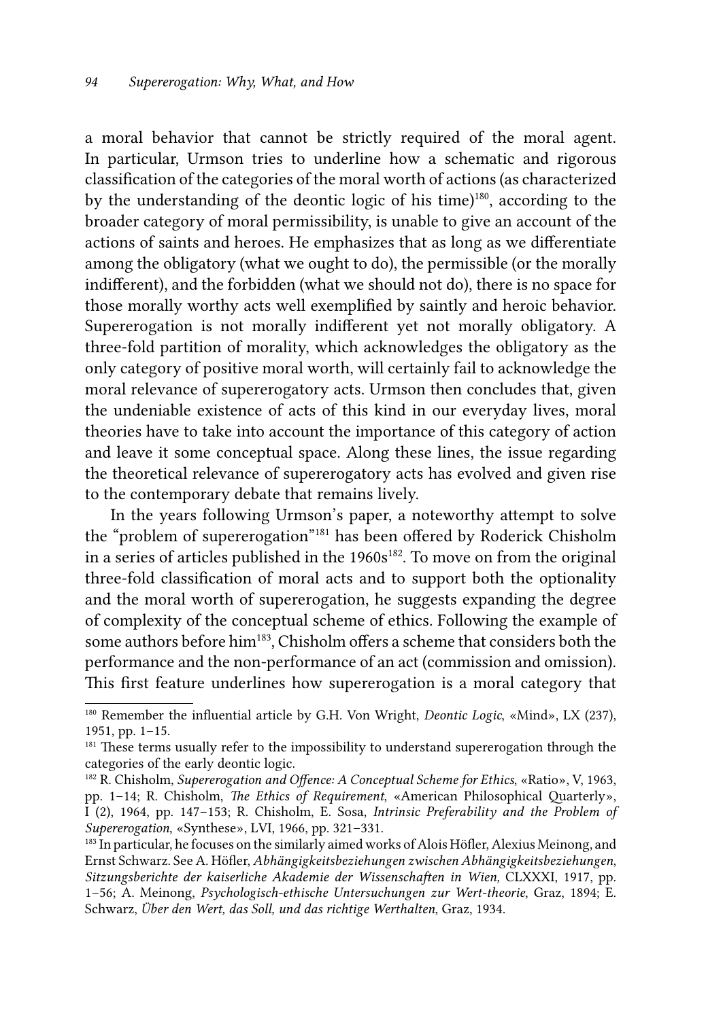a moral behavior that cannot be strictly required of the moral agent. In particular, Urmson tries to underline how a schematic and rigorous classification of the categories of the moral worth of actions (as characterized by the understanding of the deontic logic of his time)180, according to the broader category of moral permissibility, is unable to give an account of the actions of saints and heroes. He emphasizes that as long as we differentiate among the obligatory (what we ought to do), the permissible (or the morally indifferent), and the forbidden (what we should not do), there is no space for those morally worthy acts well exemplified by saintly and heroic behavior. Supererogation is not morally indifferent yet not morally obligatory. A three-fold partition of morality, which acknowledges the obligatory as the only category of positive moral worth, will certainly fail to acknowledge the moral relevance of supererogatory acts. Urmson then concludes that, given the undeniable existence of acts of this kind in our everyday lives, moral theories have to take into account the importance of this category of action and leave it some conceptual space. Along these lines, the issue regarding the theoretical relevance of supererogatory acts has evolved and given rise to the contemporary debate that remains lively.

In the years following Urmson's paper, a noteworthy attempt to solve the "problem of supererogation"181 has been offered by Roderick Chisholm in a series of articles published in the 1960s<sup>182</sup>. To move on from the original three-fold classification of moral acts and to support both the optionality and the moral worth of supererogation, he suggests expanding the degree of complexity of the conceptual scheme of ethics. Following the example of some authors before him<sup>183</sup>, Chisholm offers a scheme that considers both the performance and the non-performance of an act (commission and omission). This first feature underlines how supererogation is a moral category that

<sup>180</sup> Remember the influential article by G.H. Von Wright, *Deontic Logic*, «Mind», LX (237), 1951, pp. 1–15.

<sup>&</sup>lt;sup>181</sup> These terms usually refer to the impossibility to understand supererogation through the categories of the early deontic logic.

<sup>182</sup> R. Chisholm, *Supererogation and Offence: A Conceptual Scheme for Ethics*, «Ratio», V, 1963, pp. 1–14; R. Chisholm, *The Ethics of Requirement*, «American Philosophical Quarterly», I (2), 1964, pp. 147–153; R. Chisholm, E. Sosa, *Intrinsic Preferability and the Problem of Supererogation*, «Synthese», LVI, 1966, pp. 321–331.

<sup>&</sup>lt;sup>183</sup> In particular, he focuses on the similarly aimed works of Alois Höfler, Alexius Meinong, and Ernst Schwarz. See A. Höfler, *Abhängigkeitsbeziehungen zwischen Abhängigkeitsbeziehungen*, *Sitzungsberichte der kaiserliche Akademie der Wissenschaften in Wien,* CLXXXI, 1917, pp. 1–56; A. Meinong, *Psychologisch-ethische Untersuchungen zur Wert-theorie*, Graz, 1894; E. Schwarz, *Über den Wert, das Soll, und das richtige Werthalten*, Graz, 1934.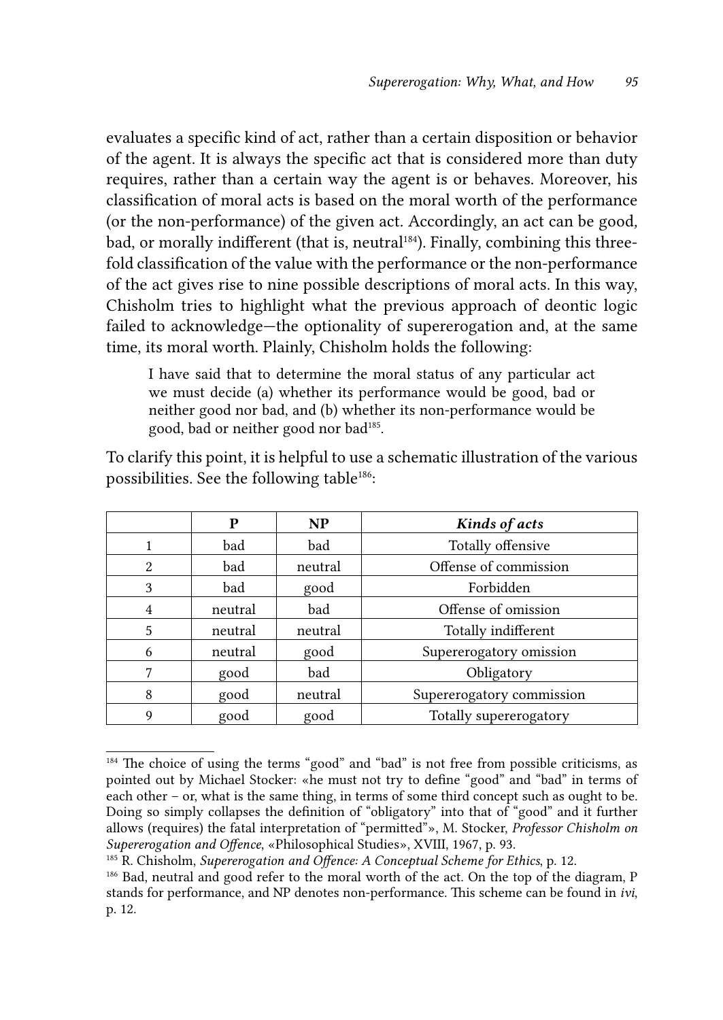evaluates a specific kind of act, rather than a certain disposition or behavior of the agent. It is always the specific act that is considered more than duty requires, rather than a certain way the agent is or behaves. Moreover, his classification of moral acts is based on the moral worth of the performance (or the non-performance) of the given act. Accordingly, an act can be good*,* bad, or morally indifferent (that is, neutral<sup>184</sup>). Finally, combining this threefold classification of the value with the performance or the non-performance of the act gives rise to nine possible descriptions of moral acts. In this way, Chisholm tries to highlight what the previous approach of deontic logic failed to acknowledge—the optionality of supererogation and, at the same time, its moral worth. Plainly, Chisholm holds the following:

I have said that to determine the moral status of any particular act we must decide (a) whether its performance would be good, bad or neither good nor bad, and (b) whether its non-performance would be good, bad or neither good nor bad<sup>185</sup>.

To clarify this point, it is helpful to use a schematic illustration of the various possibilities. See the following table<sup>186</sup>:

|               | P       | NP      | Kinds of acts             |
|---------------|---------|---------|---------------------------|
|               | bad     | bad     | Totally offensive         |
| $\mathcal{L}$ | bad     | neutral | Offense of commission     |
| 3             | bad     | good    | Forbidden                 |
| 4             | neutral | bad     | Offense of omission       |
| 5             | neutral | neutral | Totally indifferent       |
| 6             | neutral | good    | Supererogatory omission   |
|               | good    | bad     | Obligatory                |
| 8             | good    | neutral | Supererogatory commission |
| 9             | good    | good    | Totally supererogatory    |

<sup>&</sup>lt;sup>184</sup> The choice of using the terms "good" and "bad" is not free from possible criticisms, as pointed out by Michael Stocker: «he must not try to define "good" and "bad" in terms of each other – or, what is the same thing, in terms of some third concept such as ought to be. Doing so simply collapses the definition of "obligatory" into that of "good" and it further allows (requires) the fatal interpretation of "permitted"», M. Stocker, *Professor Chisholm on Supererogation and Offence*, «Philosophical Studies», XVIII, 1967, p. 93.

<sup>185</sup> R. Chisholm, *Supererogation and Offence: A Conceptual Scheme for Ethics*, p. 12.

<sup>186</sup> Bad, neutral and good refer to the moral worth of the act. On the top of the diagram, P stands for performance, and NP denotes non-performance. This scheme can be found in *ivi*, p. 12.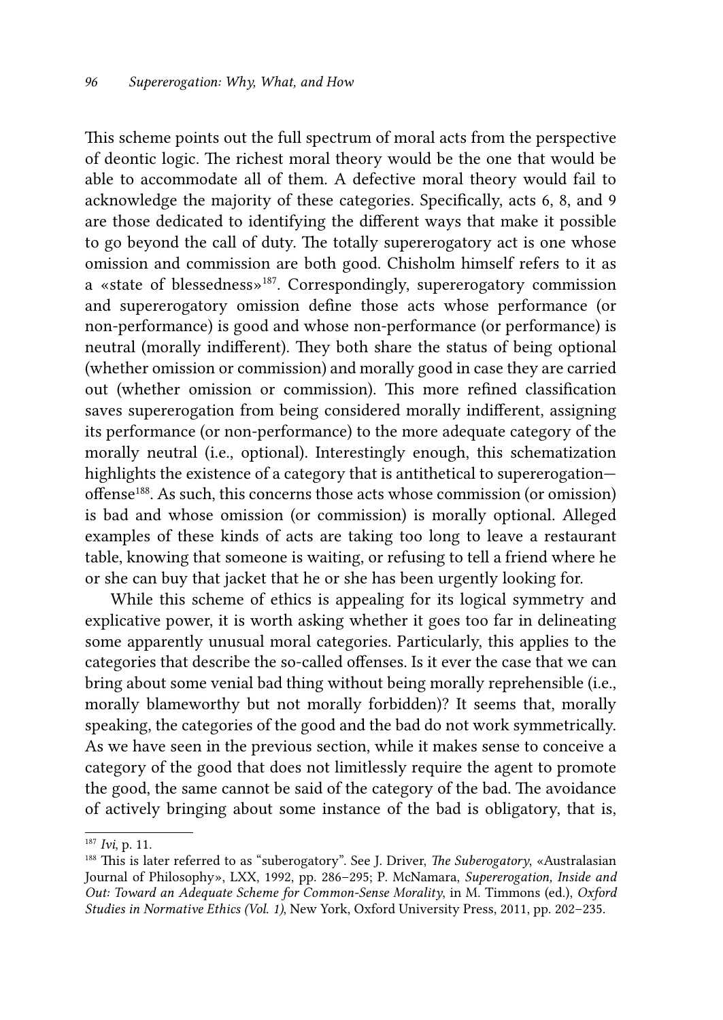This scheme points out the full spectrum of moral acts from the perspective of deontic logic. The richest moral theory would be the one that would be able to accommodate all of them. A defective moral theory would fail to acknowledge the majority of these categories. Specifically, acts 6, 8, and 9 are those dedicated to identifying the different ways that make it possible to go beyond the call of duty. The totally supererogatory act is one whose omission and commission are both good. Chisholm himself refers to it as a «state of blessedness»187. Correspondingly, supererogatory commission and supererogatory omission define those acts whose performance (or non-performance) is good and whose non-performance (or performance) is neutral (morally indifferent). They both share the status of being optional (whether omission or commission) and morally good in case they are carried out (whether omission or commission). This more refined classification saves supererogation from being considered morally indifferent, assigning its performance (or non-performance) to the more adequate category of the morally neutral (i.e., optional). Interestingly enough, this schematization highlights the existence of a category that is antithetical to supererogation offense188. As such, this concerns those acts whose commission (or omission) is bad and whose omission (or commission) is morally optional. Alleged examples of these kinds of acts are taking too long to leave a restaurant table, knowing that someone is waiting, or refusing to tell a friend where he or she can buy that jacket that he or she has been urgently looking for.

While this scheme of ethics is appealing for its logical symmetry and explicative power, it is worth asking whether it goes too far in delineating some apparently unusual moral categories. Particularly, this applies to the categories that describe the so-called offenses. Is it ever the case that we can bring about some venial bad thing without being morally reprehensible (i.e., morally blameworthy but not morally forbidden)? It seems that, morally speaking, the categories of the good and the bad do not work symmetrically. As we have seen in the previous section, while it makes sense to conceive a category of the good that does not limitlessly require the agent to promote the good, the same cannot be said of the category of the bad. The avoidance of actively bringing about some instance of the bad is obligatory, that is,

<sup>187</sup> *Ivi*, p. 11.

<sup>188</sup> This is later referred to as "suberogatory". See J. Driver, *The Suberogatory*, «Australasian Journal of Philosophy», LXX, 1992, pp. 286–295; P. McNamara, *Supererogation, Inside and Out: Toward an Adequate Scheme for Common-Sense Morality*, in M. Timmons (ed.), *Oxford Studies in Normative Ethics (Vol. 1)*, New York, Oxford University Press, 2011, pp. 202–235.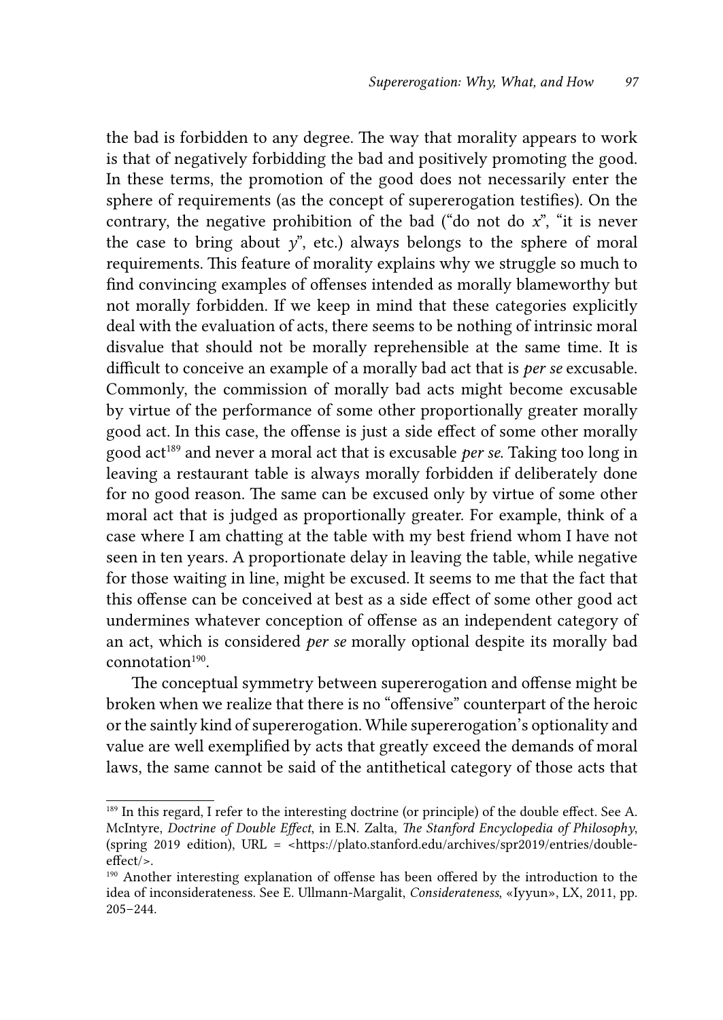the bad is forbidden to any degree. The way that morality appears to work is that of negatively forbidding the bad and positively promoting the good. In these terms, the promotion of the good does not necessarily enter the sphere of requirements (as the concept of supererogation testifies). On the contrary, the negative prohibition of the bad ("do not do *x*", "it is never the case to bring about  $y$ <sup>"</sup>, etc.) always belongs to the sphere of moral requirements. This feature of morality explains why we struggle so much to find convincing examples of offenses intended as morally blameworthy but not morally forbidden. If we keep in mind that these categories explicitly deal with the evaluation of acts, there seems to be nothing of intrinsic moral disvalue that should not be morally reprehensible at the same time. It is difficult to conceive an example of a morally bad act that is *per se* excusable. Commonly, the commission of morally bad acts might become excusable by virtue of the performance of some other proportionally greater morally good act. In this case, the offense is just a side effect of some other morally good act189 and never a moral act that is excusable *per se*. Taking too long in leaving a restaurant table is always morally forbidden if deliberately done for no good reason. The same can be excused only by virtue of some other moral act that is judged as proportionally greater. For example, think of a case where I am chatting at the table with my best friend whom I have not seen in ten years. A proportionate delay in leaving the table, while negative for those waiting in line, might be excused. It seems to me that the fact that this offense can be conceived at best as a side effect of some other good act undermines whatever conception of offense as an independent category of an act, which is considered *per se* morally optional despite its morally bad  $connotation<sup>190</sup>$ 

The conceptual symmetry between supererogation and offense might be broken when we realize that there is no "offensive" counterpart of the heroic or the saintly kind of supererogation. While supererogation's optionality and value are well exemplified by acts that greatly exceed the demands of moral laws, the same cannot be said of the antithetical category of those acts that

<sup>&</sup>lt;sup>189</sup> In this regard, I refer to the interesting doctrine (or principle) of the double effect. See A. McIntyre, *Doctrine of Double Effect*, in E.N. Zalta, *The Stanford Encyclopedia of Philosophy*, (spring 2019 edition), URL = <https://plato.stanford.edu/archives/spr2019/entries/doubleeffect/>.

<sup>190</sup> Another interesting explanation of offense has been offered by the introduction to the idea of inconsiderateness. See E. Ullmann-Margalit, *Considerateness*, «Iyyun», LX, 2011, pp. 205–244.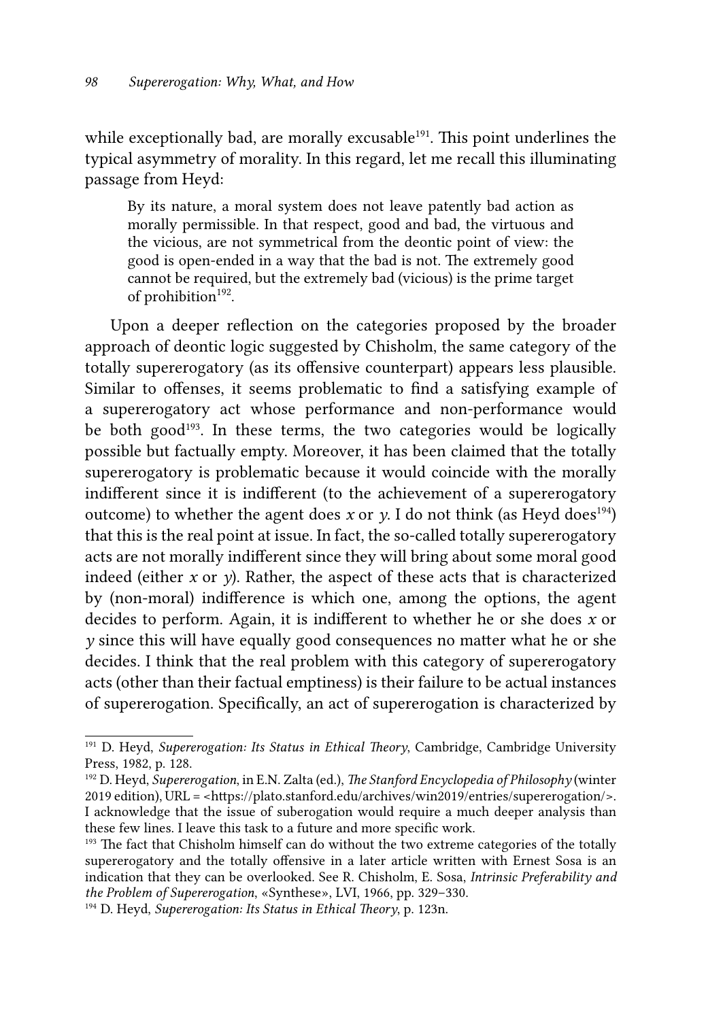while exceptionally bad, are morally excusable<sup>191</sup>. This point underlines the typical asymmetry of morality. In this regard, let me recall this illuminating passage from Heyd:

By its nature, a moral system does not leave patently bad action as morally permissible. In that respect, good and bad, the virtuous and the vicious, are not symmetrical from the deontic point of view: the good is open-ended in a way that the bad is not. The extremely good cannot be required, but the extremely bad (vicious) is the prime target of prohibition<sup>192</sup>.

Upon a deeper reflection on the categories proposed by the broader approach of deontic logic suggested by Chisholm, the same category of the totally supererogatory (as its offensive counterpart) appears less plausible. Similar to offenses, it seems problematic to find a satisfying example of a supererogatory act whose performance and non-performance would be both good<sup>193</sup>. In these terms, the two categories would be logically possible but factually empty. Moreover, it has been claimed that the totally supererogatory is problematic because it would coincide with the morally indifferent since it is indifferent (to the achievement of a supererogatory outcome) to whether the agent does *x* or *y*. I do not think (as Heyd does<sup>194</sup>) that this is the real point at issue. In fact, the so-called totally supererogatory acts are not morally indifferent since they will bring about some moral good indeed (either  $x$  or  $y$ ). Rather, the aspect of these acts that is characterized by (non-moral) indifference is which one, among the options, the agent decides to perform. Again, it is indifferent to whether he or she does *x* or *y* since this will have equally good consequences no matter what he or she decides. I think that the real problem with this category of supererogatory acts (other than their factual emptiness) is their failure to be actual instances of supererogation. Specifically, an act of supererogation is characterized by

<sup>191</sup> D. Heyd, *Supererogation: Its Status in Ethical Theory*, Cambridge, Cambridge University Press, 1982, p. 128.

<sup>192</sup> D. Heyd, *Supererogation*, in E.N. Zalta (ed.), *The Stanford Encyclopedia of Philosophy* (winter 2019 edition), URL = <https://plato.stanford.edu/archives/win2019/entries/supererogation/>. I acknowledge that the issue of suberogation would require a much deeper analysis than these few lines. I leave this task to a future and more specific work.

<sup>&</sup>lt;sup>193</sup> The fact that Chisholm himself can do without the two extreme categories of the totally supererogatory and the totally offensive in a later article written with Ernest Sosa is an indication that they can be overlooked. See R. Chisholm, E. Sosa, *Intrinsic Preferability and the Problem of Supererogation*, «Synthese», LVI, 1966, pp. 329–330.

<sup>194</sup> D. Heyd, *Supererogation: Its Status in Ethical Theory*, p. 123n.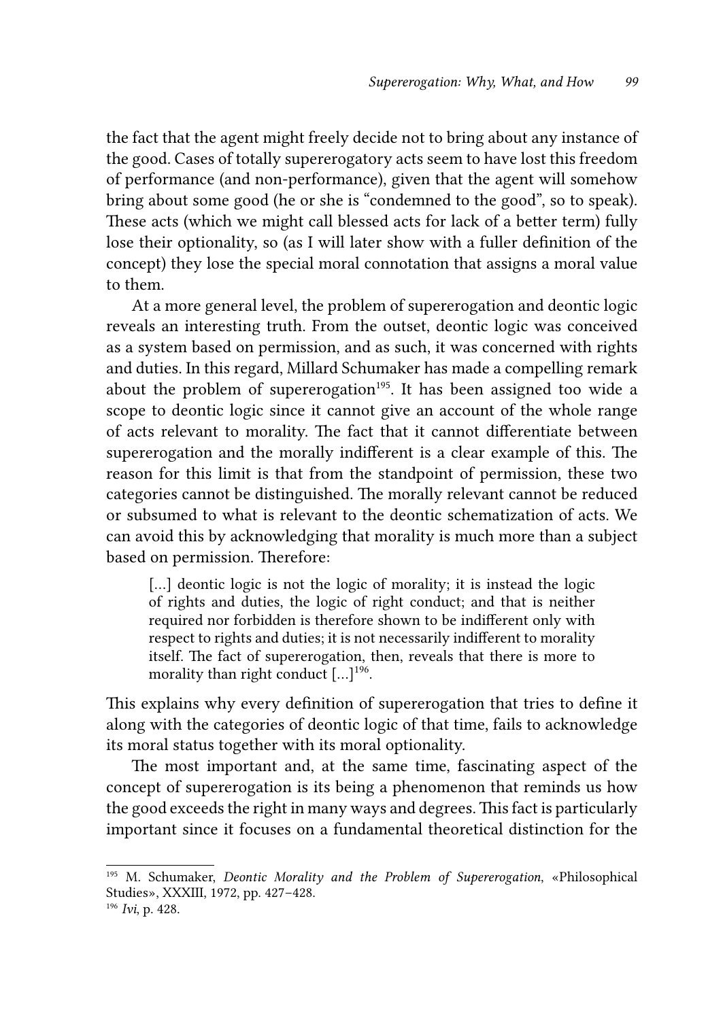the fact that the agent might freely decide not to bring about any instance of the good. Cases of totally supererogatory acts seem to have lost this freedom of performance (and non-performance), given that the agent will somehow bring about some good (he or she is "condemned to the good", so to speak). These acts (which we might call blessed acts for lack of a better term) fully lose their optionality, so (as I will later show with a fuller definition of the concept) they lose the special moral connotation that assigns a moral value to them.

At a more general level, the problem of supererogation and deontic logic reveals an interesting truth. From the outset, deontic logic was conceived as a system based on permission, and as such, it was concerned with rights and duties. In this regard, Millard Schumaker has made a compelling remark about the problem of supererogation<sup>195</sup>. It has been assigned too wide a scope to deontic logic since it cannot give an account of the whole range of acts relevant to morality. The fact that it cannot differentiate between supererogation and the morally indifferent is a clear example of this. The reason for this limit is that from the standpoint of permission, these two categories cannot be distinguished. The morally relevant cannot be reduced or subsumed to what is relevant to the deontic schematization of acts. We can avoid this by acknowledging that morality is much more than a subject based on permission. Therefore:

[...] deontic logic is not the logic of morality; it is instead the logic of rights and duties, the logic of right conduct; and that is neither required nor forbidden is therefore shown to be indifferent only with respect to rights and duties; it is not necessarily indifferent to morality itself. The fact of supererogation, then, reveals that there is more to morality than right conduct  $[\dots]^{196}$ .

This explains why every definition of supererogation that tries to define it along with the categories of deontic logic of that time, fails to acknowledge its moral status together with its moral optionality.

The most important and, at the same time, fascinating aspect of the concept of supererogation is its being a phenomenon that reminds us how the good exceeds the right in many ways and degrees. This fact is particularly important since it focuses on a fundamental theoretical distinction for the

<sup>195</sup> M. Schumaker, *Deontic Morality and the Problem of Supererogation*, «Philosophical Studies», XXXIII, 1972, pp. 427–428.

<sup>196</sup> *Ivi*, p. 428.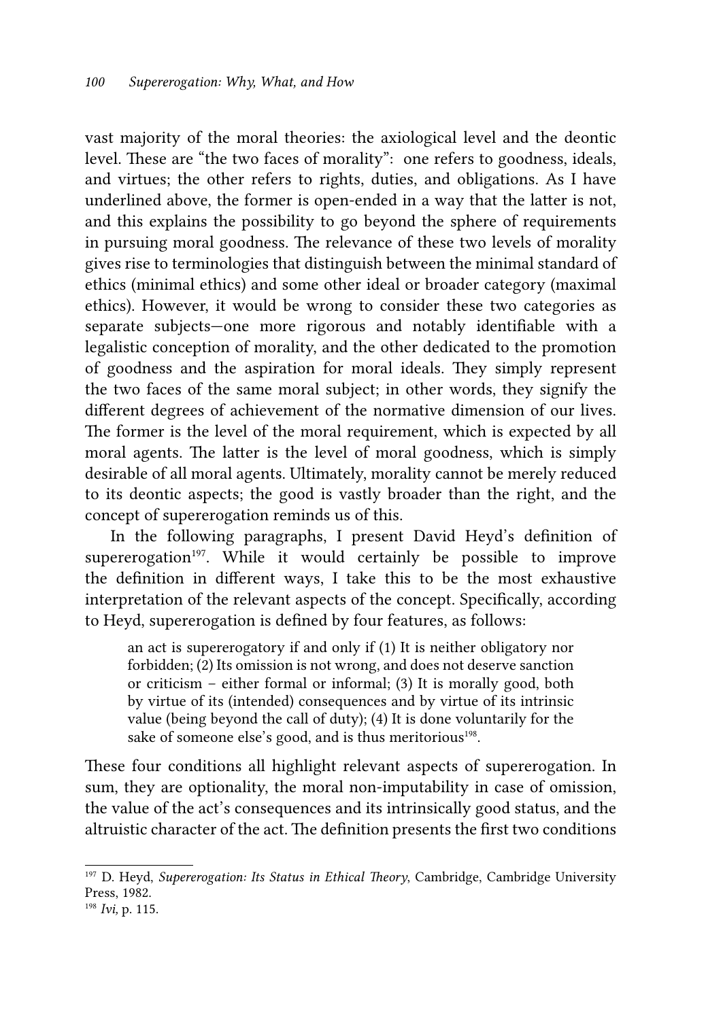vast majority of the moral theories: the axiological level and the deontic level. These are "the two faces of morality": one refers to goodness, ideals, and virtues; the other refers to rights, duties, and obligations. As I have underlined above, the former is open-ended in a way that the latter is not, and this explains the possibility to go beyond the sphere of requirements in pursuing moral goodness. The relevance of these two levels of morality gives rise to terminologies that distinguish between the minimal standard of ethics (minimal ethics) and some other ideal or broader category (maximal ethics). However, it would be wrong to consider these two categories as separate subjects—one more rigorous and notably identifiable with a legalistic conception of morality, and the other dedicated to the promotion of goodness and the aspiration for moral ideals. They simply represent the two faces of the same moral subject; in other words, they signify the different degrees of achievement of the normative dimension of our lives. The former is the level of the moral requirement, which is expected by all moral agents. The latter is the level of moral goodness, which is simply desirable of all moral agents. Ultimately, morality cannot be merely reduced to its deontic aspects; the good is vastly broader than the right, and the concept of supererogation reminds us of this.

In the following paragraphs, I present David Heyd's definition of supererogation<sup>197</sup>. While it would certainly be possible to improve the definition in different ways, I take this to be the most exhaustive interpretation of the relevant aspects of the concept. Specifically, according to Heyd, supererogation is defined by four features, as follows:

an act is supererogatory if and only if (1) It is neither obligatory nor forbidden; (2) Its omission is not wrong, and does not deserve sanction or criticism – either formal or informal; (3) It is morally good, both by virtue of its (intended) consequences and by virtue of its intrinsic value (being beyond the call of duty); (4) It is done voluntarily for the sake of someone else's good, and is thus meritorious<sup>198</sup>.

These four conditions all highlight relevant aspects of supererogation. In sum, they are optionality, the moral non-imputability in case of omission, the value of the act's consequences and its intrinsically good status, and the altruistic character of the act. The definition presents the first two conditions

<sup>197</sup> D. Heyd, *Supererogation: Its Status in Ethical Theory*, Cambridge, Cambridge University Press, 1982.

<sup>198</sup> *Ivi,* p. 115.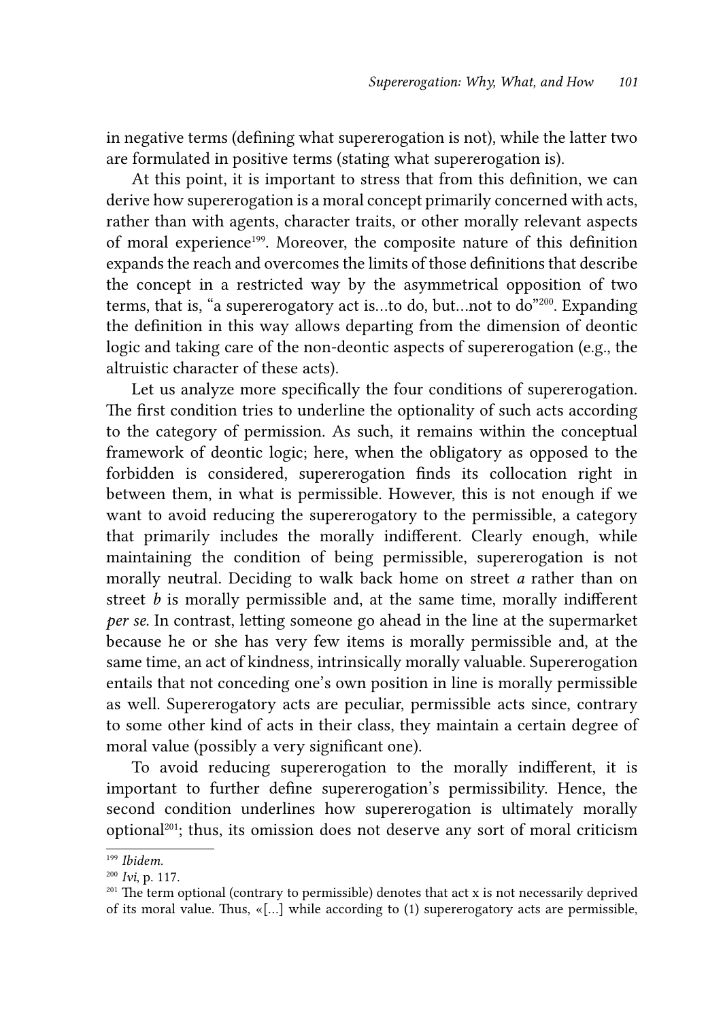in negative terms (defining what supererogation is not), while the latter two are formulated in positive terms (stating what supererogation is).

At this point, it is important to stress that from this definition, we can derive how supererogation is a moral concept primarily concerned with acts, rather than with agents, character traits, or other morally relevant aspects of moral experience<sup>199</sup>. Moreover, the composite nature of this definition expands the reach and overcomes the limits of those definitions that describe the concept in a restricted way by the asymmetrical opposition of two terms, that is, "a supererogatory act is…to do, but…not to do"200. Expanding the definition in this way allows departing from the dimension of deontic logic and taking care of the non-deontic aspects of supererogation (e.g., the altruistic character of these acts).

Let us analyze more specifically the four conditions of supererogation. The first condition tries to underline the optionality of such acts according to the category of permission. As such, it remains within the conceptual framework of deontic logic; here, when the obligatory as opposed to the forbidden is considered, supererogation finds its collocation right in between them, in what is permissible. However, this is not enough if we want to avoid reducing the supererogatory to the permissible, a category that primarily includes the morally indifferent. Clearly enough, while maintaining the condition of being permissible, supererogation is not morally neutral. Deciding to walk back home on street *a* rather than on street *b* is morally permissible and, at the same time, morally indifferent *per se*. In contrast, letting someone go ahead in the line at the supermarket because he or she has very few items is morally permissible and, at the same time, an act of kindness, intrinsically morally valuable. Supererogation entails that not conceding one's own position in line is morally permissible as well. Supererogatory acts are peculiar, permissible acts since, contrary to some other kind of acts in their class, they maintain a certain degree of moral value (possibly a very significant one).

To avoid reducing supererogation to the morally indifferent, it is important to further define supererogation's permissibility. Hence, the second condition underlines how supererogation is ultimately morally optional201; thus, its omission does not deserve any sort of moral criticism

<sup>199</sup> *Ibidem*.

<sup>200</sup> *Ivi*, p. 117.

<sup>&</sup>lt;sup>201</sup> The term optional (contrary to permissible) denotes that act x is not necessarily deprived of its moral value. Thus, «[…] while according to (1) supererogatory acts are permissible,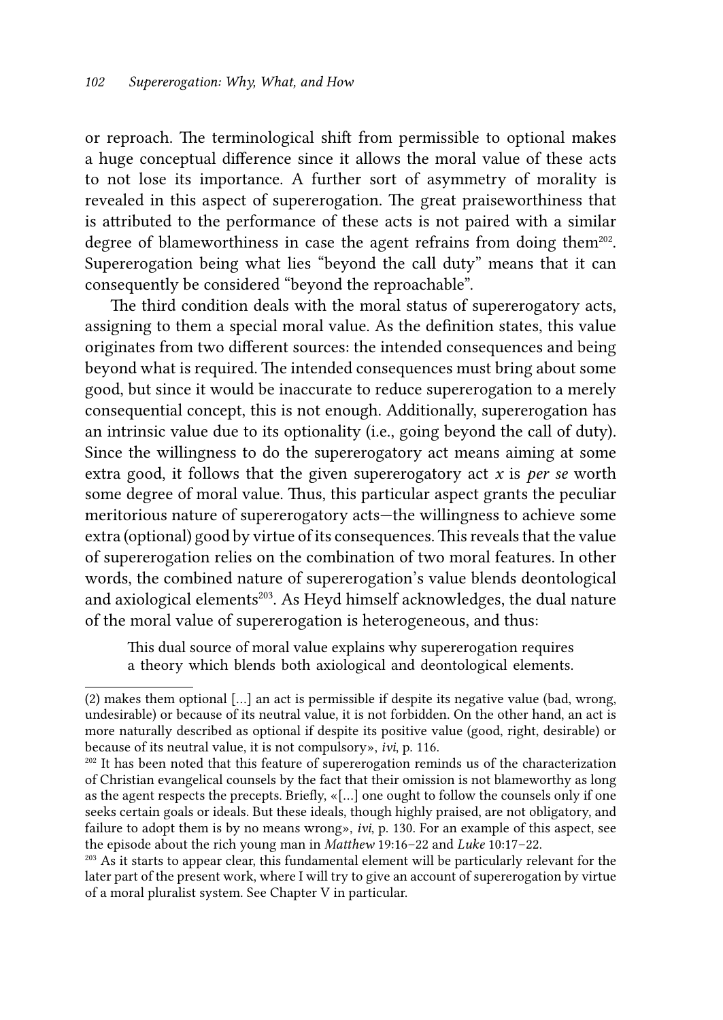or reproach. The terminological shift from permissible to optional makes a huge conceptual difference since it allows the moral value of these acts to not lose its importance. A further sort of asymmetry of morality is revealed in this aspect of supererogation. The great praiseworthiness that is attributed to the performance of these acts is not paired with a similar degree of blameworthiness in case the agent refrains from doing them<sup>202</sup>. Supererogation being what lies "beyond the call duty" means that it can consequently be considered "beyond the reproachable".

The third condition deals with the moral status of supererogatory acts, assigning to them a special moral value. As the definition states, this value originates from two different sources: the intended consequences and being beyond what is required. The intended consequences must bring about some good, but since it would be inaccurate to reduce supererogation to a merely consequential concept, this is not enough. Additionally, supererogation has an intrinsic value due to its optionality (i.e., going beyond the call of duty). Since the willingness to do the supererogatory act means aiming at some extra good, it follows that the given supererogatory act *x* is *per se* worth some degree of moral value. Thus, this particular aspect grants the peculiar meritorious nature of supererogatory acts—the willingness to achieve some extra (optional) good by virtue of its consequences. This reveals that the value of supererogation relies on the combination of two moral features. In other words, the combined nature of supererogation's value blends deontological and axiological elements<sup>203</sup>. As Heyd himself acknowledges, the dual nature of the moral value of supererogation is heterogeneous, and thus:

This dual source of moral value explains why supererogation requires a theory which blends both axiological and deontological elements.

<sup>(2)</sup> makes them optional […] an act is permissible if despite its negative value (bad, wrong, undesirable) or because of its neutral value, it is not forbidden. On the other hand, an act is more naturally described as optional if despite its positive value (good, right, desirable) or because of its neutral value, it is not compulsory», *ivi*, p. 116.

<sup>&</sup>lt;sup>202</sup> It has been noted that this feature of supererogation reminds us of the characterization of Christian evangelical counsels by the fact that their omission is not blameworthy as long as the agent respects the precepts. Briefly, «[…] one ought to follow the counsels only if one seeks certain goals or ideals. But these ideals, though highly praised, are not obligatory, and failure to adopt them is by no means wrong», *ivi*, p. 130. For an example of this aspect, see the episode about the rich young man in *Matthew* 19:16–22 and *Luke* 10:17–22.<br><sup>203</sup> As it starts to appear clear, this fundamental element will be particularly relevant for the

later part of the present work, where I will try to give an account of supererogation by virtue of a moral pluralist system. See Chapter V in particular.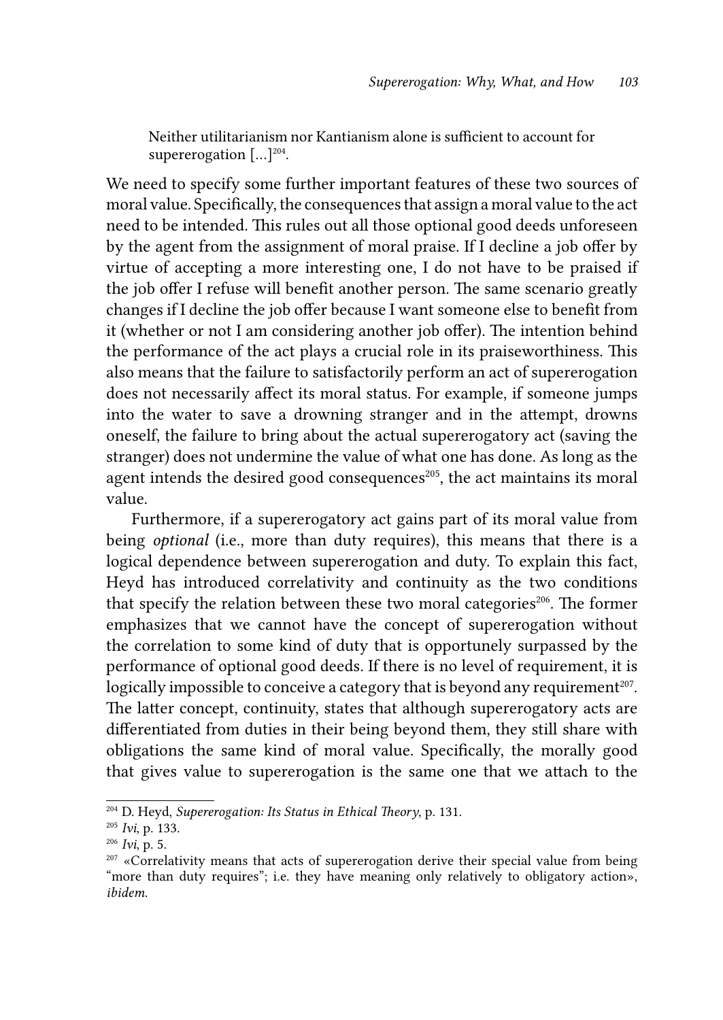Neither utilitarianism nor Kantianism alone is sufficient to account for supererogation  $[\dots]^{204}$ .

We need to specify some further important features of these two sources of moral value. Specifically, the consequences that assign a moral value to the act need to be intended. This rules out all those optional good deeds unforeseen by the agent from the assignment of moral praise. If I decline a job offer by virtue of accepting a more interesting one, I do not have to be praised if the job offer I refuse will benefit another person. The same scenario greatly changes if I decline the job offer because I want someone else to benefit from it (whether or not I am considering another job offer). The intention behind the performance of the act plays a crucial role in its praiseworthiness. This also means that the failure to satisfactorily perform an act of supererogation does not necessarily affect its moral status. For example, if someone jumps into the water to save a drowning stranger and in the attempt, drowns oneself, the failure to bring about the actual supererogatory act (saving the stranger) does not undermine the value of what one has done. As long as the agent intends the desired good consequences<sup>205</sup>, the act maintains its moral value.

Furthermore, if a supererogatory act gains part of its moral value from being *optional* (i.e., more than duty requires), this means that there is a logical dependence between supererogation and duty. To explain this fact, Heyd has introduced correlativity and continuity as the two conditions that specify the relation between these two moral categories<sup>206</sup>. The former emphasizes that we cannot have the concept of supererogation without the correlation to some kind of duty that is opportunely surpassed by the performance of optional good deeds. If there is no level of requirement, it is logically impossible to conceive a category that is beyond any requirement<sup>207</sup>. The latter concept, continuity, states that although supererogatory acts are differentiated from duties in their being beyond them, they still share with obligations the same kind of moral value. Specifically, the morally good that gives value to supererogation is the same one that we attach to the

<sup>204</sup> D. Heyd, *Supererogation: Its Status in Ethical Theory*, p. 131.

<sup>205</sup> *Ivi*, p. 133.

<sup>206</sup> *Ivi*, p. 5.

<sup>&</sup>lt;sup>207</sup> «Correlativity means that acts of supererogation derive their special value from being "more than duty requires"; i.e. they have meaning only relatively to obligatory action», *ibidem*.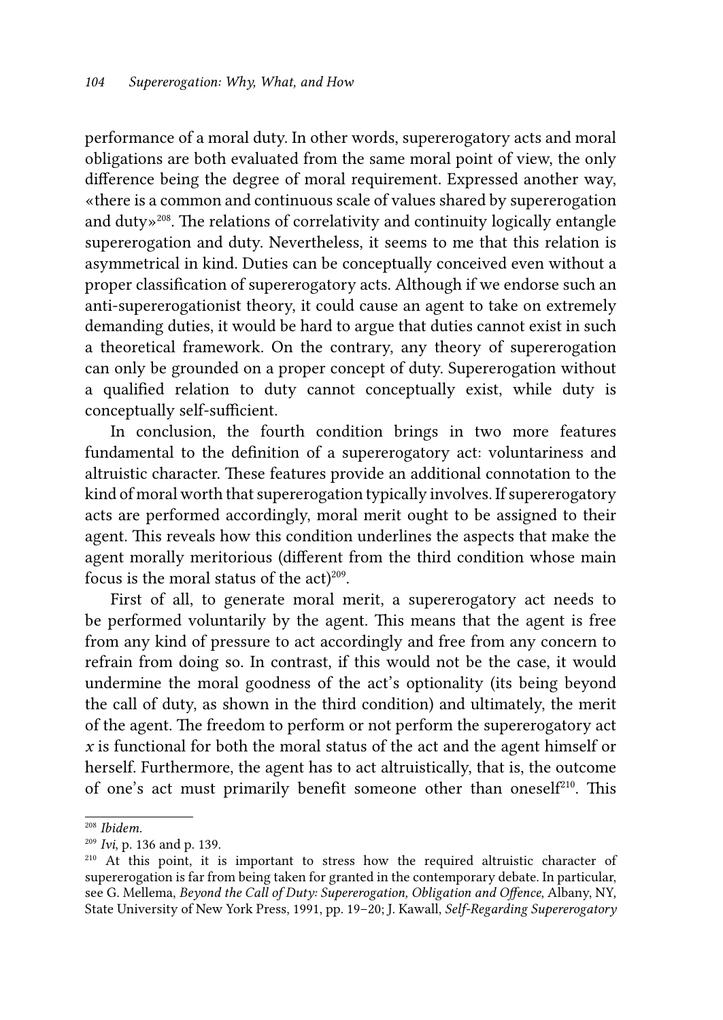performance of a moral duty. In other words, supererogatory acts and moral obligations are both evaluated from the same moral point of view, the only difference being the degree of moral requirement. Expressed another way, «there is a common and continuous scale of values shared by supererogation and duty»208. The relations of correlativity and continuity logically entangle supererogation and duty. Nevertheless, it seems to me that this relation is asymmetrical in kind. Duties can be conceptually conceived even without a proper classification of supererogatory acts. Although if we endorse such an anti-supererogationist theory, it could cause an agent to take on extremely demanding duties, it would be hard to argue that duties cannot exist in such a theoretical framework. On the contrary, any theory of supererogation can only be grounded on a proper concept of duty. Supererogation without a qualified relation to duty cannot conceptually exist, while duty is conceptually self-sufficient.

In conclusion, the fourth condition brings in two more features fundamental to the definition of a supererogatory act: voluntariness and altruistic character. These features provide an additional connotation to the kind of moral worth that supererogation typically involves. If supererogatory acts are performed accordingly, moral merit ought to be assigned to their agent. This reveals how this condition underlines the aspects that make the agent morally meritorious (different from the third condition whose main focus is the moral status of the  $act)^{209}$ .

First of all, to generate moral merit, a supererogatory act needs to be performed voluntarily by the agent. This means that the agent is free from any kind of pressure to act accordingly and free from any concern to refrain from doing so. In contrast, if this would not be the case, it would undermine the moral goodness of the act's optionality (its being beyond the call of duty, as shown in the third condition) and ultimately, the merit of the agent. The freedom to perform or not perform the supererogatory act *x* is functional for both the moral status of the act and the agent himself or herself. Furthermore, the agent has to act altruistically, that is, the outcome of one's act must primarily benefit someone other than oneself210. This

<sup>208</sup> *Ibidem.*

<sup>209</sup> *Ivi*, p. 136 and p. 139.

<sup>210</sup> At this point, it is important to stress how the required altruistic character of supererogation is far from being taken for granted in the contemporary debate. In particular, see G. Mellema, *Beyond the Call of Duty: Supererogation, Obligation and Offence*, Albany, NY, State University of New York Press, 1991, pp. 19–20; J. Kawall, *Self-Regarding Supererogatory*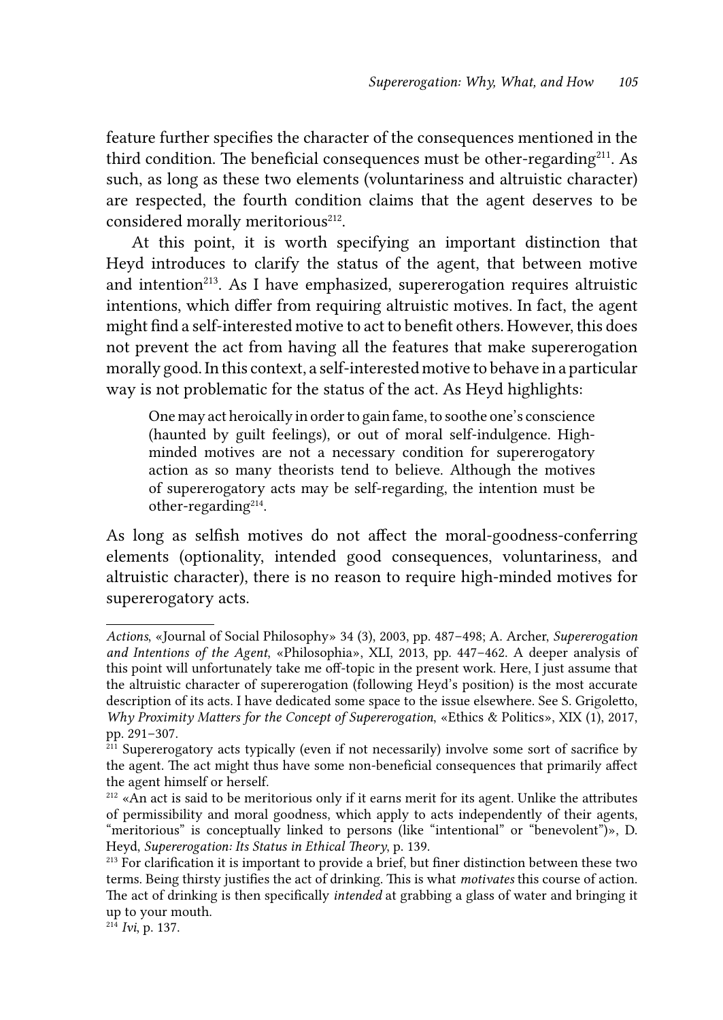feature further specifies the character of the consequences mentioned in the third condition. The beneficial consequences must be other-regarding<sup>211</sup>. As such, as long as these two elements (voluntariness and altruistic character) are respected, the fourth condition claims that the agent deserves to be considered morally meritorious<sup>212</sup>.

At this point, it is worth specifying an important distinction that Heyd introduces to clarify the status of the agent, that between motive and intention $213$ . As I have emphasized, supererogation requires altruistic intentions, which differ from requiring altruistic motives. In fact, the agent might find a self-interested motive to act to benefit others. However, this does not prevent the act from having all the features that make supererogation morally good. In this context, a self-interested motive to behave in a particular way is not problematic for the status of the act. As Heyd highlights:

One may act heroically in order to gain fame, to soothe one's conscience (haunted by guilt feelings), or out of moral self-indulgence. Highminded motives are not a necessary condition for supererogatory action as so many theorists tend to believe. Although the motives of supererogatory acts may be self-regarding, the intention must be other-regarding<sup>214</sup>.

As long as selfish motives do not affect the moral-goodness-conferring elements (optionality, intended good consequences, voluntariness, and altruistic character), there is no reason to require high-minded motives for supererogatory acts.

*Actions*, «Journal of Social Philosophy» 34 (3), 2003, pp. 487–498; A. Archer, *Supererogation and Intentions of the Agent*, «Philosophia», XLI, 2013, pp. 447–462. A deeper analysis of this point will unfortunately take me off-topic in the present work. Here, I just assume that the altruistic character of supererogation (following Heyd's position) is the most accurate description of its acts. I have dedicated some space to the issue elsewhere. See S. Grigoletto, *Why Proximity Matters for the Concept of Supererogation*, «Ethics & Politics», XIX (1), 2017, pp. 291–307.

<sup>&</sup>lt;sup>211</sup> Supererogatory acts typically (even if not necessarily) involve some sort of sacrifice by the agent. The act might thus have some non-beneficial consequences that primarily affect the agent himself or herself.

<sup>&</sup>lt;sup>212</sup> «An act is said to be meritorious only if it earns merit for its agent. Unlike the attributes of permissibility and moral goodness, which apply to acts independently of their agents, "meritorious" is conceptually linked to persons (like "intentional" or "benevolent")», D. Heyd, *Supererogation: Its Status in Ethical Theory*, p. 139.

<sup>&</sup>lt;sup>213</sup> For clarification it is important to provide a brief, but finer distinction between these two terms. Being thirsty justifies the act of drinking. This is what *motivates* this course of action. The act of drinking is then specifically *intended* at grabbing a glass of water and bringing it up to your mouth.

<sup>214</sup> *Ivi*, p. 137.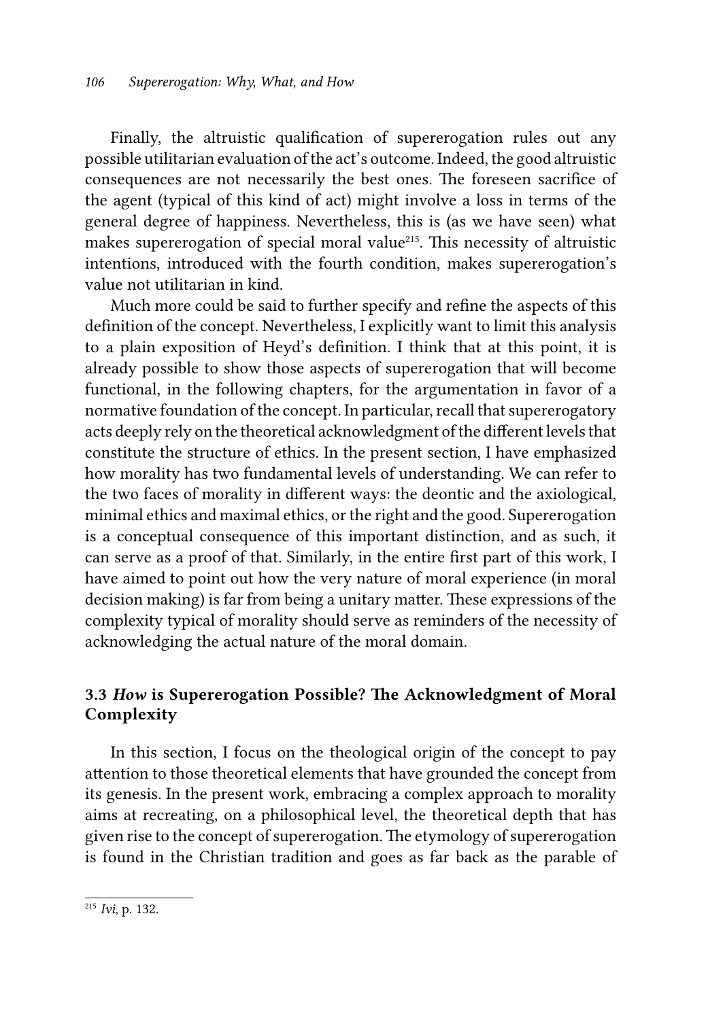Finally, the altruistic qualification of supererogation rules out any possible utilitarian evaluation of the act's outcome. Indeed, the good altruistic consequences are not necessarily the best ones. The foreseen sacrifice of the agent (typical of this kind of act) might involve a loss in terms of the general degree of happiness. Nevertheless, this is (as we have seen) what makes supererogation of special moral value<sup>215</sup>. This necessity of altruistic intentions, introduced with the fourth condition, makes supererogation's value not utilitarian in kind.

Much more could be said to further specify and refine the aspects of this definition of the concept. Nevertheless, I explicitly want to limit this analysis to a plain exposition of Heyd's definition. I think that at this point, it is already possible to show those aspects of supererogation that will become functional, in the following chapters, for the argumentation in favor of a normative foundation of the concept. In particular, recall that supererogatory acts deeply rely on the theoretical acknowledgment of the different levels that constitute the structure of ethics. In the present section, I have emphasized how morality has two fundamental levels of understanding. We can refer to the two faces of morality in different ways: the deontic and the axiological, minimal ethics and maximal ethics, or the right and the good. Supererogation is a conceptual consequence of this important distinction, and as such, it can serve as a proof of that. Similarly, in the entire first part of this work, I have aimed to point out how the very nature of moral experience (in moral decision making) is far from being a unitary matter. These expressions of the complexity typical of morality should serve as reminders of the necessity of acknowledging the actual nature of the moral domain.

### 3.3 *How* is Supererogation Possible? The Acknowledgment of Moral Complexity

In this section, I focus on the theological origin of the concept to pay attention to those theoretical elements that have grounded the concept from its genesis. In the present work, embracing a complex approach to morality aims at recreating, on a philosophical level, the theoretical depth that has given rise to the concept of supererogation. The etymology of supererogation is found in the Christian tradition and goes as far back as the parable of

<sup>215</sup> *Ivi*, p. 132.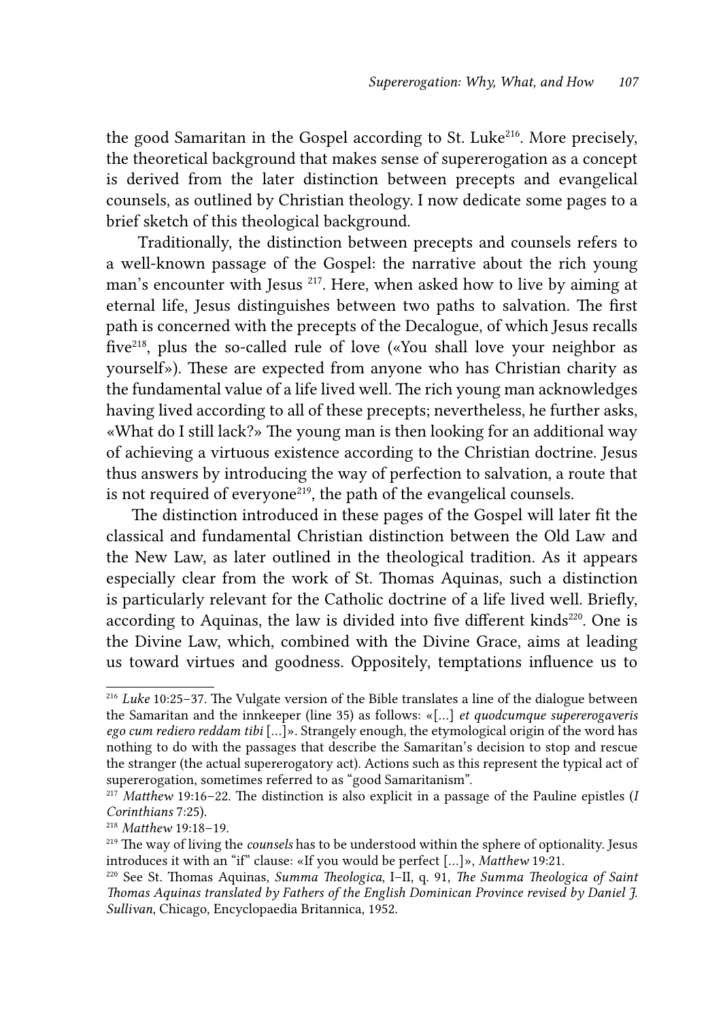the good Samaritan in the Gospel according to St. Luke<sup>216</sup>. More precisely, the theoretical background that makes sense of supererogation as a concept is derived from the later distinction between precepts and evangelical counsels, as outlined by Christian theology. I now dedicate some pages to a brief sketch of this theological background.

 Traditionally, the distinction between precepts and counsels refers to a well-known passage of the Gospel: the narrative about the rich young man's encounter with Jesus 217. Here, when asked how to live by aiming at eternal life, Jesus distinguishes between two paths to salvation. The first path is concerned with the precepts of the Decalogue, of which Jesus recalls five218, plus the so-called rule of love («You shall love your neighbor as yourself»). These are expected from anyone who has Christian charity as the fundamental value of a life lived well. The rich young man acknowledges having lived according to all of these precepts; nevertheless, he further asks, «What do I still lack?» The young man is then looking for an additional way of achieving a virtuous existence according to the Christian doctrine. Jesus thus answers by introducing the way of perfection to salvation, a route that is not required of everyone<sup>219</sup>, the path of the evangelical counsels.

The distinction introduced in these pages of the Gospel will later fit the classical and fundamental Christian distinction between the Old Law and the New Law, as later outlined in the theological tradition. As it appears especially clear from the work of St. Thomas Aquinas, such a distinction is particularly relevant for the Catholic doctrine of a life lived well. Briefly, according to Aquinas, the law is divided into five different kinds<sup>220</sup>. One is the Divine Law, which, combined with the Divine Grace, aims at leading us toward virtues and goodness. Oppositely, temptations influence us to

<sup>216</sup> *Luke* 10:25–37. The Vulgate version of the Bible translates a line of the dialogue between the Samaritan and the innkeeper (line 35) as follows: «[…] *et quodcumque supererogaveris ego cum rediero reddam tibi* […]». Strangely enough, the etymological origin of the word has nothing to do with the passages that describe the Samaritan's decision to stop and rescue the stranger (the actual supererogatory act). Actions such as this represent the typical act of supererogation, sometimes referred to as "good Samaritanism".

<sup>217</sup> *Matthew* 19:16–22. The distinction is also explicit in a passage of the Pauline epistles (*I Corinthians* 7:25).

<sup>218</sup> *Matthew* 19:18–19.

<sup>&</sup>lt;sup>219</sup> The way of living the *counsels* has to be understood within the sphere of optionality. Jesus introduces it with an "if" clause: «If you would be perfect  $[...]$ », *Matthew* 19:21.

<sup>&</sup>lt;sup>220</sup> See St. Thomas Aquinas, *Summa Theologica*, I–II, q. 91, *The Summa Theologica of Saint Thomas Aquinas translated by Fathers of the English Dominican Province revised by Daniel J. Sullivan*, Chicago, Encyclopaedia Britannica, 1952.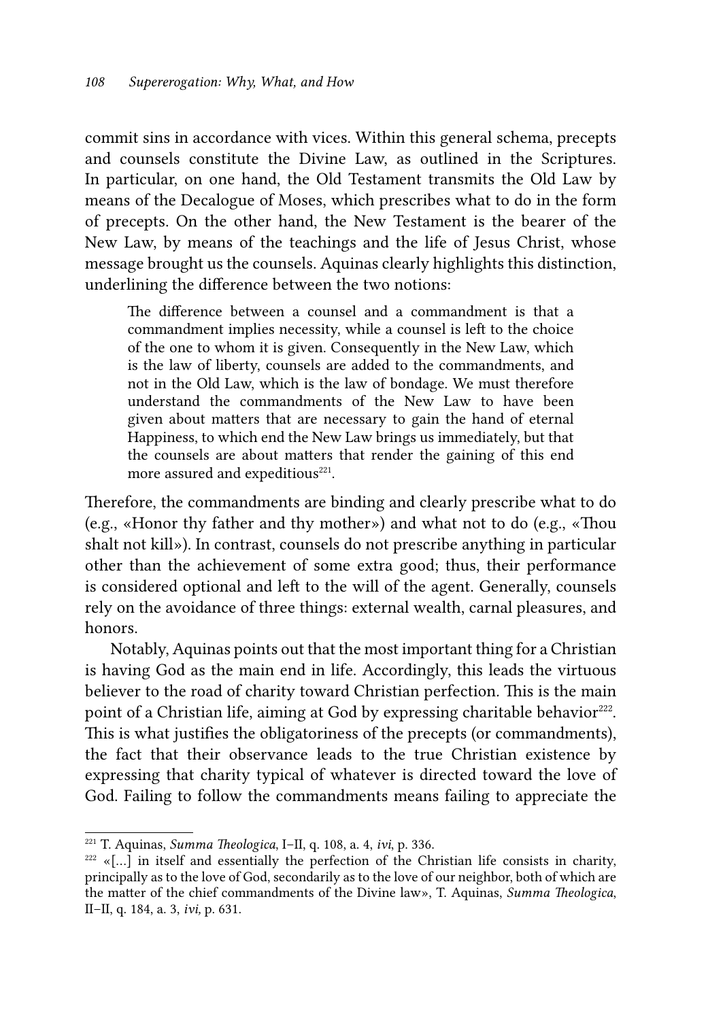commit sins in accordance with vices. Within this general schema, precepts and counsels constitute the Divine Law, as outlined in the Scriptures. In particular, on one hand, the Old Testament transmits the Old Law by means of the Decalogue of Moses, which prescribes what to do in the form of precepts. On the other hand, the New Testament is the bearer of the New Law, by means of the teachings and the life of Jesus Christ, whose message brought us the counsels. Aquinas clearly highlights this distinction, underlining the difference between the two notions:

The difference between a counsel and a commandment is that a commandment implies necessity, while a counsel is left to the choice of the one to whom it is given. Consequently in the New Law, which is the law of liberty, counsels are added to the commandments, and not in the Old Law, which is the law of bondage. We must therefore understand the commandments of the New Law to have been given about matters that are necessary to gain the hand of eternal Happiness, to which end the New Law brings us immediately, but that the counsels are about matters that render the gaining of this end more assured and expeditious<sup>221</sup>.

Therefore, the commandments are binding and clearly prescribe what to do (e.g., «Honor thy father and thy mother») and what not to do (e.g., «Thou shalt not kill»). In contrast, counsels do not prescribe anything in particular other than the achievement of some extra good; thus, their performance is considered optional and left to the will of the agent. Generally, counsels rely on the avoidance of three things: external wealth, carnal pleasures, and honors.

Notably, Aquinas points out that the most important thing for a Christian is having God as the main end in life. Accordingly, this leads the virtuous believer to the road of charity toward Christian perfection*.* This is the main point of a Christian life, aiming at God by expressing charitable behavior<sup>222</sup>. This is what justifies the obligatoriness of the precepts (or commandments), the fact that their observance leads to the true Christian existence by expressing that charity typical of whatever is directed toward the love of God. Failing to follow the commandments means failing to appreciate the

<sup>221</sup> T. Aquinas, *Summa Theologica*, I–II, q. 108, a. 4, *ivi*, p. 336.

 $222$  «[...] in itself and essentially the perfection of the Christian life consists in charity, principally as to the love of God, secondarily as to the love of our neighbor, both of which are the matter of the chief commandments of the Divine law», T. Aquinas, *Summa Theologica*, II–II, q. 184, a. 3, *ivi,* p. 631.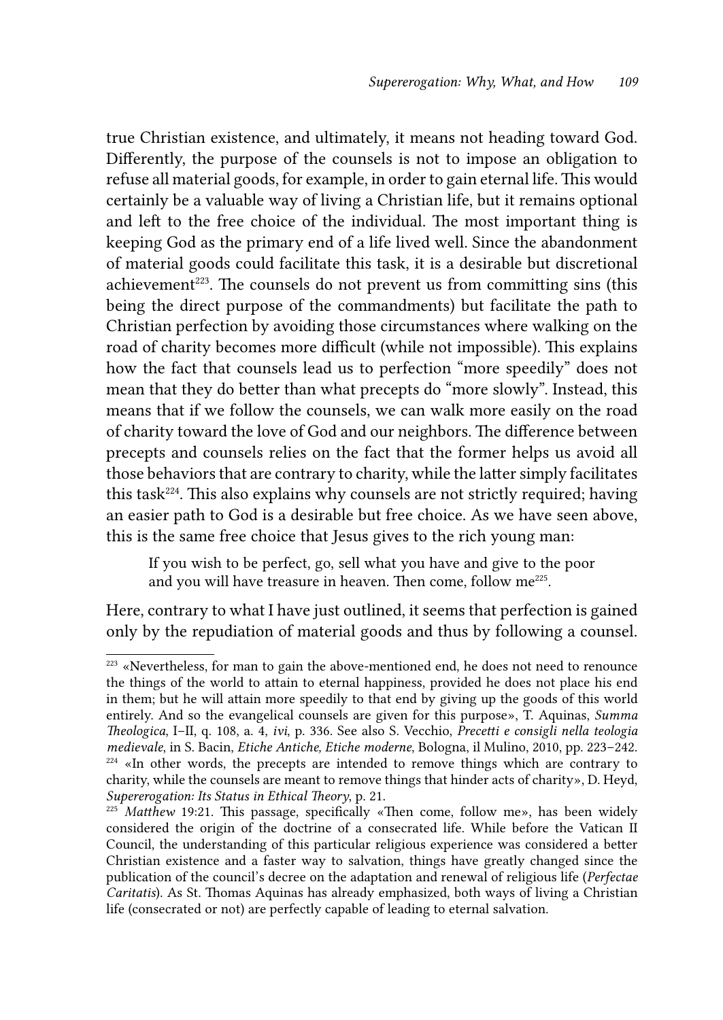true Christian existence, and ultimately, it means not heading toward God. Differently, the purpose of the counsels is not to impose an obligation to refuse all material goods, for example, in order to gain eternal life. This would certainly be a valuable way of living a Christian life, but it remains optional and left to the free choice of the individual. The most important thing is keeping God as the primary end of a life lived well. Since the abandonment of material goods could facilitate this task, it is a desirable but discretional achievement<sup> $223$ </sup>. The counsels do not prevent us from committing sins (this being the direct purpose of the commandments) but facilitate the path to Christian perfection by avoiding those circumstances where walking on the road of charity becomes more difficult (while not impossible). This explains how the fact that counsels lead us to perfection "more speedily" does not mean that they do better than what precepts do "more slowly". Instead, this means that if we follow the counsels, we can walk more easily on the road of charity toward the love of God and our neighbors. The difference between precepts and counsels relies on the fact that the former helps us avoid all those behaviors that are contrary to charity, while the latter simply facilitates this task224. This also explains why counsels are not strictly required; having an easier path to God is a desirable but free choice. As we have seen above, this is the same free choice that Jesus gives to the rich young man:

If you wish to be perfect, go, sell what you have and give to the poor and you will have treasure in heaven. Then come, follow me<sup>225</sup>.

Here, contrary to what I have just outlined, it seems that perfection is gained only by the repudiation of material goods and thus by following a counsel.

<sup>&</sup>lt;sup>223</sup> «Nevertheless, for man to gain the above-mentioned end, he does not need to renounce the things of the world to attain to eternal happiness, provided he does not place his end in them; but he will attain more speedily to that end by giving up the goods of this world entirely. And so the evangelical counsels are given for this purpose», T. Aquinas, *Summa Theologica*, I–II, q. 108, a. 4, *ivi*, p. 336. See also S. Vecchio, *Precetti e consigli nella teologia medievale*, in S. Bacin, *Etiche Antiche, Etiche moderne*, Bologna, il Mulino, 2010, pp. 223–242.  $224$  «In other words, the precepts are intended to remove things which are contrary to charity, while the counsels are meant to remove things that hinder acts of charity», D. Heyd, *Supererogation: Its Status in Ethical Theory*, p. 21.

<sup>&</sup>lt;sup>225</sup> Matthew 19:21. This passage, specifically «Then come, follow me», has been widely considered the origin of the doctrine of a consecrated life. While before the Vatican II Council, the understanding of this particular religious experience was considered a better Christian existence and a faster way to salvation, things have greatly changed since the publication of the council's decree on the adaptation and renewal of religious life (*Perfectae Caritatis*). As St. Thomas Aquinas has already emphasized, both ways of living a Christian life (consecrated or not) are perfectly capable of leading to eternal salvation.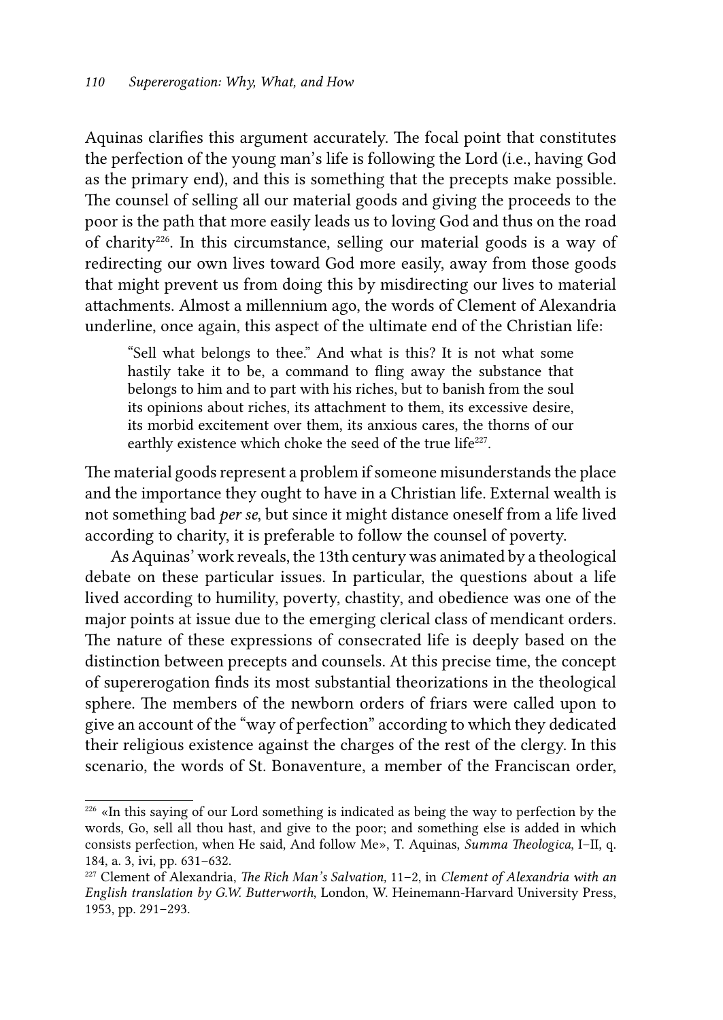Aquinas clarifies this argument accurately. The focal point that constitutes the perfection of the young man's life is following the Lord (i.e., having God as the primary end), and this is something that the precepts make possible. The counsel of selling all our material goods and giving the proceeds to the poor is the path that more easily leads us to loving God and thus on the road of charity226. In this circumstance, selling our material goods is a way of redirecting our own lives toward God more easily, away from those goods that might prevent us from doing this by misdirecting our lives to material attachments. Almost a millennium ago, the words of Clement of Alexandria underline, once again, this aspect of the ultimate end of the Christian life:

"Sell what belongs to thee." And what is this? It is not what some hastily take it to be, a command to fling away the substance that belongs to him and to part with his riches, but to banish from the soul its opinions about riches, its attachment to them, its excessive desire, its morbid excitement over them, its anxious cares, the thorns of our earthly existence which choke the seed of the true life<sup>227</sup>.

The material goods represent a problem if someone misunderstands the place and the importance they ought to have in a Christian life. External wealth is not something bad *per se*, but since it might distance oneself from a life lived according to charity, it is preferable to follow the counsel of poverty.

As Aquinas' work reveals, the 13th century was animated by a theological debate on these particular issues. In particular, the questions about a life lived according to humility, poverty, chastity, and obedience was one of the major points at issue due to the emerging clerical class of mendicant orders. The nature of these expressions of consecrated life is deeply based on the distinction between precepts and counsels. At this precise time, the concept of supererogation finds its most substantial theorizations in the theological sphere. The members of the newborn orders of friars were called upon to give an account of the "way of perfection" according to which they dedicated their religious existence against the charges of the rest of the clergy. In this scenario, the words of St. Bonaventure, a member of the Franciscan order,

<sup>&</sup>lt;sup>226</sup> «In this saying of our Lord something is indicated as being the way to perfection by the words, Go, sell all thou hast, and give to the poor; and something else is added in which consists perfection, when He said, And follow Me», T. Aquinas, *Summa Theologica*, I–II, q. 184, a. 3, ivi, pp. 631–632.

<sup>227</sup> Clement of Alexandria, *The Rich Man's Salvation,* 11–2, in *Clement of Alexandria with an English translation by G.W. Butterworth*, London, W. Heinemann-Harvard University Press, 1953, pp. 291–293.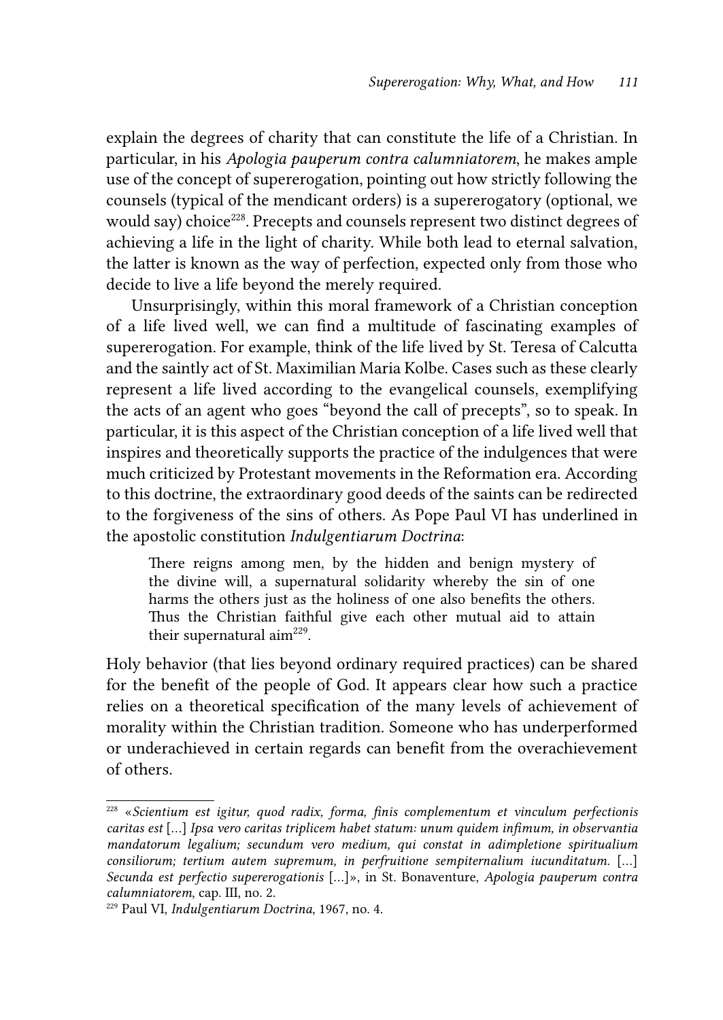explain the degrees of charity that can constitute the life of a Christian. In particular, in his *Apologia pauperum contra calumniatorem*, he makes ample use of the concept of supererogation, pointing out how strictly following the counsels (typical of the mendicant orders) is a supererogatory (optional, we would say) choice<sup>228</sup>. Precepts and counsels represent two distinct degrees of achieving a life in the light of charity. While both lead to eternal salvation, the latter is known as the way of perfection, expected only from those who decide to live a life beyond the merely required.

Unsurprisingly, within this moral framework of a Christian conception of a life lived well, we can find a multitude of fascinating examples of supererogation. For example, think of the life lived by St. Teresa of Calcutta and the saintly act of St. Maximilian Maria Kolbe. Cases such as these clearly represent a life lived according to the evangelical counsels, exemplifying the acts of an agent who goes "beyond the call of precepts", so to speak. In particular, it is this aspect of the Christian conception of a life lived well that inspires and theoretically supports the practice of the indulgences that were much criticized by Protestant movements in the Reformation era. According to this doctrine, the extraordinary good deeds of the saints can be redirected to the forgiveness of the sins of others. As Pope Paul VI has underlined in the apostolic constitution *Indulgentiarum Doctrina*:

There reigns among men, by the hidden and benign mystery of the divine will, a supernatural solidarity whereby the sin of one harms the others just as the holiness of one also benefits the others. Thus the Christian faithful give each other mutual aid to attain their supernatural  $\text{aim}^{229}$ .

Holy behavior (that lies beyond ordinary required practices) can be shared for the benefit of the people of God. It appears clear how such a practice relies on a theoretical specification of the many levels of achievement of morality within the Christian tradition. Someone who has underperformed or underachieved in certain regards can benefit from the overachievement of others.

<sup>228 «</sup>*Scientium est igitur, quod radix, forma, finis complementum et vinculum perfectionis caritas est* […] *Ipsa vero caritas triplicem habet statum: unum quidem infimum, in observantia mandatorum legalium; secundum vero medium, qui constat in adimpletione spiritualium consiliorum; tertium autem supremum, in perfruitione sempiternalium iucunditatum.* […] *Secunda est perfectio supererogationis* […]», in St. Bonaventure, *Apologia pauperum contra calumniatorem*, cap. III, no. 2.

<sup>229</sup> Paul VI, *Indulgentiarum Doctrina*, 1967, no. 4.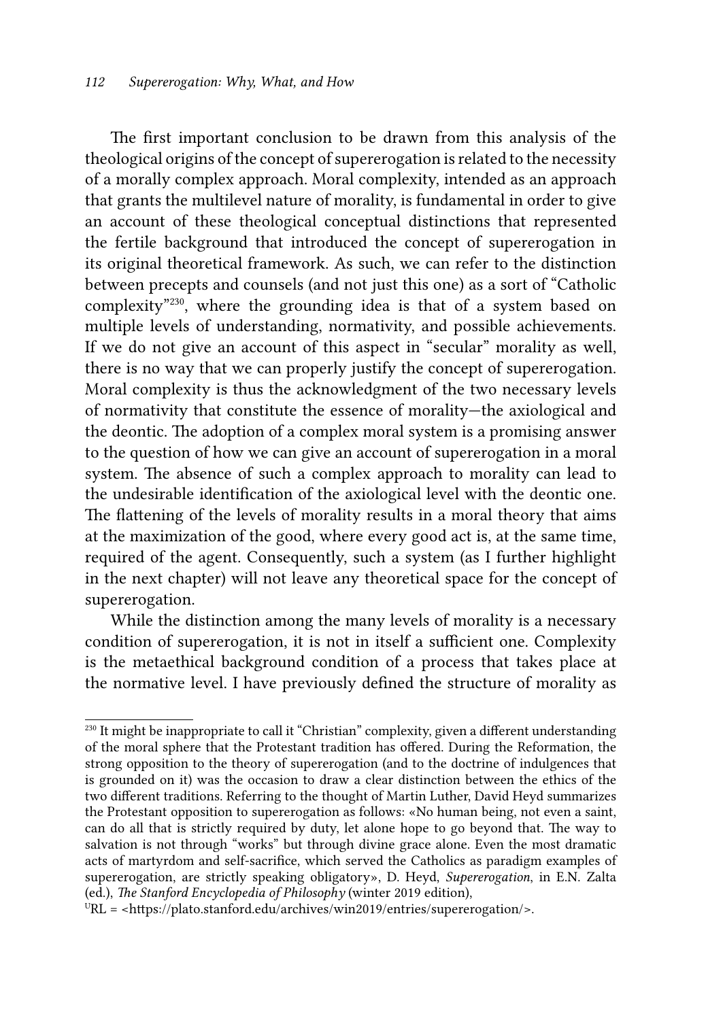The first important conclusion to be drawn from this analysis of the theological origins of the concept of supererogation is related to the necessity of a morally complex approach. Moral complexity, intended as an approach that grants the multilevel nature of morality, is fundamental in order to give an account of these theological conceptual distinctions that represented the fertile background that introduced the concept of supererogation in its original theoretical framework. As such, we can refer to the distinction between precepts and counsels (and not just this one) as a sort of "Catholic complexity"230, where the grounding idea is that of a system based on multiple levels of understanding, normativity, and possible achievements. If we do not give an account of this aspect in "secular" morality as well, there is no way that we can properly justify the concept of supererogation. Moral complexity is thus the acknowledgment of the two necessary levels of normativity that constitute the essence of morality—the axiological and the deontic. The adoption of a complex moral system is a promising answer to the question of how we can give an account of supererogation in a moral system. The absence of such a complex approach to morality can lead to the undesirable identification of the axiological level with the deontic one. The flattening of the levels of morality results in a moral theory that aims at the maximization of the good, where every good act is, at the same time, required of the agent. Consequently, such a system (as I further highlight in the next chapter) will not leave any theoretical space for the concept of supererogation.

While the distinction among the many levels of morality is a necessary condition of supererogation, it is not in itself a sufficient one. Complexity is the metaethical background condition of a process that takes place at the normative level. I have previously defined the structure of morality as

<sup>&</sup>lt;sup>230</sup> It might be inappropriate to call it "Christian" complexity, given a different understanding of the moral sphere that the Protestant tradition has offered. During the Reformation, the strong opposition to the theory of supererogation (and to the doctrine of indulgences that is grounded on it) was the occasion to draw a clear distinction between the ethics of the two different traditions. Referring to the thought of Martin Luther, David Heyd summarizes the Protestant opposition to supererogation as follows: «No human being, not even a saint, can do all that is strictly required by duty, let alone hope to go beyond that. The way to salvation is not through "works" but through divine grace alone. Even the most dramatic acts of martyrdom and self-sacrifice, which served the Catholics as paradigm examples of supererogation, are strictly speaking obligatory», D. Heyd, *Supererogation*, in E.N. Zalta (ed.), *The Stanford Encyclopedia of Philosophy* (winter 2019 edition),

 $URL =$  <https://plato.stanford.edu/archives/win2019/entries/supererogation/>.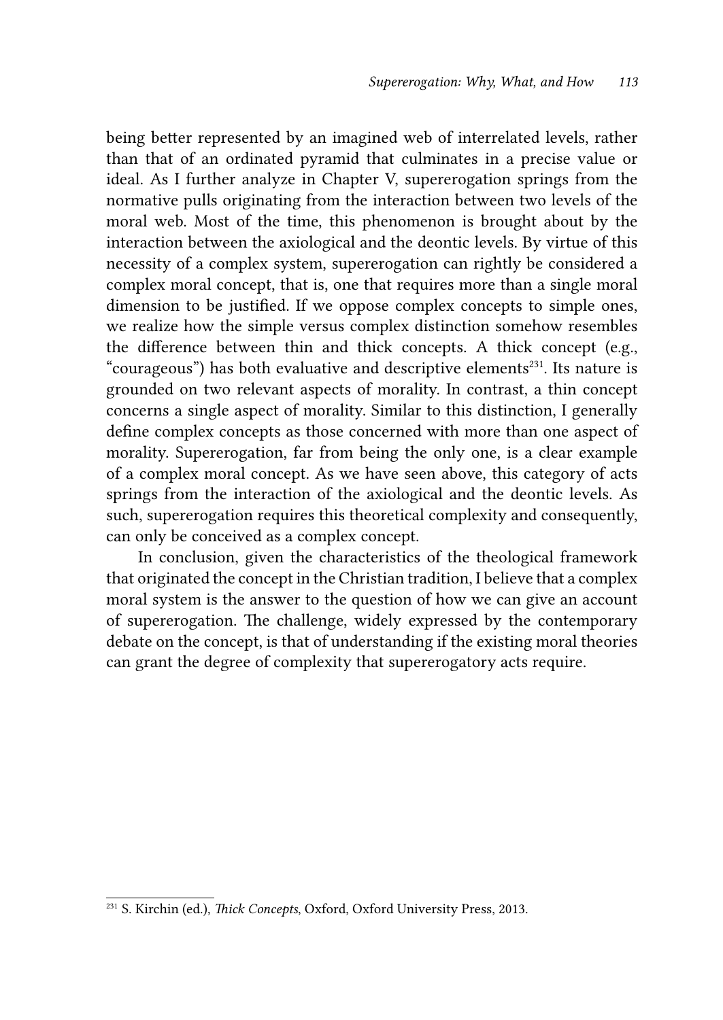being better represented by an imagined web of interrelated levels, rather than that of an ordinated pyramid that culminates in a precise value or ideal. As I further analyze in Chapter V, supererogation springs from the normative pulls originating from the interaction between two levels of the moral web. Most of the time, this phenomenon is brought about by the interaction between the axiological and the deontic levels. By virtue of this necessity of a complex system, supererogation can rightly be considered a complex moral concept, that is, one that requires more than a single moral dimension to be justified. If we oppose complex concepts to simple ones, we realize how the simple versus complex distinction somehow resembles the difference between thin and thick concepts. A thick concept (e.g., "courageous") has both evaluative and descriptive elements<sup>231</sup>. Its nature is grounded on two relevant aspects of morality. In contrast, a thin concept concerns a single aspect of morality. Similar to this distinction, I generally define complex concepts as those concerned with more than one aspect of morality. Supererogation, far from being the only one, is a clear example of a complex moral concept. As we have seen above, this category of acts springs from the interaction of the axiological and the deontic levels. As such, supererogation requires this theoretical complexity and consequently, can only be conceived as a complex concept.

 In conclusion, given the characteristics of the theological framework that originated the concept in the Christian tradition, I believe that a complex moral system is the answer to the question of how we can give an account of supererogation. The challenge, widely expressed by the contemporary debate on the concept, is that of understanding if the existing moral theories can grant the degree of complexity that supererogatory acts require.

<sup>231</sup> S. Kirchin (ed.), *Thick Concepts*, Oxford, Oxford University Press, 2013.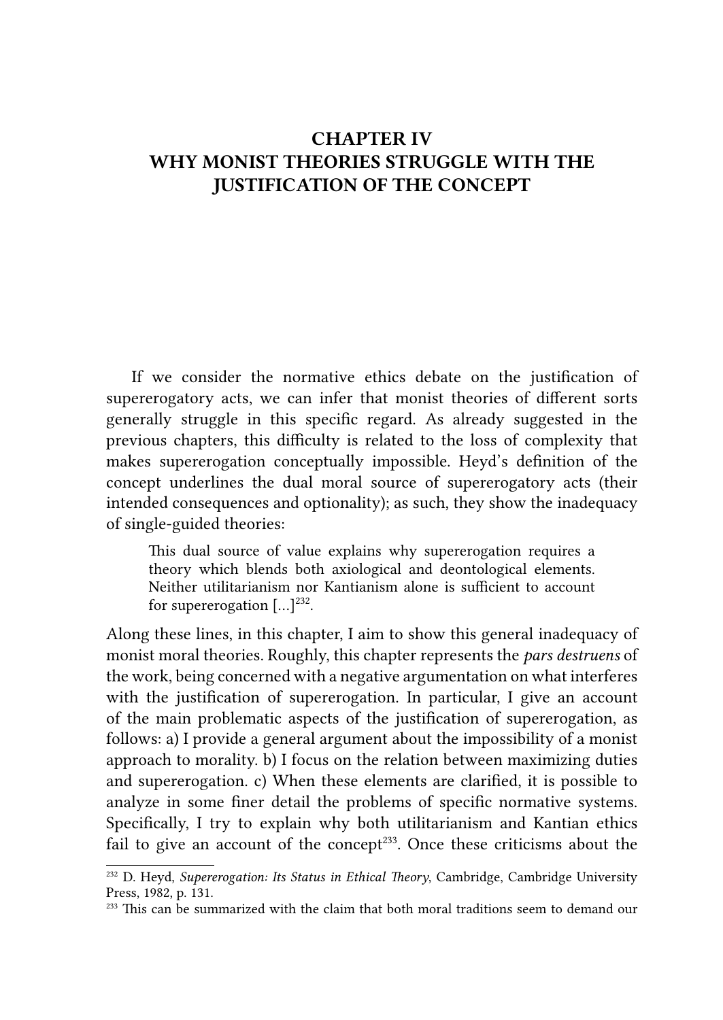# CHAPTER IV WHY MONIST THEORIES STRUGGLE WITH THE JUSTIFICATION OF THE CONCEPT

If we consider the normative ethics debate on the justification of supererogatory acts, we can infer that monist theories of different sorts generally struggle in this specific regard. As already suggested in the previous chapters, this difficulty is related to the loss of complexity that makes supererogation conceptually impossible. Heyd's definition of the concept underlines the dual moral source of supererogatory acts (their intended consequences and optionality); as such, they show the inadequacy of single-guided theories:

This dual source of value explains why supererogation requires a theory which blends both axiological and deontological elements. Neither utilitarianism nor Kantianism alone is sufficient to account for supererogation  $[\dots]^{232}$ .

Along these lines, in this chapter, I aim to show this general inadequacy of monist moral theories. Roughly, this chapter represents the *pars destruens* of the work, being concerned with a negative argumentation on what interferes with the justification of supererogation. In particular, I give an account of the main problematic aspects of the justification of supererogation, as follows: a) I provide a general argument about the impossibility of a monist approach to morality. b) I focus on the relation between maximizing duties and supererogation. c) When these elements are clarified, it is possible to analyze in some finer detail the problems of specific normative systems. Specifically, I try to explain why both utilitarianism and Kantian ethics fail to give an account of the concept<sup>233</sup>. Once these criticisms about the

<sup>232</sup> D. Heyd, *Supererogation: Its Status in Ethical Theory*, Cambridge, Cambridge University Press, 1982, p. 131.

<sup>&</sup>lt;sup>233</sup> This can be summarized with the claim that both moral traditions seem to demand our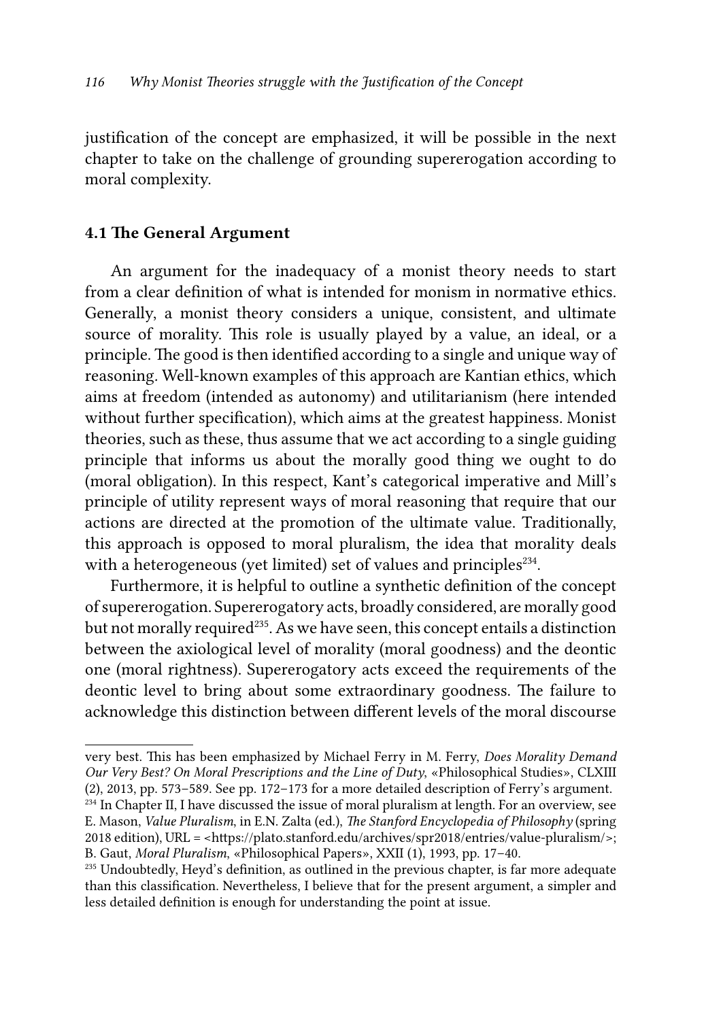justification of the concept are emphasized, it will be possible in the next chapter to take on the challenge of grounding supererogation according to moral complexity.

## 4.1 The General Argument

An argument for the inadequacy of a monist theory needs to start from a clear definition of what is intended for monism in normative ethics. Generally, a monist theory considers a unique, consistent, and ultimate source of morality. This role is usually played by a value, an ideal, or a principle. The good is then identified according to a single and unique way of reasoning*.* Well-known examples of this approach are Kantian ethics, which aims at freedom (intended as autonomy) and utilitarianism (here intended without further specification), which aims at the greatest happiness. Monist theories, such as these, thus assume that we act according to a single guiding principle that informs us about the morally good thing we ought to do (moral obligation). In this respect, Kant's categorical imperative and Mill's principle of utility represent ways of moral reasoning that require that our actions are directed at the promotion of the ultimate value. Traditionally, this approach is opposed to moral pluralism, the idea that morality deals with a heterogeneous (yet limited) set of values and principles<sup>234</sup>.

Furthermore, it is helpful to outline a synthetic definition of the concept of supererogation. Supererogatory acts, broadly considered, are morally good but not morally required<sup>235</sup>. As we have seen, this concept entails a distinction between the axiological level of morality (moral goodness) and the deontic one (moral rightness). Supererogatory acts exceed the requirements of the deontic level to bring about some extraordinary goodness. The failure to acknowledge this distinction between different levels of the moral discourse

very best. This has been emphasized by Michael Ferry in M. Ferry, *Does Morality Demand Our Very Best? On Moral Prescriptions and the Line of Duty*, «Philosophical Studies», CLXIII (2), 2013, pp. 573–589. See pp. 172–173 for a more detailed description of Ferry's argument.

<sup>&</sup>lt;sup>234</sup> In Chapter II, I have discussed the issue of moral pluralism at length. For an overview, see E. Mason, *Value Pluralism*, in E.N. Zalta (ed.), *The Stanford Encyclopedia of Philosophy* (spring 2018 edition), URL = <https://plato.stanford.edu/archives/spr2018/entries/value-pluralism/>; B. Gaut, *Moral Pluralism*, «Philosophical Papers», XXII (1), 1993, pp. 17–40.

 $235$  Undoubtedly, Heyd's definition, as outlined in the previous chapter, is far more adequate than this classification. Nevertheless, I believe that for the present argument, a simpler and less detailed definition is enough for understanding the point at issue.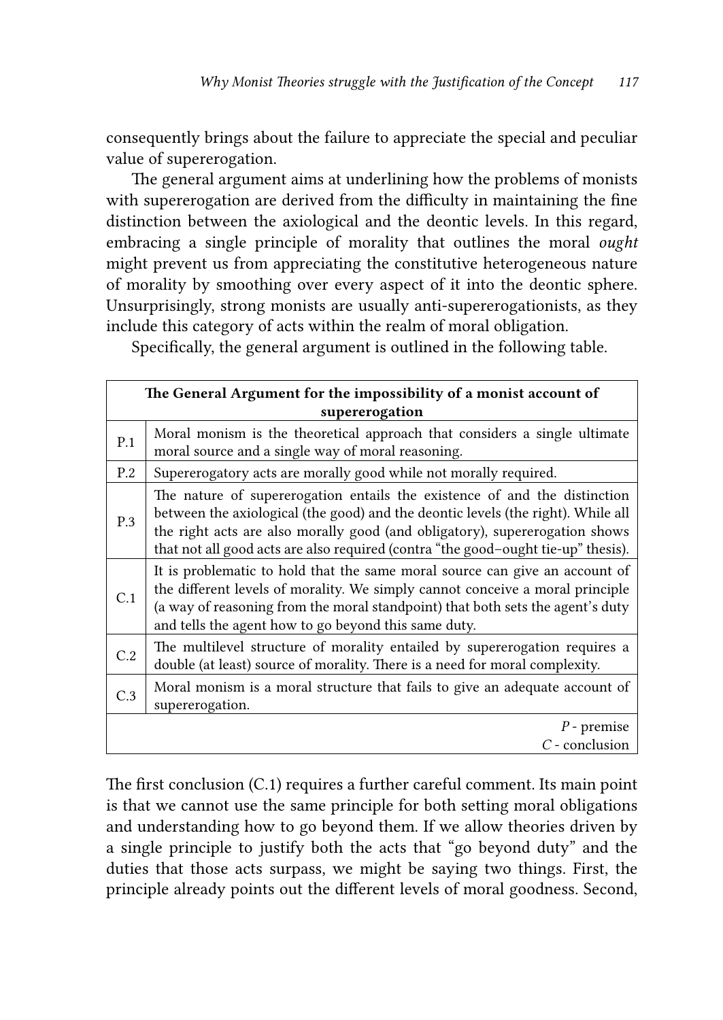consequently brings about the failure to appreciate the special and peculiar value of supererogation.

The general argument aims at underlining how the problems of monists with supererogation are derived from the difficulty in maintaining the fine distinction between the axiological and the deontic levels. In this regard, embracing a single principle of morality that outlines the moral *ought* might prevent us from appreciating the constitutive heterogeneous nature of morality by smoothing over every aspect of it into the deontic sphere. Unsurprisingly, strong monists are usually anti-supererogationists, as they include this category of acts within the realm of moral obligation.

Specifically, the general argument is outlined in the following table.

| The General Argument for the impossibility of a monist account of<br>supererogation |                                                                                                                                                                                                                                                                                                                                   |
|-------------------------------------------------------------------------------------|-----------------------------------------------------------------------------------------------------------------------------------------------------------------------------------------------------------------------------------------------------------------------------------------------------------------------------------|
| P.1                                                                                 | Moral monism is the theoretical approach that considers a single ultimate<br>moral source and a single way of moral reasoning.                                                                                                                                                                                                    |
| P.2                                                                                 | Supererogatory acts are morally good while not morally required.                                                                                                                                                                                                                                                                  |
| P.3                                                                                 | The nature of supererogation entails the existence of and the distinction<br>between the axiological (the good) and the deontic levels (the right). While all<br>the right acts are also morally good (and obligatory), supererogation shows<br>that not all good acts are also required (contra "the good-ought tie-up" thesis). |
| C.1                                                                                 | It is problematic to hold that the same moral source can give an account of<br>the different levels of morality. We simply cannot conceive a moral principle<br>(a way of reasoning from the moral standpoint) that both sets the agent's duty<br>and tells the agent how to go beyond this same duty.                            |
| C.2                                                                                 | The multilevel structure of morality entailed by supererogation requires a<br>double (at least) source of morality. There is a need for moral complexity.                                                                                                                                                                         |
| C.3                                                                                 | Moral monism is a moral structure that fails to give an adequate account of<br>supererogation.                                                                                                                                                                                                                                    |
|                                                                                     | $P$ - premise<br>$C$ - conclusion                                                                                                                                                                                                                                                                                                 |

The first conclusion (C.1) requires a further careful comment. Its main point is that we cannot use the same principle for both setting moral obligations and understanding how to go beyond them. If we allow theories driven by a single principle to justify both the acts that "go beyond duty" and the duties that those acts surpass, we might be saying two things. First, the principle already points out the different levels of moral goodness. Second,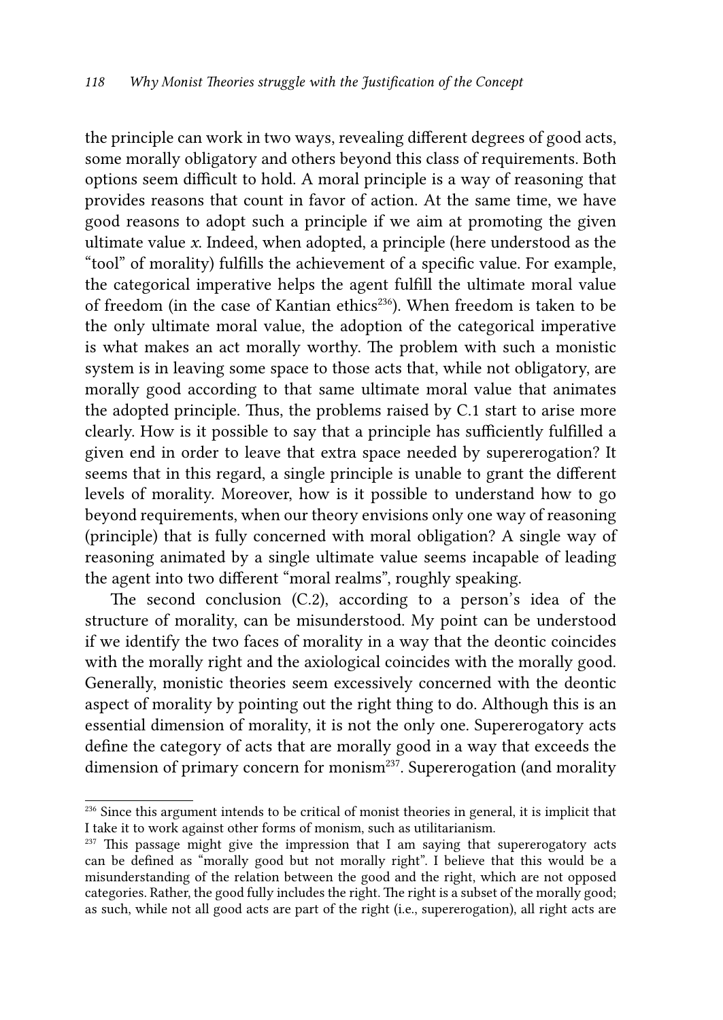the principle can work in two ways, revealing different degrees of good acts, some morally obligatory and others beyond this class of requirements. Both options seem difficult to hold. A moral principle is a way of reasoning that provides reasons that count in favor of action. At the same time, we have good reasons to adopt such a principle if we aim at promoting the given ultimate value *x*. Indeed, when adopted, a principle (here understood as the "tool" of morality) fulfills the achievement of a specific value. For example, the categorical imperative helps the agent fulfill the ultimate moral value of freedom (in the case of Kantian ethics<sup>236</sup>). When freedom is taken to be the only ultimate moral value, the adoption of the categorical imperative is what makes an act morally worthy. The problem with such a monistic system is in leaving some space to those acts that, while not obligatory, are morally good according to that same ultimate moral value that animates the adopted principle. Thus, the problems raised by C.1 start to arise more clearly. How is it possible to say that a principle has sufficiently fulfilled a given end in order to leave that extra space needed by supererogation? It seems that in this regard, a single principle is unable to grant the different levels of morality. Moreover, how is it possible to understand how to go beyond requirements, when our theory envisions only one way of reasoning (principle) that is fully concerned with moral obligation? A single way of reasoning animated by a single ultimate value seems incapable of leading the agent into two different "moral realms", roughly speaking.

The second conclusion (C.2), according to a person's idea of the structure of morality, can be misunderstood. My point can be understood if we identify the two faces of morality in a way that the deontic coincides with the morally right and the axiological coincides with the morally good. Generally, monistic theories seem excessively concerned with the deontic aspect of morality by pointing out the right thing to do. Although this is an essential dimension of morality, it is not the only one. Supererogatory acts define the category of acts that are morally good in a way that exceeds the dimension of primary concern for monism<sup>237</sup>. Supererogation (and morality

<sup>&</sup>lt;sup>236</sup> Since this argument intends to be critical of monist theories in general, it is implicit that I take it to work against other forms of monism, such as utilitarianism.

 $237$  This passage might give the impression that I am saying that supererogatory acts can be defined as "morally good but not morally right". I believe that this would be a misunderstanding of the relation between the good and the right, which are not opposed categories. Rather, the good fully includes the right. The right is a subset of the morally good; as such, while not all good acts are part of the right (i.e., supererogation), all right acts are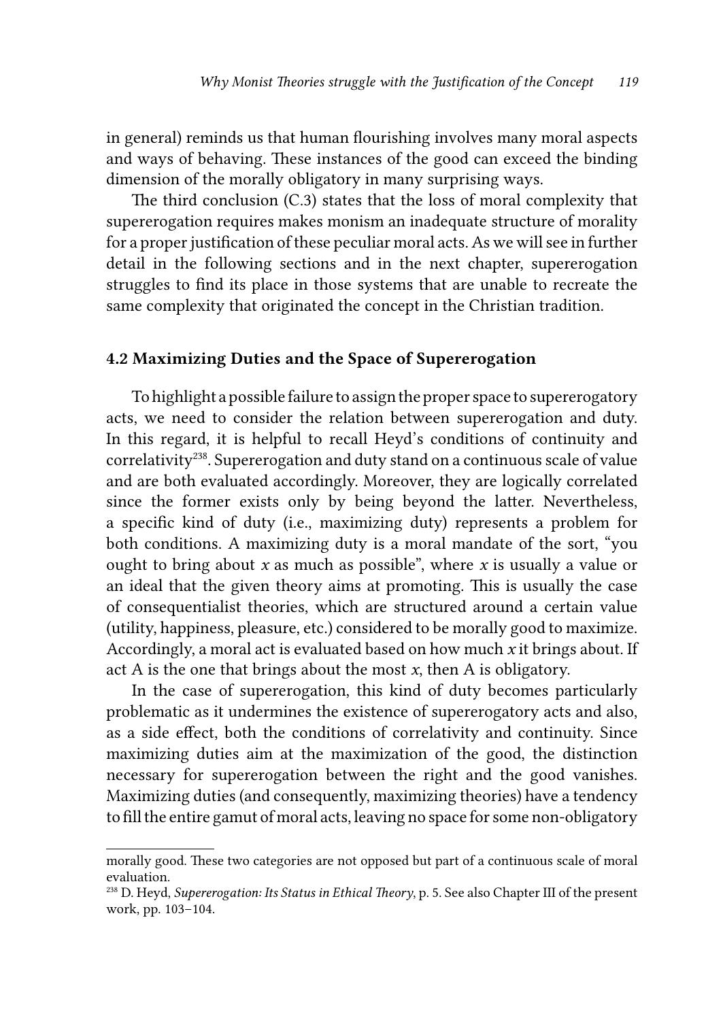in general) reminds us that human flourishing involves many moral aspects and ways of behaving. These instances of the good can exceed the binding dimension of the morally obligatory in many surprising ways.

The third conclusion (C.3) states that the loss of moral complexity that supererogation requires makes monism an inadequate structure of morality for a proper justification of these peculiar moral acts. As we will see in further detail in the following sections and in the next chapter, supererogation struggles to find its place in those systems that are unable to recreate the same complexity that originated the concept in the Christian tradition.

#### 4.2 Maximizing Duties and the Space of Supererogation

To highlight a possible failure to assign the proper space to supererogatory acts, we need to consider the relation between supererogation and duty. In this regard, it is helpful to recall Heyd's conditions of continuity and correlativity<sup>238</sup>. Supererogation and duty stand on a continuous scale of value and are both evaluated accordingly. Moreover, they are logically correlated since the former exists only by being beyond the latter. Nevertheless, a specific kind of duty (i.e., maximizing duty) represents a problem for both conditions. A maximizing duty is a moral mandate of the sort, "you ought to bring about *x* as much as possible", where *x* is usually a value or an ideal that the given theory aims at promoting. This is usually the case of consequentialist theories, which are structured around a certain value (utility, happiness, pleasure, etc.) considered to be morally good to maximize. Accordingly, a moral act is evaluated based on how much *x* it brings about. If act A is the one that brings about the most *x*, then A is obligatory.

In the case of supererogation, this kind of duty becomes particularly problematic as it undermines the existence of supererogatory acts and also, as a side effect, both the conditions of correlativity and continuity. Since maximizing duties aim at the maximization of the good, the distinction necessary for supererogation between the right and the good vanishes. Maximizing duties (and consequently, maximizing theories) have a tendency to fill the entire gamut of moral acts, leaving no space for some non-obligatory

morally good. These two categories are not opposed but part of a continuous scale of moral evaluation.

<sup>238</sup> D. Heyd, *Supererogation: Its Status in Ethical Theory*, p. 5. See also Chapter III of the present work, pp. 103–104.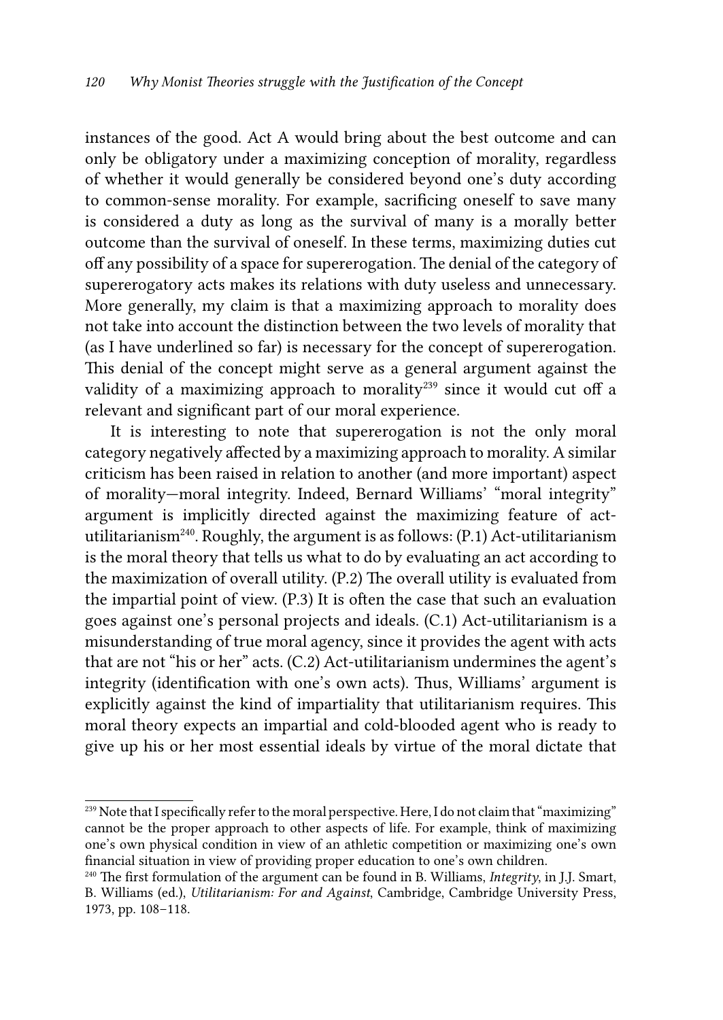instances of the good. Act A would bring about the best outcome and can only be obligatory under a maximizing conception of morality, regardless of whether it would generally be considered beyond one's duty according to common-sense morality. For example, sacrificing oneself to save many is considered a duty as long as the survival of many is a morally better outcome than the survival of oneself. In these terms, maximizing duties cut off any possibility of a space for supererogation. The denial of the category of supererogatory acts makes its relations with duty useless and unnecessary. More generally, my claim is that a maximizing approach to morality does not take into account the distinction between the two levels of morality that (as I have underlined so far) is necessary for the concept of supererogation. This denial of the concept might serve as a general argument against the validity of a maximizing approach to morality<sup>239</sup> since it would cut off a relevant and significant part of our moral experience.

It is interesting to note that supererogation is not the only moral category negatively affected by a maximizing approach to morality. A similar criticism has been raised in relation to another (and more important) aspect of morality—moral integrity. Indeed, Bernard Williams' "moral integrity" argument is implicitly directed against the maximizing feature of actutilitarianism<sup>240</sup>. Roughly, the argument is as follows:  $(P.1)$  Act-utilitarianism is the moral theory that tells us what to do by evaluating an act according to the maximization of overall utility. (P.2) The overall utility is evaluated from the impartial point of view. (P.3) It is often the case that such an evaluation goes against one's personal projects and ideals. (C.1) Act-utilitarianism is a misunderstanding of true moral agency, since it provides the agent with acts that are not "his or her" acts. (C.2) Act-utilitarianism undermines the agent's integrity (identification with one's own acts). Thus, Williams' argument is explicitly against the kind of impartiality that utilitarianism requires. This moral theory expects an impartial and cold-blooded agent who is ready to give up his or her most essential ideals by virtue of the moral dictate that

<sup>&</sup>lt;sup>239</sup> Note that I specifically refer to the moral perspective. Here, I do not claim that "maximizing" cannot be the proper approach to other aspects of life. For example, think of maximizing one's own physical condition in view of an athletic competition or maximizing one's own financial situation in view of providing proper education to one's own children.

<sup>240</sup> The first formulation of the argument can be found in B. Williams, *Integrity*, in J.J. Smart, B. Williams (ed.), *Utilitarianism: For and Against*, Cambridge, Cambridge University Press, 1973, pp. 108–118.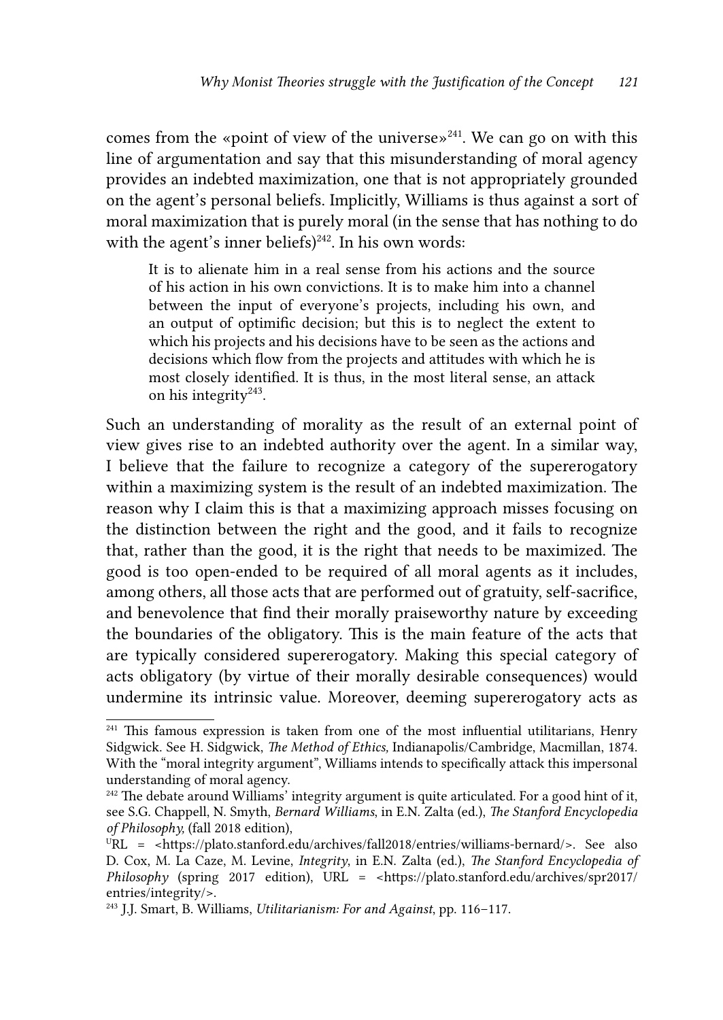comes from the «point of view of the universe»<sup>241</sup>. We can go on with this line of argumentation and say that this misunderstanding of moral agency provides an indebted maximization, one that is not appropriately grounded on the agent's personal beliefs. Implicitly, Williams is thus against a sort of moral maximization that is purely moral (in the sense that has nothing to do with the agent's inner beliefs)<sup>242</sup>. In his own words:

It is to alienate him in a real sense from his actions and the source of his action in his own convictions. It is to make him into a channel between the input of everyone's projects, including his own, and an output of optimific decision; but this is to neglect the extent to which his projects and his decisions have to be seen as the actions and decisions which flow from the projects and attitudes with which he is most closely identified. It is thus, in the most literal sense, an attack on his integrity $243$ .

Such an understanding of morality as the result of an external point of view gives rise to an indebted authority over the agent. In a similar way, I believe that the failure to recognize a category of the supererogatory within a maximizing system is the result of an indebted maximization. The reason why I claim this is that a maximizing approach misses focusing on the distinction between the right and the good, and it fails to recognize that, rather than the good, it is the right that needs to be maximized. The good is too open-ended to be required of all moral agents as it includes, among others, all those acts that are performed out of gratuity, self-sacrifice, and benevolence that find their morally praiseworthy nature by exceeding the boundaries of the obligatory. This is the main feature of the acts that are typically considered supererogatory. Making this special category of acts obligatory (by virtue of their morally desirable consequences) would undermine its intrinsic value. Moreover, deeming supererogatory acts as

 $241$  This famous expression is taken from one of the most influential utilitarians, Henry Sidgwick. See H. Sidgwick, *The Method of Ethics,* Indianapolis/Cambridge, Macmillan, 1874. With the "moral integrity argument", Williams intends to specifically attack this impersonal understanding of moral agency.

<sup>&</sup>lt;sup>242</sup> The debate around Williams' integrity argument is quite articulated. For a good hint of it, see S.G. Chappell, N. Smyth, *Bernard Williams*, in E.N. Zalta (ed.), *The Stanford Encyclopedia of Philosophy,* (fall 2018 edition),

URL = <https://plato.stanford.edu/archives/fall2018/entries/williams-bernard/>. See also D. Cox, M. La Caze, M. Levine, *Integrity*, in E.N. Zalta (ed.), *The Stanford Encyclopedia of Philosophy* (spring 2017 edition), URL = <https://plato.stanford.edu/archives/spr2017/ entries/integrity/>.

<sup>243</sup> J.J. Smart, B. Williams, *Utilitarianism: For and Against*, pp. 116–117.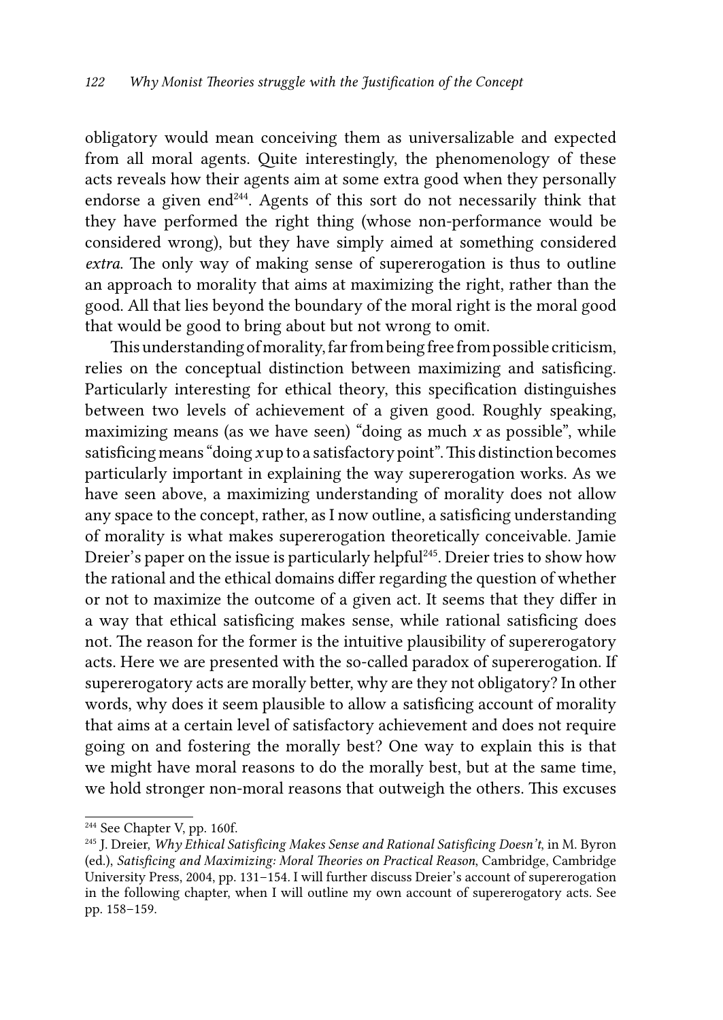obligatory would mean conceiving them as universalizable and expected from all moral agents. Quite interestingly, the phenomenology of these acts reveals how their agents aim at some extra good when they personally endorse a given end<sup>244</sup>. Agents of this sort do not necessarily think that they have performed the right thing (whose non-performance would be considered wrong), but they have simply aimed at something considered *extra*. The only way of making sense of supererogation is thus to outline an approach to morality that aims at maximizing the right, rather than the good. All that lies beyond the boundary of the moral right is the moral good that would be good to bring about but not wrong to omit.

This understanding of morality, far from being free from possible criticism, relies on the conceptual distinction between maximizing and satisficing. Particularly interesting for ethical theory, this specification distinguishes between two levels of achievement of a given good. Roughly speaking, maximizing means (as we have seen) "doing as much *x* as possible", while satisficing means "doing *x* up to a satisfactory point". This distinction becomes particularly important in explaining the way supererogation works. As we have seen above, a maximizing understanding of morality does not allow any space to the concept, rather, as I now outline, a satisficing understanding of morality is what makes supererogation theoretically conceivable. Jamie Dreier's paper on the issue is particularly helpful<sup>245</sup>. Dreier tries to show how the rational and the ethical domains differ regarding the question of whether or not to maximize the outcome of a given act. It seems that they differ in a way that ethical satisficing makes sense, while rational satisficing does not. The reason for the former is the intuitive plausibility of supererogatory acts. Here we are presented with the so-called paradox of supererogation. If supererogatory acts are morally better, why are they not obligatory? In other words, why does it seem plausible to allow a satisficing account of morality that aims at a certain level of satisfactory achievement and does not require going on and fostering the morally best? One way to explain this is that we might have moral reasons to do the morally best, but at the same time, we hold stronger non-moral reasons that outweigh the others. This excuses

<sup>&</sup>lt;sup>244</sup> See Chapter V, pp. 160f.

<sup>245</sup> J. Dreier, *Why Ethical Satisficing Makes Sense and Rational Satisficing Doesn't*, in M. Byron (ed.), *Satisficing and Maximizing: Moral Theories on Practical Reason*, Cambridge, Cambridge University Press, 2004, pp. 131–154*.* I will further discuss Dreier's account of supererogation in the following chapter, when I will outline my own account of supererogatory acts. See pp. 158–159.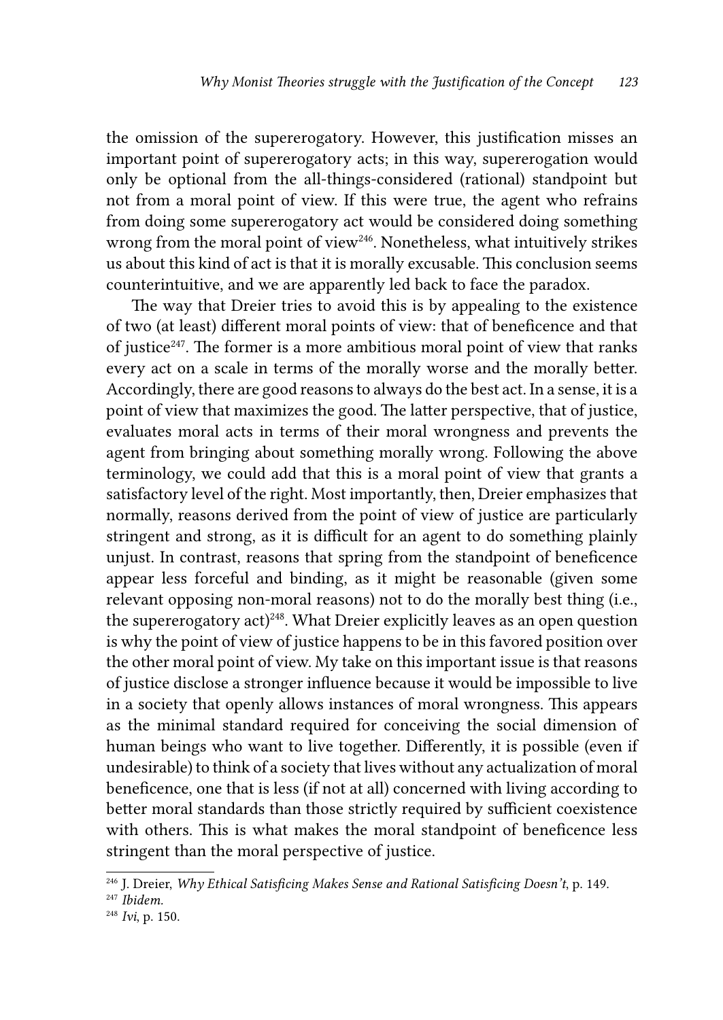the omission of the supererogatory. However, this justification misses an important point of supererogatory acts; in this way, supererogation would only be optional from the all-things-considered (rational) standpoint but not from a moral point of view. If this were true, the agent who refrains from doing some supererogatory act would be considered doing something wrong from the moral point of view<sup>246</sup>. Nonetheless, what intuitively strikes us about this kind of act is that it is morally excusable. This conclusion seems counterintuitive, and we are apparently led back to face the paradox.

The way that Dreier tries to avoid this is by appealing to the existence of two (at least) different moral points of view: that of beneficence and that of justice<sup>247</sup>. The former is a more ambitious moral point of view that ranks every act on a scale in terms of the morally worse and the morally better. Accordingly, there are good reasons to always do the best act. In a sense, it is a point of view that maximizes the good. The latter perspective, that of justice, evaluates moral acts in terms of their moral wrongness and prevents the agent from bringing about something morally wrong. Following the above terminology, we could add that this is a moral point of view that grants a satisfactory level of the right. Most importantly, then, Dreier emphasizes that normally, reasons derived from the point of view of justice are particularly stringent and strong, as it is difficult for an agent to do something plainly unjust. In contrast, reasons that spring from the standpoint of beneficence appear less forceful and binding, as it might be reasonable (given some relevant opposing non-moral reasons) not to do the morally best thing (i.e., the supererogatory act)<sup>248</sup>. What Dreier explicitly leaves as an open question is why the point of view of justice happens to be in this favored position over the other moral point of view. My take on this important issue is that reasons of justice disclose a stronger influence because it would be impossible to live in a society that openly allows instances of moral wrongness. This appears as the minimal standard required for conceiving the social dimension of human beings who want to live together. Differently, it is possible (even if undesirable) to think of a society that lives without any actualization of moral beneficence, one that is less (if not at all) concerned with living according to better moral standards than those strictly required by sufficient coexistence with others. This is what makes the moral standpoint of beneficence less stringent than the moral perspective of justice.

<sup>246</sup> J. Dreier, *Why Ethical Satisficing Makes Sense and Rational Satisficing Doesn't*, p. 149.

<sup>247</sup> *Ibidem.*

<sup>248</sup> *Ivi*, p. 150.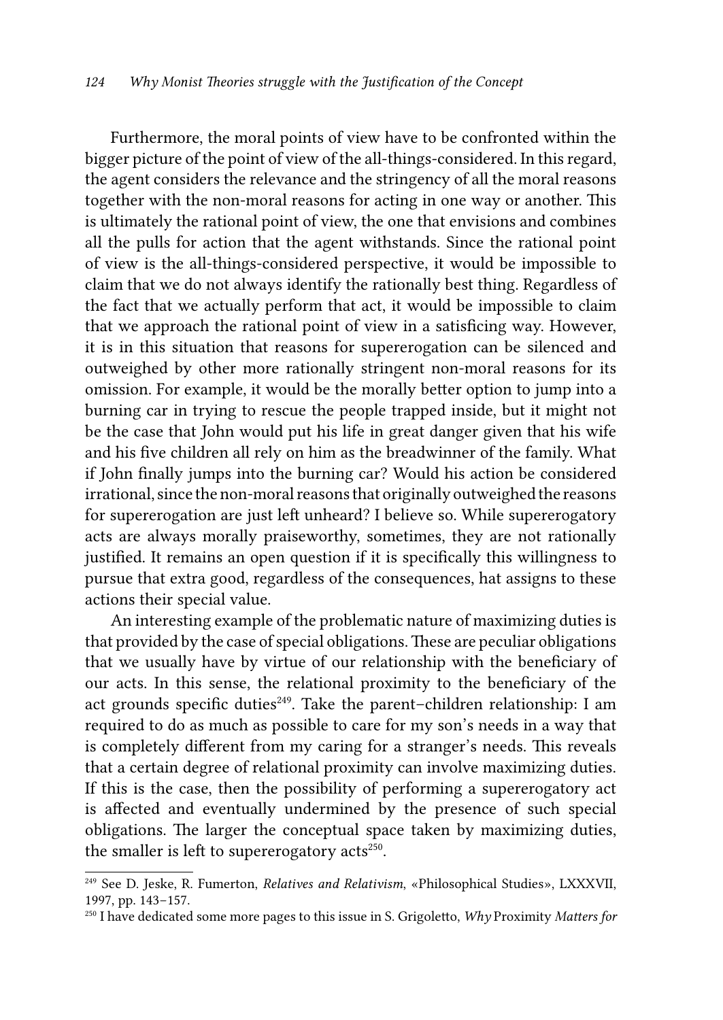Furthermore, the moral points of view have to be confronted within the bigger picture of the point of view of the all-things-considered. In this regard, the agent considers the relevance and the stringency of all the moral reasons together with the non-moral reasons for acting in one way or another. This is ultimately the rational point of view, the one that envisions and combines all the pulls for action that the agent withstands. Since the rational point of view is the all-things-considered perspective, it would be impossible to claim that we do not always identify the rationally best thing. Regardless of the fact that we actually perform that act, it would be impossible to claim that we approach the rational point of view in a satisficing way. However, it is in this situation that reasons for supererogation can be silenced and outweighed by other more rationally stringent non-moral reasons for its omission. For example, it would be the morally better option to jump into a burning car in trying to rescue the people trapped inside, but it might not be the case that John would put his life in great danger given that his wife and his five children all rely on him as the breadwinner of the family. What if John finally jumps into the burning car? Would his action be considered irrational, since the non-moral reasons that originally outweighed the reasons for supererogation are just left unheard? I believe so. While supererogatory acts are always morally praiseworthy, sometimes, they are not rationally justified. It remains an open question if it is specifically this willingness to pursue that extra good, regardless of the consequences, hat assigns to these actions their special value.

An interesting example of the problematic nature of maximizing duties is that provided by the case of special obligations. These are peculiar obligations that we usually have by virtue of our relationship with the beneficiary of our acts. In this sense, the relational proximity to the beneficiary of the act grounds specific duties<sup>249</sup>. Take the parent-children relationship: I am required to do as much as possible to care for my son's needs in a way that is completely different from my caring for a stranger's needs. This reveals that a certain degree of relational proximity can involve maximizing duties. If this is the case, then the possibility of performing a supererogatory act is affected and eventually undermined by the presence of such special obligations. The larger the conceptual space taken by maximizing duties, the smaller is left to supererogatory  $acts<sup>250</sup>$ .

<sup>249</sup> See D. Jeske, R. Fumerton, *Relatives and Relativism*, «Philosophical Studies», LXXXVII, 1997, pp. 143−157.

<sup>250</sup> I have dedicated some more pages to this issue in S. Grigoletto, *Why* Proximity *Matters for*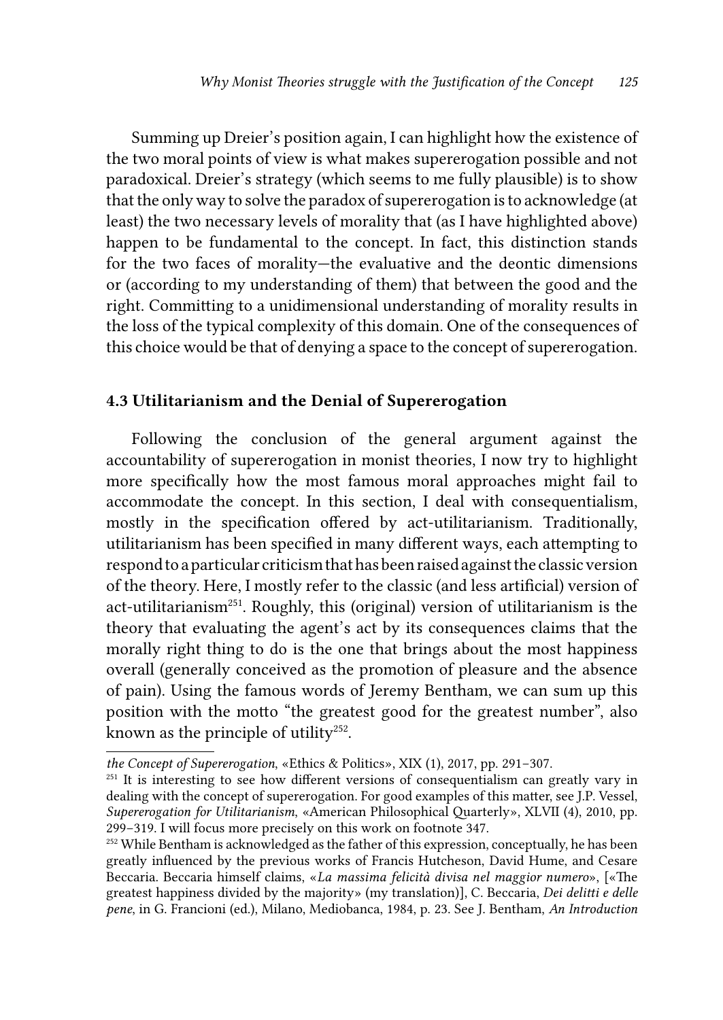Summing up Dreier's position again, I can highlight how the existence of the two moral points of view is what makes supererogation possible and not paradoxical. Dreier's strategy (which seems to me fully plausible) is to show that the only way to solve the paradox of supererogation is to acknowledge (at least) the two necessary levels of morality that (as I have highlighted above) happen to be fundamental to the concept. In fact, this distinction stands for the two faces of morality—the evaluative and the deontic dimensions or (according to my understanding of them) that between the good and the right. Committing to a unidimensional understanding of morality results in the loss of the typical complexity of this domain. One of the consequences of this choice would be that of denying a space to the concept of supererogation.

### 4.3 Utilitarianism and the Denial of Supererogation

Following the conclusion of the general argument against the accountability of supererogation in monist theories, I now try to highlight more specifically how the most famous moral approaches might fail to accommodate the concept. In this section, I deal with consequentialism, mostly in the specification offered by act-utilitarianism. Traditionally, utilitarianism has been specified in many different ways, each attempting to respond to a particular criticism that has been raised against the classic version of the theory. Here, I mostly refer to the classic (and less artificial) version of act-utilitarianism<sup>251</sup>. Roughly, this (original) version of utilitarianism is the theory that evaluating the agent's act by its consequences claims that the morally right thing to do is the one that brings about the most happiness overall (generally conceived as the promotion of pleasure and the absence of pain). Using the famous words of Jeremy Bentham, we can sum up this position with the motto "the greatest good for the greatest number", also known as the principle of utility<sup>252</sup>.

*the Concept of Supererogation*, «Ethics & Politics», XIX (1), 2017, pp. 291−307.

<sup>&</sup>lt;sup>251</sup> It is interesting to see how different versions of consequentialism can greatly vary in dealing with the concept of supererogation. For good examples of this matter, see J.P. Vessel, *Supererogation for Utilitarianism*, «American Philosophical Quarterly», XLVII (4), 2010, pp. 299−319. I will focus more precisely on this work on footnote 347.

<sup>&</sup>lt;sup>252</sup> While Bentham is acknowledged as the father of this expression, conceptually, he has been greatly influenced by the previous works of Francis Hutcheson, David Hume, and Cesare Beccaria. Beccaria himself claims, «*La massima felicità divisa nel maggior numero*», [«The greatest happiness divided by the majority» (my translation)], C. Beccaria, *Dei delitti e delle pene*, in G. Francioni (ed.), Milano, Mediobanca, 1984, p. 23. See J. Bentham, *An Introduction*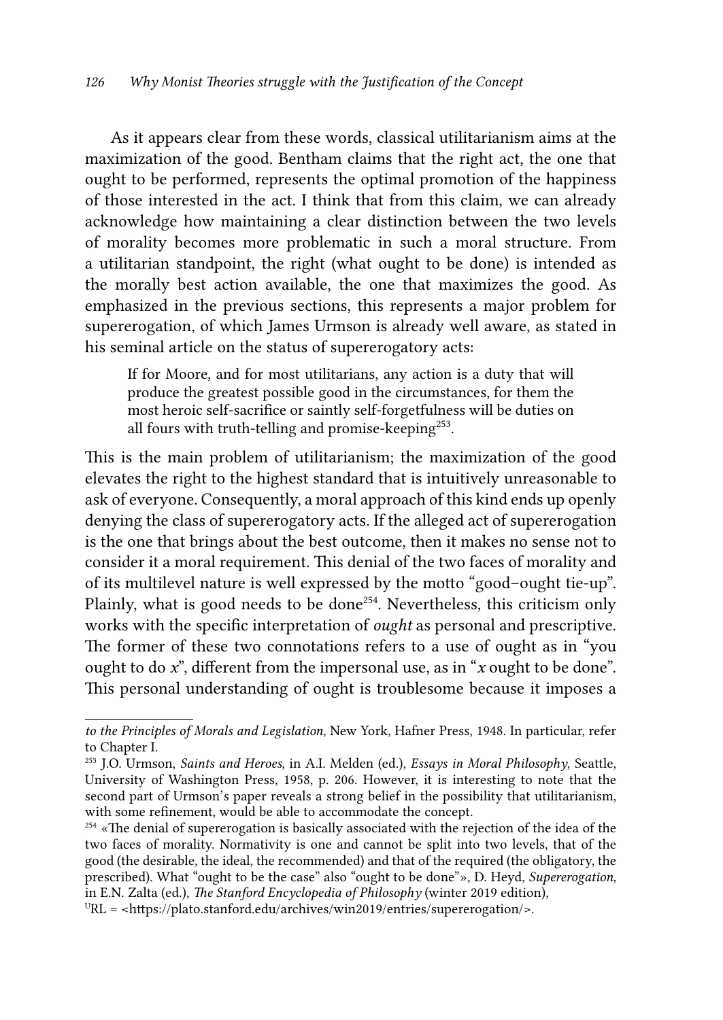As it appears clear from these words, classical utilitarianism aims at the maximization of the good. Bentham claims that the right act, the one that ought to be performed, represents the optimal promotion of the happiness of those interested in the act. I think that from this claim, we can already acknowledge how maintaining a clear distinction between the two levels of morality becomes more problematic in such a moral structure. From a utilitarian standpoint, the right (what ought to be done) is intended as the morally best action available, the one that maximizes the good. As emphasized in the previous sections, this represents a major problem for supererogation, of which James Urmson is already well aware, as stated in his seminal article on the status of supererogatory acts:

If for Moore, and for most utilitarians, any action is a duty that will produce the greatest possible good in the circumstances, for them the most heroic self-sacrifice or saintly self-forgetfulness will be duties on all fours with truth-telling and promise-keeping<sup>253</sup>.

This is the main problem of utilitarianism; the maximization of the good elevates the right to the highest standard that is intuitively unreasonable to ask of everyone. Consequently, a moral approach of this kind ends up openly denying the class of supererogatory acts. If the alleged act of supererogation is the one that brings about the best outcome, then it makes no sense not to consider it a moral requirement. This denial of the two faces of morality and of its multilevel nature is well expressed by the motto "good–ought tie-up". Plainly, what is good needs to be done<sup>254</sup>. Nevertheless, this criticism only works with the specific interpretation of *ought* as personal and prescriptive. The former of these two connotations refers to a use of ought as in "you ought to do *x*", different from the impersonal use, as in "*x* ought to be done". This personal understanding of ought is troublesome because it imposes a

*to the Principles of Morals and Legislation*, New York, Hafner Press, 1948. In particular, refer to Chapter I.

<sup>253</sup> J.O. Urmson, *Saints and Heroes*, in A.I. Melden (ed.), *Essays in Moral Philosophy*, Seattle, University of Washington Press, 1958, p. 206. However, it is interesting to note that the second part of Urmson's paper reveals a strong belief in the possibility that utilitarianism, with some refinement, would be able to accommodate the concept.

<sup>&</sup>lt;sup>254</sup> «The denial of supererogation is basically associated with the rejection of the idea of the two faces of morality. Normativity is one and cannot be split into two levels, that of the good (the desirable, the ideal, the recommended) and that of the required (the obligatory, the prescribed). What "ought to be the case" also "ought to be done"», D. Heyd, *Supererogation*, in E.N. Zalta (ed.), *The Stanford Encyclopedia of Philosophy* (winter 2019 edition),  $URL =$  <https://plato.stanford.edu/archives/win2019/entries/supererogation/>.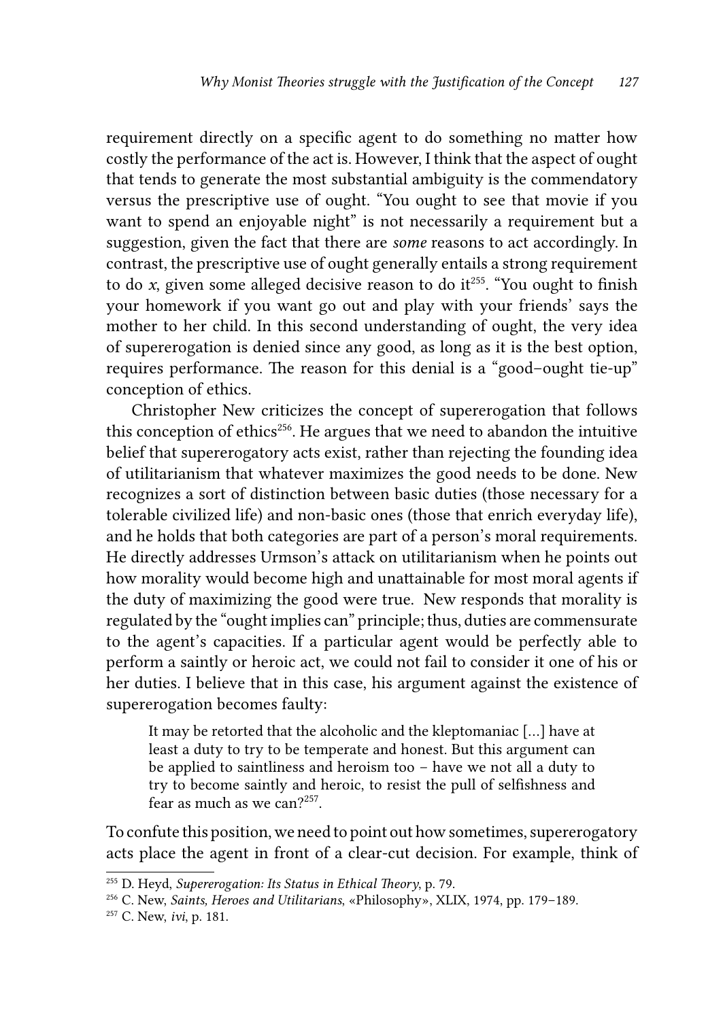requirement directly on a specific agent to do something no matter how costly the performance of the act is. However, I think that the aspect of ought that tends to generate the most substantial ambiguity is the commendatory versus the prescriptive use of ought. "You ought to see that movie if you want to spend an enjoyable night" is not necessarily a requirement but a suggestion, given the fact that there are *some* reasons to act accordingly. In contrast, the prescriptive use of ought generally entails a strong requirement to do *x*, given some alleged decisive reason to do it<sup>255</sup>. "You ought to finish your homework if you want go out and play with your friends' says the mother to her child. In this second understanding of ought, the very idea of supererogation is denied since any good, as long as it is the best option, requires performance. The reason for this denial is a "good–ought tie-up" conception of ethics.

Christopher New criticizes the concept of supererogation that follows this conception of ethics<sup>256</sup>. He argues that we need to abandon the intuitive belief that supererogatory acts exist, rather than rejecting the founding idea of utilitarianism that whatever maximizes the good needs to be done. New recognizes a sort of distinction between basic duties (those necessary for a tolerable civilized life) and non-basic ones (those that enrich everyday life), and he holds that both categories are part of a person's moral requirements. He directly addresses Urmson's attack on utilitarianism when he points out how morality would become high and unattainable for most moral agents if the duty of maximizing the good were true. New responds that morality is regulated by the "ought implies can" principle; thus, duties are commensurate to the agent's capacities. If a particular agent would be perfectly able to perform a saintly or heroic act, we could not fail to consider it one of his or her duties. I believe that in this case, his argument against the existence of supererogation becomes faulty:

It may be retorted that the alcoholic and the kleptomaniac […] have at least a duty to try to be temperate and honest. But this argument can be applied to saintliness and heroism too – have we not all a duty to try to become saintly and heroic, to resist the pull of selfishness and fear as much as we can?<sup>257</sup>.

To confute this position, we need to point out how sometimes, supererogatory acts place the agent in front of a clear-cut decision. For example, think of

<sup>255</sup> D. Heyd, *Supererogation: Its Status in Ethical Theory*, p. 79.

<sup>256</sup> C. New, *Saints, Heroes and Utilitarians*, «Philosophy», XLIX, 1974, pp. 179–189.

<sup>257</sup> C. New, *ivi*, p. 181.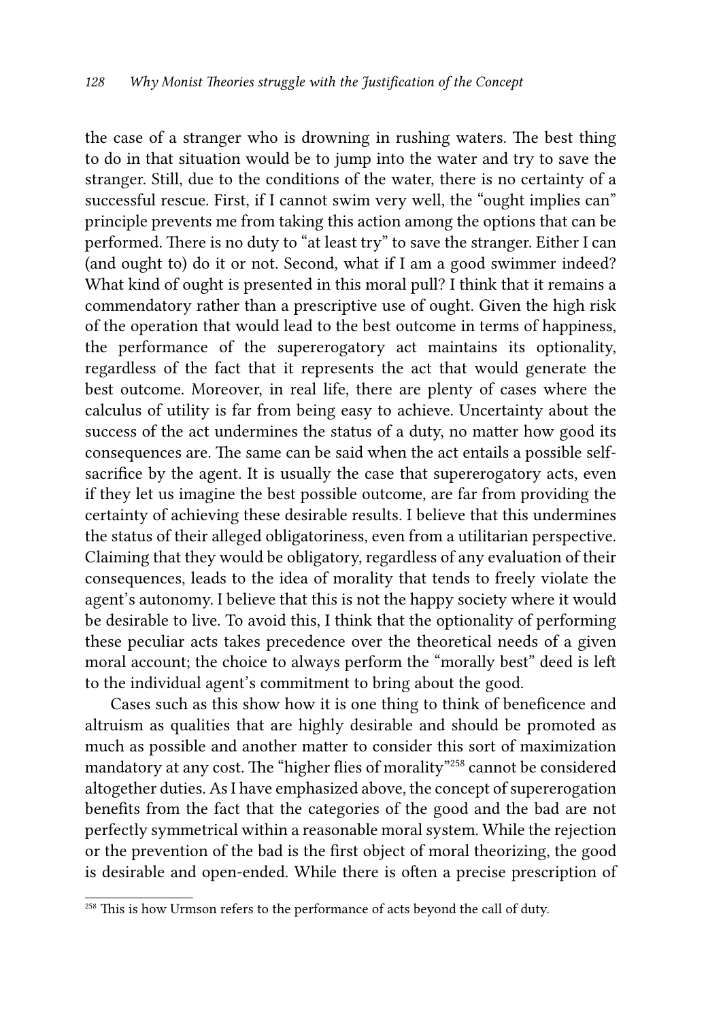the case of a stranger who is drowning in rushing waters. The best thing to do in that situation would be to jump into the water and try to save the stranger. Still, due to the conditions of the water, there is no certainty of a successful rescue. First, if I cannot swim very well, the "ought implies can" principle prevents me from taking this action among the options that can be performed. There is no duty to "at least try" to save the stranger. Either I can (and ought to) do it or not. Second, what if I am a good swimmer indeed? What kind of ought is presented in this moral pull? I think that it remains a commendatory rather than a prescriptive use of ought. Given the high risk of the operation that would lead to the best outcome in terms of happiness, the performance of the supererogatory act maintains its optionality, regardless of the fact that it represents the act that would generate the best outcome. Moreover, in real life, there are plenty of cases where the calculus of utility is far from being easy to achieve. Uncertainty about the success of the act undermines the status of a duty, no matter how good its consequences are. The same can be said when the act entails a possible selfsacrifice by the agent. It is usually the case that supererogatory acts, even if they let us imagine the best possible outcome, are far from providing the certainty of achieving these desirable results. I believe that this undermines the status of their alleged obligatoriness, even from a utilitarian perspective. Claiming that they would be obligatory, regardless of any evaluation of their consequences, leads to the idea of morality that tends to freely violate the agent's autonomy. I believe that this is not the happy society where it would be desirable to live. To avoid this, I think that the optionality of performing these peculiar acts takes precedence over the theoretical needs of a given moral account; the choice to always perform the "morally best" deed is left to the individual agent's commitment to bring about the good.

Cases such as this show how it is one thing to think of beneficence and altruism as qualities that are highly desirable and should be promoted as much as possible and another matter to consider this sort of maximization mandatory at any cost. The "higher flies of morality"258 cannot be considered altogether duties. As I have emphasized above, the concept of supererogation benefits from the fact that the categories of the good and the bad are not perfectly symmetrical within a reasonable moral system. While the rejection or the prevention of the bad is the first object of moral theorizing, the good is desirable and open-ended. While there is often a precise prescription of

<sup>&</sup>lt;sup>258</sup> This is how Urmson refers to the performance of acts beyond the call of duty.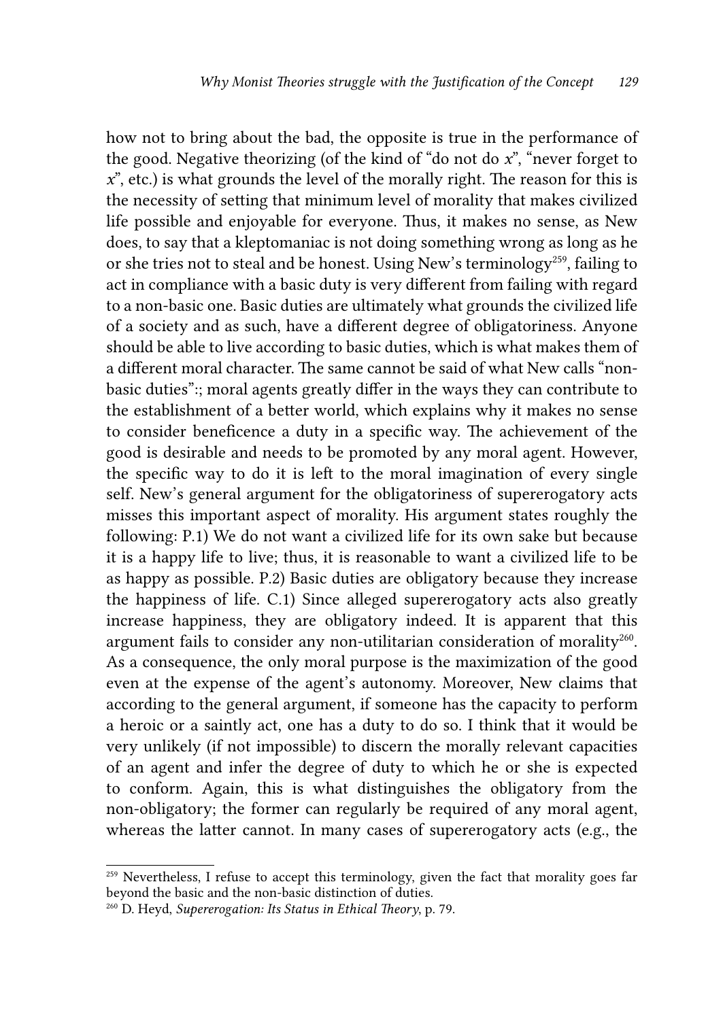how not to bring about the bad, the opposite is true in the performance of the good. Negative theorizing (of the kind of "do not do *x*", "never forget to *x*", etc.) is what grounds the level of the morally right. The reason for this is the necessity of setting that minimum level of morality that makes civilized life possible and enjoyable for everyone. Thus, it makes no sense, as New does, to say that a kleptomaniac is not doing something wrong as long as he or she tries not to steal and be honest. Using New's terminology<sup>259</sup>, failing to act in compliance with a basic duty is very different from failing with regard to a non-basic one. Basic duties are ultimately what grounds the civilized life of a society and as such, have a different degree of obligatoriness. Anyone should be able to live according to basic duties, which is what makes them of a different moral character. The same cannot be said of what New calls "nonbasic duties":; moral agents greatly differ in the ways they can contribute to the establishment of a better world, which explains why it makes no sense to consider beneficence a duty in a specific way. The achievement of the good is desirable and needs to be promoted by any moral agent. However, the specific way to do it is left to the moral imagination of every single self. New's general argument for the obligatoriness of supererogatory acts misses this important aspect of morality. His argument states roughly the following: P.1) We do not want a civilized life for its own sake but because it is a happy life to live; thus, it is reasonable to want a civilized life to be as happy as possible. P.2) Basic duties are obligatory because they increase the happiness of life. C.1) Since alleged supererogatory acts also greatly increase happiness, they are obligatory indeed. It is apparent that this argument fails to consider any non-utilitarian consideration of morality<sup>260</sup>. As a consequence, the only moral purpose is the maximization of the good even at the expense of the agent's autonomy. Moreover, New claims that according to the general argument, if someone has the capacity to perform a heroic or a saintly act, one has a duty to do so. I think that it would be very unlikely (if not impossible) to discern the morally relevant capacities of an agent and infer the degree of duty to which he or she is expected to conform. Again, this is what distinguishes the obligatory from the non-obligatory; the former can regularly be required of any moral agent, whereas the latter cannot. In many cases of supererogatory acts (e.g., the

<sup>&</sup>lt;sup>259</sup> Nevertheless, I refuse to accept this terminology, given the fact that morality goes far beyond the basic and the non-basic distinction of duties.

<sup>260</sup> D. Heyd, *Supererogation: Its Status in Ethical Theory*, p. 79.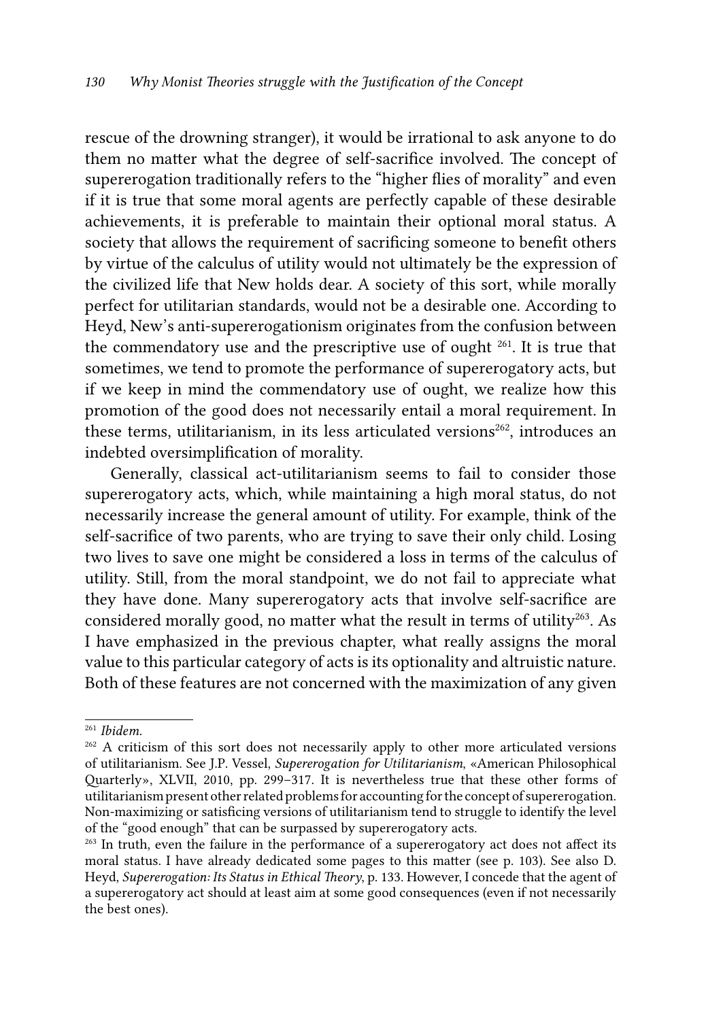rescue of the drowning stranger), it would be irrational to ask anyone to do them no matter what the degree of self-sacrifice involved. The concept of supererogation traditionally refers to the "higher flies of morality" and even if it is true that some moral agents are perfectly capable of these desirable achievements, it is preferable to maintain their optional moral status. A society that allows the requirement of sacrificing someone to benefit others by virtue of the calculus of utility would not ultimately be the expression of the civilized life that New holds dear. A society of this sort, while morally perfect for utilitarian standards, would not be a desirable one. According to Heyd, New's anti-supererogationism originates from the confusion between the commendatory use and the prescriptive use of ought  $261$ . It is true that sometimes, we tend to promote the performance of supererogatory acts, but if we keep in mind the commendatory use of ought, we realize how this promotion of the good does not necessarily entail a moral requirement. In these terms, utilitarianism, in its less articulated versions<sup>262</sup>, introduces an indebted oversimplification of morality.

Generally, classical act-utilitarianism seems to fail to consider those supererogatory acts, which, while maintaining a high moral status, do not necessarily increase the general amount of utility. For example, think of the self-sacrifice of two parents, who are trying to save their only child. Losing two lives to save one might be considered a loss in terms of the calculus of utility. Still, from the moral standpoint, we do not fail to appreciate what they have done. Many supererogatory acts that involve self-sacrifice are considered morally good, no matter what the result in terms of utility<sup>263</sup>. As I have emphasized in the previous chapter, what really assigns the moral value to this particular category of acts is its optionality and altruistic nature. Both of these features are not concerned with the maximization of any given

<sup>261</sup> *Ibidem.*

<sup>&</sup>lt;sup>262</sup> A criticism of this sort does not necessarily apply to other more articulated versions of utilitarianism. See J.P. Vessel, *Supererogation for Utilitarianism*, «American Philosophical Quarterly», XLVII, 2010, pp. 299–317. It is nevertheless true that these other forms of utilitarianism present other related problems for accounting for the concept of supererogation. Non-maximizing or satisficing versions of utilitarianism tend to struggle to identify the level of the "good enough" that can be surpassed by supererogatory acts.

<sup>&</sup>lt;sup>263</sup> In truth, even the failure in the performance of a supererogatory act does not affect its moral status. I have already dedicated some pages to this matter (see p. 103). See also D. Heyd, *Supererogation: Its Status in Ethical Theory*, p. 133. However, I concede that the agent of a supererogatory act should at least aim at some good consequences (even if not necessarily the best ones).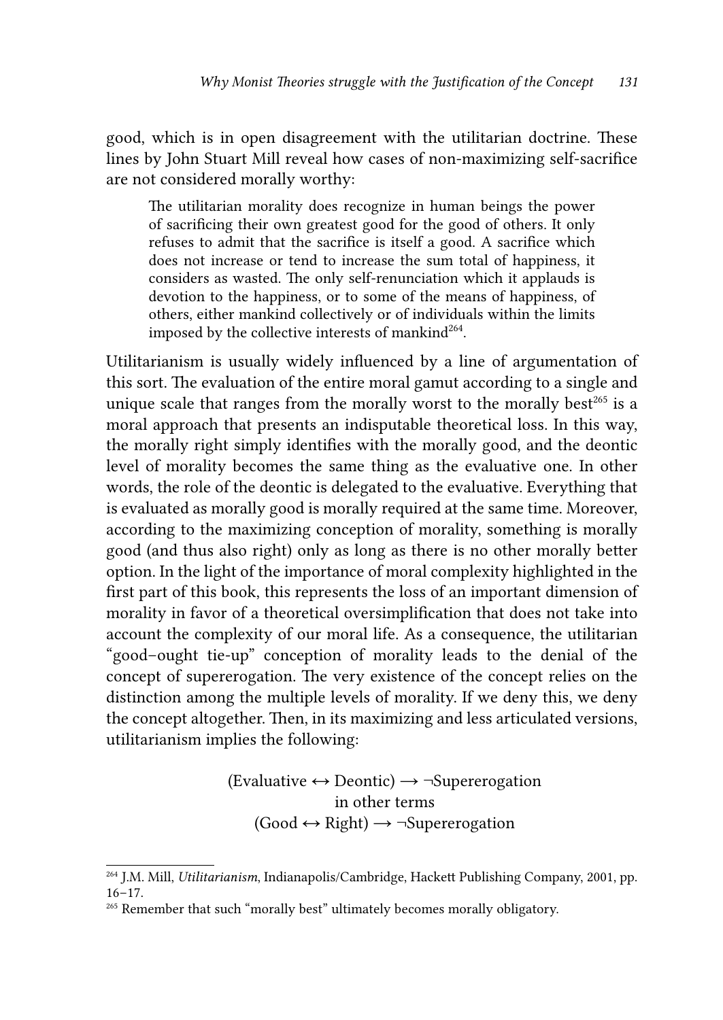good, which is in open disagreement with the utilitarian doctrine. These lines by John Stuart Mill reveal how cases of non-maximizing self-sacrifice are not considered morally worthy:

The utilitarian morality does recognize in human beings the power of sacrificing their own greatest good for the good of others. It only refuses to admit that the sacrifice is itself a good. A sacrifice which does not increase or tend to increase the sum total of happiness, it considers as wasted. The only self-renunciation which it applauds is devotion to the happiness, or to some of the means of happiness, of others, either mankind collectively or of individuals within the limits imposed by the collective interests of mankind $^{264}$ .

Utilitarianism is usually widely influenced by a line of argumentation of this sort. The evaluation of the entire moral gamut according to a single and unique scale that ranges from the morally worst to the morally best $265$  is a moral approach that presents an indisputable theoretical loss. In this way, the morally right simply identifies with the morally good, and the deontic level of morality becomes the same thing as the evaluative one. In other words, the role of the deontic is delegated to the evaluative. Everything that is evaluated as morally good is morally required at the same time. Moreover, according to the maximizing conception of morality, something is morally good (and thus also right) only as long as there is no other morally better option. In the light of the importance of moral complexity highlighted in the first part of this book, this represents the loss of an important dimension of morality in favor of a theoretical oversimplification that does not take into account the complexity of our moral life. As a consequence, the utilitarian "good–ought tie-up" conception of morality leads to the denial of the concept of supererogation. The very existence of the concept relies on the distinction among the multiple levels of morality. If we deny this, we deny the concept altogether. Then, in its maximizing and less articulated versions, utilitarianism implies the following:

## $(Evaluate \leftrightarrow Deontic) \rightarrow \neg Superergation$ in other terms  $(Good \leftrightarrow Right) \rightarrow \neg Superergation$

<sup>264</sup> J.M. Mill, *Utilitarianism*, Indianapolis/Cambridge, Hackett Publishing Company, 2001, pp. 16–17.

<sup>&</sup>lt;sup>265</sup> Remember that such "morally best" ultimately becomes morally obligatory.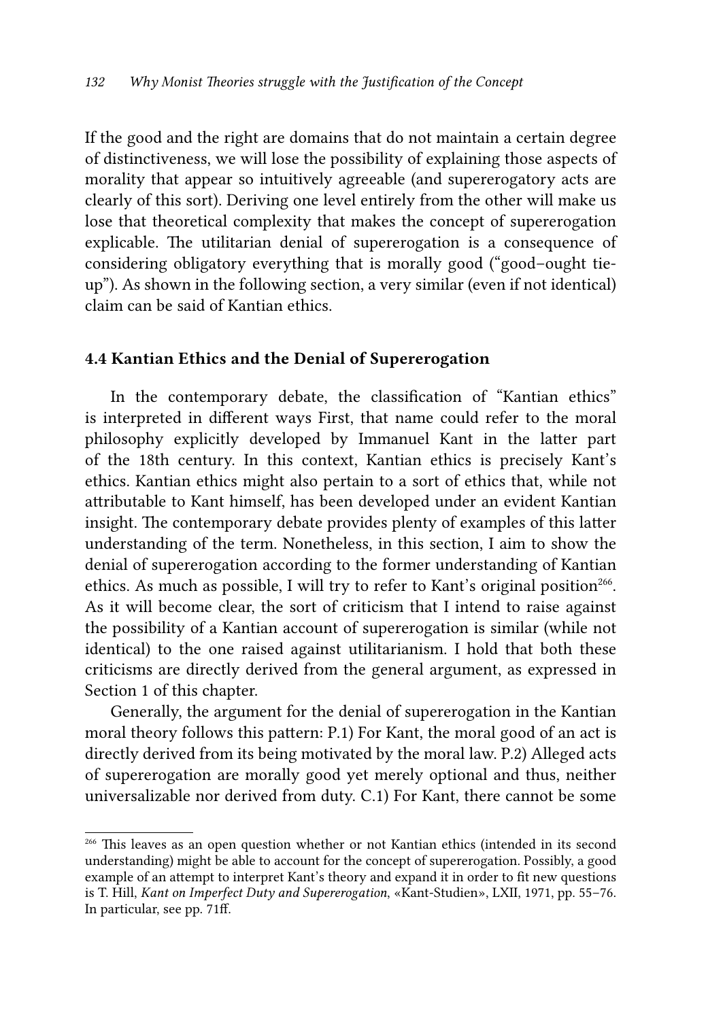If the good and the right are domains that do not maintain a certain degree of distinctiveness, we will lose the possibility of explaining those aspects of morality that appear so intuitively agreeable (and supererogatory acts are clearly of this sort). Deriving one level entirely from the other will make us lose that theoretical complexity that makes the concept of supererogation explicable. The utilitarian denial of supererogation is a consequence of considering obligatory everything that is morally good ("good–ought tieup"). As shown in the following section, a very similar (even if not identical) claim can be said of Kantian ethics.

### 4.4 Kantian Ethics and the Denial of Supererogation

In the contemporary debate, the classification of "Kantian ethics" is interpreted in different ways First, that name could refer to the moral philosophy explicitly developed by Immanuel Kant in the latter part of the 18th century. In this context, Kantian ethics is precisely Kant's ethics. Kantian ethics might also pertain to a sort of ethics that, while not attributable to Kant himself, has been developed under an evident Kantian insight. The contemporary debate provides plenty of examples of this latter understanding of the term. Nonetheless, in this section, I aim to show the denial of supererogation according to the former understanding of Kantian ethics. As much as possible, I will try to refer to Kant's original position<sup>266</sup>. As it will become clear, the sort of criticism that I intend to raise against the possibility of a Kantian account of supererogation is similar (while not identical) to the one raised against utilitarianism. I hold that both these criticisms are directly derived from the general argument, as expressed in Section 1 of this chapter.

Generally, the argument for the denial of supererogation in the Kantian moral theory follows this pattern: P.1) For Kant, the moral good of an act is directly derived from its being motivated by the moral law. P.2) Alleged acts of supererogation are morally good yet merely optional and thus, neither universalizable nor derived from duty. C.1) For Kant, there cannot be some

<sup>266</sup> This leaves as an open question whether or not Kantian ethics (intended in its second understanding) might be able to account for the concept of supererogation. Possibly, a good example of an attempt to interpret Kant's theory and expand it in order to fit new questions is T. Hill, *Kant on Imperfect Duty and Supererogation*, «Kant-Studien», LXII, 1971, pp. 55–76. In particular, see pp. 71ff.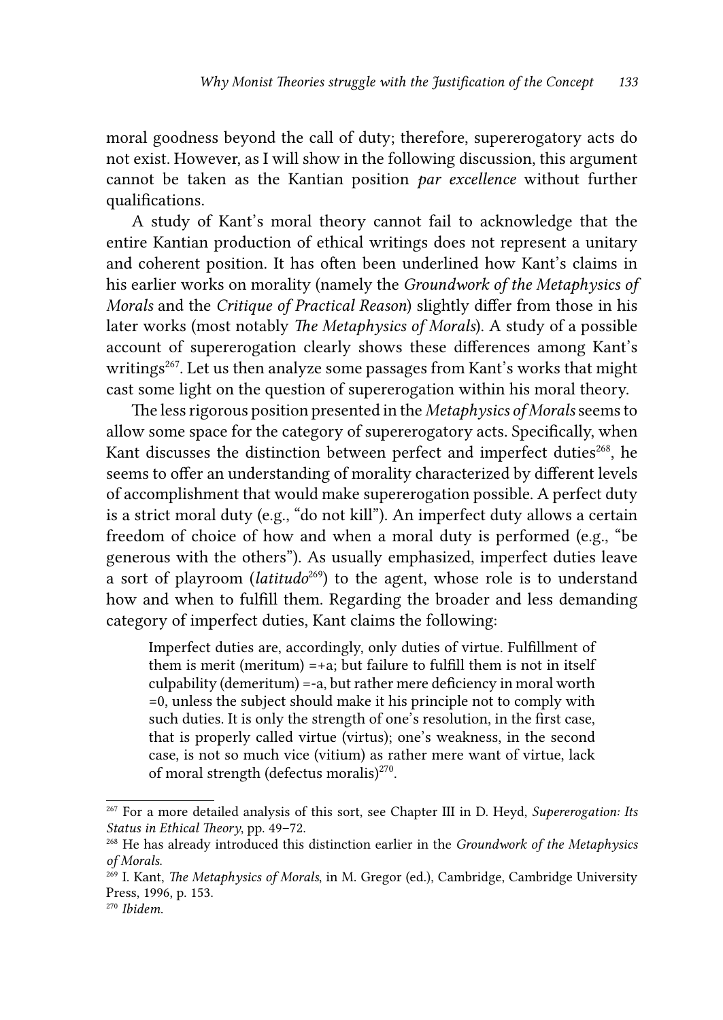moral goodness beyond the call of duty; therefore, supererogatory acts do not exist. However, as I will show in the following discussion, this argument cannot be taken as the Kantian position *par excellence* without further qualifications.

A study of Kant's moral theory cannot fail to acknowledge that the entire Kantian production of ethical writings does not represent a unitary and coherent position. It has often been underlined how Kant's claims in his earlier works on morality (namely the *Groundwork of the Metaphysics of Morals* and the *Critique of Practical Reason*) slightly differ from those in his later works (most notably *The Metaphysics of Morals*). A study of a possible account of supererogation clearly shows these differences among Kant's writings<sup>267</sup>. Let us then analyze some passages from Kant's works that might cast some light on the question of supererogation within his moral theory.

The less rigorous position presented in the *Metaphysics of Morals* seems to allow some space for the category of supererogatory acts. Specifically, when Kant discusses the distinction between perfect and imperfect duties<sup>268</sup>, he seems to offer an understanding of morality characterized by different levels of accomplishment that would make supererogation possible. A perfect duty is a strict moral duty (e.g., "do not kill"). An imperfect duty allows a certain freedom of choice of how and when a moral duty is performed (e.g., "be generous with the others"). As usually emphasized, imperfect duties leave a sort of playroom (*latitudo*<sup>269</sup>) to the agent, whose role is to understand how and when to fulfill them. Regarding the broader and less demanding category of imperfect duties, Kant claims the following:

Imperfect duties are, accordingly, only duties of virtue. Fulfillment of them is merit (meritum)  $=+a$ ; but failure to fulfill them is not in itself culpability (demeritum) =-a, but rather mere deficiency in moral worth =0, unless the subject should make it his principle not to comply with such duties. It is only the strength of one's resolution, in the first case, that is properly called virtue (virtus); one's weakness, in the second case, is not so much vice (vitium) as rather mere want of virtue, lack of moral strength (defectus moralis)<sup>270</sup>.

<sup>267</sup> For a more detailed analysis of this sort, see Chapter III in D. Heyd, *Supererogation: Its Status in Ethical Theory*, pp. 49–72.

<sup>268</sup> He has already introduced this distinction earlier in the *Groundwork of the Metaphysics of Morals*.

<sup>269</sup> I. Kant, *The Metaphysics of Morals*, in M. Gregor (ed.), Cambridge, Cambridge University Press, 1996, p. 153.

<sup>270</sup> *Ibidem*.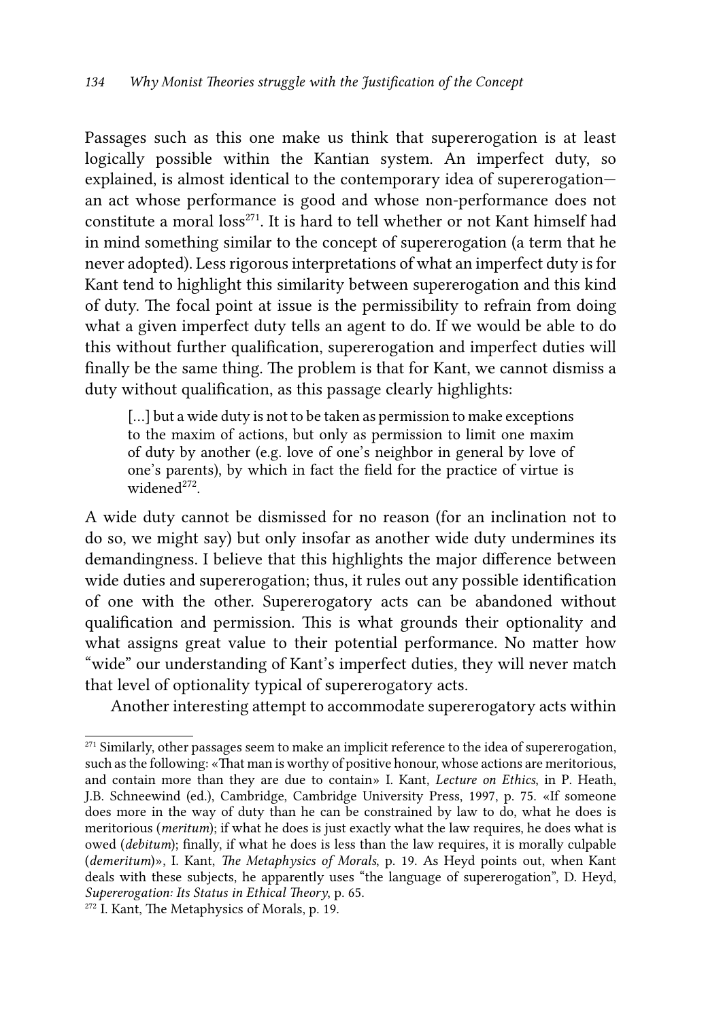Passages such as this one make us think that supererogation is at least logically possible within the Kantian system. An imperfect duty, so explained, is almost identical to the contemporary idea of supererogation an act whose performance is good and whose non-performance does not constitute a moral loss<sup>271</sup>. It is hard to tell whether or not Kant himself had in mind something similar to the concept of supererogation (a term that he never adopted). Less rigorous interpretations of what an imperfect duty is for Kant tend to highlight this similarity between supererogation and this kind of duty. The focal point at issue is the permissibility to refrain from doing what a given imperfect duty tells an agent to do. If we would be able to do this without further qualification, supererogation and imperfect duties will finally be the same thing. The problem is that for Kant, we cannot dismiss a duty without qualification, as this passage clearly highlights:

[...] but a wide duty is not to be taken as permission to make exceptions to the maxim of actions, but only as permission to limit one maxim of duty by another (e.g. love of one's neighbor in general by love of one's parents), by which in fact the field for the practice of virtue is widene $d^{272}$ 

A wide duty cannot be dismissed for no reason (for an inclination not to do so, we might say) but only insofar as another wide duty undermines its demandingness. I believe that this highlights the major difference between wide duties and supererogation; thus, it rules out any possible identification of one with the other. Supererogatory acts can be abandoned without qualification and permission. This is what grounds their optionality and what assigns great value to their potential performance. No matter how "wide" our understanding of Kant's imperfect duties, they will never match that level of optionality typical of supererogatory acts.

Another interesting attempt to accommodate supererogatory acts within

<sup>&</sup>lt;sup>271</sup> Similarly, other passages seem to make an implicit reference to the idea of supererogation, such as the following: «That man is worthy of positive honour, whose actions are meritorious, and contain more than they are due to contain» I. Kant, *Lecture on Ethics*, in P. Heath, J.B. Schneewind (ed.), Cambridge, Cambridge University Press, 1997, p. 75. «If someone does more in the way of duty than he can be constrained by law to do, what he does is meritorious (*meritum*); if what he does is just exactly what the law requires, he does what is owed (*debitum*); finally, if what he does is less than the law requires, it is morally culpable (*demeritum*)», I. Kant, *The Metaphysics of Morals*, p. 19. As Heyd points out, when Kant deals with these subjects, he apparently uses "the language of supererogation", D. Heyd, *Supererogation: Its Status in Ethical Theory*, p. 65.

<sup>272</sup> I. Kant, The Metaphysics of Morals, p. 19.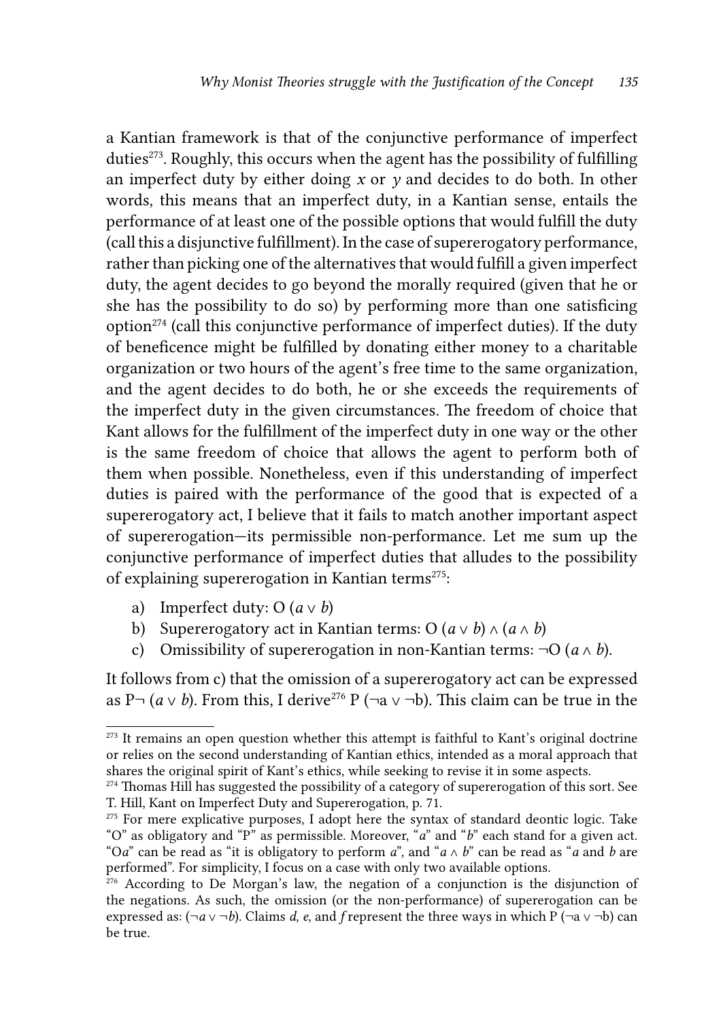a Kantian framework is that of the conjunctive performance of imperfect duties<sup> $273$ </sup>. Roughly, this occurs when the agent has the possibility of fulfilling an imperfect duty by either doing *x* or *y* and decides to do both. In other words, this means that an imperfect duty, in a Kantian sense, entails the performance of at least one of the possible options that would fulfill the duty (call this a disjunctive fulfillment). In the case of supererogatory performance, rather than picking one of the alternatives that would fulfill a given imperfect duty, the agent decides to go beyond the morally required (given that he or she has the possibility to do so) by performing more than one satisficing option $274$  (call this conjunctive performance of imperfect duties). If the duty of beneficence might be fulfilled by donating either money to a charitable organization or two hours of the agent's free time to the same organization, and the agent decides to do both, he or she exceeds the requirements of the imperfect duty in the given circumstances. The freedom of choice that Kant allows for the fulfillment of the imperfect duty in one way or the other is the same freedom of choice that allows the agent to perform both of them when possible. Nonetheless, even if this understanding of imperfect duties is paired with the performance of the good that is expected of a supererogatory act, I believe that it fails to match another important aspect of supererogation—its permissible non-performance. Let me sum up the conjunctive performance of imperfect duties that alludes to the possibility of explaining supererogation in Kantian terms<sup>275</sup>:

- a) Imperfect duty: O  $(a \vee b)$
- b) Supererogatory act in Kantian terms: O  $(a \vee b) \wedge (a \wedge b)$
- c) Omissibility of supererogation in non-Kantian terms:  $\neg$ O ( $a \wedge b$ ).

It follows from c) that the omission of a supererogatory act can be expressed as P¬ ( $a ∨ b$ ). From this, I derive<sup>276</sup> P (¬a ∨ ¬b). This claim can be true in the

<sup>&</sup>lt;sup>273</sup> It remains an open question whether this attempt is faithful to Kant's original doctrine or relies on the second understanding of Kantian ethics, intended as a moral approach that shares the original spirit of Kant's ethics, while seeking to revise it in some aspects.

<sup>&</sup>lt;sup>274</sup> Thomas Hill has suggested the possibility of a category of supererogation of this sort. See T. Hill, Kant on Imperfect Duty and Supererogation, p. 71.

<sup>&</sup>lt;sup>275</sup> For mere explicative purposes, I adopt here the syntax of standard deontic logic. Take "O" as obligatory and "P" as permissible. Moreover, "*a*" and "*b*" each stand for a given act. "O*a*" can be read as "it is obligatory to perform *a*", and "*a* ∧ *b*" can be read as "*a* and *b* are performed". For simplicity, I focus on a case with only two available options.

<sup>&</sup>lt;sup>276</sup> According to De Morgan's law, the negation of a conjunction is the disjunction of the negations. As such, the omission (or the non-performance) of supererogation can be expressed as:  $(\neg a \lor \neg b)$ . Claims *d*, *e*, and *f* represent the three ways in which P ( $\neg a \lor \neg b$ ) can be true.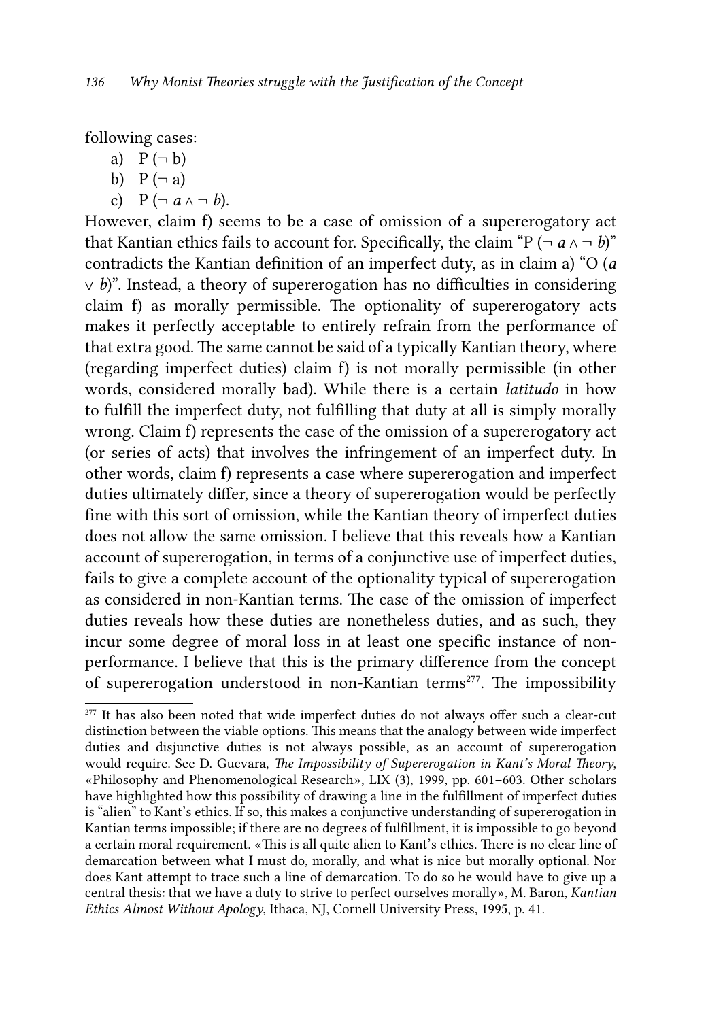following cases:

a)  $P(\neg b)$ 

- b)  $P(\neg a)$
- c)  $P(\neg a \land \neg b)$ .

However, claim f) seems to be a case of omission of a supererogatory act that Kantian ethics fails to account for. Specifically, the claim "P ( $\neg a \land \neg b$ )" contradicts the Kantian definition of an imperfect duty, as in claim a) "O (*a*  ∨ *b*)". Instead, a theory of supererogation has no difficulties in considering claim f) as morally permissible. The optionality of supererogatory acts makes it perfectly acceptable to entirely refrain from the performance of that extra good. The same cannot be said of a typically Kantian theory, where (regarding imperfect duties) claim f) is not morally permissible (in other words, considered morally bad). While there is a certain *latitudo* in how to fulfill the imperfect duty, not fulfilling that duty at all is simply morally wrong. Claim f) represents the case of the omission of a supererogatory act (or series of acts) that involves the infringement of an imperfect duty. In other words, claim f) represents a case where supererogation and imperfect duties ultimately differ, since a theory of supererogation would be perfectly fine with this sort of omission, while the Kantian theory of imperfect duties does not allow the same omission. I believe that this reveals how a Kantian account of supererogation, in terms of a conjunctive use of imperfect duties, fails to give a complete account of the optionality typical of supererogation as considered in non-Kantian terms. The case of the omission of imperfect duties reveals how these duties are nonetheless duties, and as such, they incur some degree of moral loss in at least one specific instance of nonperformance. I believe that this is the primary difference from the concept of supererogation understood in non-Kantian terms<sup>277</sup>. The impossibility

<sup>&</sup>lt;sup>277</sup> It has also been noted that wide imperfect duties do not always offer such a clear-cut distinction between the viable options. This means that the analogy between wide imperfect duties and disjunctive duties is not always possible, as an account of supererogation would require. See D. Guevara, *The Impossibility of Supererogation in Kant's Moral Theory*, «Philosophy and Phenomenological Research», LIX (3), 1999, pp. 601–603. Other scholars have highlighted how this possibility of drawing a line in the fulfillment of imperfect duties is "alien" to Kant's ethics. If so, this makes a conjunctive understanding of supererogation in Kantian terms impossible; if there are no degrees of fulfillment, it is impossible to go beyond a certain moral requirement. «This is all quite alien to Kant's ethics. There is no clear line of demarcation between what I must do, morally, and what is nice but morally optional. Nor does Kant attempt to trace such a line of demarcation. To do so he would have to give up a central thesis: that we have a duty to strive to perfect ourselves morally», M. Baron, *Kantian Ethics Almost Without Apology*, Ithaca, NJ, Cornell University Press, 1995, p. 41.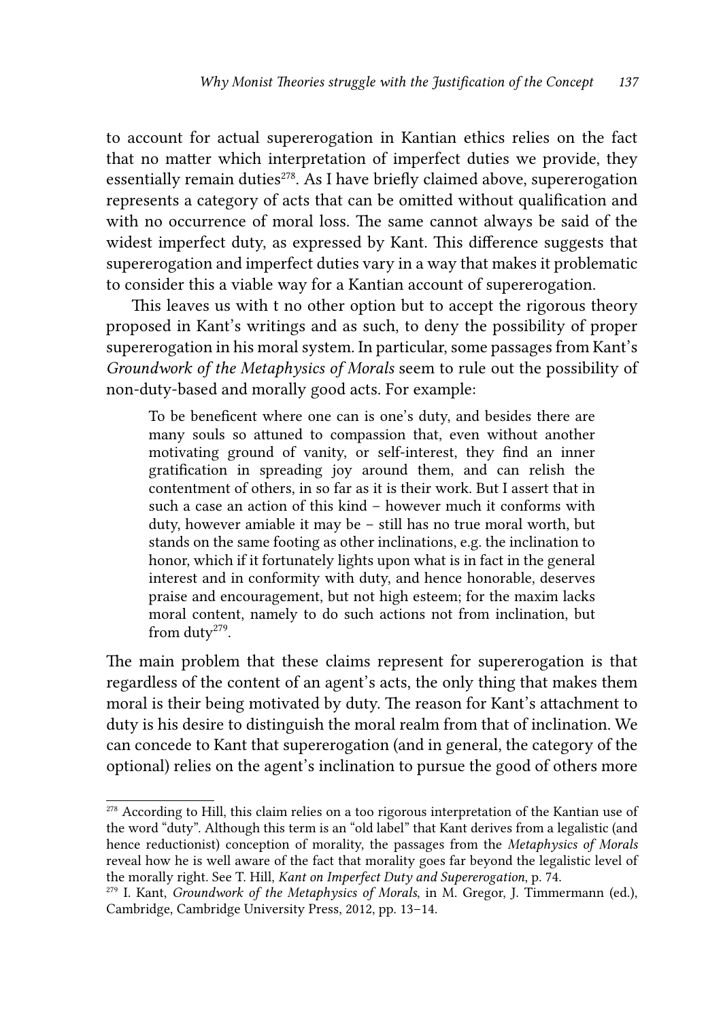to account for actual supererogation in Kantian ethics relies on the fact that no matter which interpretation of imperfect duties we provide, they essentially remain duties<sup>278</sup>. As I have briefly claimed above, supererogation represents a category of acts that can be omitted without qualification and with no occurrence of moral loss. The same cannot always be said of the widest imperfect duty, as expressed by Kant. This difference suggests that supererogation and imperfect duties vary in a way that makes it problematic to consider this a viable way for a Kantian account of supererogation.

This leaves us with t no other option but to accept the rigorous theory proposed in Kant's writings and as such, to deny the possibility of proper supererogation in his moral system. In particular, some passages from Kant's *Groundwork of the Metaphysics of Morals* seem to rule out the possibility of non-duty-based and morally good acts. For example:

To be beneficent where one can is one's duty, and besides there are many souls so attuned to compassion that, even without another motivating ground of vanity, or self-interest, they find an inner gratification in spreading joy around them, and can relish the contentment of others, in so far as it is their work. But I assert that in such a case an action of this kind – however much it conforms with duty, however amiable it may be – still has no true moral worth, but stands on the same footing as other inclinations, e.g. the inclination to honor, which if it fortunately lights upon what is in fact in the general interest and in conformity with duty, and hence honorable, deserves praise and encouragement, but not high esteem; for the maxim lacks moral content, namely to do such actions not from inclination, but from duty<sup>279</sup>.

The main problem that these claims represent for supererogation is that regardless of the content of an agent's acts, the only thing that makes them moral is their being motivated by duty. The reason for Kant's attachment to duty is his desire to distinguish the moral realm from that of inclination. We can concede to Kant that supererogation (and in general, the category of the optional) relies on the agent's inclination to pursue the good of others more

<sup>&</sup>lt;sup>278</sup> According to Hill, this claim relies on a too rigorous interpretation of the Kantian use of the word "duty". Although this term is an "old label" that Kant derives from a legalistic (and hence reductionist) conception of morality, the passages from the *Metaphysics of Morals* reveal how he is well aware of the fact that morality goes far beyond the legalistic level of the morally right. See T. Hill, *Kant on Imperfect Duty and Supererogation*, p. 74.

<sup>279</sup> I. Kant, *Groundwork of the Metaphysics of Morals*, in M. Gregor, J. Timmermann (ed.), Cambridge, Cambridge University Press, 2012, pp. 13–14.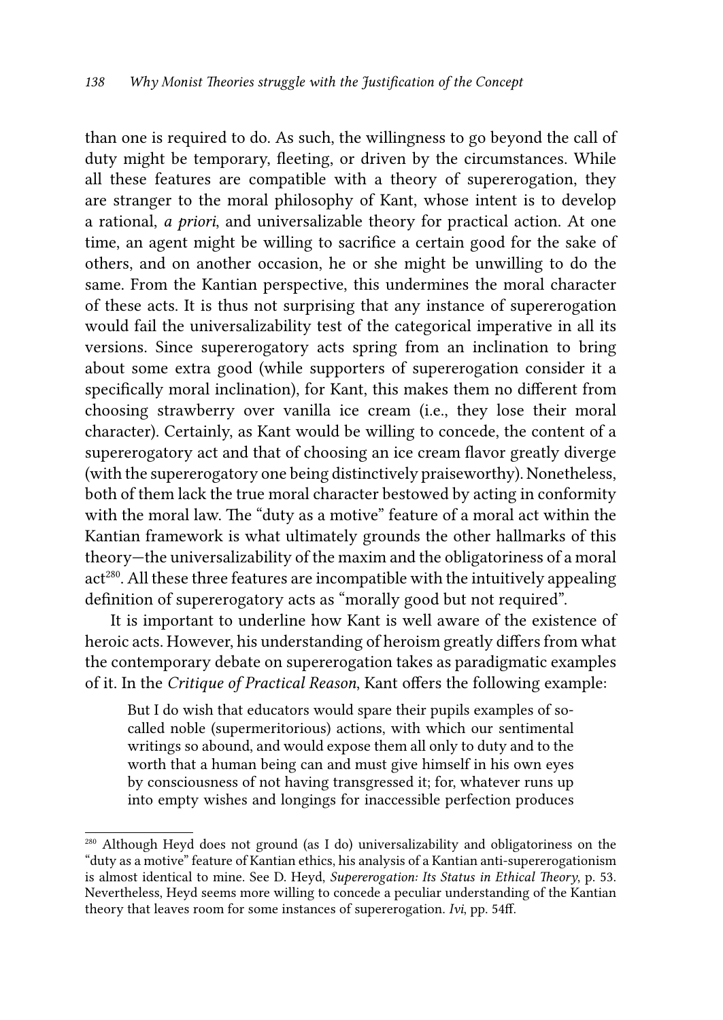than one is required to do. As such, the willingness to go beyond the call of duty might be temporary, fleeting, or driven by the circumstances. While all these features are compatible with a theory of supererogation, they are stranger to the moral philosophy of Kant, whose intent is to develop a rational, *a priori*, and universalizable theory for practical action. At one time, an agent might be willing to sacrifice a certain good for the sake of others, and on another occasion, he or she might be unwilling to do the same. From the Kantian perspective, this undermines the moral character of these acts. It is thus not surprising that any instance of supererogation would fail the universalizability test of the categorical imperative in all its versions. Since supererogatory acts spring from an inclination to bring about some extra good (while supporters of supererogation consider it a specifically moral inclination), for Kant, this makes them no different from choosing strawberry over vanilla ice cream (i.e., they lose their moral character). Certainly, as Kant would be willing to concede, the content of a supererogatory act and that of choosing an ice cream flavor greatly diverge (with the supererogatory one being distinctively praiseworthy). Nonetheless, both of them lack the true moral character bestowed by acting in conformity with the moral law. The "duty as a motive" feature of a moral act within the Kantian framework is what ultimately grounds the other hallmarks of this theory—the universalizability of the maxim and the obligatoriness of a moral act<sup>280</sup>. All these three features are incompatible with the intuitively appealing definition of supererogatory acts as "morally good but not required".

It is important to underline how Kant is well aware of the existence of heroic acts. However, his understanding of heroism greatly differs from what the contemporary debate on supererogation takes as paradigmatic examples of it. In the *Critique of Practical Reason*, Kant offers the following example:

But I do wish that educators would spare their pupils examples of socalled noble (supermeritorious) actions, with which our sentimental writings so abound, and would expose them all only to duty and to the worth that a human being can and must give himself in his own eyes by consciousness of not having transgressed it; for, whatever runs up into empty wishes and longings for inaccessible perfection produces

<sup>280</sup> Although Heyd does not ground (as I do) universalizability and obligatoriness on the "duty as a motive" feature of Kantian ethics, his analysis of a Kantian anti-supererogationism is almost identical to mine. See D. Heyd, *Supererogation: Its Status in Ethical Theory*, p. 53. Nevertheless, Heyd seems more willing to concede a peculiar understanding of the Kantian theory that leaves room for some instances of supererogation. *Ivi*, pp. 54ff.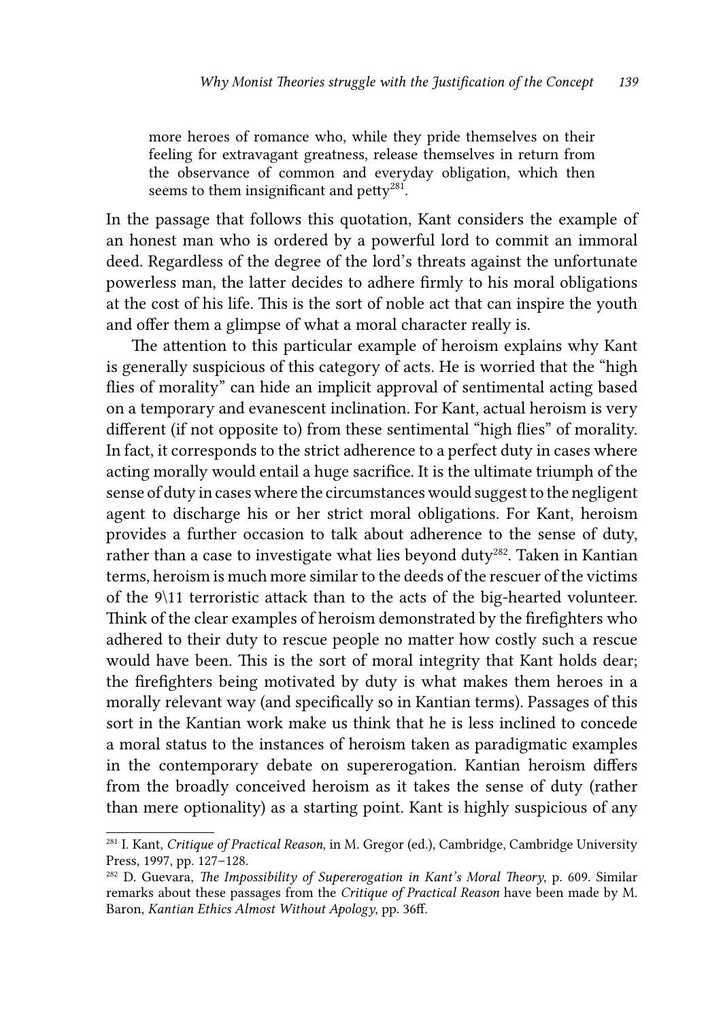more heroes of romance who, while they pride themselves on their feeling for extravagant greatness, release themselves in return from the observance of common and everyday obligation, which then seems to them insignificant and petty<sup>281</sup>.

In the passage that follows this quotation, Kant considers the example of an honest man who is ordered by a powerful lord to commit an immoral deed. Regardless of the degree of the lord's threats against the unfortunate powerless man, the latter decides to adhere firmly to his moral obligations at the cost of his life. This is the sort of noble act that can inspire the youth and offer them a glimpse of what a moral character really is.

The attention to this particular example of heroism explains why Kant is generally suspicious of this category of acts. He is worried that the "high flies of morality" can hide an implicit approval of sentimental acting based on a temporary and evanescent inclination. For Kant, actual heroism is very different (if not opposite to) from these sentimental "high flies" of morality. In fact, it corresponds to the strict adherence to a perfect duty in cases where acting morally would entail a huge sacrifice. It is the ultimate triumph of the sense of duty in cases where the circumstances would suggest to the negligent agent to discharge his or her strict moral obligations. For Kant, heroism provides a further occasion to talk about adherence to the sense of duty, rather than a case to investigate what lies beyond duty<sup>282</sup>. Taken in Kantian terms, heroism is much more similar to the deeds of the rescuer of the victims of the 9\11 terroristic attack than to the acts of the big-hearted volunteer. Think of the clear examples of heroism demonstrated by the firefighters who adhered to their duty to rescue people no matter how costly such a rescue would have been. This is the sort of moral integrity that Kant holds dear; the firefighters being motivated by duty is what makes them heroes in a morally relevant way (and specifically so in Kantian terms). Passages of this sort in the Kantian work make us think that he is less inclined to concede a moral status to the instances of heroism taken as paradigmatic examples in the contemporary debate on supererogation. Kantian heroism differs from the broadly conceived heroism as it takes the sense of duty (rather than mere optionality) as a starting point. Kant is highly suspicious of any

<sup>281</sup> I. Kant, *Critique of Practical Reason*, in M. Gregor (ed.), Cambridge, Cambridge University Press, 1997, pp. 127–128.

<sup>282</sup> D. Guevara, *The Impossibility of Supererogation in Kant's Moral Theory*, p. 609. Similar remarks about these passages from the *Critique of Practical Reason* have been made by M. Baron, *Kantian Ethics Almost Without Apology*, pp. 36ff.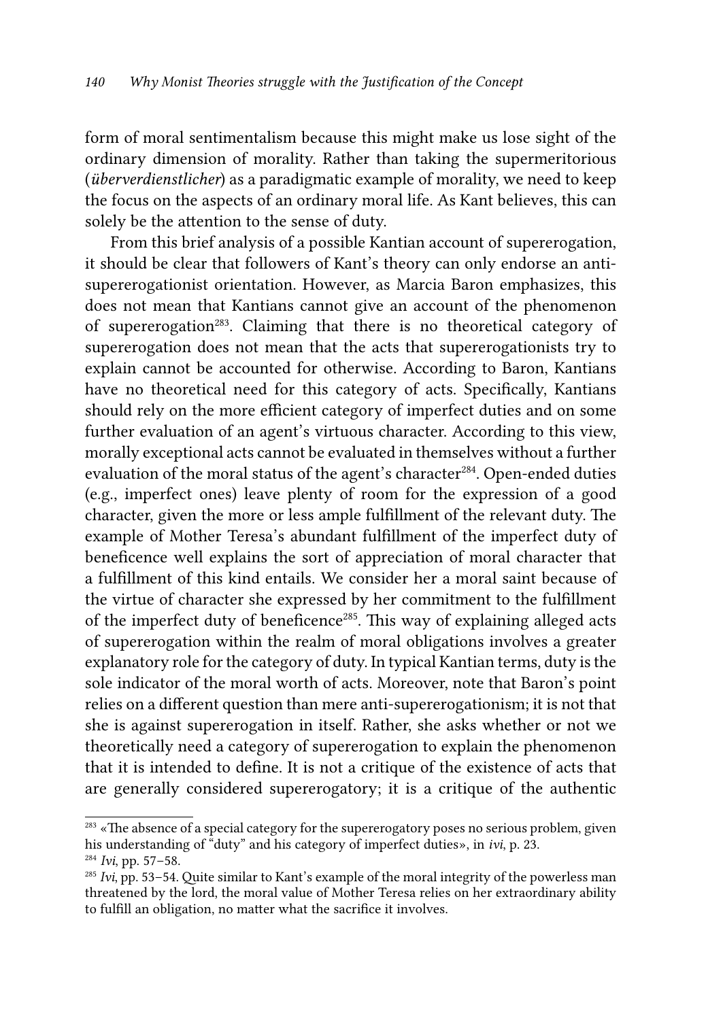form of moral sentimentalism because this might make us lose sight of the ordinary dimension of morality. Rather than taking the supermeritorious (*überverdienstlicher*) as a paradigmatic example of morality, we need to keep the focus on the aspects of an ordinary moral life. As Kant believes, this can solely be the attention to the sense of duty.

From this brief analysis of a possible Kantian account of supererogation, it should be clear that followers of Kant's theory can only endorse an antisupererogationist orientation. However, as Marcia Baron emphasizes, this does not mean that Kantians cannot give an account of the phenomenon of supererogation<sup>283</sup>. Claiming that there is no theoretical category of supererogation does not mean that the acts that supererogationists try to explain cannot be accounted for otherwise. According to Baron, Kantians have no theoretical need for this category of acts. Specifically, Kantians should rely on the more efficient category of imperfect duties and on some further evaluation of an agent's virtuous character. According to this view, morally exceptional acts cannot be evaluated in themselves without a further evaluation of the moral status of the agent's character<sup>284</sup>. Open-ended duties (e.g., imperfect ones) leave plenty of room for the expression of a good character, given the more or less ample fulfillment of the relevant duty. The example of Mother Teresa's abundant fulfillment of the imperfect duty of beneficence well explains the sort of appreciation of moral character that a fulfillment of this kind entails. We consider her a moral saint because of the virtue of character she expressed by her commitment to the fulfillment of the imperfect duty of beneficence<sup>285</sup>. This way of explaining alleged acts of supererogation within the realm of moral obligations involves a greater explanatory role for the category of duty. In typical Kantian terms, duty is the sole indicator of the moral worth of acts. Moreover, note that Baron's point relies on a different question than mere anti-supererogationism; it is not that she is against supererogation in itself. Rather, she asks whether or not we theoretically need a category of supererogation to explain the phenomenon that it is intended to define. It is not a critique of the existence of acts that are generally considered supererogatory; it is a critique of the authentic

<sup>&</sup>lt;sup>283</sup> «The absence of a special category for the supererogatory poses no serious problem, given his understanding of "duty" and his category of imperfect duties», in *ivi*, p. 23.

<sup>284</sup> *Ivi*, pp. 57–58.

<sup>285</sup> *Ivi*, pp. 53–54. Quite similar to Kant's example of the moral integrity of the powerless man threatened by the lord, the moral value of Mother Teresa relies on her extraordinary ability to fulfill an obligation, no matter what the sacrifice it involves.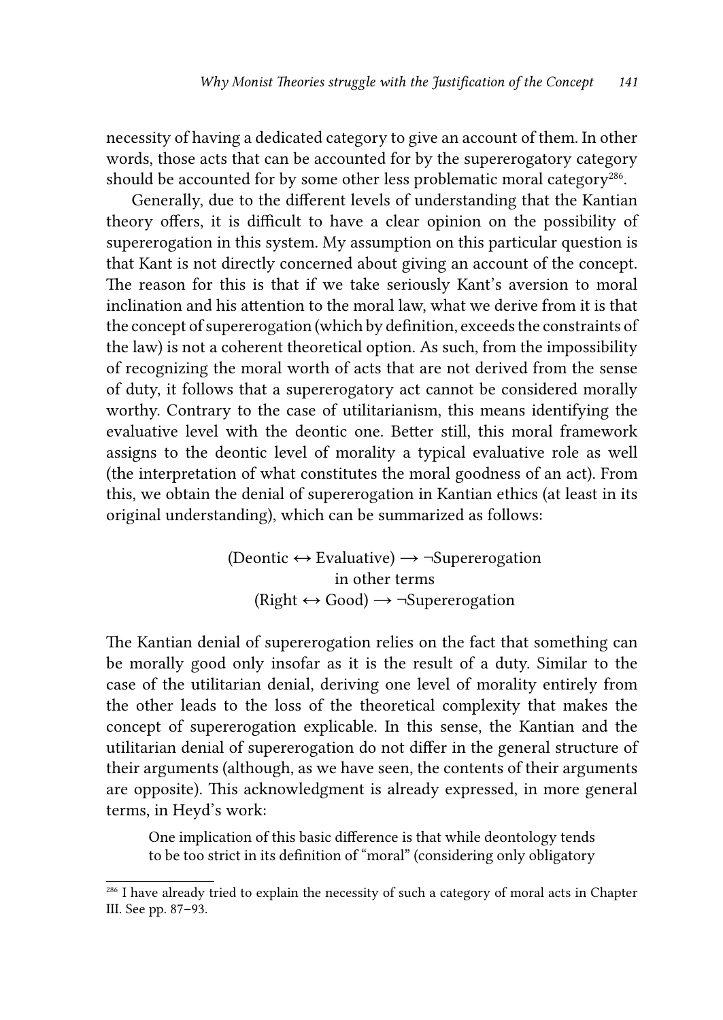necessity of having a dedicated category to give an account of them. In other words, those acts that can be accounted for by the supererogatory category should be accounted for by some other less problematic moral category<sup>286</sup>.

Generally, due to the different levels of understanding that the Kantian theory offers, it is difficult to have a clear opinion on the possibility of supererogation in this system. My assumption on this particular question is that Kant is not directly concerned about giving an account of the concept. The reason for this is that if we take seriously Kant's aversion to moral inclination and his attention to the moral law, what we derive from it is that the concept of supererogation (which by definition, exceeds the constraints of the law) is not a coherent theoretical option. As such, from the impossibility of recognizing the moral worth of acts that are not derived from the sense of duty, it follows that a supererogatory act cannot be considered morally worthy. Contrary to the case of utilitarianism, this means identifying the evaluative level with the deontic one. Better still, this moral framework assigns to the deontic level of morality a typical evaluative role as well (the interpretation of what constitutes the moral goodness of an act). From this, we obtain the denial of supererogation in Kantian ethics (at least in its original understanding), which can be summarized as follows:

> (Deontic  $\leftrightarrow$  Evaluative)  $\rightarrow \neg$ Supererogation in other terms  $(Right \leftrightarrow Good) \rightarrow \neg Superergation$

The Kantian denial of supererogation relies on the fact that something can be morally good only insofar as it is the result of a duty. Similar to the case of the utilitarian denial, deriving one level of morality entirely from the other leads to the loss of the theoretical complexity that makes the concept of supererogation explicable. In this sense, the Kantian and the utilitarian denial of supererogation do not differ in the general structure of their arguments (although, as we have seen, the contents of their arguments are opposite). This acknowledgment is already expressed, in more general terms, in Heyd's work:

One implication of this basic difference is that while deontology tends to be too strict in its definition of "moral" (considering only obligatory

<sup>286</sup> I have already tried to explain the necessity of such a category of moral acts in Chapter III. See pp. 87–93.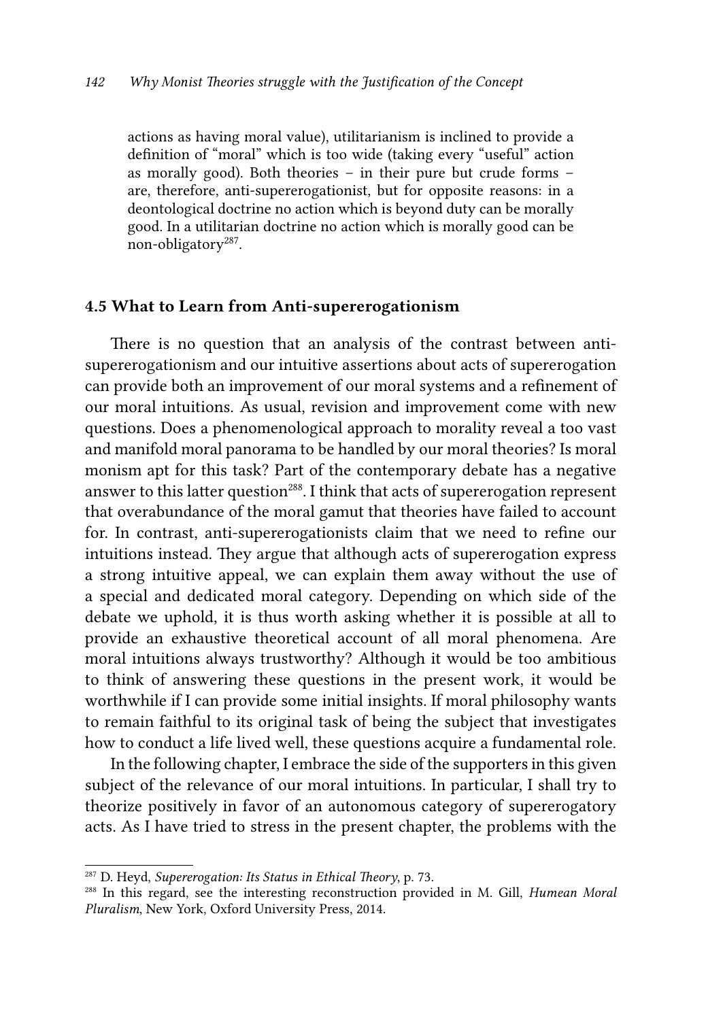actions as having moral value), utilitarianism is inclined to provide a definition of "moral" which is too wide (taking every "useful" action as morally good). Both theories – in their pure but crude forms – are, therefore, anti-supererogationist, but for opposite reasons: in a deontological doctrine no action which is beyond duty can be morally good. In a utilitarian doctrine no action which is morally good can be non-obligatory<sup>287</sup>.

#### 4.5 What to Learn from Anti-supererogationism

There is no question that an analysis of the contrast between antisupererogationism and our intuitive assertions about acts of supererogation can provide both an improvement of our moral systems and a refinement of our moral intuitions. As usual, revision and improvement come with new questions. Does a phenomenological approach to morality reveal a too vast and manifold moral panorama to be handled by our moral theories? Is moral monism apt for this task? Part of the contemporary debate has a negative answer to this latter question<sup>288</sup>. I think that acts of supererogation represent that overabundance of the moral gamut that theories have failed to account for. In contrast, anti-supererogationists claim that we need to refine our intuitions instead. They argue that although acts of supererogation express a strong intuitive appeal, we can explain them away without the use of a special and dedicated moral category. Depending on which side of the debate we uphold, it is thus worth asking whether it is possible at all to provide an exhaustive theoretical account of all moral phenomena. Are moral intuitions always trustworthy? Although it would be too ambitious to think of answering these questions in the present work, it would be worthwhile if I can provide some initial insights. If moral philosophy wants to remain faithful to its original task of being the subject that investigates how to conduct a life lived well, these questions acquire a fundamental role.

In the following chapter, I embrace the side of the supporters in this given subject of the relevance of our moral intuitions. In particular, I shall try to theorize positively in favor of an autonomous category of supererogatory acts. As I have tried to stress in the present chapter, the problems with the

<sup>287</sup> D. Heyd, *Supererogation: Its Status in Ethical Theory*, p. 73.

<sup>288</sup> In this regard, see the interesting reconstruction provided in M. Gill, *Humean Moral Pluralism*, New York, Oxford University Press, 2014.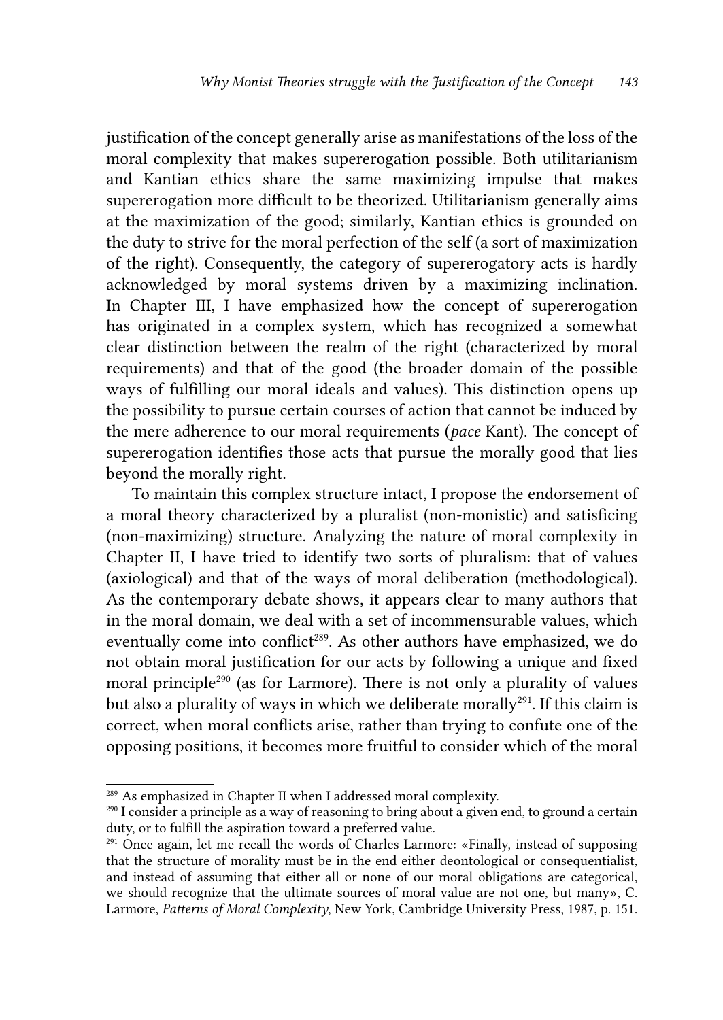justification of the concept generally arise as manifestations of the loss of the moral complexity that makes supererogation possible. Both utilitarianism and Kantian ethics share the same maximizing impulse that makes supererogation more difficult to be theorized. Utilitarianism generally aims at the maximization of the good; similarly, Kantian ethics is grounded on the duty to strive for the moral perfection of the self (a sort of maximization of the right). Consequently, the category of supererogatory acts is hardly acknowledged by moral systems driven by a maximizing inclination. In Chapter III, I have emphasized how the concept of supererogation has originated in a complex system, which has recognized a somewhat clear distinction between the realm of the right (characterized by moral requirements) and that of the good (the broader domain of the possible ways of fulfilling our moral ideals and values). This distinction opens up the possibility to pursue certain courses of action that cannot be induced by the mere adherence to our moral requirements (*pace* Kant). The concept of supererogation identifies those acts that pursue the morally good that lies beyond the morally right.

To maintain this complex structure intact, I propose the endorsement of a moral theory characterized by a pluralist (non-monistic) and satisficing (non-maximizing) structure. Analyzing the nature of moral complexity in Chapter II, I have tried to identify two sorts of pluralism: that of values (axiological) and that of the ways of moral deliberation (methodological). As the contemporary debate shows, it appears clear to many authors that in the moral domain, we deal with a set of incommensurable values, which eventually come into conflict<sup>289</sup>. As other authors have emphasized, we do not obtain moral justification for our acts by following a unique and fixed moral principle<sup>290</sup> (as for Larmore). There is not only a plurality of values but also a plurality of ways in which we deliberate morally<sup>291</sup>. If this claim is correct, when moral conflicts arise, rather than trying to confute one of the opposing positions, it becomes more fruitful to consider which of the moral

<sup>289</sup> As emphasized in Chapter II when I addressed moral complexity.

<sup>290</sup> I consider a principle as a way of reasoning to bring about a given end, to ground a certain duty, or to fulfill the aspiration toward a preferred value.

<sup>291</sup> Once again, let me recall the words of Charles Larmore: «Finally, instead of supposing that the structure of morality must be in the end either deontological or consequentialist, and instead of assuming that either all or none of our moral obligations are categorical, we should recognize that the ultimate sources of moral value are not one, but many», C. Larmore, *Patterns of Moral Complexity*, New York, Cambridge University Press, 1987, p. 151.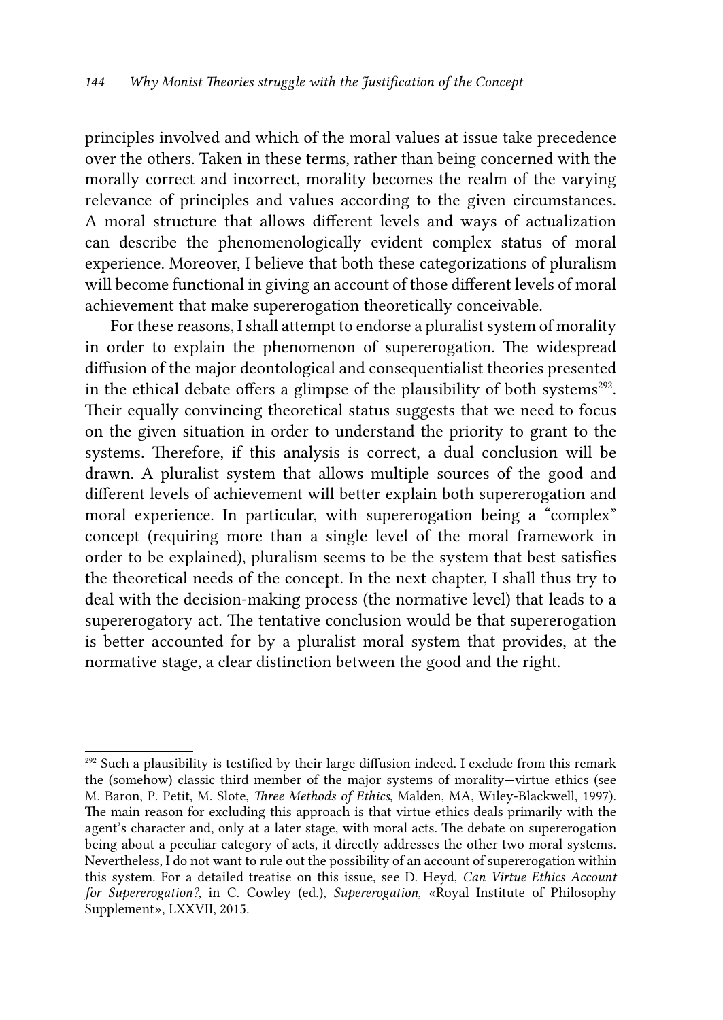principles involved and which of the moral values at issue take precedence over the others. Taken in these terms, rather than being concerned with the morally correct and incorrect, morality becomes the realm of the varying relevance of principles and values according to the given circumstances. A moral structure that allows different levels and ways of actualization can describe the phenomenologically evident complex status of moral experience. Moreover, I believe that both these categorizations of pluralism will become functional in giving an account of those different levels of moral achievement that make supererogation theoretically conceivable.

For these reasons, I shall attempt to endorse a pluralist system of morality in order to explain the phenomenon of supererogation. The widespread diffusion of the major deontological and consequentialist theories presented in the ethical debate offers a glimpse of the plausibility of both systems<sup>292</sup>. Their equally convincing theoretical status suggests that we need to focus on the given situation in order to understand the priority to grant to the systems. Therefore, if this analysis is correct, a dual conclusion will be drawn. A pluralist system that allows multiple sources of the good and different levels of achievement will better explain both supererogation and moral experience. In particular, with supererogation being a "complex" concept (requiring more than a single level of the moral framework in order to be explained), pluralism seems to be the system that best satisfies the theoretical needs of the concept. In the next chapter, I shall thus try to deal with the decision-making process (the normative level) that leads to a supererogatory act. The tentative conclusion would be that supererogation is better accounted for by a pluralist moral system that provides, at the normative stage, a clear distinction between the good and the right.

 $292$  Such a plausibility is testified by their large diffusion indeed. I exclude from this remark the (somehow) classic third member of the major systems of morality—virtue ethics (see M. Baron, P. Petit, M. Slote, *Three Methods of Ethics*, Malden, MA, Wiley-Blackwell, 1997). The main reason for excluding this approach is that virtue ethics deals primarily with the agent's character and, only at a later stage, with moral acts. The debate on supererogation being about a peculiar category of acts, it directly addresses the other two moral systems. Nevertheless, I do not want to rule out the possibility of an account of supererogation within this system. For a detailed treatise on this issue, see D. Heyd, *Can Virtue Ethics Account for Supererogation?*, in C. Cowley (ed.), *Supererogation*, «Royal Institute of Philosophy Supplement», LXXVII, 2015.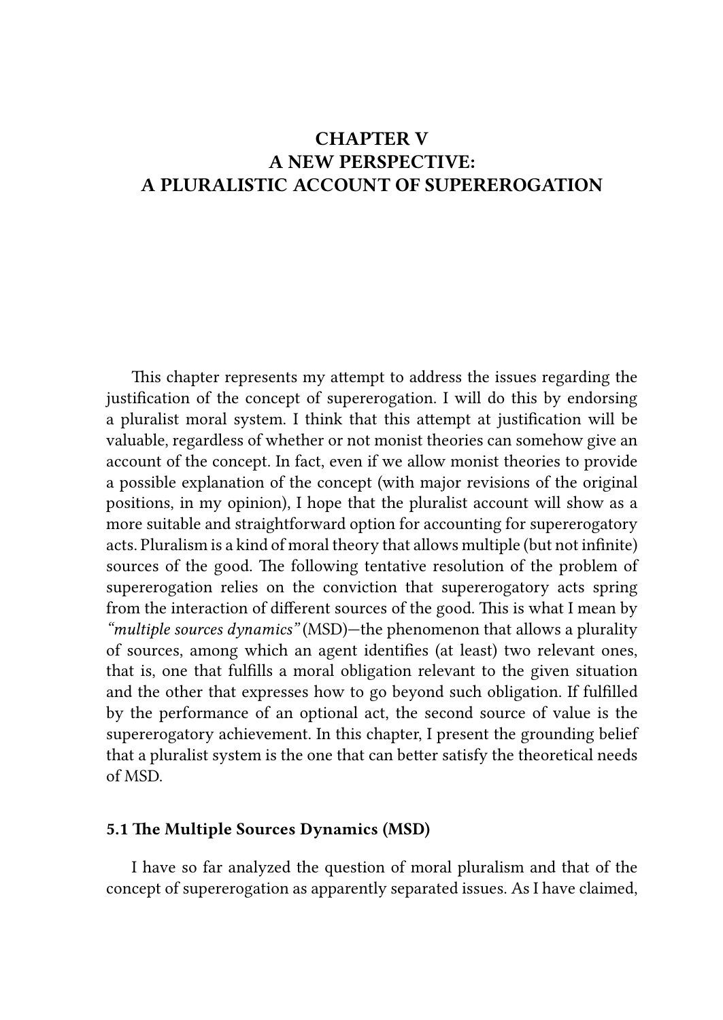# CHAPTER V A NEW PERSPECTIVE: A PLURALISTIC ACCOUNT OF SUPEREROGATION

This chapter represents my attempt to address the issues regarding the justification of the concept of supererogation. I will do this by endorsing a pluralist moral system. I think that this attempt at justification will be valuable, regardless of whether or not monist theories can somehow give an account of the concept. In fact, even if we allow monist theories to provide a possible explanation of the concept (with major revisions of the original positions, in my opinion), I hope that the pluralist account will show as a more suitable and straightforward option for accounting for supererogatory acts. Pluralism is a kind of moral theory that allows multiple (but not infinite) sources of the good. The following tentative resolution of the problem of supererogation relies on the conviction that supererogatory acts spring from the interaction of different sources of the good. This is what I mean by *"multiple sources dynamics"* (MSD)—the phenomenon that allows a plurality of sources, among which an agent identifies (at least) two relevant ones, that is, one that fulfills a moral obligation relevant to the given situation and the other that expresses how to go beyond such obligation. If fulfilled by the performance of an optional act, the second source of value is the supererogatory achievement. In this chapter, I present the grounding belief that a pluralist system is the one that can better satisfy the theoretical needs of MSD.

#### 5.1 The Multiple Sources Dynamics (MSD)

I have so far analyzed the question of moral pluralism and that of the concept of supererogation as apparently separated issues. As I have claimed,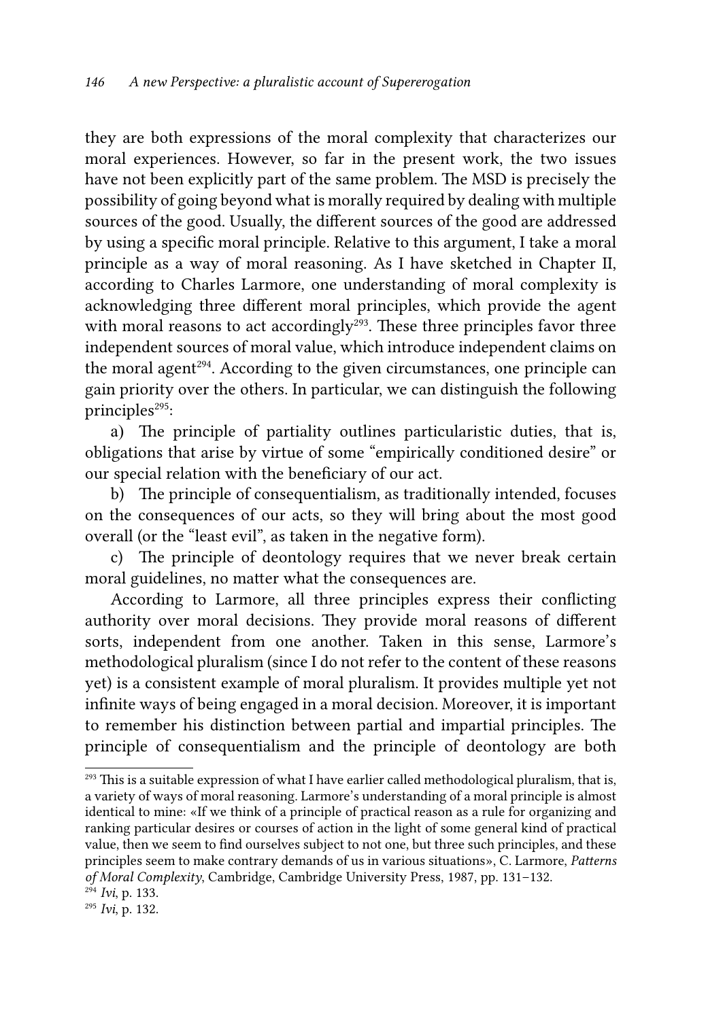they are both expressions of the moral complexity that characterizes our moral experiences. However, so far in the present work, the two issues have not been explicitly part of the same problem. The MSD is precisely the possibility of going beyond what is morally required by dealing with multiple sources of the good. Usually, the different sources of the good are addressed by using a specific moral principle. Relative to this argument, I take a moral principle as a way of moral reasoning. As I have sketched in Chapter II, according to Charles Larmore, one understanding of moral complexity is acknowledging three different moral principles, which provide the agent with moral reasons to act accordingly<sup>293</sup>. These three principles favor three independent sources of moral value, which introduce independent claims on the moral agent<sup>294</sup>. According to the given circumstances, one principle can gain priority over the others. In particular, we can distinguish the following principles<sup>295</sup>:

a) The principle of partiality outlines particularistic duties, that is, obligations that arise by virtue of some "empirically conditioned desire" or our special relation with the beneficiary of our act.

b) The principle of consequentialism, as traditionally intended, focuses on the consequences of our acts, so they will bring about the most good overall (or the "least evil", as taken in the negative form).

c) The principle of deontology requires that we never break certain moral guidelines, no matter what the consequences are.

According to Larmore, all three principles express their conflicting authority over moral decisions. They provide moral reasons of different sorts, independent from one another. Taken in this sense, Larmore's methodological pluralism (since I do not refer to the content of these reasons yet) is a consistent example of moral pluralism. It provides multiple yet not infinite ways of being engaged in a moral decision. Moreover, it is important to remember his distinction between partial and impartial principles. The principle of consequentialism and the principle of deontology are both

 $^{293}$  This is a suitable expression of what I have earlier called methodological pluralism, that is, a variety of ways of moral reasoning. Larmore's understanding of a moral principle is almost identical to mine: «If we think of a principle of practical reason as a rule for organizing and ranking particular desires or courses of action in the light of some general kind of practical value, then we seem to find ourselves subject to not one, but three such principles, and these principles seem to make contrary demands of us in various situations», C. Larmore, *Patterns of Moral Complexity*, Cambridge, Cambridge University Press, 1987, pp. 131–132.

<sup>294</sup> *Ivi*, p. 133.

<sup>295</sup> *Ivi*, p. 132.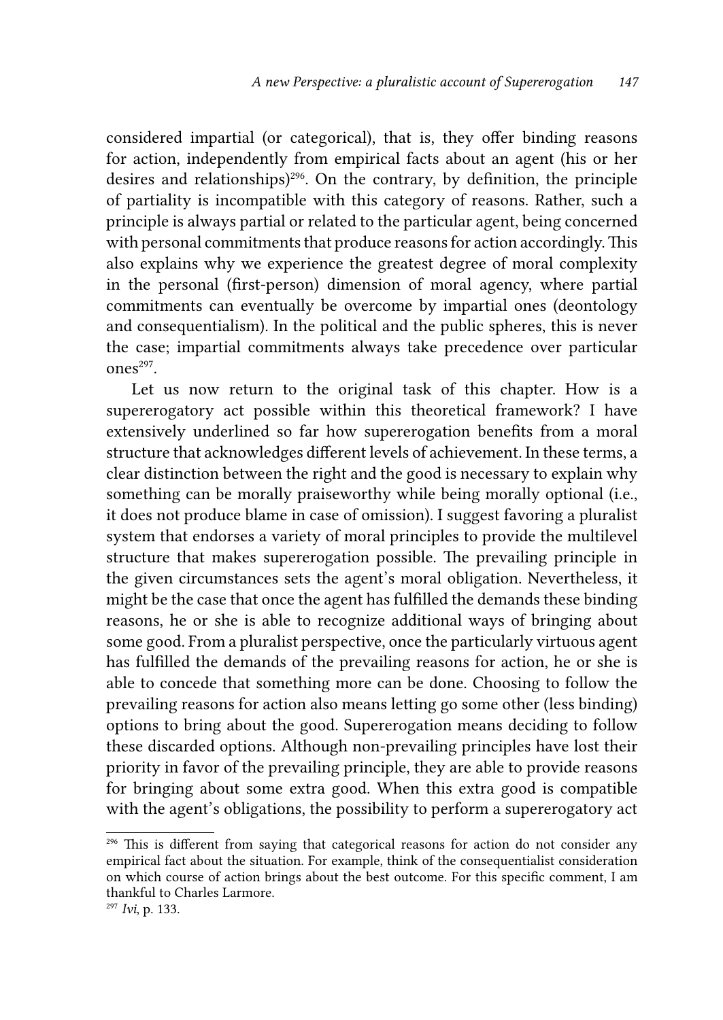considered impartial (or categorical), that is, they offer binding reasons for action, independently from empirical facts about an agent (his or her desires and relationships) $296$ . On the contrary, by definition, the principle of partiality is incompatible with this category of reasons. Rather, such a principle is always partial or related to the particular agent, being concerned with personal commitments that produce reasons for action accordingly. This also explains why we experience the greatest degree of moral complexity in the personal (first-person) dimension of moral agency, where partial commitments can eventually be overcome by impartial ones (deontology and consequentialism). In the political and the public spheres, this is never the case; impartial commitments always take precedence over particular ones<sup>297</sup>.

Let us now return to the original task of this chapter. How is a supererogatory act possible within this theoretical framework? I have extensively underlined so far how supererogation benefits from a moral structure that acknowledges different levels of achievement. In these terms, a clear distinction between the right and the good is necessary to explain why something can be morally praiseworthy while being morally optional (i.e., it does not produce blame in case of omission). I suggest favoring a pluralist system that endorses a variety of moral principles to provide the multilevel structure that makes supererogation possible. The prevailing principle in the given circumstances sets the agent's moral obligation. Nevertheless, it might be the case that once the agent has fulfilled the demands these binding reasons, he or she is able to recognize additional ways of bringing about some good. From a pluralist perspective, once the particularly virtuous agent has fulfilled the demands of the prevailing reasons for action, he or she is able to concede that something more can be done. Choosing to follow the prevailing reasons for action also means letting go some other (less binding) options to bring about the good. Supererogation means deciding to follow these discarded options. Although non-prevailing principles have lost their priority in favor of the prevailing principle, they are able to provide reasons for bringing about some extra good. When this extra good is compatible with the agent's obligations, the possibility to perform a supererogatory act

<sup>&</sup>lt;sup>296</sup> This is different from saying that categorical reasons for action do not consider any empirical fact about the situation. For example, think of the consequentialist consideration on which course of action brings about the best outcome. For this specific comment, I am thankful to Charles Larmore.

<sup>297</sup> *Ivi*, p. 133.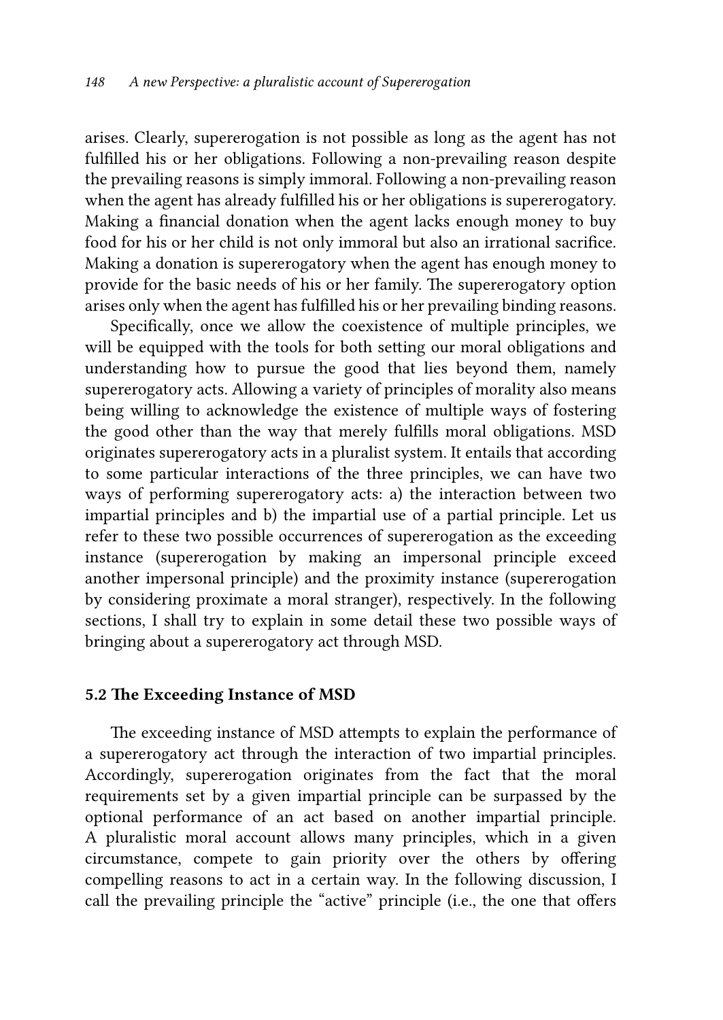arises. Clearly, supererogation is not possible as long as the agent has not fulfilled his or her obligations. Following a non-prevailing reason despite the prevailing reasons is simply immoral. Following a non-prevailing reason when the agent has already fulfilled his or her obligations is supererogatory. Making a financial donation when the agent lacks enough money to buy food for his or her child is not only immoral but also an irrational sacrifice. Making a donation is supererogatory when the agent has enough money to provide for the basic needs of his or her family. The supererogatory option arises only when the agent has fulfilled his or her prevailing binding reasons.

Specifically, once we allow the coexistence of multiple principles, we will be equipped with the tools for both setting our moral obligations and understanding how to pursue the good that lies beyond them, namely supererogatory acts. Allowing a variety of principles of morality also means being willing to acknowledge the existence of multiple ways of fostering the good other than the way that merely fulfills moral obligations. MSD originates supererogatory acts in a pluralist system. It entails that according to some particular interactions of the three principles, we can have two ways of performing supererogatory acts: a) the interaction between two impartial principles and b) the impartial use of a partial principle. Let us refer to these two possible occurrences of supererogation as the exceeding instance (supererogation by making an impersonal principle exceed another impersonal principle) and the proximity instance (supererogation by considering proximate a moral stranger), respectively. In the following sections, I shall try to explain in some detail these two possible ways of bringing about a supererogatory act through MSD.

#### 5.2 The Exceeding Instance of MSD

The exceeding instance of MSD attempts to explain the performance of a supererogatory act through the interaction of two impartial principles. Accordingly, supererogation originates from the fact that the moral requirements set by a given impartial principle can be surpassed by the optional performance of an act based on another impartial principle. A pluralistic moral account allows many principles, which in a given circumstance, compete to gain priority over the others by offering compelling reasons to act in a certain way. In the following discussion, I call the prevailing principle the "active" principle (i.e., the one that offers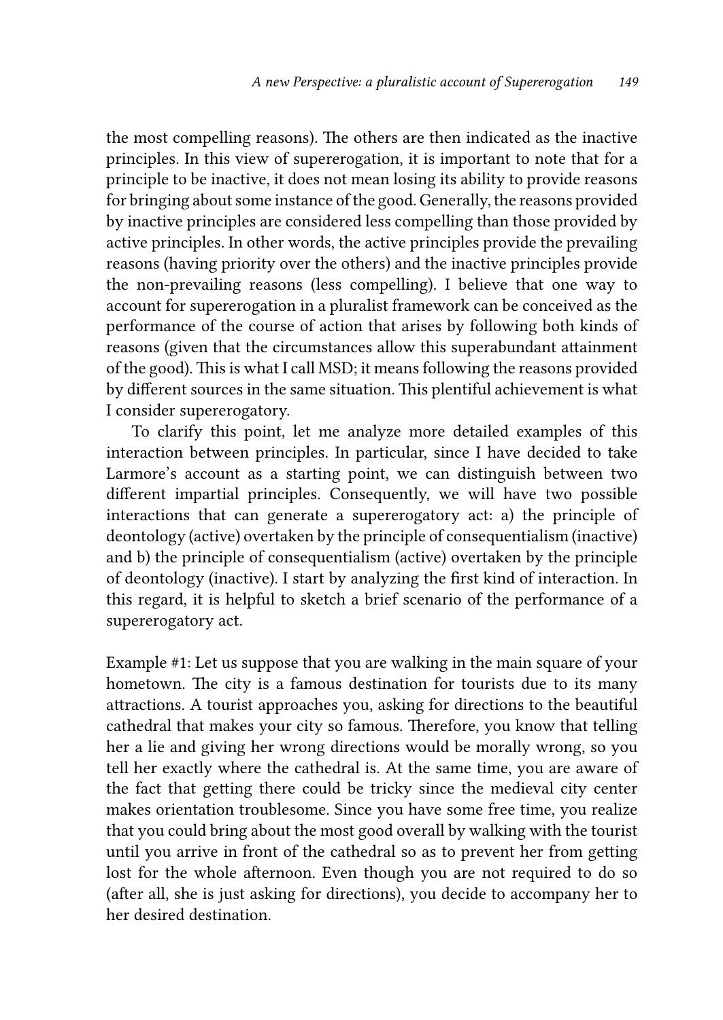the most compelling reasons). The others are then indicated as the inactive principles. In this view of supererogation, it is important to note that for a principle to be inactive, it does not mean losing its ability to provide reasons for bringing about some instance of the good. Generally, the reasons provided by inactive principles are considered less compelling than those provided by active principles. In other words, the active principles provide the prevailing reasons (having priority over the others) and the inactive principles provide the non-prevailing reasons (less compelling). I believe that one way to account for supererogation in a pluralist framework can be conceived as the performance of the course of action that arises by following both kinds of reasons (given that the circumstances allow this superabundant attainment of the good). This is what I call MSD; it means following the reasons provided by different sources in the same situation. This plentiful achievement is what I consider supererogatory.

To clarify this point, let me analyze more detailed examples of this interaction between principles. In particular, since I have decided to take Larmore's account as a starting point, we can distinguish between two different impartial principles. Consequently, we will have two possible interactions that can generate a supererogatory act: a) the principle of deontology (active) overtaken by the principle of consequentialism (inactive) and b) the principle of consequentialism (active) overtaken by the principle of deontology (inactive). I start by analyzing the first kind of interaction. In this regard, it is helpful to sketch a brief scenario of the performance of a supererogatory act.

Example #1: Let us suppose that you are walking in the main square of your hometown. The city is a famous destination for tourists due to its many attractions. A tourist approaches you, asking for directions to the beautiful cathedral that makes your city so famous. Therefore, you know that telling her a lie and giving her wrong directions would be morally wrong, so you tell her exactly where the cathedral is. At the same time, you are aware of the fact that getting there could be tricky since the medieval city center makes orientation troublesome. Since you have some free time, you realize that you could bring about the most good overall by walking with the tourist until you arrive in front of the cathedral so as to prevent her from getting lost for the whole afternoon. Even though you are not required to do so (after all, she is just asking for directions), you decide to accompany her to her desired destination.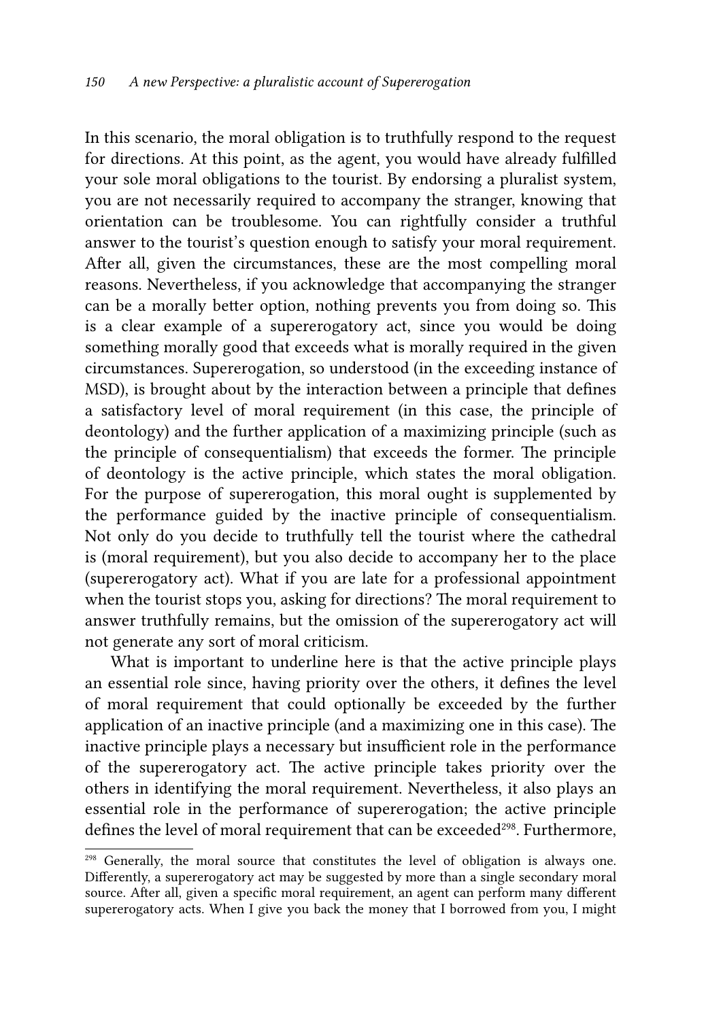In this scenario, the moral obligation is to truthfully respond to the request for directions. At this point, as the agent, you would have already fulfilled your sole moral obligations to the tourist. By endorsing a pluralist system, you are not necessarily required to accompany the stranger, knowing that orientation can be troublesome. You can rightfully consider a truthful answer to the tourist's question enough to satisfy your moral requirement. After all, given the circumstances, these are the most compelling moral reasons. Nevertheless, if you acknowledge that accompanying the stranger can be a morally better option, nothing prevents you from doing so. This is a clear example of a supererogatory act, since you would be doing something morally good that exceeds what is morally required in the given circumstances. Supererogation, so understood (in the exceeding instance of MSD), is brought about by the interaction between a principle that defines a satisfactory level of moral requirement (in this case, the principle of deontology) and the further application of a maximizing principle (such as the principle of consequentialism) that exceeds the former. The principle of deontology is the active principle, which states the moral obligation. For the purpose of supererogation, this moral ought is supplemented by the performance guided by the inactive principle of consequentialism. Not only do you decide to truthfully tell the tourist where the cathedral is (moral requirement), but you also decide to accompany her to the place (supererogatory act). What if you are late for a professional appointment when the tourist stops you, asking for directions? The moral requirement to answer truthfully remains, but the omission of the supererogatory act will not generate any sort of moral criticism.

What is important to underline here is that the active principle plays an essential role since, having priority over the others, it defines the level of moral requirement that could optionally be exceeded by the further application of an inactive principle (and a maximizing one in this case). The inactive principle plays a necessary but insufficient role in the performance of the supererogatory act. The active principle takes priority over the others in identifying the moral requirement. Nevertheless, it also plays an essential role in the performance of supererogation; the active principle defines the level of moral requirement that can be exceeded<sup>298</sup>. Furthermore,

<sup>&</sup>lt;sup>298</sup> Generally, the moral source that constitutes the level of obligation is always one. Differently, a supererogatory act may be suggested by more than a single secondary moral source. After all, given a specific moral requirement, an agent can perform many different supererogatory acts. When I give you back the money that I borrowed from you, I might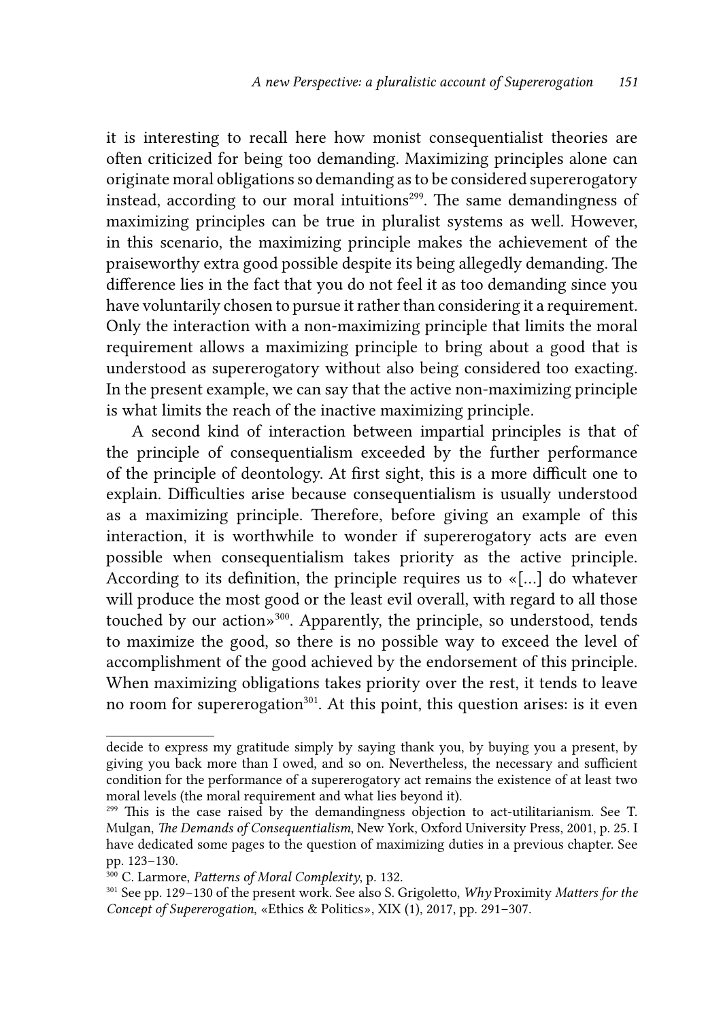it is interesting to recall here how monist consequentialist theories are often criticized for being too demanding. Maximizing principles alone can originate moral obligations so demanding as to be considered supererogatory instead, according to our moral intuitions<sup>299</sup>. The same demandingness of maximizing principles can be true in pluralist systems as well. However, in this scenario, the maximizing principle makes the achievement of the praiseworthy extra good possible despite its being allegedly demanding. The difference lies in the fact that you do not feel it as too demanding since you have voluntarily chosen to pursue it rather than considering it a requirement. Only the interaction with a non-maximizing principle that limits the moral requirement allows a maximizing principle to bring about a good that is understood as supererogatory without also being considered too exacting. In the present example, we can say that the active non-maximizing principle is what limits the reach of the inactive maximizing principle*.*

A second kind of interaction between impartial principles is that of the principle of consequentialism exceeded by the further performance of the principle of deontology. At first sight, this is a more difficult one to explain. Difficulties arise because consequentialism is usually understood as a maximizing principle. Therefore, before giving an example of this interaction, it is worthwhile to wonder if supererogatory acts are even possible when consequentialism takes priority as the active principle. According to its definition, the principle requires us to «[…] do whatever will produce the most good or the least evil overall, with regard to all those touched by our action»300. Apparently, the principle, so understood, tends to maximize the good, so there is no possible way to exceed the level of accomplishment of the good achieved by the endorsement of this principle. When maximizing obligations takes priority over the rest, it tends to leave no room for supererogation<sup>301</sup>. At this point, this question arises: is it even

decide to express my gratitude simply by saying thank you, by buying you a present, by giving you back more than I owed, and so on. Nevertheless, the necessary and sufficient condition for the performance of a supererogatory act remains the existence of at least two moral levels (the moral requirement and what lies beyond it).

<sup>299</sup> This is the case raised by the demandingness objection to act-utilitarianism. See T. Mulgan, *The Demands of Consequentialism*, New York, Oxford University Press, 2001, p. 25. I have dedicated some pages to the question of maximizing duties in a previous chapter. See pp. 123–130.

<sup>300</sup> C. Larmore, *Patterns of Moral Complexity*, p. 132.

<sup>301</sup> See pp. 129–130 of the present work. See also S. Grigoletto, *Why* Proximity *Matters for the Concept of Supererogation*, «Ethics & Politics», XIX (1), 2017, pp. 291–307.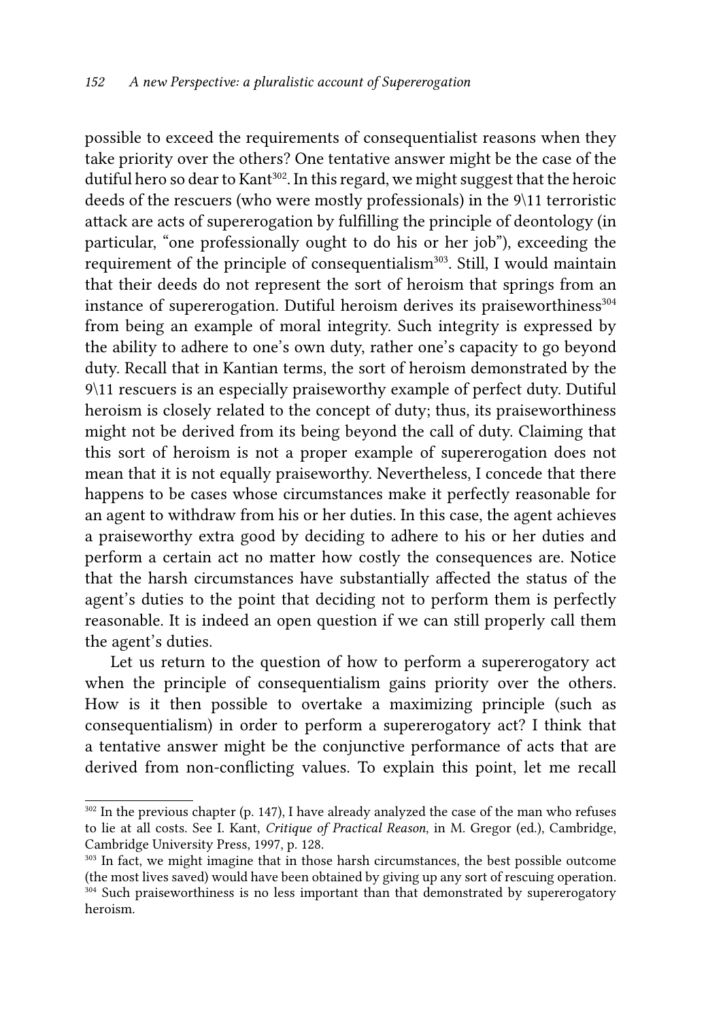possible to exceed the requirements of consequentialist reasons when they take priority over the others? One tentative answer might be the case of the dutiful hero so dear to Kant<sup>302</sup>. In this regard, we might suggest that the heroic deeds of the rescuers (who were mostly professionals) in the 9\11 terroristic attack are acts of supererogation by fulfilling the principle of deontology (in particular, "one professionally ought to do his or her job"), exceeding the requirement of the principle of consequentialism<sup>303</sup>. Still, I would maintain that their deeds do not represent the sort of heroism that springs from an instance of supererogation. Dutiful heroism derives its praiseworthiness $304$ from being an example of moral integrity. Such integrity is expressed by the ability to adhere to one's own duty, rather one's capacity to go beyond duty. Recall that in Kantian terms, the sort of heroism demonstrated by the 9\11 rescuers is an especially praiseworthy example of perfect duty. Dutiful heroism is closely related to the concept of duty; thus, its praiseworthiness might not be derived from its being beyond the call of duty. Claiming that this sort of heroism is not a proper example of supererogation does not mean that it is not equally praiseworthy. Nevertheless, I concede that there happens to be cases whose circumstances make it perfectly reasonable for an agent to withdraw from his or her duties. In this case, the agent achieves a praiseworthy extra good by deciding to adhere to his or her duties and perform a certain act no matter how costly the consequences are. Notice that the harsh circumstances have substantially affected the status of the agent's duties to the point that deciding not to perform them is perfectly reasonable. It is indeed an open question if we can still properly call them the agent's duties.

Let us return to the question of how to perform a supererogatory act when the principle of consequentialism gains priority over the others. How is it then possible to overtake a maximizing principle (such as consequentialism) in order to perform a supererogatory act? I think that a tentative answer might be the conjunctive performance of acts that are derived from non-conflicting values. To explain this point, let me recall

<sup>302</sup> In the previous chapter (p. 147), I have already analyzed the case of the man who refuses to lie at all costs. See I. Kant, *Critique of Practical Reason*, in M. Gregor (ed.), Cambridge, Cambridge University Press, 1997, p. 128.

<sup>&</sup>lt;sup>303</sup> In fact, we might imagine that in those harsh circumstances, the best possible outcome (the most lives saved) would have been obtained by giving up any sort of rescuing operation. <sup>304</sup> Such praiseworthiness is no less important than that demonstrated by supererogatory heroism.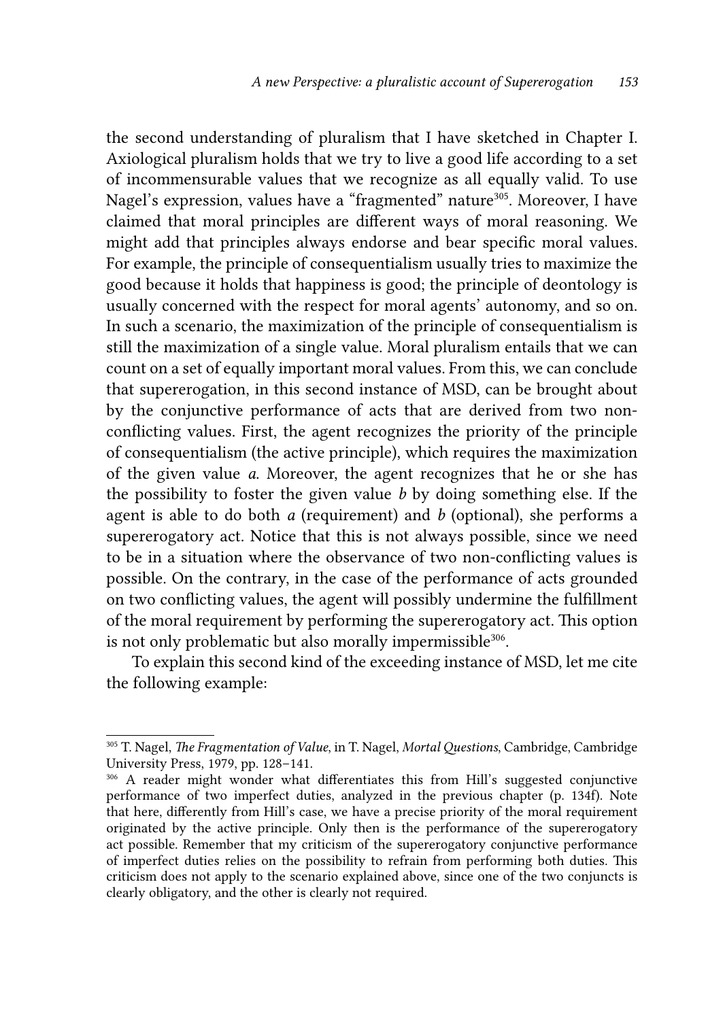the second understanding of pluralism that I have sketched in Chapter I. Axiological pluralism holds that we try to live a good life according to a set of incommensurable values that we recognize as all equally valid. To use Nagel's expression, values have a "fragmented" nature<sup>305</sup>. Moreover, I have claimed that moral principles are different ways of moral reasoning. We might add that principles always endorse and bear specific moral values. For example, the principle of consequentialism usually tries to maximize the good because it holds that happiness is good; the principle of deontology is usually concerned with the respect for moral agents' autonomy, and so on. In such a scenario, the maximization of the principle of consequentialism is still the maximization of a single value. Moral pluralism entails that we can count on a set of equally important moral values. From this, we can conclude that supererogation, in this second instance of MSD, can be brought about by the conjunctive performance of acts that are derived from two nonconflicting values. First, the agent recognizes the priority of the principle of consequentialism (the active principle), which requires the maximization of the given value *a*. Moreover, the agent recognizes that he or she has the possibility to foster the given value *b* by doing something else. If the agent is able to do both *a* (requirement) and *b* (optional), she performs a supererogatory act. Notice that this is not always possible, since we need to be in a situation where the observance of two non-conflicting values is possible. On the contrary, in the case of the performance of acts grounded on two conflicting values, the agent will possibly undermine the fulfillment of the moral requirement by performing the supererogatory act. This option is not only problematic but also morally impermissible<sup>306</sup>.

To explain this second kind of the exceeding instance of MSD, let me cite the following example:

<sup>305</sup> T. Nagel, *The Fragmentation of Value*, in T. Nagel, *Mortal Questions*, Cambridge, Cambridge University Press, 1979, pp. 128–141.

<sup>306</sup> A reader might wonder what differentiates this from Hill's suggested conjunctive performance of two imperfect duties, analyzed in the previous chapter (p. 134f). Note that here, differently from Hill's case, we have a precise priority of the moral requirement originated by the active principle. Only then is the performance of the supererogatory act possible. Remember that my criticism of the supererogatory conjunctive performance of imperfect duties relies on the possibility to refrain from performing both duties. This criticism does not apply to the scenario explained above, since one of the two conjuncts is clearly obligatory, and the other is clearly not required.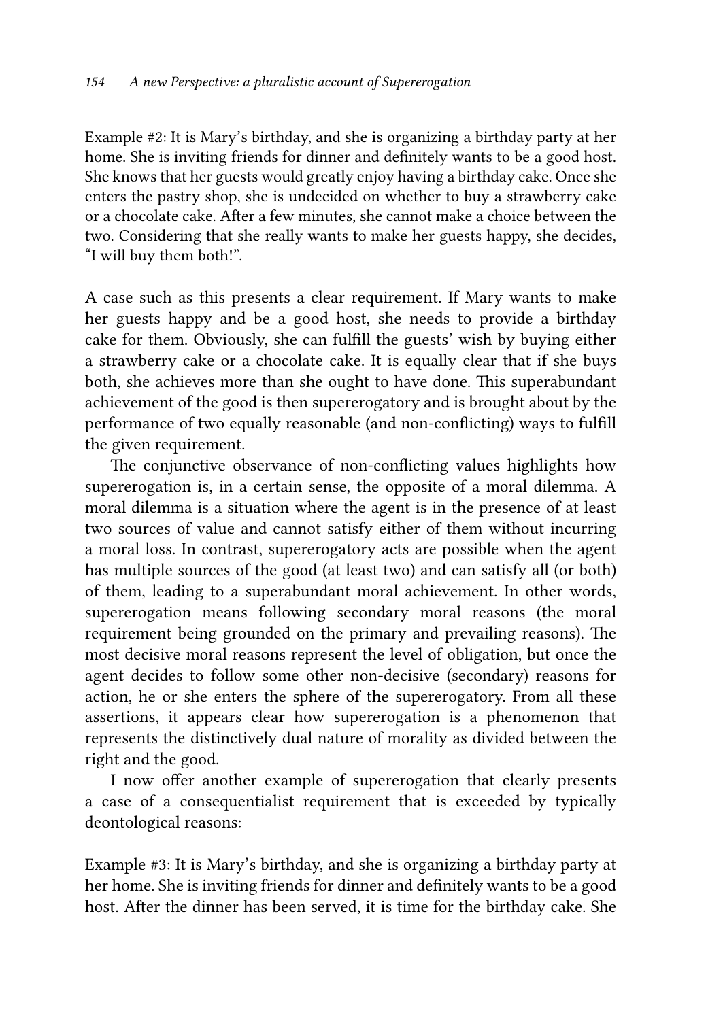Example #2: It is Mary's birthday, and she is organizing a birthday party at her home. She is inviting friends for dinner and definitely wants to be a good host. She knows that her guests would greatly enjoy having a birthday cake. Once she enters the pastry shop, she is undecided on whether to buy a strawberry cake or a chocolate cake. After a few minutes, she cannot make a choice between the two. Considering that she really wants to make her guests happy, she decides, "I will buy them both!".

A case such as this presents a clear requirement. If Mary wants to make her guests happy and be a good host, she needs to provide a birthday cake for them. Obviously, she can fulfill the guests' wish by buying either a strawberry cake or a chocolate cake. It is equally clear that if she buys both, she achieves more than she ought to have done. This superabundant achievement of the good is then supererogatory and is brought about by the performance of two equally reasonable (and non-conflicting) ways to fulfill the given requirement.

The conjunctive observance of non-conflicting values highlights how supererogation is, in a certain sense, the opposite of a moral dilemma. A moral dilemma is a situation where the agent is in the presence of at least two sources of value and cannot satisfy either of them without incurring a moral loss. In contrast, supererogatory acts are possible when the agent has multiple sources of the good (at least two) and can satisfy all (or both) of them, leading to a superabundant moral achievement. In other words, supererogation means following secondary moral reasons (the moral requirement being grounded on the primary and prevailing reasons). The most decisive moral reasons represent the level of obligation, but once the agent decides to follow some other non-decisive (secondary) reasons for action, he or she enters the sphere of the supererogatory. From all these assertions, it appears clear how supererogation is a phenomenon that represents the distinctively dual nature of morality as divided between the right and the good.

I now offer another example of supererogation that clearly presents a case of a consequentialist requirement that is exceeded by typically deontological reasons:

Example #3: It is Mary's birthday, and she is organizing a birthday party at her home. She is inviting friends for dinner and definitely wants to be a good host. After the dinner has been served, it is time for the birthday cake. She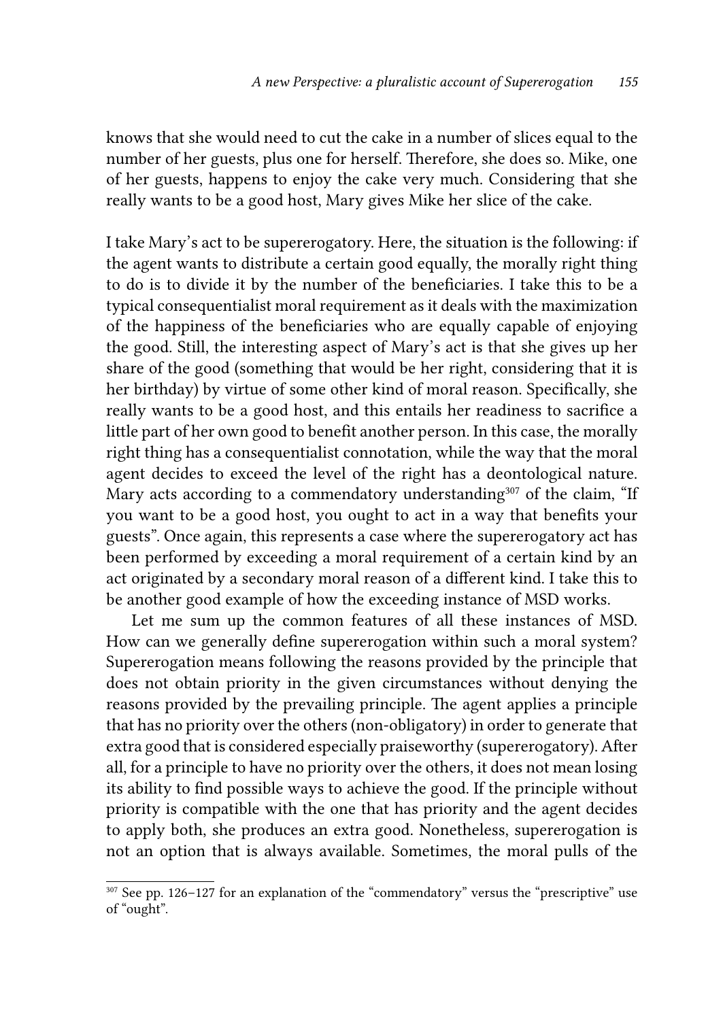knows that she would need to cut the cake in a number of slices equal to the number of her guests, plus one for herself. Therefore, she does so. Mike, one of her guests, happens to enjoy the cake very much. Considering that she really wants to be a good host, Mary gives Mike her slice of the cake.

I take Mary's act to be supererogatory. Here, the situation is the following: if the agent wants to distribute a certain good equally, the morally right thing to do is to divide it by the number of the beneficiaries. I take this to be a typical consequentialist moral requirement as it deals with the maximization of the happiness of the beneficiaries who are equally capable of enjoying the good. Still, the interesting aspect of Mary's act is that she gives up her share of the good (something that would be her right, considering that it is her birthday) by virtue of some other kind of moral reason. Specifically, she really wants to be a good host, and this entails her readiness to sacrifice a little part of her own good to benefit another person. In this case, the morally right thing has a consequentialist connotation, while the way that the moral agent decides to exceed the level of the right has a deontological nature. Mary acts according to a commendatory understanding<sup>307</sup> of the claim, "If you want to be a good host, you ought to act in a way that benefits your guests". Once again, this represents a case where the supererogatory act has been performed by exceeding a moral requirement of a certain kind by an act originated by a secondary moral reason of a different kind. I take this to be another good example of how the exceeding instance of MSD works.

Let me sum up the common features of all these instances of MSD. How can we generally define supererogation within such a moral system? Supererogation means following the reasons provided by the principle that does not obtain priority in the given circumstances without denying the reasons provided by the prevailing principle. The agent applies a principle that has no priority over the others (non-obligatory) in order to generate that extra good that is considered especially praiseworthy (supererogatory). After all, for a principle to have no priority over the others, it does not mean losing its ability to find possible ways to achieve the good. If the principle without priority is compatible with the one that has priority and the agent decides to apply both, she produces an extra good. Nonetheless, supererogation is not an option that is always available. Sometimes, the moral pulls of the

<sup>307</sup> See pp. 126–127 for an explanation of the "commendatory" versus the "prescriptive" use of "ought".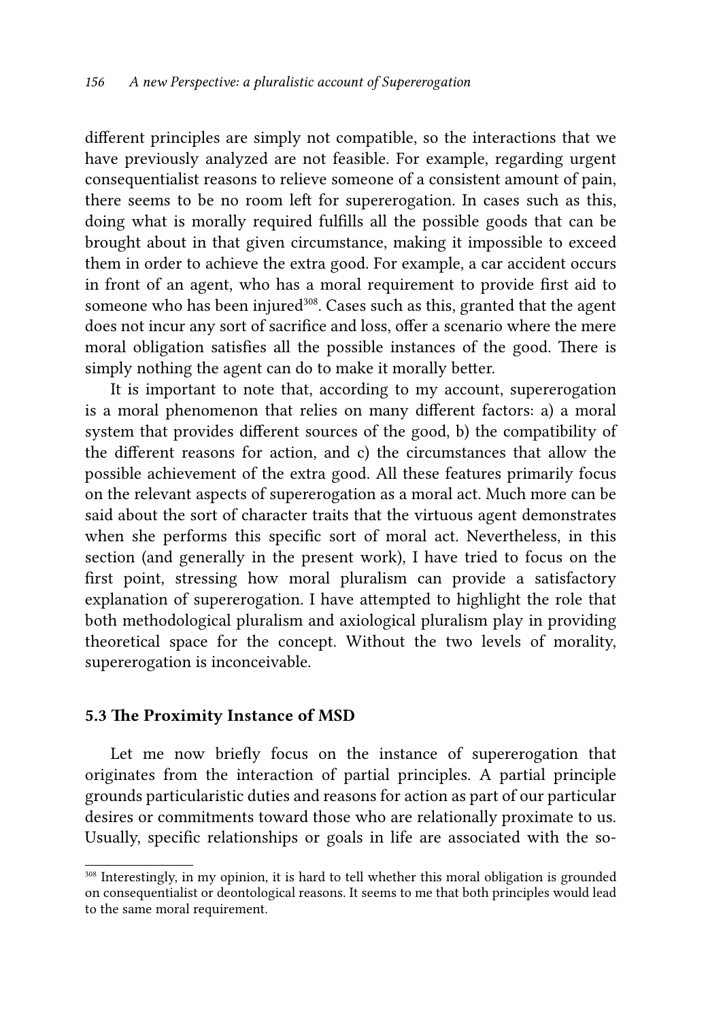different principles are simply not compatible, so the interactions that we have previously analyzed are not feasible. For example, regarding urgent consequentialist reasons to relieve someone of a consistent amount of pain, there seems to be no room left for supererogation. In cases such as this, doing what is morally required fulfills all the possible goods that can be brought about in that given circumstance, making it impossible to exceed them in order to achieve the extra good. For example, a car accident occurs in front of an agent, who has a moral requirement to provide first aid to someone who has been injured<sup>308</sup>. Cases such as this, granted that the agent does not incur any sort of sacrifice and loss, offer a scenario where the mere moral obligation satisfies all the possible instances of the good. There is simply nothing the agent can do to make it morally better.

It is important to note that, according to my account, supererogation is a moral phenomenon that relies on many different factors: a) a moral system that provides different sources of the good, b) the compatibility of the different reasons for action, and c) the circumstances that allow the possible achievement of the extra good. All these features primarily focus on the relevant aspects of supererogation as a moral act. Much more can be said about the sort of character traits that the virtuous agent demonstrates when she performs this specific sort of moral act. Nevertheless, in this section (and generally in the present work), I have tried to focus on the first point, stressing how moral pluralism can provide a satisfactory explanation of supererogation. I have attempted to highlight the role that both methodological pluralism and axiological pluralism play in providing theoretical space for the concept. Without the two levels of morality, supererogation is inconceivable.

#### 5.3 The Proximity Instance of MSD

Let me now briefly focus on the instance of supererogation that originates from the interaction of partial principles. A partial principle grounds particularistic duties and reasons for action as part of our particular desires or commitments toward those who are relationally proximate to us. Usually, specific relationships or goals in life are associated with the so-

<sup>&</sup>lt;sup>308</sup> Interestingly, in my opinion, it is hard to tell whether this moral obligation is grounded on consequentialist or deontological reasons. It seems to me that both principles would lead to the same moral requirement.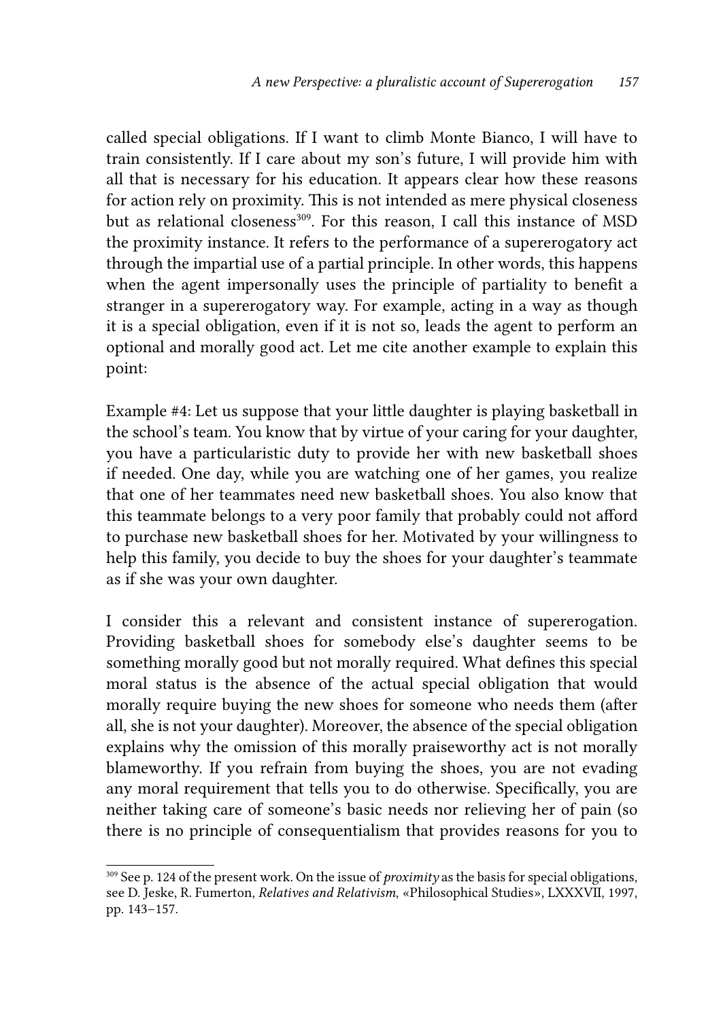called special obligations. If I want to climb Monte Bianco, I will have to train consistently. If I care about my son's future, I will provide him with all that is necessary for his education. It appears clear how these reasons for action rely on proximity. This is not intended as mere physical closeness but as relational closeness<sup>309</sup>. For this reason, I call this instance of MSD the proximity instance. It refers to the performance of a supererogatory act through the impartial use of a partial principle. In other words, this happens when the agent impersonally uses the principle of partiality to benefit a stranger in a supererogatory way. For example, acting in a way as though it is a special obligation, even if it is not so, leads the agent to perform an optional and morally good act. Let me cite another example to explain this point:

Example #4: Let us suppose that your little daughter is playing basketball in the school's team. You know that by virtue of your caring for your daughter, you have a particularistic duty to provide her with new basketball shoes if needed. One day, while you are watching one of her games, you realize that one of her teammates need new basketball shoes. You also know that this teammate belongs to a very poor family that probably could not afford to purchase new basketball shoes for her. Motivated by your willingness to help this family, you decide to buy the shoes for your daughter's teammate as if she was your own daughter.

I consider this a relevant and consistent instance of supererogation. Providing basketball shoes for somebody else's daughter seems to be something morally good but not morally required. What defines this special moral status is the absence of the actual special obligation that would morally require buying the new shoes for someone who needs them (after all, she is not your daughter). Moreover, the absence of the special obligation explains why the omission of this morally praiseworthy act is not morally blameworthy. If you refrain from buying the shoes, you are not evading any moral requirement that tells you to do otherwise. Specifically, you are neither taking care of someone's basic needs nor relieving her of pain (so there is no principle of consequentialism that provides reasons for you to

<sup>309</sup> See p. 124 of the present work. On the issue of *proximity* as the basis for special obligations, see D. Jeske, R. Fumerton, *Relatives and Relativism*, «Philosophical Studies», LXXXVII, 1997, pp. 143−157.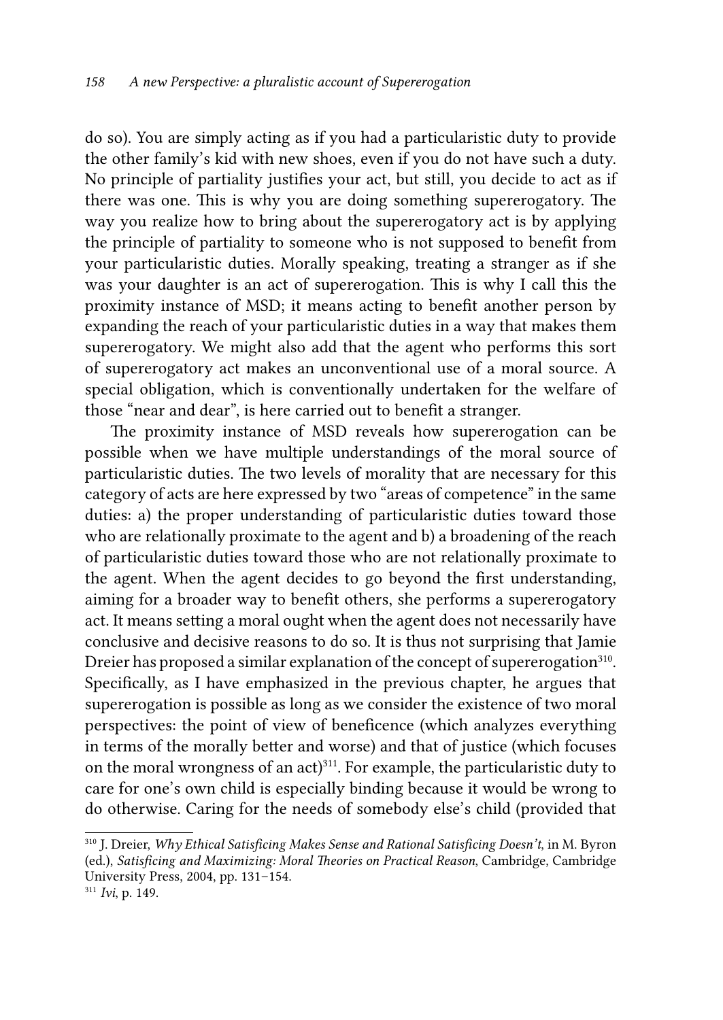do so). You are simply acting as if you had a particularistic duty to provide the other family's kid with new shoes, even if you do not have such a duty. No principle of partiality justifies your act, but still, you decide to act as if there was one. This is why you are doing something supererogatory. The way you realize how to bring about the supererogatory act is by applying the principle of partiality to someone who is not supposed to benefit from your particularistic duties. Morally speaking, treating a stranger as if she was your daughter is an act of supererogation. This is why I call this the proximity instance of MSD; it means acting to benefit another person by expanding the reach of your particularistic duties in a way that makes them supererogatory. We might also add that the agent who performs this sort of supererogatory act makes an unconventional use of a moral source. A special obligation, which is conventionally undertaken for the welfare of those "near and dear", is here carried out to benefit a stranger.

The proximity instance of MSD reveals how supererogation can be possible when we have multiple understandings of the moral source of particularistic duties. The two levels of morality that are necessary for this category of acts are here expressed by two "areas of competence" in the same duties: a) the proper understanding of particularistic duties toward those who are relationally proximate to the agent and b) a broadening of the reach of particularistic duties toward those who are not relationally proximate to the agent. When the agent decides to go beyond the first understanding, aiming for a broader way to benefit others, she performs a supererogatory act. It means setting a moral ought when the agent does not necessarily have conclusive and decisive reasons to do so. It is thus not surprising that Jamie Dreier has proposed a similar explanation of the concept of supererogation<sup>310</sup>. Specifically, as I have emphasized in the previous chapter, he argues that supererogation is possible as long as we consider the existence of two moral perspectives: the point of view of beneficence (which analyzes everything in terms of the morally better and worse) and that of justice (which focuses on the moral wrongness of an act)<sup>311</sup>. For example, the particularistic duty to care for one's own child is especially binding because it would be wrong to do otherwise. Caring for the needs of somebody else's child (provided that

<sup>310</sup> J. Dreier, *Why Ethical Satisficing Makes Sense and Rational Satisficing Doesn't*, in M. Byron (ed.), *Satisficing and Maximizing: Moral Theories on Practical Reason*, Cambridge, Cambridge University Press, 2004, pp. 131–154.

<sup>311</sup> *Ivi*, p. 149.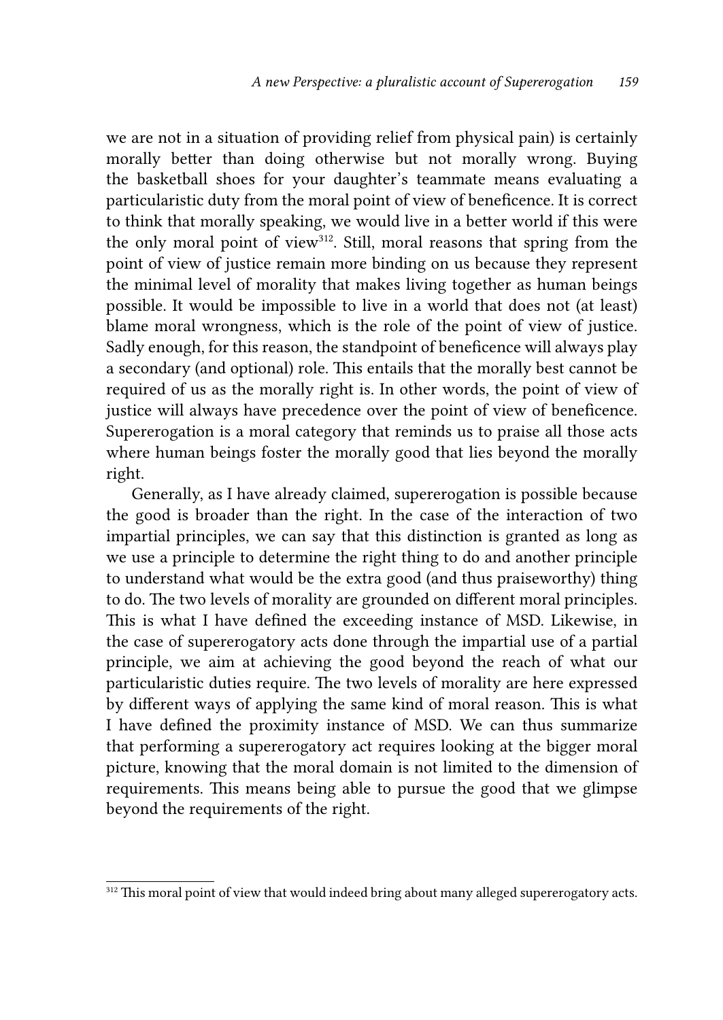we are not in a situation of providing relief from physical pain) is certainly morally better than doing otherwise but not morally wrong. Buying the basketball shoes for your daughter's teammate means evaluating a particularistic duty from the moral point of view of beneficence. It is correct to think that morally speaking, we would live in a better world if this were the only moral point of view<sup>312</sup>. Still, moral reasons that spring from the point of view of justice remain more binding on us because they represent the minimal level of morality that makes living together as human beings possible. It would be impossible to live in a world that does not (at least) blame moral wrongness, which is the role of the point of view of justice. Sadly enough, for this reason, the standpoint of beneficence will always play a secondary (and optional) role. This entails that the morally best cannot be required of us as the morally right is. In other words, the point of view of justice will always have precedence over the point of view of beneficence. Supererogation is a moral category that reminds us to praise all those acts where human beings foster the morally good that lies beyond the morally right.

Generally, as I have already claimed, supererogation is possible because the good is broader than the right. In the case of the interaction of two impartial principles, we can say that this distinction is granted as long as we use a principle to determine the right thing to do and another principle to understand what would be the extra good (and thus praiseworthy) thing to do. The two levels of morality are grounded on different moral principles. This is what I have defined the exceeding instance of MSD. Likewise, in the case of supererogatory acts done through the impartial use of a partial principle, we aim at achieving the good beyond the reach of what our particularistic duties require. The two levels of morality are here expressed by different ways of applying the same kind of moral reason. This is what I have defined the proximity instance of MSD. We can thus summarize that performing a supererogatory act requires looking at the bigger moral picture, knowing that the moral domain is not limited to the dimension of requirements. This means being able to pursue the good that we glimpse beyond the requirements of the right.

<sup>&</sup>lt;sup>312</sup> This moral point of view that would indeed bring about many alleged supererogatory acts.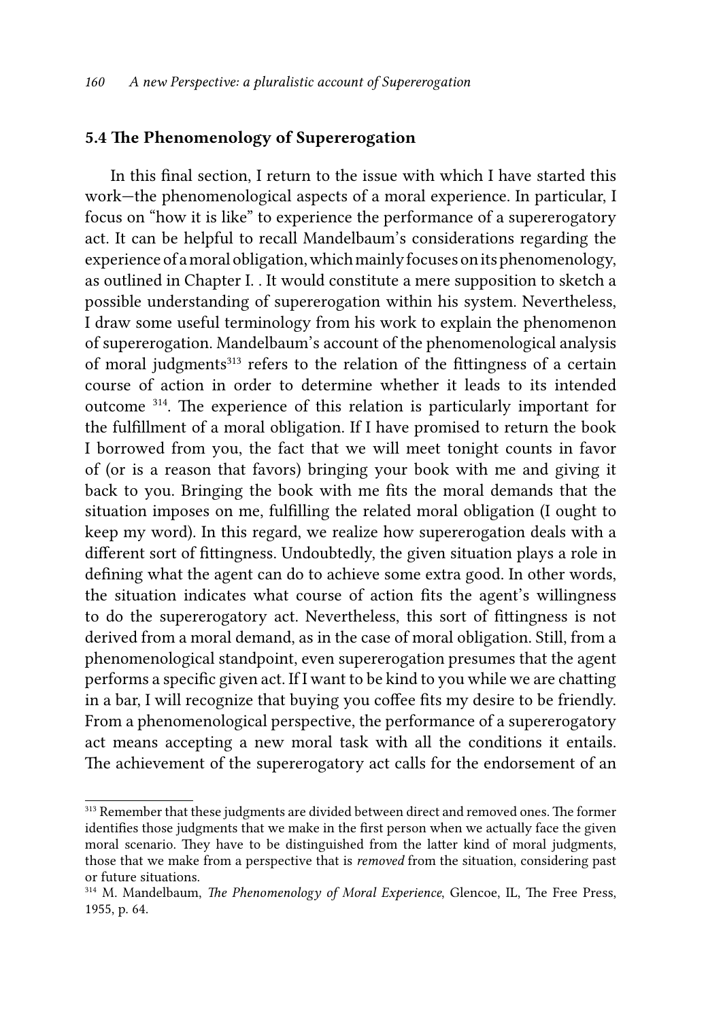## 5.4 The Phenomenology of Supererogation

In this final section, I return to the issue with which I have started this work—the phenomenological aspects of a moral experience. In particular, I focus on "how it is like" to experience the performance of a supererogatory act. It can be helpful to recall Mandelbaum's considerations regarding the experience of a moral obligation, which mainly focuses on its phenomenology, as outlined in Chapter I. . It would constitute a mere supposition to sketch a possible understanding of supererogation within his system. Nevertheless, I draw some useful terminology from his work to explain the phenomenon of supererogation. Mandelbaum's account of the phenomenological analysis of moral judgments<sup>313</sup> refers to the relation of the fittingness of a certain course of action in order to determine whether it leads to its intended outcome 314. The experience of this relation is particularly important for the fulfillment of a moral obligation. If I have promised to return the book I borrowed from you, the fact that we will meet tonight counts in favor of (or is a reason that favors) bringing your book with me and giving it back to you. Bringing the book with me fits the moral demands that the situation imposes on me, fulfilling the related moral obligation (I ought to keep my word). In this regard, we realize how supererogation deals with a different sort of fittingness. Undoubtedly, the given situation plays a role in defining what the agent can do to achieve some extra good. In other words, the situation indicates what course of action fits the agent's willingness to do the supererogatory act. Nevertheless, this sort of fittingness is not derived from a moral demand, as in the case of moral obligation. Still, from a phenomenological standpoint, even supererogation presumes that the agent performs a specific given act. If I want to be kind to you while we are chatting in a bar, I will recognize that buying you coffee fits my desire to be friendly. From a phenomenological perspective, the performance of a supererogatory act means accepting a new moral task with all the conditions it entails. The achievement of the supererogatory act calls for the endorsement of an

<sup>&</sup>lt;sup>313</sup> Remember that these judgments are divided between direct and removed ones. The former identifies those judgments that we make in the first person when we actually face the given moral scenario. They have to be distinguished from the latter kind of moral judgments, those that we make from a perspective that is *removed* from the situation, considering past or future situations.

<sup>314</sup> M. Mandelbaum, *The Phenomenology of Moral Experience*, Glencoe, IL, The Free Press, 1955, p. 64.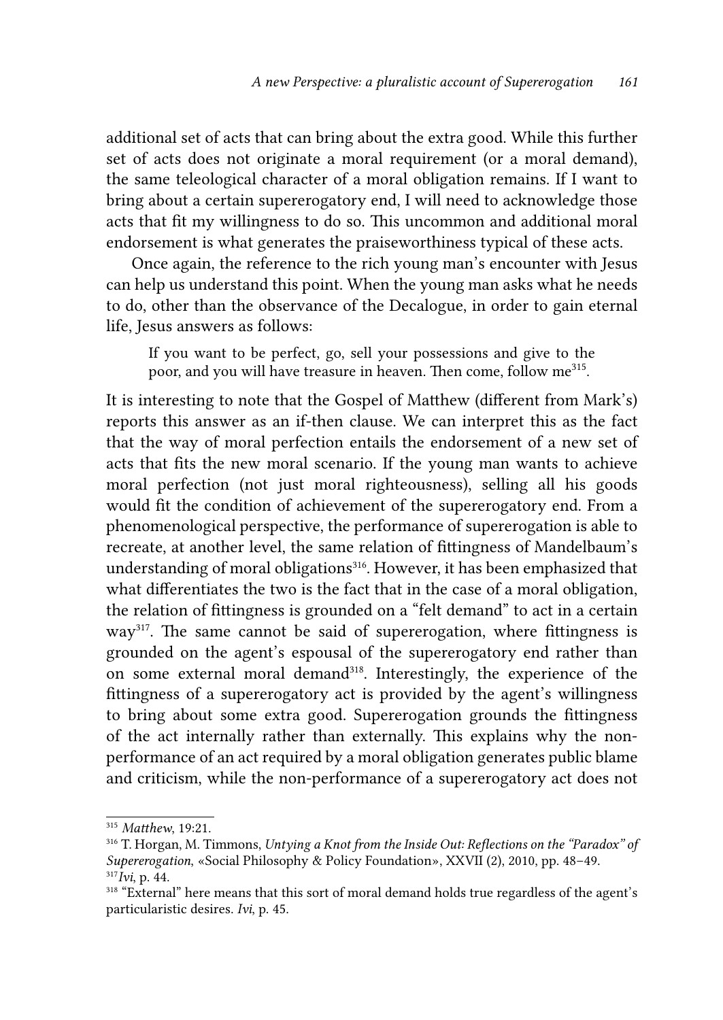additional set of acts that can bring about the extra good. While this further set of acts does not originate a moral requirement (or a moral demand), the same teleological character of a moral obligation remains. If I want to bring about a certain supererogatory end, I will need to acknowledge those acts that fit my willingness to do so. This uncommon and additional moral endorsement is what generates the praiseworthiness typical of these acts.

Once again, the reference to the rich young man's encounter with Jesus can help us understand this point. When the young man asks what he needs to do, other than the observance of the Decalogue, in order to gain eternal life, Jesus answers as follows:

If you want to be perfect, go, sell your possessions and give to the poor, and you will have treasure in heaven. Then come, follow me<sup>315</sup>.

It is interesting to note that the Gospel of Matthew (different from Mark's) reports this answer as an if-then clause. We can interpret this as the fact that the way of moral perfection entails the endorsement of a new set of acts that fits the new moral scenario. If the young man wants to achieve moral perfection (not just moral righteousness), selling all his goods would fit the condition of achievement of the supererogatory end. From a phenomenological perspective, the performance of supererogation is able to recreate, at another level, the same relation of fittingness of Mandelbaum's understanding of moral obligations<sup>316</sup>. However, it has been emphasized that what differentiates the two is the fact that in the case of a moral obligation, the relation of fittingness is grounded on a "felt demand" to act in a certain way<sup>317</sup>. The same cannot be said of supererogation, where fittingness is grounded on the agent's espousal of the supererogatory end rather than on some external moral demand<sup>318</sup>. Interestingly, the experience of the fittingness of a supererogatory act is provided by the agent's willingness to bring about some extra good. Supererogation grounds the fittingness of the act internally rather than externally. This explains why the nonperformance of an act required by a moral obligation generates public blame and criticism, while the non-performance of a supererogatory act does not

<sup>315</sup> *Matthew*, 19:21.

<sup>316</sup> T. Horgan, M. Timmons, *Untying a Knot from the Inside Out: Reflections on the "Paradox" of Supererogation*, «Social Philosophy & Policy Foundation», XXVII (2), 2010, pp. 48–49. <sup>317</sup>*Ivi*, p. 44.

<sup>&</sup>lt;sup>318</sup> "External" here means that this sort of moral demand holds true regardless of the agent's particularistic desires. *Ivi*, p. 45.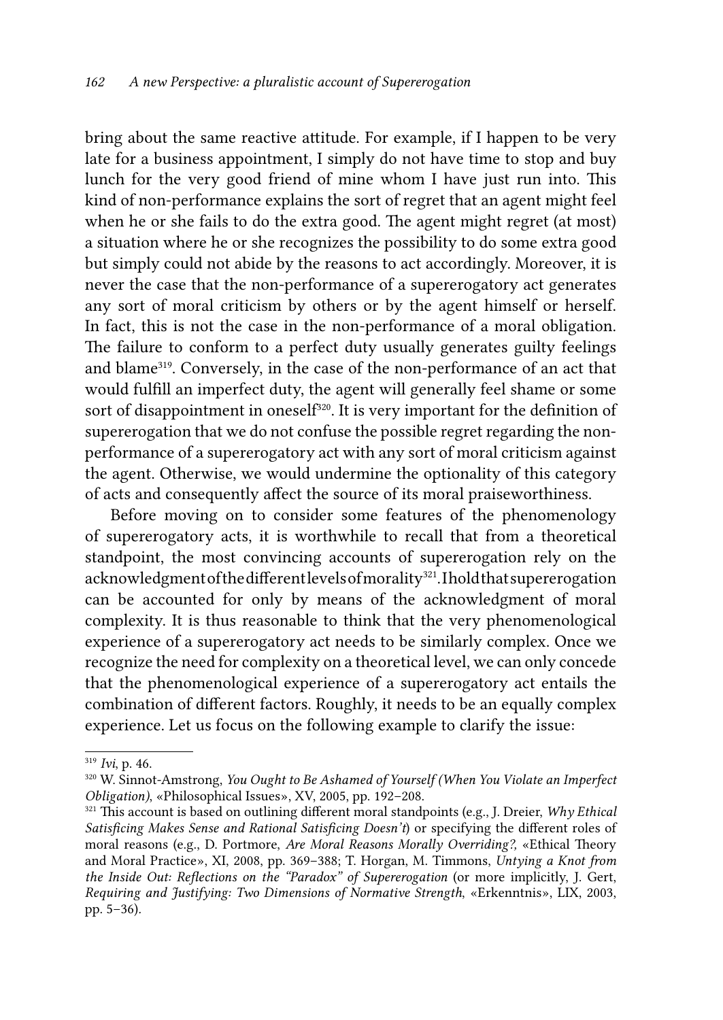bring about the same reactive attitude. For example, if I happen to be very late for a business appointment, I simply do not have time to stop and buy lunch for the very good friend of mine whom I have just run into. This kind of non-performance explains the sort of regret that an agent might feel when he or she fails to do the extra good. The agent might regret (at most) a situation where he or she recognizes the possibility to do some extra good but simply could not abide by the reasons to act accordingly. Moreover, it is never the case that the non-performance of a supererogatory act generates any sort of moral criticism by others or by the agent himself or herself. In fact, this is not the case in the non-performance of a moral obligation. The failure to conform to a perfect duty usually generates guilty feelings and blame319. Conversely, in the case of the non-performance of an act that would fulfill an imperfect duty, the agent will generally feel shame or some sort of disappointment in oneself<sup>320</sup>. It is very important for the definition of supererogation that we do not confuse the possible regret regarding the nonperformance of a supererogatory act with any sort of moral criticism against the agent. Otherwise, we would undermine the optionality of this category of acts and consequently affect the source of its moral praiseworthiness.

Before moving on to consider some features of the phenomenology of supererogatory acts, it is worthwhile to recall that from a theoretical standpoint, the most convincing accounts of supererogation rely on the acknowledgment of the different levels of morality<sup>321</sup>. I hold that supererogation can be accounted for only by means of the acknowledgment of moral complexity. It is thus reasonable to think that the very phenomenological experience of a supererogatory act needs to be similarly complex. Once we recognize the need for complexity on a theoretical level, we can only concede that the phenomenological experience of a supererogatory act entails the combination of different factors. Roughly, it needs to be an equally complex experience. Let us focus on the following example to clarify the issue:

<sup>319</sup> *Ivi*, p. 46.

<sup>320</sup> W. Sinnot-Amstrong, *You Ought to Be Ashamed of Yourself (When You Violate an Imperfect Obligation)*, «Philosophical Issues», XV, 2005, pp. 192–208.

<sup>321</sup> This account is based on outlining different moral standpoints (e.g., J. Dreier, *Why Ethical Satisficing Makes Sense and Rational Satisficing Doesn't*) or specifying the different roles of moral reasons (e.g., D. Portmore, *Are Moral Reasons Morally Overriding?,* «Ethical Theory and Moral Practice», XI, 2008, pp. 369–388; T. Horgan, M. Timmons, *Untying a Knot from the Inside Out: Reflections on the "Paradox" of Supererogation* (or more implicitly, J. Gert, *Requiring and Justifying: Two Dimensions of Normative Strength*, «Erkenntnis», LIX, 2003, pp. 5–36)*.*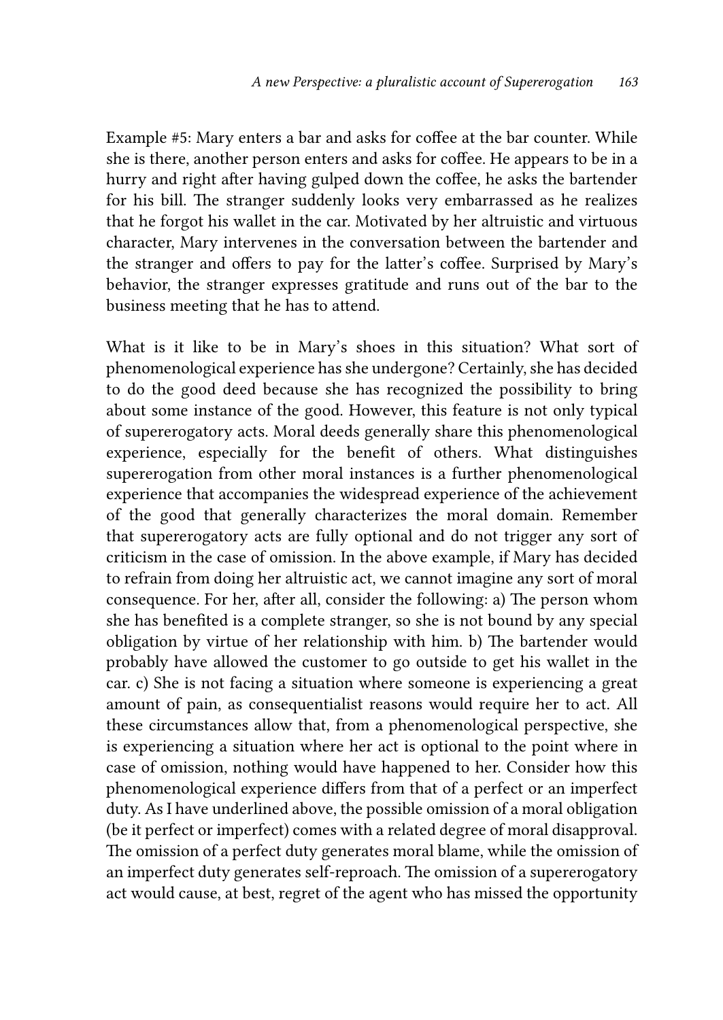Example #5: Mary enters a bar and asks for coffee at the bar counter. While she is there, another person enters and asks for coffee. He appears to be in a hurry and right after having gulped down the coffee, he asks the bartender for his bill. The stranger suddenly looks very embarrassed as he realizes that he forgot his wallet in the car. Motivated by her altruistic and virtuous character, Mary intervenes in the conversation between the bartender and the stranger and offers to pay for the latter's coffee. Surprised by Mary's behavior, the stranger expresses gratitude and runs out of the bar to the business meeting that he has to attend.

What is it like to be in Mary's shoes in this situation? What sort of phenomenological experience has she undergone? Certainly, she has decided to do the good deed because she has recognized the possibility to bring about some instance of the good. However, this feature is not only typical of supererogatory acts. Moral deeds generally share this phenomenological experience, especially for the benefit of others. What distinguishes supererogation from other moral instances is a further phenomenological experience that accompanies the widespread experience of the achievement of the good that generally characterizes the moral domain. Remember that supererogatory acts are fully optional and do not trigger any sort of criticism in the case of omission. In the above example, if Mary has decided to refrain from doing her altruistic act, we cannot imagine any sort of moral consequence. For her, after all, consider the following: a) The person whom she has benefited is a complete stranger, so she is not bound by any special obligation by virtue of her relationship with him. b) The bartender would probably have allowed the customer to go outside to get his wallet in the car. c) She is not facing a situation where someone is experiencing a great amount of pain, as consequentialist reasons would require her to act. All these circumstances allow that, from a phenomenological perspective, she is experiencing a situation where her act is optional to the point where in case of omission, nothing would have happened to her. Consider how this phenomenological experience differs from that of a perfect or an imperfect duty. As I have underlined above, the possible omission of a moral obligation (be it perfect or imperfect) comes with a related degree of moral disapproval. The omission of a perfect duty generates moral blame, while the omission of an imperfect duty generates self-reproach. The omission of a supererogatory act would cause, at best, regret of the agent who has missed the opportunity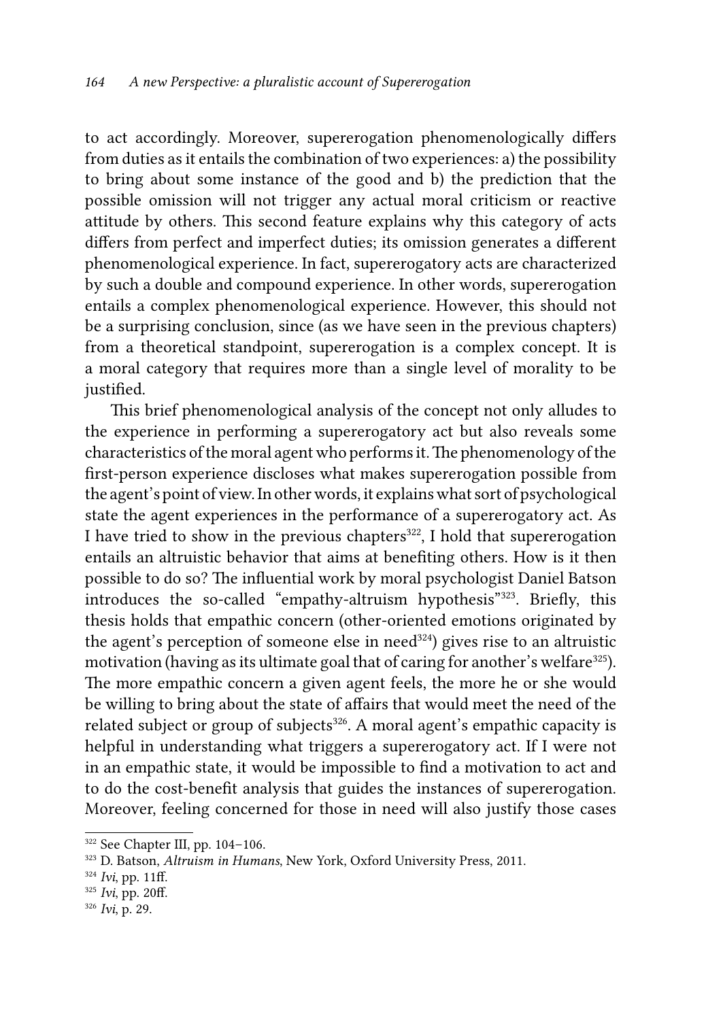to act accordingly. Moreover, supererogation phenomenologically differs from duties as it entails the combination of two experiences: a) the possibility to bring about some instance of the good and b) the prediction that the possible omission will not trigger any actual moral criticism or reactive attitude by others. This second feature explains why this category of acts differs from perfect and imperfect duties; its omission generates a different phenomenological experience. In fact, supererogatory acts are characterized by such a double and compound experience. In other words, supererogation entails a complex phenomenological experience. However, this should not be a surprising conclusion, since (as we have seen in the previous chapters) from a theoretical standpoint, supererogation is a complex concept. It is a moral category that requires more than a single level of morality to be justified.

This brief phenomenological analysis of the concept not only alludes to the experience in performing a supererogatory act but also reveals some characteristics of the moral agent who performs it. The phenomenology of the first-person experience discloses what makes supererogation possible from the agent's point of view. In other words, it explains what sort of psychological state the agent experiences in the performance of a supererogatory act. As I have tried to show in the previous chapters<sup>322</sup>, I hold that supererogation entails an altruistic behavior that aims at benefiting others. How is it then possible to do so? The influential work by moral psychologist Daniel Batson introduces the so-called "empathy-altruism hypothesis"<sup>323</sup>. Briefly, this thesis holds that empathic concern (other-oriented emotions originated by the agent's perception of someone else in need $324$ ) gives rise to an altruistic motivation (having as its ultimate goal that of caring for another's welfare<sup>325</sup>). The more empathic concern a given agent feels, the more he or she would be willing to bring about the state of affairs that would meet the need of the related subject or group of subjects<sup>326</sup>. A moral agent's empathic capacity is helpful in understanding what triggers a supererogatory act. If I were not in an empathic state, it would be impossible to find a motivation to act and to do the cost-benefit analysis that guides the instances of supererogation. Moreover, feeling concerned for those in need will also justify those cases

<sup>322</sup> See Chapter III, pp. 104–106.

<sup>323</sup> D. Batson, *Altruism in Humans*, New York, Oxford University Press, 2011.

<sup>324</sup> *Ivi*, pp. 11ff.

<sup>325</sup> *Ivi*, pp. 20ff.

<sup>326</sup> *Ivi*, p. 29.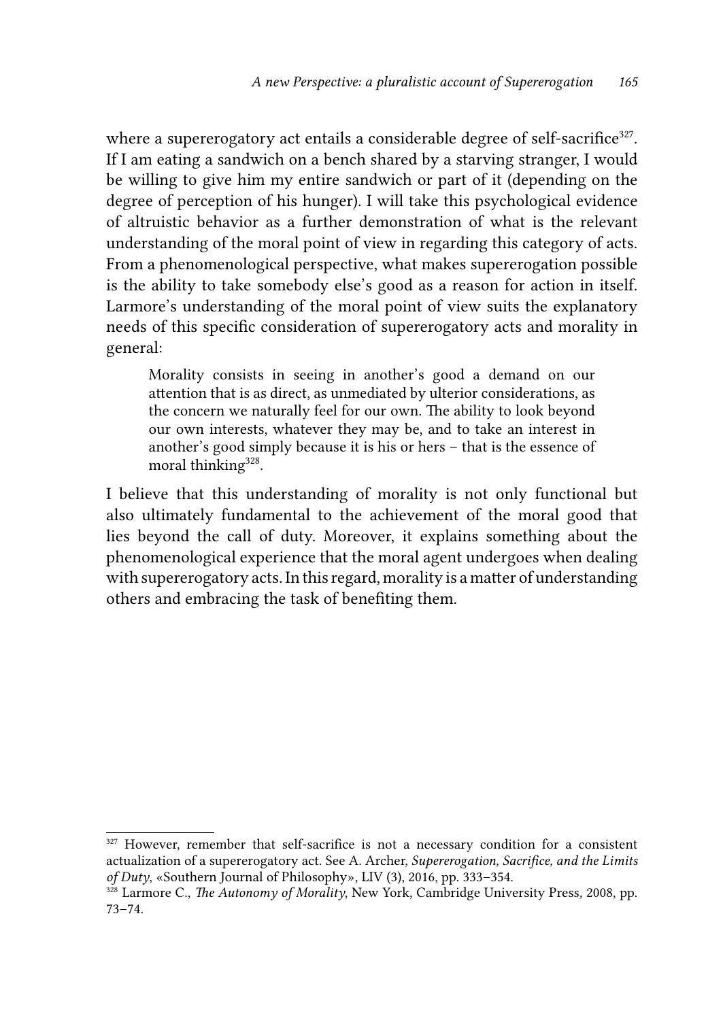where a supererogatory act entails a considerable degree of self-sacrifice<sup>327</sup>. If I am eating a sandwich on a bench shared by a starving stranger, I would be willing to give him my entire sandwich or part of it (depending on the degree of perception of his hunger). I will take this psychological evidence of altruistic behavior as a further demonstration of what is the relevant understanding of the moral point of view in regarding this category of acts. From a phenomenological perspective, what makes supererogation possible is the ability to take somebody else's good as a reason for action in itself. Larmore's understanding of the moral point of view suits the explanatory needs of this specific consideration of supererogatory acts and morality in general:

Morality consists in seeing in another's good a demand on our attention that is as direct, as unmediated by ulterior considerations, as the concern we naturally feel for our own. The ability to look beyond our own interests, whatever they may be, and to take an interest in another's good simply because it is his or hers – that is the essence of moral thinking<sup>328</sup>.

I believe that this understanding of morality is not only functional but also ultimately fundamental to the achievement of the moral good that lies beyond the call of duty. Moreover, it explains something about the phenomenological experience that the moral agent undergoes when dealing with supererogatory acts. In this regard, morality is a matter of understanding others and embracing the task of benefiting them.

<sup>&</sup>lt;sup>327</sup> However, remember that self-sacrifice is not a necessary condition for a consistent actualization of a supererogatory act. See A. Archer, *Supererogation, Sacrifice, and the Limits of Duty*, «Southern Journal of Philosophy», LIV (3), 2016, pp. 333–354.

<sup>328</sup> Larmore C., *The Autonomy of Morality*, New York, Cambridge University Press*,* 2008, pp. 73–74.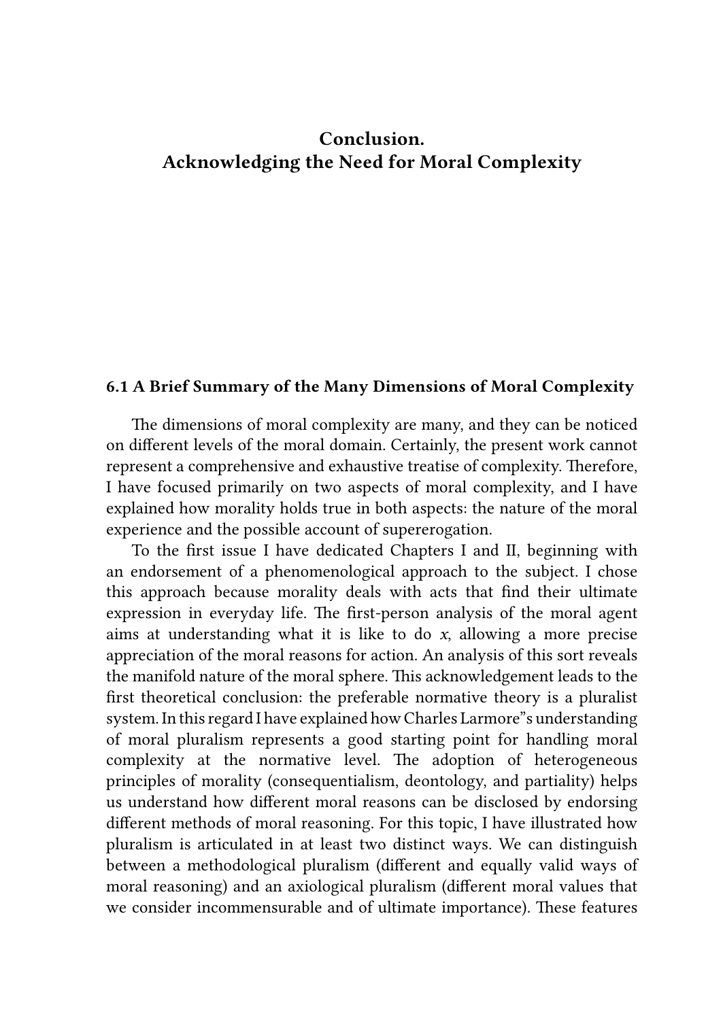## Conclusion. Acknowledging the Need for Moral Complexity

### 6.1 A Brief Summary of the Many Dimensions of Moral Complexity

The dimensions of moral complexity are many, and they can be noticed on different levels of the moral domain. Certainly, the present work cannot represent a comprehensive and exhaustive treatise of complexity. Therefore, I have focused primarily on two aspects of moral complexity, and I have explained how morality holds true in both aspects: the nature of the moral experience and the possible account of supererogation.

To the first issue I have dedicated Chapters I and II, beginning with an endorsement of a phenomenological approach to the subject. I chose this approach because morality deals with acts that find their ultimate expression in everyday life. The first-person analysis of the moral agent aims at understanding what it is like to do *x*, allowing a more precise appreciation of the moral reasons for action. An analysis of this sort reveals the manifold nature of the moral sphere. This acknowledgement leads to the first theoretical conclusion: the preferable normative theory is a pluralist system. In this regard I have explained how Charles Larmore"s understanding of moral pluralism represents a good starting point for handling moral complexity at the normative level. The adoption of heterogeneous principles of morality (consequentialism, deontology, and partiality) helps us understand how different moral reasons can be disclosed by endorsing different methods of moral reasoning. For this topic, I have illustrated how pluralism is articulated in at least two distinct ways. We can distinguish between a methodological pluralism (different and equally valid ways of moral reasoning) and an axiological pluralism (different moral values that we consider incommensurable and of ultimate importance). These features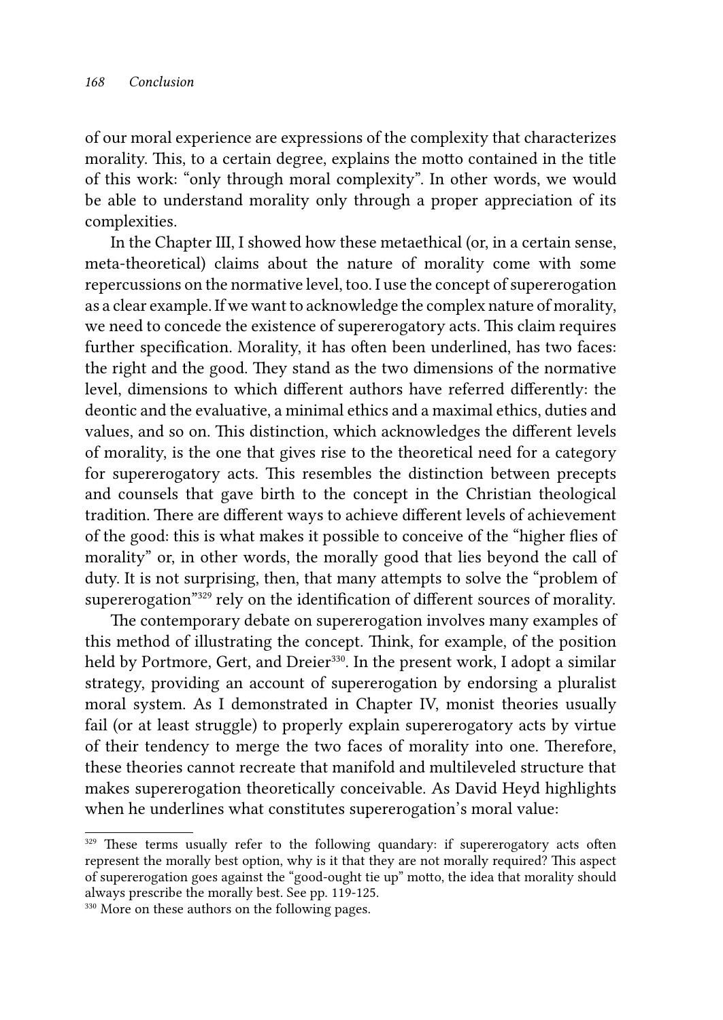of our moral experience are expressions of the complexity that characterizes morality. This, to a certain degree, explains the motto contained in the title of this work: "only through moral complexity". In other words, we would be able to understand morality only through a proper appreciation of its complexities.

In the Chapter III, I showed how these metaethical (or, in a certain sense, meta-theoretical) claims about the nature of morality come with some repercussions on the normative level, too. I use the concept of supererogation as a clear example. If we want to acknowledge the complex nature of morality, we need to concede the existence of supererogatory acts. This claim requires further specification. Morality, it has often been underlined, has two faces: the right and the good. They stand as the two dimensions of the normative level, dimensions to which different authors have referred differently: the deontic and the evaluative, a minimal ethics and a maximal ethics, duties and values, and so on. This distinction, which acknowledges the different levels of morality, is the one that gives rise to the theoretical need for a category for supererogatory acts. This resembles the distinction between precepts and counsels that gave birth to the concept in the Christian theological tradition. There are different ways to achieve different levels of achievement of the good: this is what makes it possible to conceive of the "higher flies of morality" or, in other words, the morally good that lies beyond the call of duty. It is not surprising, then, that many attempts to solve the "problem of supererogation"329 rely on the identification of different sources of morality.

The contemporary debate on supererogation involves many examples of this method of illustrating the concept. Think, for example, of the position held by Portmore, Gert, and Dreier<sup>330</sup>. In the present work, I adopt a similar strategy, providing an account of supererogation by endorsing a pluralist moral system. As I demonstrated in Chapter IV, monist theories usually fail (or at least struggle) to properly explain supererogatory acts by virtue of their tendency to merge the two faces of morality into one. Therefore, these theories cannot recreate that manifold and multileveled structure that makes supererogation theoretically conceivable. As David Heyd highlights when he underlines what constitutes supererogation's moral value:

<sup>&</sup>lt;sup>329</sup> These terms usually refer to the following quandary: if supererogatory acts often represent the morally best option, why is it that they are not morally required? This aspect of supererogation goes against the "good-ought tie up" motto, the idea that morality should always prescribe the morally best. See pp. 119-125.

<sup>&</sup>lt;sup>330</sup> More on these authors on the following pages.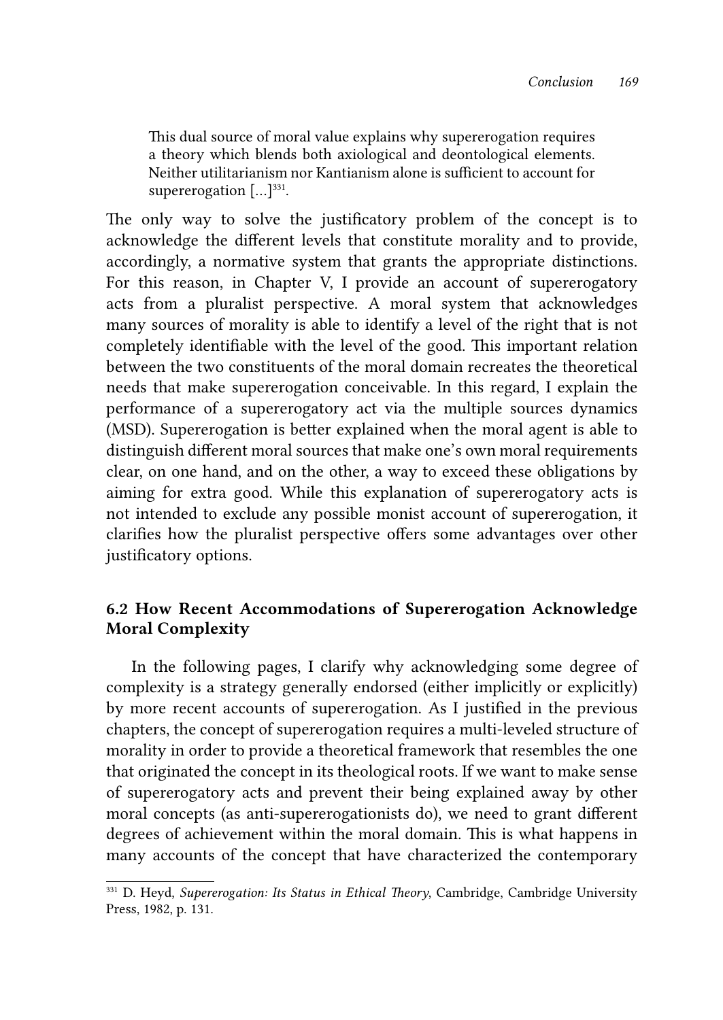This dual source of moral value explains why supererogation requires a theory which blends both axiological and deontological elements. Neither utilitarianism nor Kantianism alone is sufficient to account for supererogation  $[\dots]^{331}$ .

The only way to solve the justificatory problem of the concept is to acknowledge the different levels that constitute morality and to provide, accordingly, a normative system that grants the appropriate distinctions. For this reason, in Chapter V, I provide an account of supererogatory acts from a pluralist perspective. A moral system that acknowledges many sources of morality is able to identify a level of the right that is not completely identifiable with the level of the good. This important relation between the two constituents of the moral domain recreates the theoretical needs that make supererogation conceivable. In this regard, I explain the performance of a supererogatory act via the multiple sources dynamics (MSD). Supererogation is better explained when the moral agent is able to distinguish different moral sources that make one's own moral requirements clear, on one hand, and on the other, a way to exceed these obligations by aiming for extra good. While this explanation of supererogatory acts is not intended to exclude any possible monist account of supererogation, it clarifies how the pluralist perspective offers some advantages over other justificatory options.

## 6.2 How Recent Accommodations of Supererogation Acknowledge Moral Complexity

In the following pages, I clarify why acknowledging some degree of complexity is a strategy generally endorsed (either implicitly or explicitly) by more recent accounts of supererogation. As I justified in the previous chapters, the concept of supererogation requires a multi-leveled structure of morality in order to provide a theoretical framework that resembles the one that originated the concept in its theological roots. If we want to make sense of supererogatory acts and prevent their being explained away by other moral concepts (as anti-supererogationists do), we need to grant different degrees of achievement within the moral domain. This is what happens in many accounts of the concept that have characterized the contemporary

<sup>331</sup> D. Heyd, *Supererogation: Its Status in Ethical Theory*, Cambridge, Cambridge University Press, 1982, p. 131.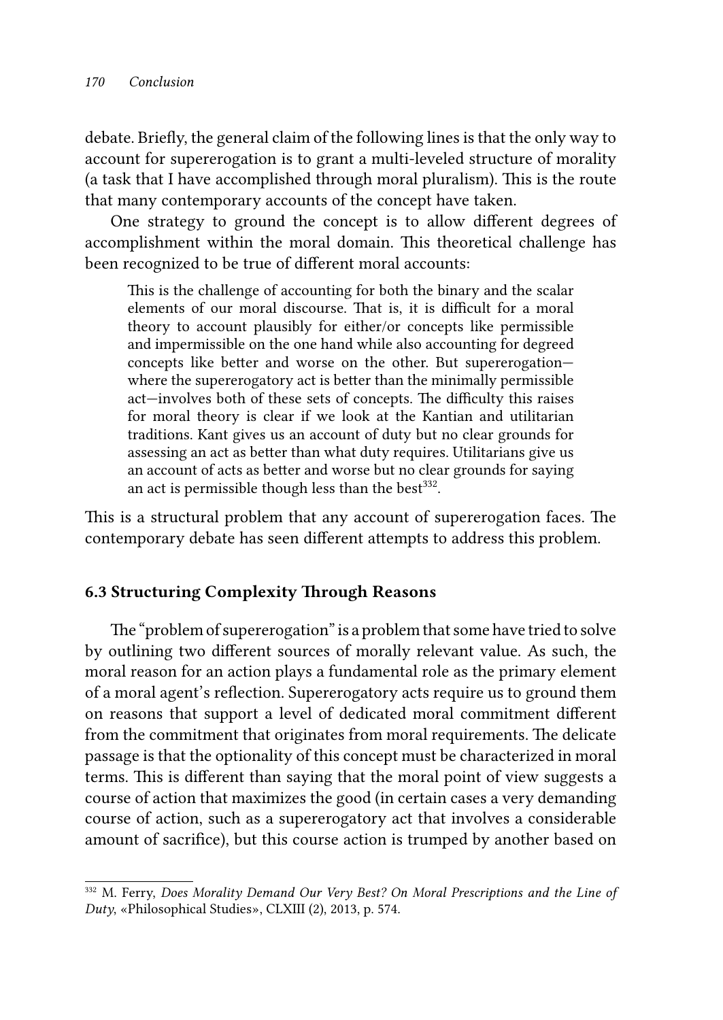debate. Briefly, the general claim of the following lines is that the only way to account for supererogation is to grant a multi-leveled structure of morality (a task that I have accomplished through moral pluralism). This is the route that many contemporary accounts of the concept have taken.

One strategy to ground the concept is to allow different degrees of accomplishment within the moral domain. This theoretical challenge has been recognized to be true of different moral accounts:

This is the challenge of accounting for both the binary and the scalar elements of our moral discourse. That is, it is difficult for a moral theory to account plausibly for either/or concepts like permissible and impermissible on the one hand while also accounting for degreed concepts like better and worse on the other. But supererogation where the supererogatory act is better than the minimally permissible act—involves both of these sets of concepts. The difficulty this raises for moral theory is clear if we look at the Kantian and utilitarian traditions. Kant gives us an account of duty but no clear grounds for assessing an act as better than what duty requires. Utilitarians give us an account of acts as better and worse but no clear grounds for saying an act is permissible though less than the best<sup>332</sup>.

This is a structural problem that any account of supererogation faces. The contemporary debate has seen different attempts to address this problem.

## 6.3 Structuring Complexity Through Reasons

The "problem of supererogation" is a problem that some have tried to solve by outlining two different sources of morally relevant value. As such, the moral reason for an action plays a fundamental role as the primary element of a moral agent's reflection. Supererogatory acts require us to ground them on reasons that support a level of dedicated moral commitment different from the commitment that originates from moral requirements. The delicate passage is that the optionality of this concept must be characterized in moral terms. This is different than saying that the moral point of view suggests a course of action that maximizes the good (in certain cases a very demanding course of action, such as a supererogatory act that involves a considerable amount of sacrifice), but this course action is trumped by another based on

<sup>332</sup> M. Ferry, *Does Morality Demand Our Very Best? On Moral Prescriptions and the Line of Duty*, «Philosophical Studies», CLXIII (2), 2013, p. 574.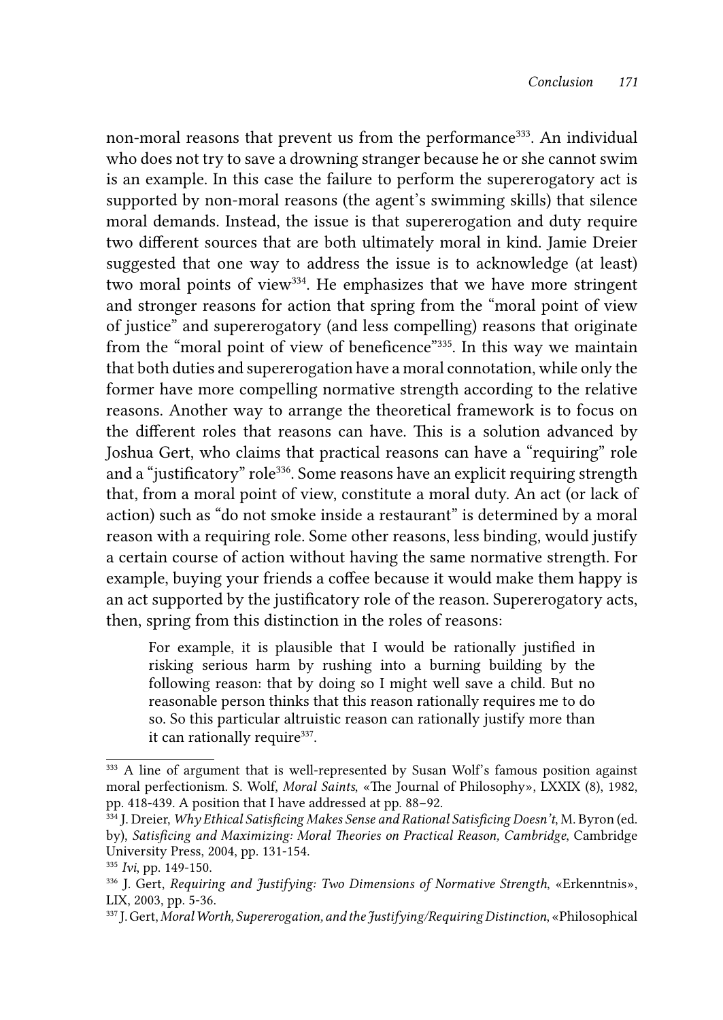non-moral reasons that prevent us from the performance<sup>333</sup>. An individual who does not try to save a drowning stranger because he or she cannot swim is an example. In this case the failure to perform the supererogatory act is supported by non-moral reasons (the agent's swimming skills) that silence moral demands. Instead, the issue is that supererogation and duty require two different sources that are both ultimately moral in kind. Jamie Dreier suggested that one way to address the issue is to acknowledge (at least) two moral points of view<sup>334</sup>. He emphasizes that we have more stringent and stronger reasons for action that spring from the "moral point of view of justice" and supererogatory (and less compelling) reasons that originate from the "moral point of view of beneficence"335. In this way we maintain that both duties and supererogation have a moral connotation, while only the former have more compelling normative strength according to the relative reasons. Another way to arrange the theoretical framework is to focus on the different roles that reasons can have. This is a solution advanced by Joshua Gert, who claims that practical reasons can have a "requiring" role and a "justificatory" role<sup>336</sup>. Some reasons have an explicit requiring strength that, from a moral point of view, constitute a moral duty. An act (or lack of action) such as "do not smoke inside a restaurant" is determined by a moral reason with a requiring role. Some other reasons, less binding, would justify a certain course of action without having the same normative strength. For example, buying your friends a coffee because it would make them happy is an act supported by the justificatory role of the reason. Supererogatory acts, then, spring from this distinction in the roles of reasons:

For example, it is plausible that I would be rationally justified in risking serious harm by rushing into a burning building by the following reason: that by doing so I might well save a child. But no reasonable person thinks that this reason rationally requires me to do so. So this particular altruistic reason can rationally justify more than it can rationally require<sup>337</sup>.

<sup>&</sup>lt;sup>333</sup> A line of argument that is well-represented by Susan Wolf's famous position against moral perfectionism. S. Wolf, *Moral Saints*, «The Journal of Philosophy», LXXIX (8), 1982, pp. 418-439. A position that I have addressed at pp. 88−92.

<sup>334</sup> J. Dreier, *Why Ethical Satisficing Makes Sense and Rational Satisficing Doesn't*, M. Byron (ed. by), *Satisficing and Maximizing: Moral Theories on Practical Reason, Cambridge*, Cambridge University Press, 2004, pp. 131-154.

<sup>&</sup>lt;sup>335</sup> Ivi, pp. 149-150.<br><sup>336</sup> J. Gert, *Requiring and Justifying: Two Dimensions of Normative Strength*, «Erkenntnis», LIX, 2003, pp. 5-36.

<sup>337</sup> J. Gert, *Moral Worth, Supererogation, and the Justifying/Requiring Distinction*, «Philosophical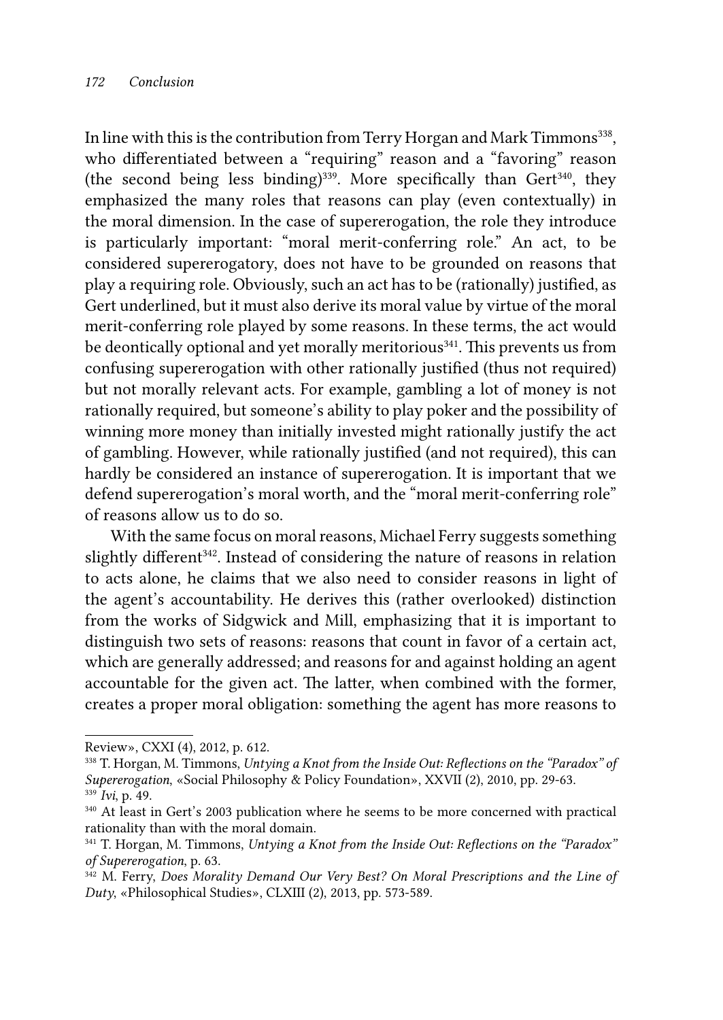In line with this is the contribution from Terry Horgan and Mark Timmons<sup>338</sup>, who differentiated between a "requiring" reason and a "favoring" reason (the second being less binding)<sup>339</sup>. More specifically than Gert<sup>340</sup>, they emphasized the many roles that reasons can play (even contextually) in the moral dimension. In the case of supererogation, the role they introduce is particularly important: "moral merit-conferring role." An act, to be considered supererogatory, does not have to be grounded on reasons that play a requiring role. Obviously, such an act has to be (rationally) justified, as Gert underlined, but it must also derive its moral value by virtue of the moral merit-conferring role played by some reasons. In these terms, the act would be deontically optional and yet morally meritorious<sup>341</sup>. This prevents us from confusing supererogation with other rationally justified (thus not required) but not morally relevant acts. For example, gambling a lot of money is not rationally required, but someone's ability to play poker and the possibility of winning more money than initially invested might rationally justify the act of gambling. However, while rationally justified (and not required), this can hardly be considered an instance of supererogation. It is important that we defend supererogation's moral worth, and the "moral merit-conferring role" of reasons allow us to do so.

With the same focus on moral reasons, Michael Ferry suggests something slightly different<sup>342</sup>. Instead of considering the nature of reasons in relation to acts alone, he claims that we also need to consider reasons in light of the agent's accountability. He derives this (rather overlooked) distinction from the works of Sidgwick and Mill, emphasizing that it is important to distinguish two sets of reasons: reasons that count in favor of a certain act, which are generally addressed; and reasons for and against holding an agent accountable for the given act. The latter, when combined with the former, creates a proper moral obligation: something the agent has more reasons to

342 M. Ferry, *Does Morality Demand Our Very Best? On Moral Prescriptions and the Line of Duty*, «Philosophical Studies», CLXIII (2), 2013, pp. 573-589.

Review», CXXI (4), 2012, p. 612.

<sup>338</sup> T. Horgan, M. Timmons, *Untying a Knot from the Inside Out: Reflections on the "Paradox" of Supererogation*, «Social Philosophy & Policy Foundation», XXVII (2), 2010, pp. 29-63. <sup>339</sup> *Ivi*, p. 49.

<sup>340</sup> At least in Gert's 2003 publication where he seems to be more concerned with practical rationality than with the moral domain.

<sup>341</sup> T. Horgan, M. Timmons, *Untying a Knot from the Inside Out: Reflections on the "Paradox" of Supererogation*, p. 63.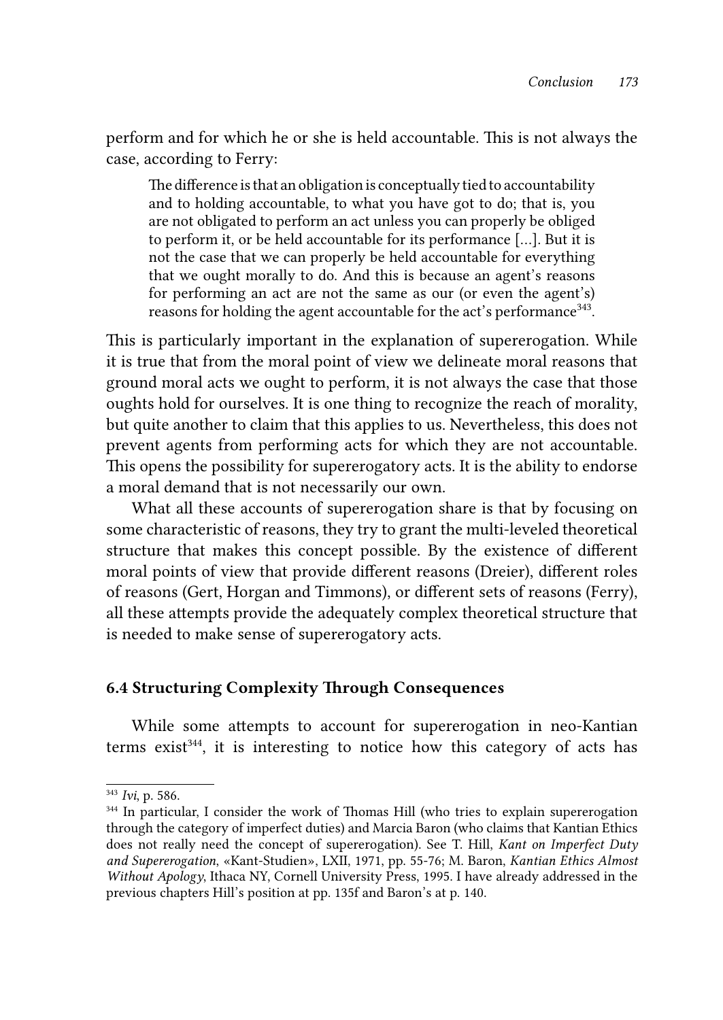perform and for which he or she is held accountable. This is not always the case, according to Ferry:

The difference is that an obligation is conceptually tied to accountability and to holding accountable, to what you have got to do; that is, you are not obligated to perform an act unless you can properly be obliged to perform it, or be held accountable for its performance […]. But it is not the case that we can properly be held accountable for everything that we ought morally to do. And this is because an agent's reasons for performing an act are not the same as our (or even the agent's) reasons for holding the agent accountable for the act's performance<sup>343</sup>.

This is particularly important in the explanation of supererogation. While it is true that from the moral point of view we delineate moral reasons that ground moral acts we ought to perform, it is not always the case that those oughts hold for ourselves. It is one thing to recognize the reach of morality, but quite another to claim that this applies to us. Nevertheless, this does not prevent agents from performing acts for which they are not accountable. This opens the possibility for supererogatory acts. It is the ability to endorse a moral demand that is not necessarily our own.

What all these accounts of supererogation share is that by focusing on some characteristic of reasons, they try to grant the multi-leveled theoretical structure that makes this concept possible. By the existence of different moral points of view that provide different reasons (Dreier), different roles of reasons (Gert, Horgan and Timmons), or different sets of reasons (Ferry), all these attempts provide the adequately complex theoretical structure that is needed to make sense of supererogatory acts.

### 6.4 Structuring Complexity Through Consequences

While some attempts to account for supererogation in neo-Kantian terms exist<sup>344</sup>, it is interesting to notice how this category of acts has

<sup>343</sup> *Ivi*, p. 586.

<sup>344</sup> In particular, I consider the work of Thomas Hill (who tries to explain supererogation through the category of imperfect duties) and Marcia Baron (who claims that Kantian Ethics does not really need the concept of supererogation). See T. Hill, *Kant on Imperfect Duty and Supererogation*, «Kant-Studien», LXII, 1971, pp. 55-76; M. Baron, *Kantian Ethics Almost Without Apology*, Ithaca NY, Cornell University Press, 1995. I have already addressed in the previous chapters Hill's position at pp. 135f and Baron's at p. 140.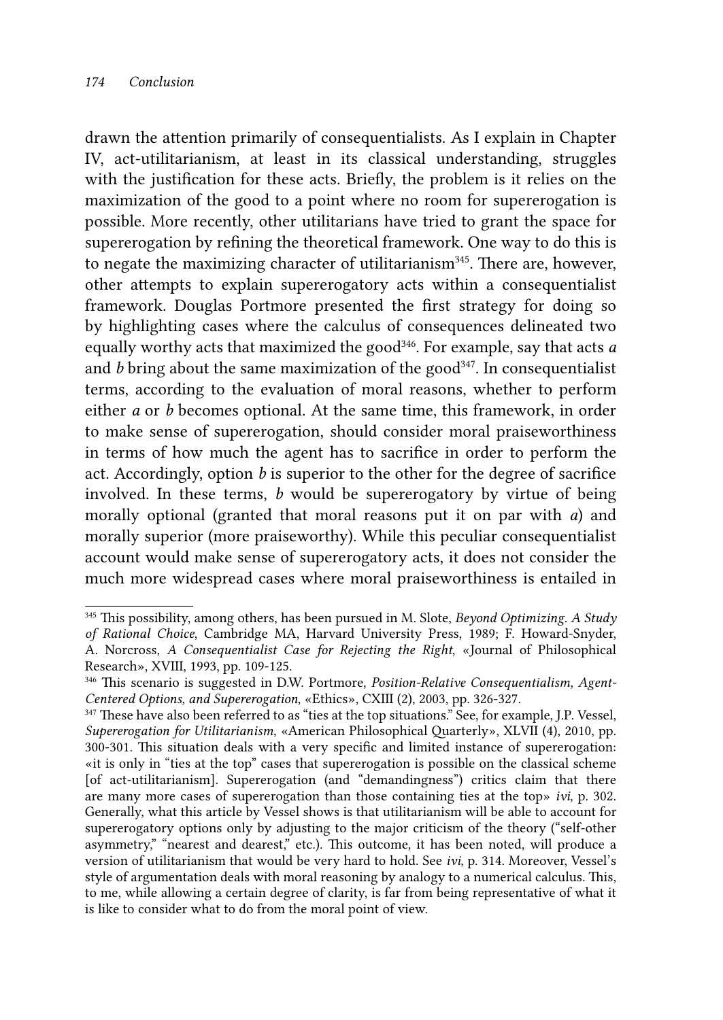drawn the attention primarily of consequentialists. As I explain in Chapter IV, act-utilitarianism, at least in its classical understanding, struggles with the justification for these acts. Briefly, the problem is it relies on the maximization of the good to a point where no room for supererogation is possible. More recently, other utilitarians have tried to grant the space for supererogation by refining the theoretical framework. One way to do this is to negate the maximizing character of utilitarianism<sup>345</sup>. There are, however, other attempts to explain supererogatory acts within a consequentialist framework. Douglas Portmore presented the first strategy for doing so by highlighting cases where the calculus of consequences delineated two equally worthy acts that maximized the good<sup>346</sup>. For example, say that acts *a* and  $b$  bring about the same maximization of the good<sup>347</sup>. In consequentialist terms, according to the evaluation of moral reasons, whether to perform either *a* or *b* becomes optional. At the same time, this framework, in order to make sense of supererogation, should consider moral praiseworthiness in terms of how much the agent has to sacrifice in order to perform the act. Accordingly, option *b* is superior to the other for the degree of sacrifice involved. In these terms, *b* would be supererogatory by virtue of being morally optional (granted that moral reasons put it on par with *a*) and morally superior (more praiseworthy). While this peculiar consequentialist account would make sense of supererogatory acts, it does not consider the much more widespread cases where moral praiseworthiness is entailed in

<sup>345</sup> This possibility, among others, has been pursued in M. Slote, *Beyond Optimizing. A Study of Rational Choice*, Cambridge MA, Harvard University Press, 1989; F. Howard-Snyder,

A. Norcross, *A Consequentialist Case for Rejecting the Right*, «Journal of Philosophical Research», XVIII, 1993, pp. 109-125.

<sup>346</sup> This scenario is suggested in D.W. Portmore, *Position-Relative Consequentialism, Agent-*

<sup>&</sup>lt;sup>347</sup> These have also been referred to as "ties at the top situations." See, for example, J.P. Vessel, *Supererogation for Utilitarianism*, «American Philosophical Quarterly», XLVII (4), 2010, pp. 300-301. This situation deals with a very specific and limited instance of supererogation: «it is only in "ties at the top" cases that supererogation is possible on the classical scheme [of act-utilitarianism]. Supererogation (and "demandingness") critics claim that there are many more cases of supererogation than those containing ties at the top» *ivi*, p. 302. Generally, what this article by Vessel shows is that utilitarianism will be able to account for supererogatory options only by adjusting to the major criticism of the theory ("self-other asymmetry," "nearest and dearest," etc.). This outcome, it has been noted, will produce a version of utilitarianism that would be very hard to hold. See *ivi*, p. 314. Moreover, Vessel's style of argumentation deals with moral reasoning by analogy to a numerical calculus. This, to me, while allowing a certain degree of clarity, is far from being representative of what it is like to consider what to do from the moral point of view.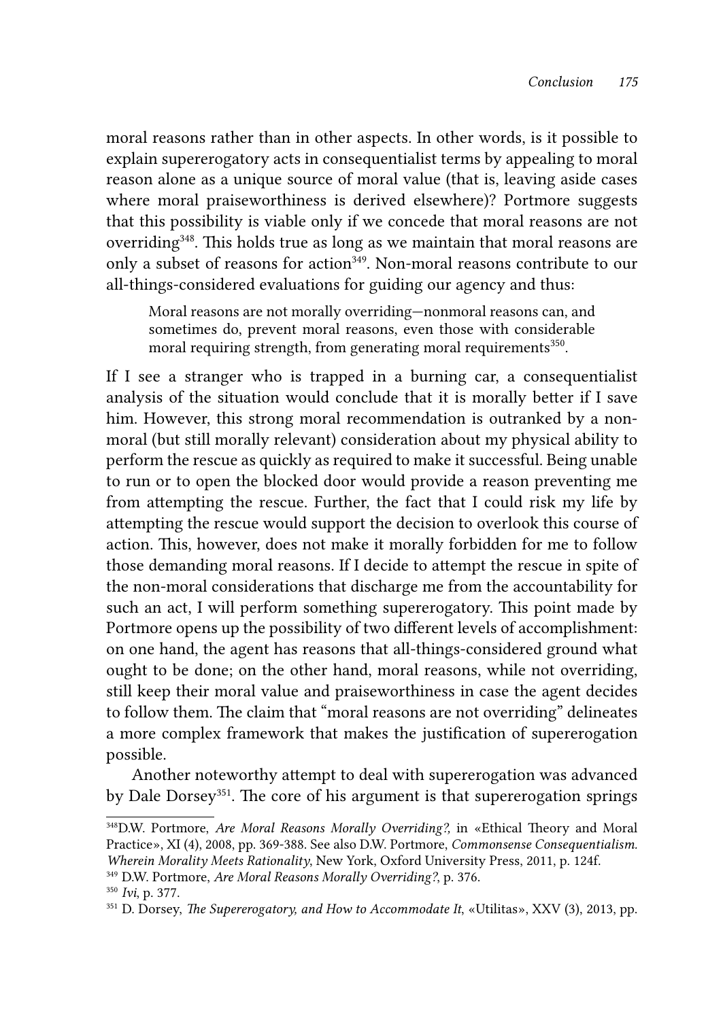moral reasons rather than in other aspects. In other words, is it possible to explain supererogatory acts in consequentialist terms by appealing to moral reason alone as a unique source of moral value (that is, leaving aside cases where moral praiseworthiness is derived elsewhere)? Portmore suggests that this possibility is viable only if we concede that moral reasons are not overriding<sup>348</sup>. This holds true as long as we maintain that moral reasons are only a subset of reasons for action<sup>349</sup>. Non-moral reasons contribute to our all-things-considered evaluations for guiding our agency and thus:

Moral reasons are not morally overriding—nonmoral reasons can, and sometimes do, prevent moral reasons, even those with considerable moral requiring strength, from generating moral requirements<sup>350</sup>.

If I see a stranger who is trapped in a burning car, a consequentialist analysis of the situation would conclude that it is morally better if I save him. However, this strong moral recommendation is outranked by a nonmoral (but still morally relevant) consideration about my physical ability to perform the rescue as quickly as required to make it successful. Being unable to run or to open the blocked door would provide a reason preventing me from attempting the rescue. Further, the fact that I could risk my life by attempting the rescue would support the decision to overlook this course of action. This, however, does not make it morally forbidden for me to follow those demanding moral reasons. If I decide to attempt the rescue in spite of the non-moral considerations that discharge me from the accountability for such an act, I will perform something supererogatory. This point made by Portmore opens up the possibility of two different levels of accomplishment: on one hand, the agent has reasons that all-things-considered ground what ought to be done; on the other hand, moral reasons, while not overriding, still keep their moral value and praiseworthiness in case the agent decides to follow them. The claim that "moral reasons are not overriding" delineates a more complex framework that makes the justification of supererogation possible.

Another noteworthy attempt to deal with supererogation was advanced by Dale Dorsey<sup>351</sup>. The core of his argument is that supererogation springs

<sup>348</sup>D.W. Portmore, *Are Moral Reasons Morally Overriding?,* in «Ethical Theory and Moral Practice», XI (4), 2008, pp. 369-388. See also D.W. Portmore, *Commonsense Consequentialism. Wherein Morality Meets Rationality*, New York, Oxford University Press, 2011, p. 124f.

<sup>349</sup> D.W. Portmore, *Are Moral Reasons Morally Overriding?*, p. 376.

<sup>350</sup> *Ivi*, p. 377.

<sup>351</sup> D. Dorsey, *The Supererogatory, and How to Accommodate It*, «Utilitas», XXV (3), 2013, pp.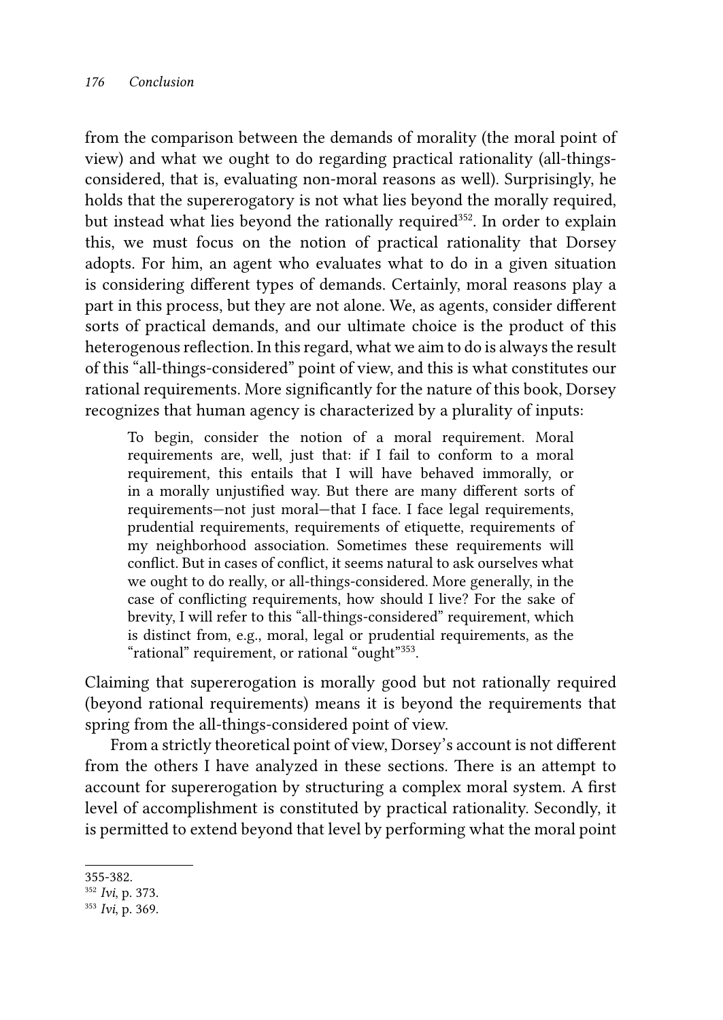from the comparison between the demands of morality (the moral point of view) and what we ought to do regarding practical rationality (all-thingsconsidered, that is, evaluating non-moral reasons as well). Surprisingly, he holds that the supererogatory is not what lies beyond the morally required, but instead what lies beyond the rationally required<sup>352</sup>. In order to explain this, we must focus on the notion of practical rationality that Dorsey adopts. For him, an agent who evaluates what to do in a given situation is considering different types of demands. Certainly, moral reasons play a part in this process, but they are not alone. We, as agents, consider different sorts of practical demands, and our ultimate choice is the product of this heterogenous reflection. In this regard, what we aim to do is always the result of this "all-things-considered" point of view, and this is what constitutes our rational requirements. More significantly for the nature of this book, Dorsey recognizes that human agency is characterized by a plurality of inputs:

To begin, consider the notion of a moral requirement. Moral requirements are, well, just that: if I fail to conform to a moral requirement, this entails that I will have behaved immorally, or in a morally unjustified way. But there are many different sorts of requirements—not just moral—that I face. I face legal requirements, prudential requirements, requirements of etiquette, requirements of my neighborhood association. Sometimes these requirements will conflict. But in cases of conflict, it seems natural to ask ourselves what we ought to do really, or all-things-considered. More generally, in the case of conflicting requirements, how should I live? For the sake of brevity, I will refer to this "all-things-considered" requirement, which is distinct from, e.g., moral, legal or prudential requirements, as the "rational" requirement, or rational "ought"<sup>353</sup>.

Claiming that supererogation is morally good but not rationally required (beyond rational requirements) means it is beyond the requirements that spring from the all-things-considered point of view.

From a strictly theoretical point of view, Dorsey's account is not different from the others I have analyzed in these sections. There is an attempt to account for supererogation by structuring a complex moral system. A first level of accomplishment is constituted by practical rationality. Secondly, it is permitted to extend beyond that level by performing what the moral point

<sup>355-382.</sup> 

<sup>352</sup> *Ivi*, p. 373.

<sup>353</sup> *Ivi*, p. 369.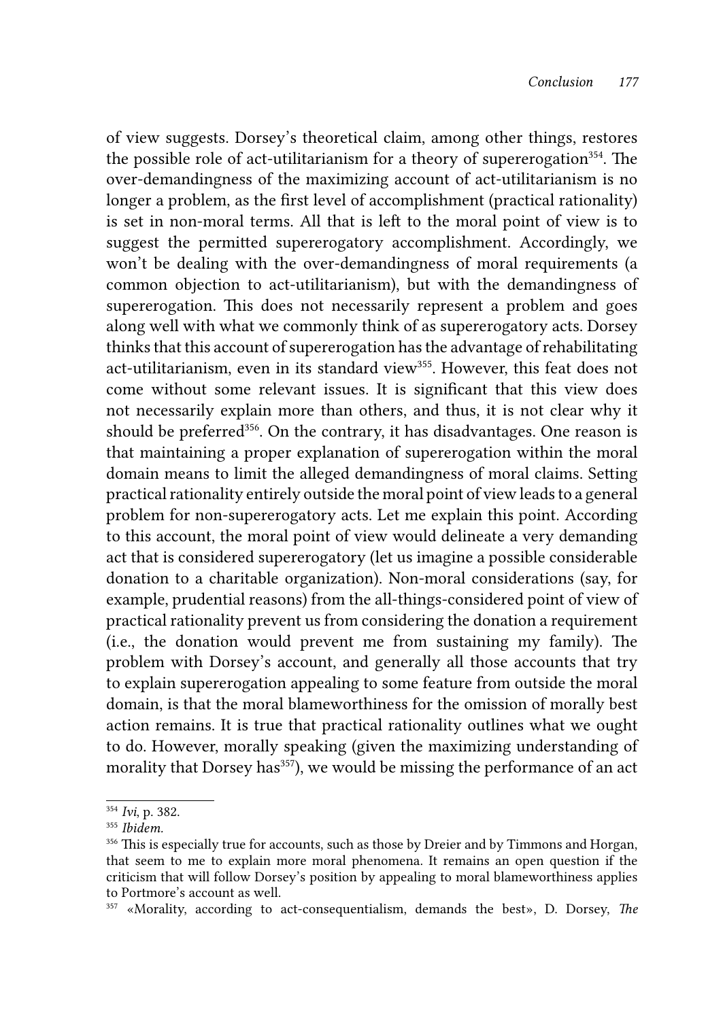of view suggests. Dorsey's theoretical claim, among other things, restores the possible role of act-utilitarianism for a theory of supererogation<sup>354</sup>. The over-demandingness of the maximizing account of act-utilitarianism is no longer a problem, as the first level of accomplishment (practical rationality) is set in non-moral terms. All that is left to the moral point of view is to suggest the permitted supererogatory accomplishment. Accordingly, we won't be dealing with the over-demandingness of moral requirements (a common objection to act-utilitarianism), but with the demandingness of supererogation. This does not necessarily represent a problem and goes along well with what we commonly think of as supererogatory acts. Dorsey thinks that this account of supererogation has the advantage of rehabilitating act-utilitarianism, even in its standard view<sup>355</sup>. However, this feat does not come without some relevant issues. It is significant that this view does not necessarily explain more than others, and thus, it is not clear why it should be preferred<sup>356</sup>. On the contrary, it has disadvantages. One reason is that maintaining a proper explanation of supererogation within the moral domain means to limit the alleged demandingness of moral claims. Setting practical rationality entirely outside the moral point of view leads to a general problem for non-supererogatory acts. Let me explain this point. According to this account, the moral point of view would delineate a very demanding act that is considered supererogatory (let us imagine a possible considerable donation to a charitable organization). Non-moral considerations (say, for example, prudential reasons) from the all-things-considered point of view of practical rationality prevent us from considering the donation a requirement (i.e., the donation would prevent me from sustaining my family). The problem with Dorsey's account, and generally all those accounts that try to explain supererogation appealing to some feature from outside the moral domain, is that the moral blameworthiness for the omission of morally best action remains. It is true that practical rationality outlines what we ought to do. However, morally speaking (given the maximizing understanding of morality that Dorsey has<sup>357</sup>), we would be missing the performance of an act

<sup>354</sup> *Ivi*, p. 382.

<sup>355</sup> *Ibidem.*

<sup>&</sup>lt;sup>356</sup> This is especially true for accounts, such as those by Dreier and by Timmons and Horgan, that seem to me to explain more moral phenomena. It remains an open question if the criticism that will follow Dorsey's position by appealing to moral blameworthiness applies to Portmore's account as well.

<sup>357 «</sup>Morality, according to act-consequentialism, demands the best», D. Dorsey, *The*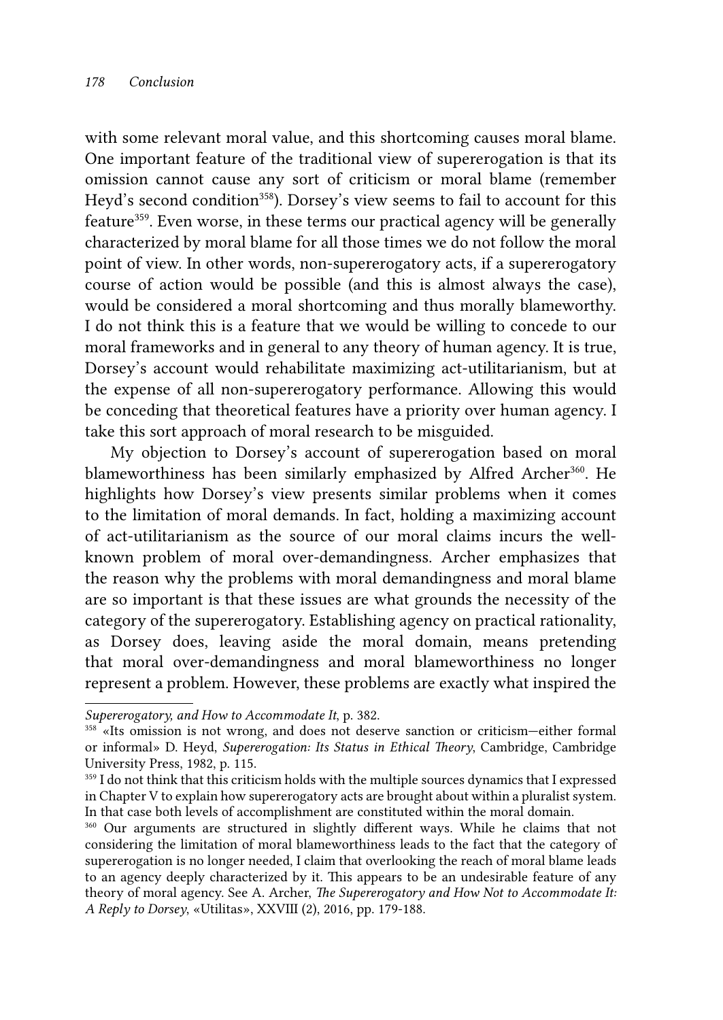with some relevant moral value, and this shortcoming causes moral blame. One important feature of the traditional view of supererogation is that its omission cannot cause any sort of criticism or moral blame (remember Heyd's second condition<sup>358</sup>). Dorsey's view seems to fail to account for this feature<sup>359</sup>. Even worse, in these terms our practical agency will be generally characterized by moral blame for all those times we do not follow the moral point of view. In other words, non-supererogatory acts, if a supererogatory course of action would be possible (and this is almost always the case), would be considered a moral shortcoming and thus morally blameworthy. I do not think this is a feature that we would be willing to concede to our moral frameworks and in general to any theory of human agency. It is true, Dorsey's account would rehabilitate maximizing act-utilitarianism, but at the expense of all non-supererogatory performance. Allowing this would be conceding that theoretical features have a priority over human agency. I take this sort approach of moral research to be misguided.

My objection to Dorsey's account of supererogation based on moral blameworthiness has been similarly emphasized by Alfred Archer<sup>360</sup>. He highlights how Dorsey's view presents similar problems when it comes to the limitation of moral demands. In fact, holding a maximizing account of act-utilitarianism as the source of our moral claims incurs the wellknown problem of moral over-demandingness. Archer emphasizes that the reason why the problems with moral demandingness and moral blame are so important is that these issues are what grounds the necessity of the category of the supererogatory. Establishing agency on practical rationality, as Dorsey does, leaving aside the moral domain, means pretending that moral over-demandingness and moral blameworthiness no longer represent a problem. However, these problems are exactly what inspired the

*Supererogatory, and How to Accommodate It*, p. 382.

<sup>358 «</sup>Its omission is not wrong, and does not deserve sanction or criticism—either formal or informal» D. Heyd, *Supererogation: Its Status in Ethical Theory*, Cambridge, Cambridge University Press, 1982, p. 115.

<sup>359</sup> I do not think that this criticism holds with the multiple sources dynamics that I expressed in Chapter V to explain how supererogatory acts are brought about within a pluralist system. In that case both levels of accomplishment are constituted within the moral domain.

<sup>360</sup> Our arguments are structured in slightly different ways. While he claims that not considering the limitation of moral blameworthiness leads to the fact that the category of supererogation is no longer needed, I claim that overlooking the reach of moral blame leads to an agency deeply characterized by it. This appears to be an undesirable feature of any theory of moral agency. See A. Archer, *The Supererogatory and How Not to Accommodate It: A Reply to Dorsey*, «Utilitas», XXVIII (2), 2016, pp. 179-188.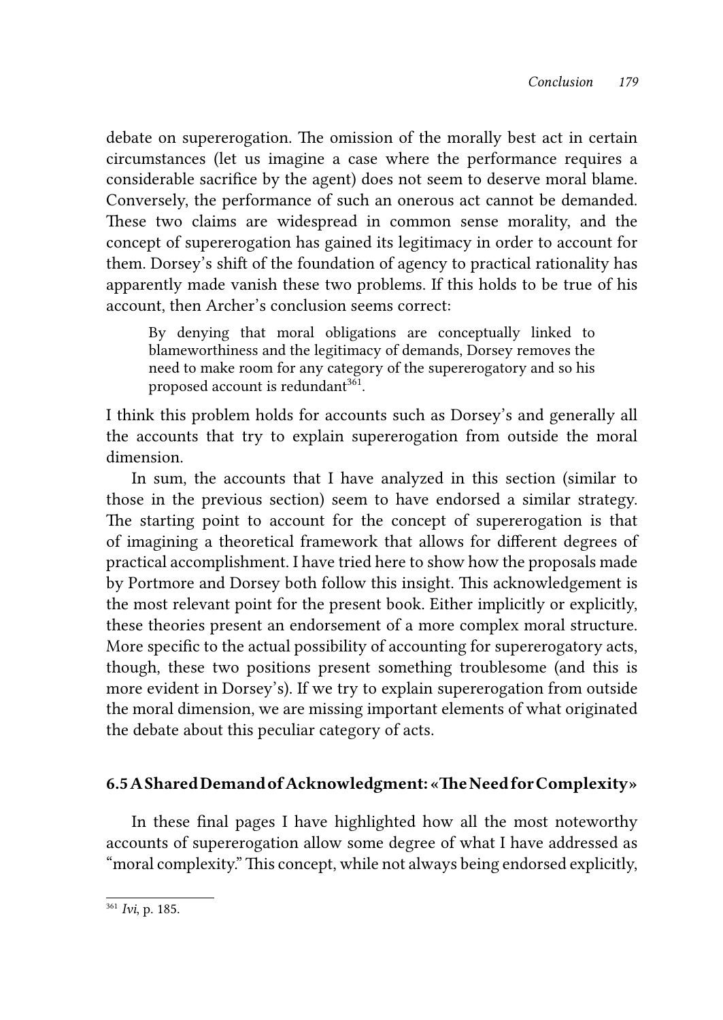debate on supererogation. The omission of the morally best act in certain circumstances (let us imagine a case where the performance requires a considerable sacrifice by the agent) does not seem to deserve moral blame. Conversely, the performance of such an onerous act cannot be demanded. These two claims are widespread in common sense morality, and the concept of supererogation has gained its legitimacy in order to account for them. Dorsey's shift of the foundation of agency to practical rationality has apparently made vanish these two problems. If this holds to be true of his account, then Archer's conclusion seems correct:

By denying that moral obligations are conceptually linked to blameworthiness and the legitimacy of demands, Dorsey removes the need to make room for any category of the supererogatory and so his proposed account is redundant<sup>361</sup>.

I think this problem holds for accounts such as Dorsey's and generally all the accounts that try to explain supererogation from outside the moral dimension.

In sum, the accounts that I have analyzed in this section (similar to those in the previous section) seem to have endorsed a similar strategy. The starting point to account for the concept of supererogation is that of imagining a theoretical framework that allows for different degrees of practical accomplishment. I have tried here to show how the proposals made by Portmore and Dorsey both follow this insight. This acknowledgement is the most relevant point for the present book. Either implicitly or explicitly, these theories present an endorsement of a more complex moral structure. More specific to the actual possibility of accounting for supererogatory acts, though, these two positions present something troublesome (and this is more evident in Dorsey's). If we try to explain supererogation from outside the moral dimension, we are missing important elements of what originated the debate about this peculiar category of acts.

## 6.5 A Shared Demand of Acknowledgment: «The Need for Complexity»

In these final pages I have highlighted how all the most noteworthy accounts of supererogation allow some degree of what I have addressed as "moral complexity." This concept, while not always being endorsed explicitly,

<sup>361</sup> *Ivi*, p. 185.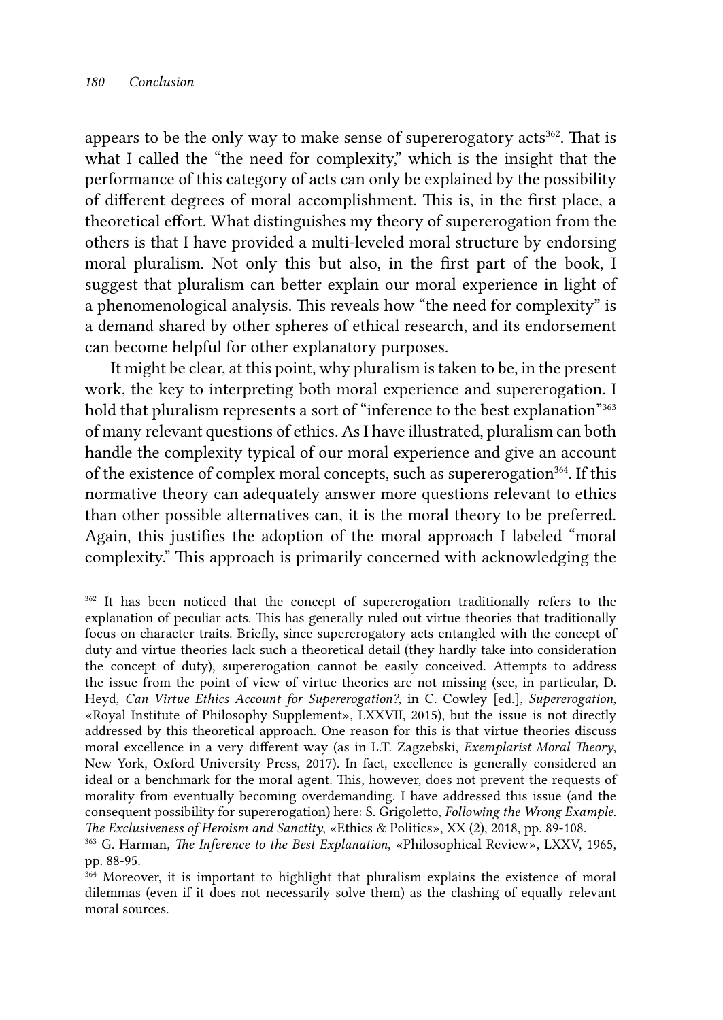appears to be the only way to make sense of supererogatory acts<sup>362</sup>. That is what I called the "the need for complexity," which is the insight that the performance of this category of acts can only be explained by the possibility of different degrees of moral accomplishment. This is, in the first place, a theoretical effort. What distinguishes my theory of supererogation from the others is that I have provided a multi-leveled moral structure by endorsing moral pluralism. Not only this but also, in the first part of the book, I suggest that pluralism can better explain our moral experience in light of a phenomenological analysis. This reveals how "the need for complexity" is a demand shared by other spheres of ethical research, and its endorsement can become helpful for other explanatory purposes.

It might be clear, at this point, why pluralism is taken to be, in the present work, the key to interpreting both moral experience and supererogation. I hold that pluralism represents a sort of "inference to the best explanation"<sup>363</sup> of many relevant questions of ethics. As I have illustrated, pluralism can both handle the complexity typical of our moral experience and give an account of the existence of complex moral concepts, such as supererogation<sup>364</sup>. If this normative theory can adequately answer more questions relevant to ethics than other possible alternatives can, it is the moral theory to be preferred. Again, this justifies the adoption of the moral approach I labeled "moral complexity." This approach is primarily concerned with acknowledging the

<sup>&</sup>lt;sup>362</sup> It has been noticed that the concept of supererogation traditionally refers to the explanation of peculiar acts. This has generally ruled out virtue theories that traditionally focus on character traits. Briefly, since supererogatory acts entangled with the concept of duty and virtue theories lack such a theoretical detail (they hardly take into consideration the concept of duty), supererogation cannot be easily conceived. Attempts to address the issue from the point of view of virtue theories are not missing (see, in particular, D. Heyd, *Can Virtue Ethics Account for Supererogation?*, in C. Cowley [ed.], *Supererogation*, «Royal Institute of Philosophy Supplement», LXXVII, 2015), but the issue is not directly addressed by this theoretical approach. One reason for this is that virtue theories discuss moral excellence in a very different way (as in L.T. Zagzebski, *Exemplarist Moral Theory*, New York, Oxford University Press, 2017). In fact, excellence is generally considered an ideal or a benchmark for the moral agent. This, however, does not prevent the requests of morality from eventually becoming overdemanding. I have addressed this issue (and the consequent possibility for supererogation) here: S. Grigoletto, *Following the Wrong Example.* 

<sup>&</sup>lt;sup>363</sup> G. Harman, *The Inference to the Best Explanation*, «Philosophical Review», LXXV, 1965, pp. 88-95.

<sup>&</sup>lt;sup>364</sup> Moreover, it is important to highlight that pluralism explains the existence of moral dilemmas (even if it does not necessarily solve them) as the clashing of equally relevant moral sources.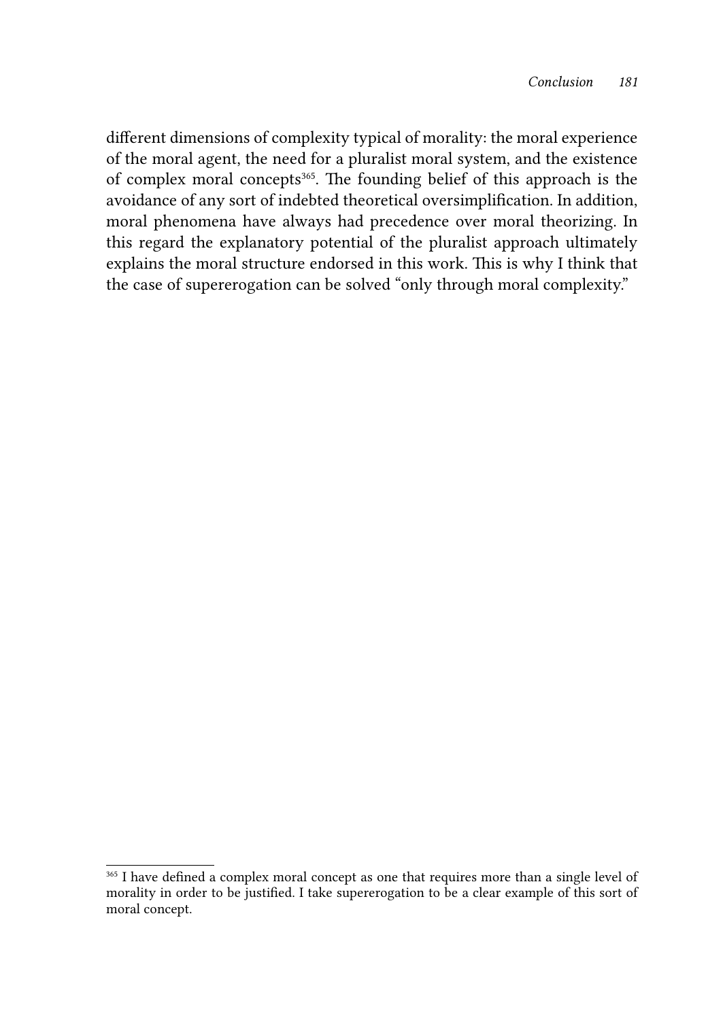different dimensions of complexity typical of morality: the moral experience of the moral agent, the need for a pluralist moral system, and the existence of complex moral concepts<sup>365</sup>. The founding belief of this approach is the avoidance of any sort of indebted theoretical oversimplification. In addition, moral phenomena have always had precedence over moral theorizing. In this regard the explanatory potential of the pluralist approach ultimately explains the moral structure endorsed in this work. This is why I think that the case of supererogation can be solved "only through moral complexity."

<sup>365</sup> I have defined a complex moral concept as one that requires more than a single level of morality in order to be justified. I take supererogation to be a clear example of this sort of moral concept.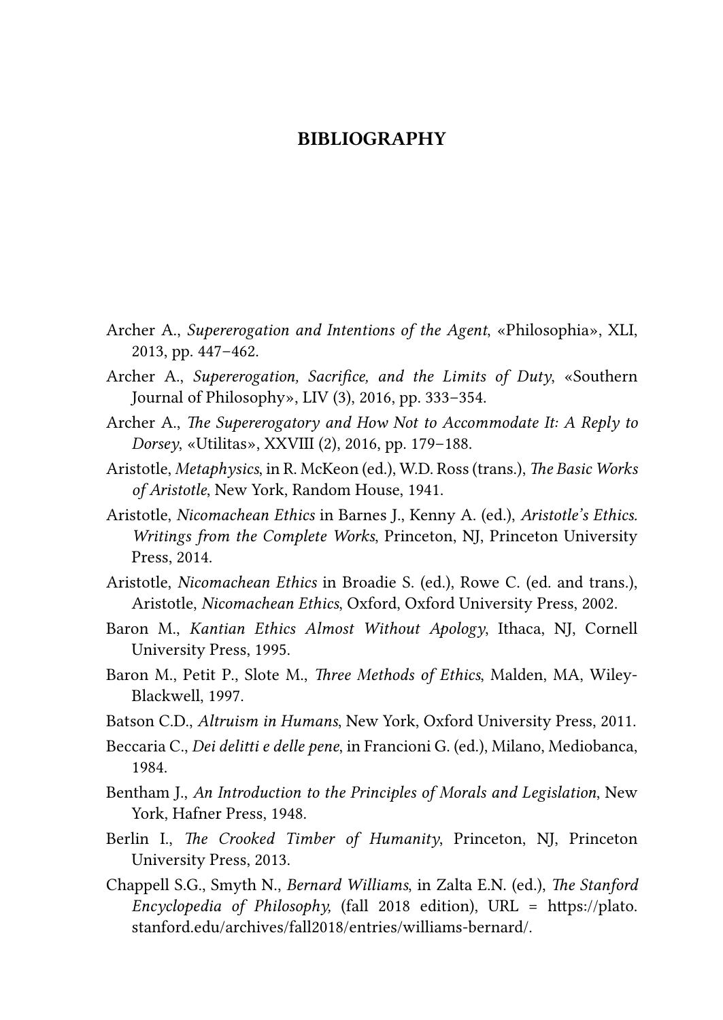## BIBLIOGRAPHY

- Archer A., *Supererogation and Intentions of the Agent*, «Philosophia», XLI, 2013, pp. 447–462.
- Archer A., *Supererogation, Sacrifice, and the Limits of Duty*, «Southern Journal of Philosophy», LIV (3), 2016, pp. 333–354.
- Archer A., *The Supererogatory and How Not to Accommodate It: A Reply to Dorsey*, «Utilitas», XXVIII (2), 2016, pp. 179–188.
- Aristotle, *Metaphysics*, in R. McKeon (ed.), W.D. Ross (trans.), *The Basic Works of Aristotle*, New York, Random House, 1941.
- Aristotle, *Nicomachean Ethics* in Barnes J., Kenny A. (ed.), *Aristotle's Ethics. Writings from the Complete Works*, Princeton, NJ, Princeton University Press, 2014.
- Aristotle, *Nicomachean Ethics* in Broadie S. (ed.), Rowe C. (ed. and trans.), Aristotle, *Nicomachean Ethics*, Oxford, Oxford University Press, 2002.
- Baron M., *Kantian Ethics Almost Without Apology*, Ithaca, NJ, Cornell University Press, 1995.
- Baron M., Petit P., Slote M., *Three Methods of Ethics*, Malden, MA, Wiley-Blackwell, 1997.
- Batson C.D., *Altruism in Humans*, New York, Oxford University Press, 2011.
- Beccaria C., *Dei delitti e delle pene*, in Francioni G. (ed.), Milano, Mediobanca, 1984.
- Bentham J., *An Introduction to the Principles of Morals and Legislation*, New York, Hafner Press, 1948.
- Berlin I., *The Crooked Timber of Humanity*, Princeton, NJ, Princeton University Press, 2013.
- Chappell S.G., Smyth N., *Bernard Williams*, in Zalta E.N. (ed.), *The Stanford Encyclopedia of Philosophy,* (fall 2018 edition), URL = [https://plato.](https://plato.stanford.edu/archives/fall2018/entries/williams-bernard/) [stanford.edu/archives/fall2018/entries/williams-bernard/.](https://plato.stanford.edu/archives/fall2018/entries/williams-bernard/)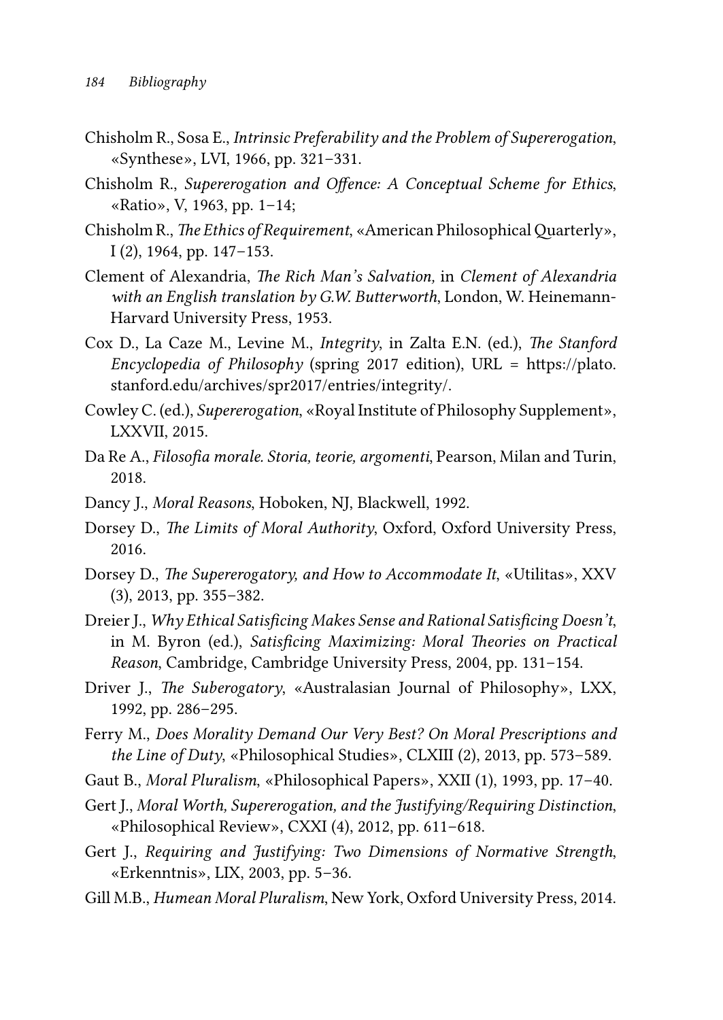- Chisholm R., Sosa E., *Intrinsic Preferability and the Problem of Supererogation*, «Synthese», LVI, 1966, pp. 321–331.
- Chisholm R., *Supererogation and Offence: A Conceptual Scheme for Ethics*, «Ratio», V, 1963, pp. 1–14;
- Chisholm R., *The Ethics of Requirement*, «American Philosophical Quarterly», I (2), 1964, pp. 147–153.
- Clement of Alexandria, *The Rich Man's Salvation,* in *Clement of Alexandria with an English translation by G.W. Butterworth*, London, W. Heinemann-Harvard University Press, 1953.
- Cox D., La Caze M., Levine M., *Integrity*, in Zalta E.N. (ed.), *The Stanford Encyclopedia of Philosophy* (spring 2017 edition), URL = [https://plato.](https://plato.stanford.edu/archives/spr2017/entries/integrity/) [stanford.edu/archives/spr2017/entries/integrity/.](https://plato.stanford.edu/archives/spr2017/entries/integrity/)
- Cowley C. (ed.), *Supererogation*, «Royal Institute of Philosophy Supplement», LXXVII, 2015.
- Da Re A., *Filosofia morale. Storia, teorie, argomenti*, Pearson, Milan and Turin, 2018.
- Dancy J., *Moral Reasons*, Hoboken, NJ, Blackwell, 1992.
- Dorsey D., *The Limits of Moral Authority*, Oxford, Oxford University Press, 2016.
- Dorsey D., *The Supererogatory, and How to Accommodate It*, «Utilitas», XXV (3), 2013, pp. 355–382.
- Dreier J., *Why Ethical Satisficing Makes Sense and Rational Satisficing Doesn't*, in M. Byron (ed.), *Satisficing Maximizing: Moral Theories on Practical Reason*, Cambridge, Cambridge University Press, 2004, pp. 131–154.
- Driver J., *The Suberogatory*, «Australasian Journal of Philosophy», LXX, 1992, pp. 286–295.
- Ferry M., *Does Morality Demand Our Very Best? On Moral Prescriptions and the Line of Duty*, «Philosophical Studies», CLXIII (2), 2013, pp. 573–589.
- Gaut B., *Moral Pluralism*, «Philosophical Papers», XXII (1), 1993, pp. 17–40.
- Gert J., *Moral Worth, Supererogation, and the Justifying/Requiring Distinction*, «Philosophical Review», CXXI (4), 2012, pp. 611–618.
- Gert J., *Requiring and Justifying: Two Dimensions of Normative Strength*, «Erkenntnis», LIX, 2003, pp. 5–36.
- Gill M.B., *Humean Moral Pluralism*, New York, Oxford University Press, 2014.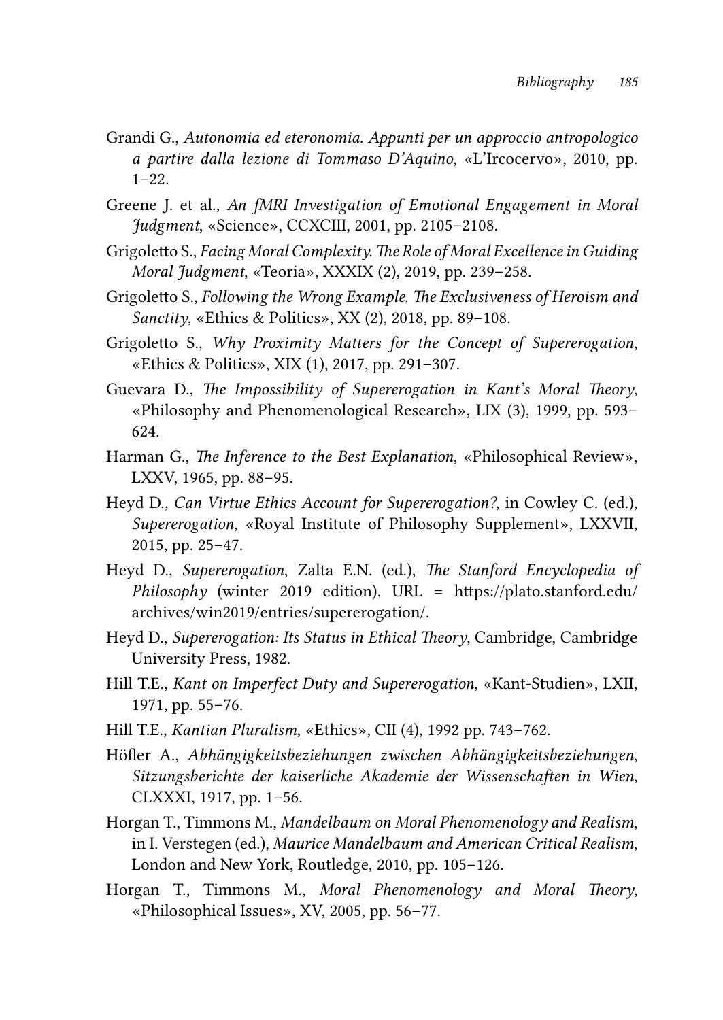- Grandi G., *Autonomia ed eteronomia. Appunti per un approccio antropologico a partire dalla lezione di Tommaso D'Aquino*, «L'Ircocervo», 2010, pp.  $1 - 22$ .
- Greene J. et al., *An fMRI Investigation of Emotional Engagement in Moral Judgment*, «Science», CCXCIII, 2001, pp. 2105–2108.
- Grigoletto S., *Facing Moral Complexity. The Role of Moral Excellence in Guiding Moral Judgment*, «Teoria», XXXIX (2), 2019, pp. 239–258.
- Grigoletto S., *Following the Wrong Example. The Exclusiveness of Heroism and Sanctity*, «Ethics & Politics», XX (2), 2018, pp. 89–108.
- Grigoletto S., *Why Proximity Matters for the Concept of Supererogation*, «Ethics & Politics», XIX (1), 2017, pp. 291–307.
- Guevara D., *The Impossibility of Supererogation in Kant's Moral Theory*, «Philosophy and Phenomenological Research», LIX (3), 1999, pp. 593– 624.
- Harman G., *The Inference to the Best Explanation*, «Philosophical Review», LXXV, 1965, pp. 88–95.
- Heyd D., *Can Virtue Ethics Account for Supererogation?*, in Cowley C. (ed.), *Supererogation*, «Royal Institute of Philosophy Supplement», LXXVII, 2015, pp. 25–47.
- Heyd D., *Supererogation*, Zalta E.N. (ed.), *The Stanford Encyclopedia of Philosophy* (winter 2019 edition), URL = [https://plato.stanford.edu/](https://plato.stanford.edu/archives/win2019/entries/supererogation/) [archives/win2019/entries/supererogation/.](https://plato.stanford.edu/archives/win2019/entries/supererogation/)
- Heyd D., *Supererogation: Its Status in Ethical Theory*, Cambridge, Cambridge University Press, 1982.
- Hill T.E., *Kant on Imperfect Duty and Supererogation*, «Kant-Studien», LXII, 1971, pp. 55–76.
- Hill T.E., *Kantian Pluralism*, «Ethics», CII (4), 1992 pp. 743–762.
- Höfler A., *Abhängigkeitsbeziehungen zwischen Abhängigkeitsbeziehungen*, *Sitzungsberichte der kaiserliche Akademie der Wissenschaften in Wien,*  CLXXXI, 1917, pp. 1–56.
- Horgan T., Timmons M., *Mandelbaum on Moral Phenomenology and Realism*, in I. Verstegen (ed.), *Maurice Mandelbaum and American Critical Realism*, London and New York, Routledge, 2010, pp. 105–126.
- Horgan T., Timmons M., *Moral Phenomenology and Moral Theory*, «Philosophical Issues», XV, 2005, pp. 56–77.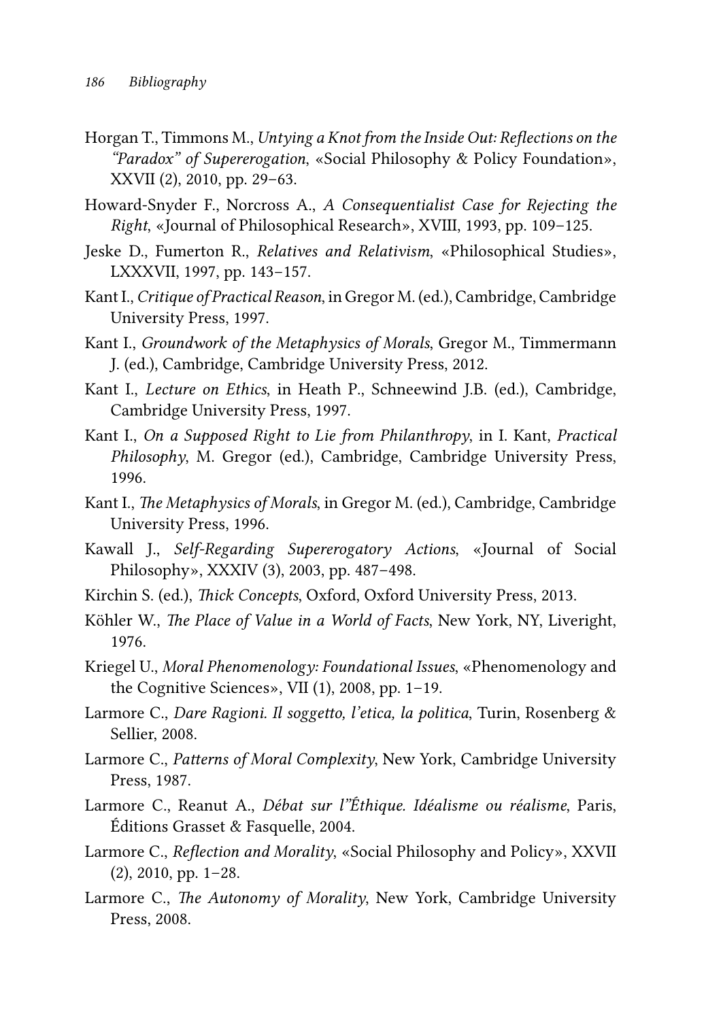- Horgan T., Timmons M., *Untying a Knot from the Inside Out: Reflections on the "Paradox" of Supererogation*, «Social Philosophy & Policy Foundation», XXVII (2), 2010, pp. 29–63.
- Howard-Snyder F., Norcross A., *A Consequentialist Case for Rejecting the Right*, «Journal of Philosophical Research», XVIII, 1993, pp. 109–125.
- Jeske D., Fumerton R., *Relatives and Relativism*, «Philosophical Studies», LXXXVII, 1997, pp. 143−157.
- Kant I., *Critique of Practical Reason*, in Gregor M. (ed.), Cambridge, Cambridge University Press, 1997.
- Kant I., *Groundwork of the Metaphysics of Morals*, Gregor M., Timmermann J. (ed.), Cambridge, Cambridge University Press, 2012.
- Kant I., *Lecture on Ethics*, in Heath P., Schneewind J.B. (ed.), Cambridge, Cambridge University Press, 1997.
- Kant I., *On a Supposed Right to Lie from Philanthropy*, in I. Kant, *Practical Philosophy*, M. Gregor (ed.), Cambridge, Cambridge University Press, 1996.
- Kant I., *The Metaphysics of Morals*, in Gregor M. (ed.), Cambridge, Cambridge University Press, 1996.
- Kawall J., *Self-Regarding Supererogatory Actions*, «Journal of Social Philosophy», XXXIV (3), 2003, pp. 487–498.
- Kirchin S. (ed.), *Thick Concepts*, Oxford, Oxford University Press, 2013.
- Köhler W., *The Place of Value in a World of Facts*, New York, NY, Liveright, 1976.
- Kriegel U., *Moral Phenomenology: Foundational Issues*, «Phenomenology and the Cognitive Sciences», VII (1), 2008, pp. 1–19.
- Larmore C., *Dare Ragioni. Il soggetto, l'etica, la politica*, Turin, Rosenberg & Sellier, 2008.
- Larmore C., *Patterns of Moral Complexity*, New York, Cambridge University Press, 1987.
- Larmore C., Reanut A., *Débat sur l"Éthique. Idéalisme ou réalisme*, Paris, Éditions Grasset & Fasquelle, 2004.
- Larmore C., *Reflection and Morality*, «Social Philosophy and Policy», XXVII (2), 2010, pp. 1–28.
- Larmore C., *The Autonomy of Morality*, New York, Cambridge University Press, 2008.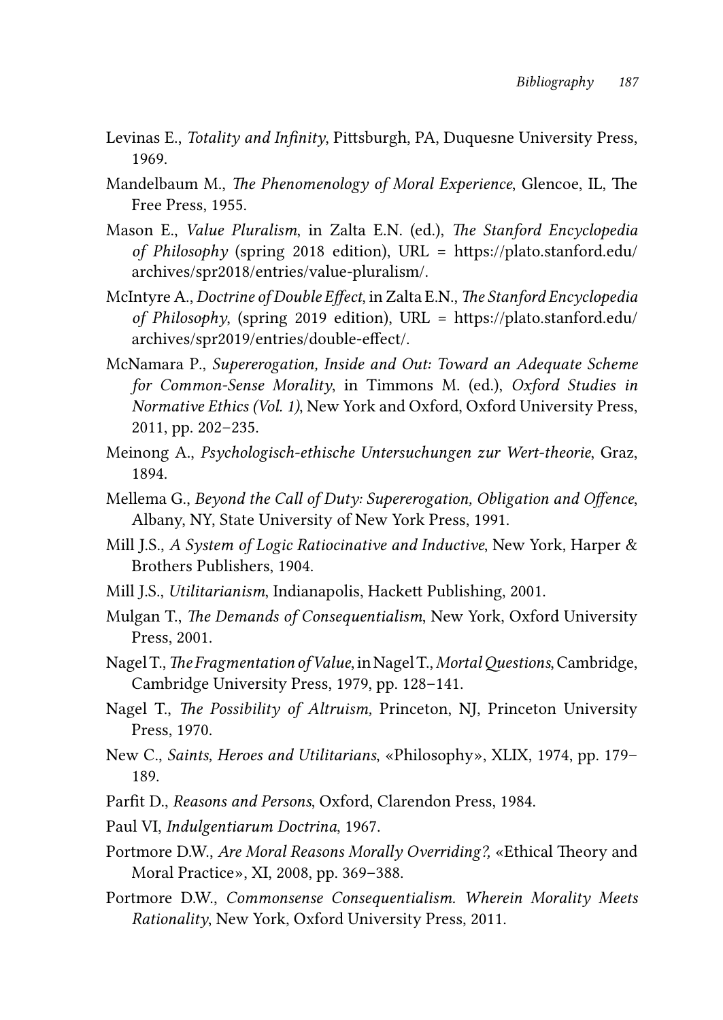- Levinas E., *Totality and Infinity*, Pittsburgh, PA, Duquesne University Press, 1969.
- Mandelbaum M., *The Phenomenology of Moral Experience*, Glencoe, IL, The Free Press, 1955.
- Mason E., *Value Pluralism*, in Zalta E.N. (ed.), *The Stanford Encyclopedia of Philosophy* (spring 2018 edition), URL = [https://plato.stanford.edu/](https://plato.stanford.edu/archives/spr2018/entries/value-pluralism/) [archives/spr2018/entries/value-pluralism/](https://plato.stanford.edu/archives/spr2018/entries/value-pluralism/).
- McIntyre A., *Doctrine of Double Effect*, in Zalta E.N., *The Stanford Encyclopedia of Philosophy*, (spring 2019 edition), URL = [https://plato.stanford.edu/](https://plato.stanford.edu/archives/spr2019/entries/double-effect/) [archives/spr2019/entries/double-effect/.](https://plato.stanford.edu/archives/spr2019/entries/double-effect/)
- McNamara P., *Supererogation, Inside and Out: Toward an Adequate Scheme for Common-Sense Morality*, in Timmons M. (ed.), *Oxford Studies in Normative Ethics (Vol. 1)*, New York and Oxford, Oxford University Press, 2011, pp. 202–235.
- Meinong A., *Psychologisch-ethische Untersuchungen zur Wert-theorie*, Graz, 1894.
- Mellema G., *Beyond the Call of Duty: Supererogation, Obligation and Offence*, Albany, NY, State University of New York Press, 1991.
- Mill J.S., *A System of Logic Ratiocinative and Inductive*, New York, Harper & Brothers Publishers, 1904.
- Mill J.S., *Utilitarianism*, Indianapolis, Hackett Publishing, 2001.
- Mulgan T., *The Demands of Consequentialism*, New York, Oxford University Press, 2001.
- Nagel T., *The Fragmentation of Value*, in Nagel T., *Mortal Questions*, Cambridge, Cambridge University Press, 1979, pp. 128–141.
- Nagel T., *The Possibility of Altruism,* Princeton, NJ, Princeton University Press, 1970.
- New C., *Saints, Heroes and Utilitarians*, «Philosophy», XLIX, 1974, pp. 179– 189.
- Parfit D., *Reasons and Persons*, Oxford, Clarendon Press, 1984.
- Paul VI, *Indulgentiarum Doctrina*, 1967.
- Portmore D.W., *Are Moral Reasons Morally Overriding?,* «Ethical Theory and Moral Practice», XI, 2008, pp. 369–388.
- Portmore D.W., *Commonsense Consequentialism. Wherein Morality Meets Rationality*, New York, Oxford University Press, 2011.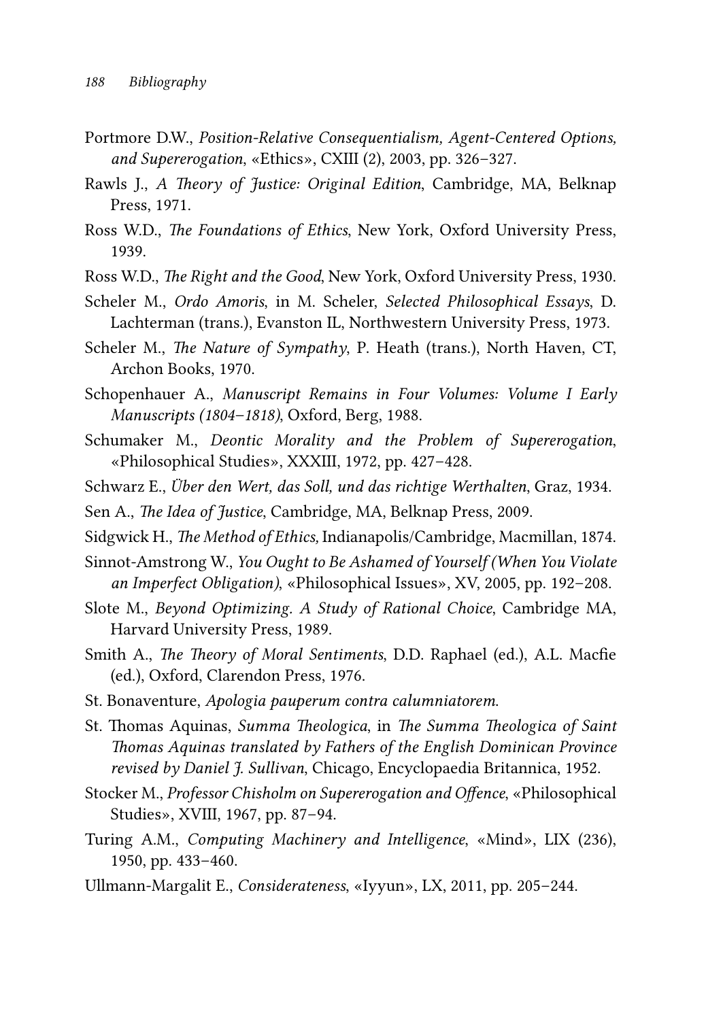- Portmore D.W., *Position-Relative Consequentialism, Agent-Centered Options, and Supererogation*, «Ethics», CXIII (2), 2003, pp. 326–327.
- Rawls J., *A Theory of Justice: Original Edition*, Cambridge, MA, Belknap Press, 1971.
- Ross W.D., *The Foundations of Ethics*, New York, Oxford University Press, 1939.
- Ross W.D., *The Right and the Good*, New York, Oxford University Press, 1930.
- Scheler M., *Ordo Amoris*, in M. Scheler, *Selected Philosophical Essays*, D. Lachterman (trans.), Evanston IL, Northwestern University Press, 1973.
- Scheler M., *The Nature of Sympathy*, P. Heath (trans.), North Haven, CT, Archon Books, 1970.
- Schopenhauer A., *Manuscript Remains in Four Volumes: Volume I Early Manuscripts (1804–1818)*, Oxford, Berg, 1988.
- Schumaker M., *Deontic Morality and the Problem of Supererogation*, «Philosophical Studies», XXXIII, 1972, pp. 427–428.
- Schwarz E., *Über den Wert, das Soll, und das richtige Werthalten*, Graz, 1934.
- Sen A., *The Idea of Justice*, Cambridge, MA, Belknap Press, 2009.
- Sidgwick H., *The Method of Ethics,* Indianapolis/Cambridge, Macmillan, 1874.
- Sinnot-Amstrong W., *You Ought to Be Ashamed of Yourself (When You Violate an Imperfect Obligation)*, «Philosophical Issues», XV, 2005, pp. 192–208.
- Slote M., *Beyond Optimizing. A Study of Rational Choice*, Cambridge MA, Harvard University Press, 1989.
- Smith A., *The Theory of Moral Sentiments*, D.D. Raphael (ed.), A.L. Macfie (ed.), Oxford, Clarendon Press, 1976.
- St. Bonaventure, *Apologia pauperum contra calumniatorem*.
- St. Thomas Aquinas, *Summa Theologica*, in *The Summa Theologica of Saint Thomas Aquinas translated by Fathers of the English Dominican Province revised by Daniel J. Sullivan*, Chicago, Encyclopaedia Britannica, 1952.
- Stocker M., *Professor Chisholm on Supererogation and Offence*, «Philosophical Studies», XVIII, 1967, pp. 87–94.
- Turing A.M., *Computing Machinery and Intelligence*, «Mind», LIX (236), 1950, pp. 433–460.
- Ullmann-Margalit E., *Considerateness*, «Iyyun», LX, 2011, pp. 205–244.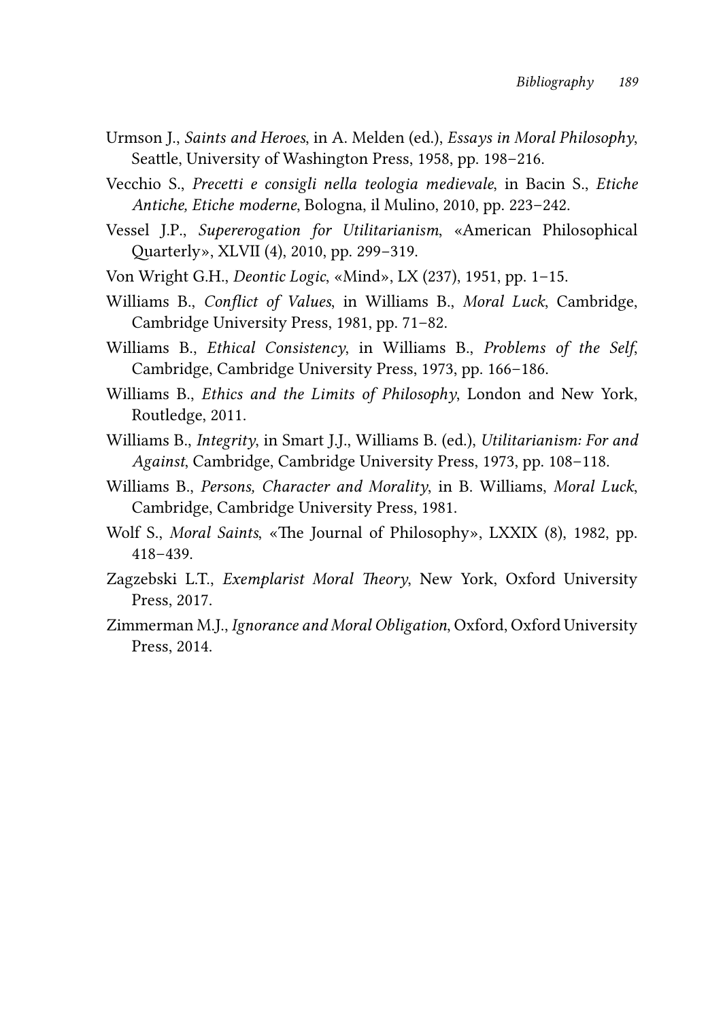- Urmson J., *Saints and Heroes*, in A. Melden (ed.), *Essays in Moral Philosophy*, Seattle, University of Washington Press, 1958, pp. 198–216.
- Vecchio S., *Precetti e consigli nella teologia medievale*, in Bacin S., *Etiche Antiche, Etiche moderne*, Bologna, il Mulino, 2010, pp. 223–242.
- Vessel J.P., *Supererogation for Utilitarianism*, «American Philosophical Quarterly», XLVII (4), 2010, pp. 299−319.
- Von Wright G.H., *Deontic Logic*, «Mind», LX (237), 1951, pp. 1–15.
- Williams B., *Conflict of Values*, in Williams B., *Moral Luck*, Cambridge, Cambridge University Press, 1981, pp. 71–82.
- Williams B., *Ethical Consistency*, in Williams B., *Problems of the Self*, Cambridge, Cambridge University Press, 1973, pp. 166–186.
- Williams B., *Ethics and the Limits of Philosophy*, London and New York, Routledge, 2011.
- Williams B., *Integrity*, in Smart J.J., Williams B. (ed.), *Utilitarianism: For and Against*, Cambridge, Cambridge University Press, 1973, pp. 108–118.
- Williams B., *Persons, Character and Morality*, in B. Williams, *Moral Luck*, Cambridge, Cambridge University Press, 1981.
- Wolf S., *Moral Saints*, «The Journal of Philosophy», LXXIX (8), 1982, pp. 418–439.
- Zagzebski L.T., *Exemplarist Moral Theory*, New York, Oxford University Press, 2017.
- Zimmerman M.J., *Ignorance and Moral Obligation*, Oxford, Oxford University Press, 2014.